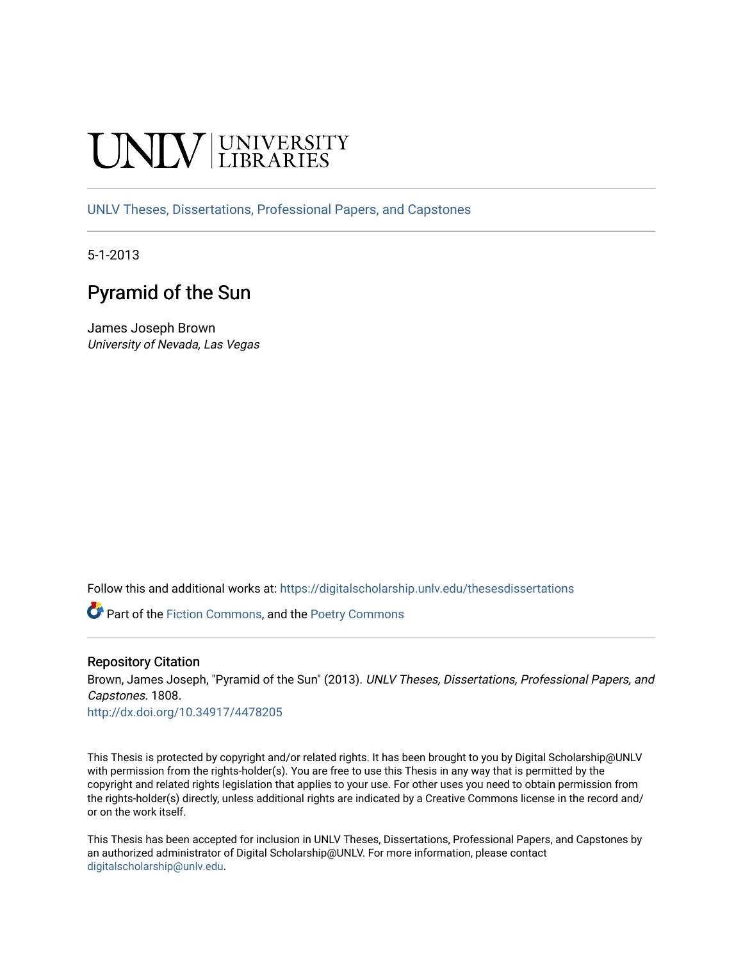# **INIVERSITY**

[UNLV Theses, Dissertations, Professional Papers, and Capstones](https://digitalscholarship.unlv.edu/thesesdissertations)

5-1-2013

# Pyramid of the Sun

James Joseph Brown University of Nevada, Las Vegas

Follow this and additional works at: [https://digitalscholarship.unlv.edu/thesesdissertations](https://digitalscholarship.unlv.edu/thesesdissertations?utm_source=digitalscholarship.unlv.edu%2Fthesesdissertations%2F1808&utm_medium=PDF&utm_campaign=PDFCoverPages)

**Part of the [Fiction Commons,](http://network.bepress.com/hgg/discipline/1151?utm_source=digitalscholarship.unlv.edu%2Fthesesdissertations%2F1808&utm_medium=PDF&utm_campaign=PDFCoverPages) and the [Poetry Commons](http://network.bepress.com/hgg/discipline/1153?utm_source=digitalscholarship.unlv.edu%2Fthesesdissertations%2F1808&utm_medium=PDF&utm_campaign=PDFCoverPages)** 

#### Repository Citation

Brown, James Joseph, "Pyramid of the Sun" (2013). UNLV Theses, Dissertations, Professional Papers, and Capstones. 1808.

<http://dx.doi.org/10.34917/4478205>

This Thesis is protected by copyright and/or related rights. It has been brought to you by Digital Scholarship@UNLV with permission from the rights-holder(s). You are free to use this Thesis in any way that is permitted by the copyright and related rights legislation that applies to your use. For other uses you need to obtain permission from the rights-holder(s) directly, unless additional rights are indicated by a Creative Commons license in the record and/ or on the work itself.

This Thesis has been accepted for inclusion in UNLV Theses, Dissertations, Professional Papers, and Capstones by an authorized administrator of Digital Scholarship@UNLV. For more information, please contact [digitalscholarship@unlv.edu](mailto:digitalscholarship@unlv.edu).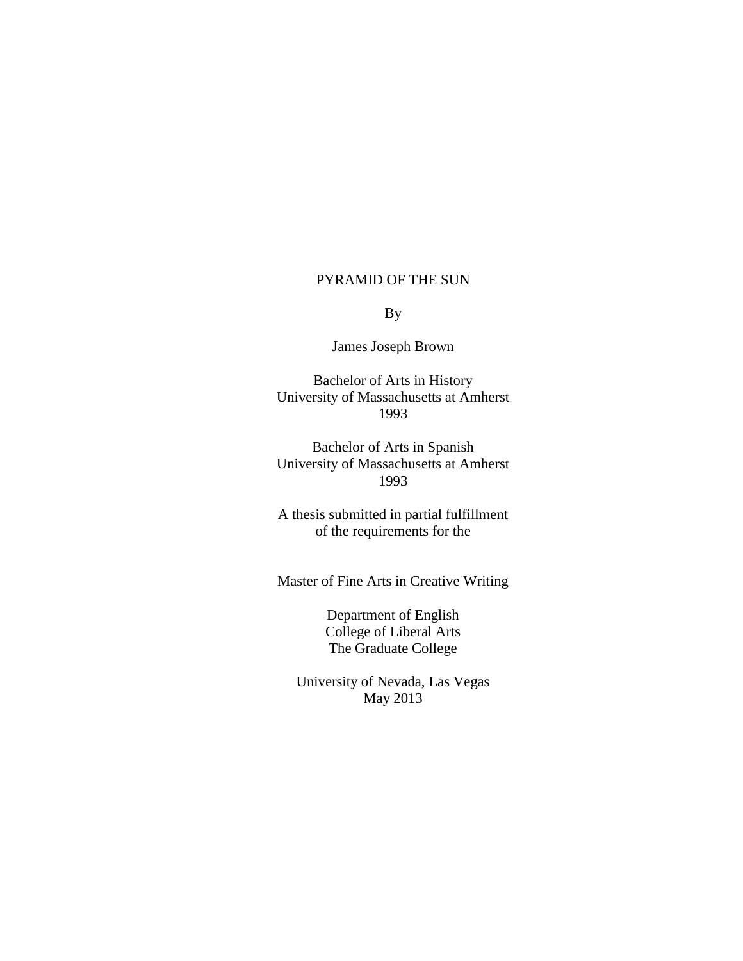#### PYRAMID OF THE SUN

By

James Joseph Brown

Bachelor of Arts in History University of Massachusetts at Amherst 1993

Bachelor of Arts in Spanish University of Massachusetts at Amherst 1993

A thesis submitted in partial fulfillment of the requirements for the

Master of Fine Arts in Creative Writing

Department of English College of Liberal Arts The Graduate College

University of Nevada, Las Vegas May 2013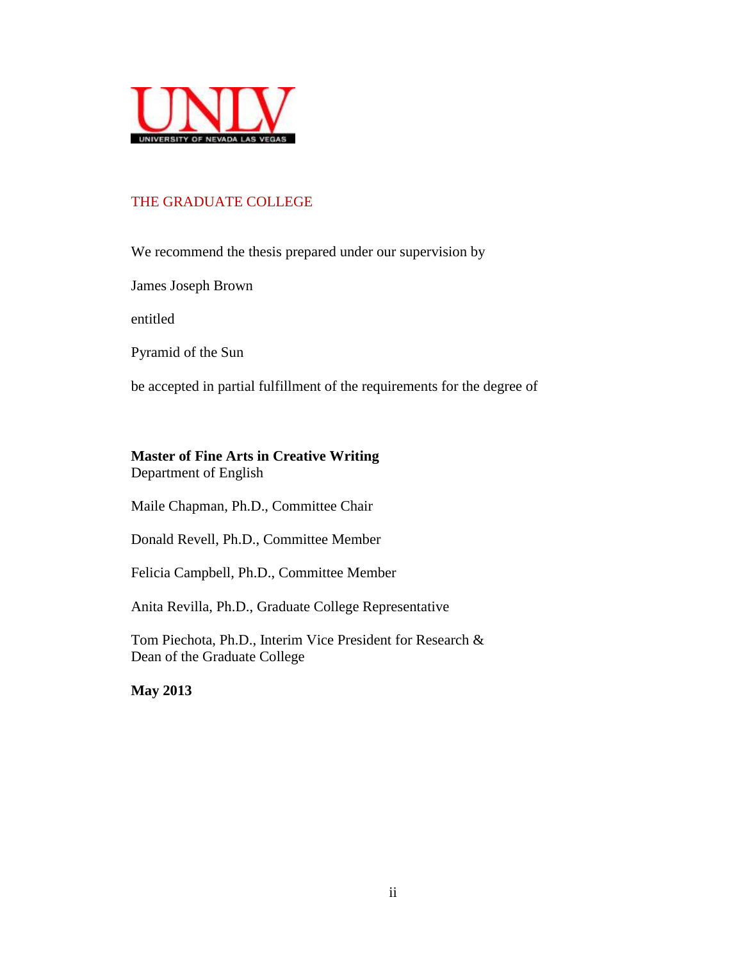

# THE GRADUATE COLLEGE

We recommend the thesis prepared under our supervision by

James Joseph Brown

entitled

Pyramid of the Sun

be accepted in partial fulfillment of the requirements for the degree of

## **Master of Fine Arts in Creative Writing**

Department of English

Maile Chapman, Ph.D., Committee Chair

Donald Revell, Ph.D., Committee Member

Felicia Campbell, Ph.D., Committee Member

Anita Revilla, Ph.D., Graduate College Representative

Tom Piechota, Ph.D., Interim Vice President for Research & Dean of the Graduate College

**May 2013**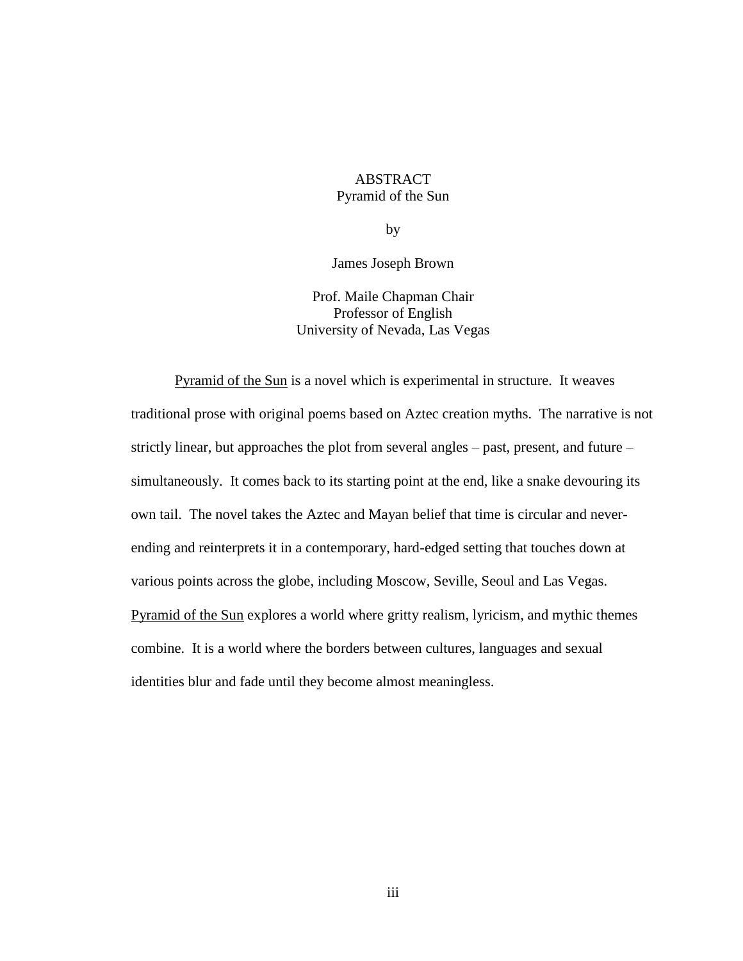# ABSTRACT Pyramid of the Sun

by

James Joseph Brown

Prof. Maile Chapman Chair Professor of English University of Nevada, Las Vegas

Pyramid of the Sun is a novel which is experimental in structure. It weaves traditional prose with original poems based on Aztec creation myths. The narrative is not strictly linear, but approaches the plot from several angles – past, present, and future – simultaneously. It comes back to its starting point at the end, like a snake devouring its own tail. The novel takes the Aztec and Mayan belief that time is circular and neverending and reinterprets it in a contemporary, hard-edged setting that touches down at various points across the globe, including Moscow, Seville, Seoul and Las Vegas. Pyramid of the Sun explores a world where gritty realism, lyricism, and mythic themes combine. It is a world where the borders between cultures, languages and sexual identities blur and fade until they become almost meaningless.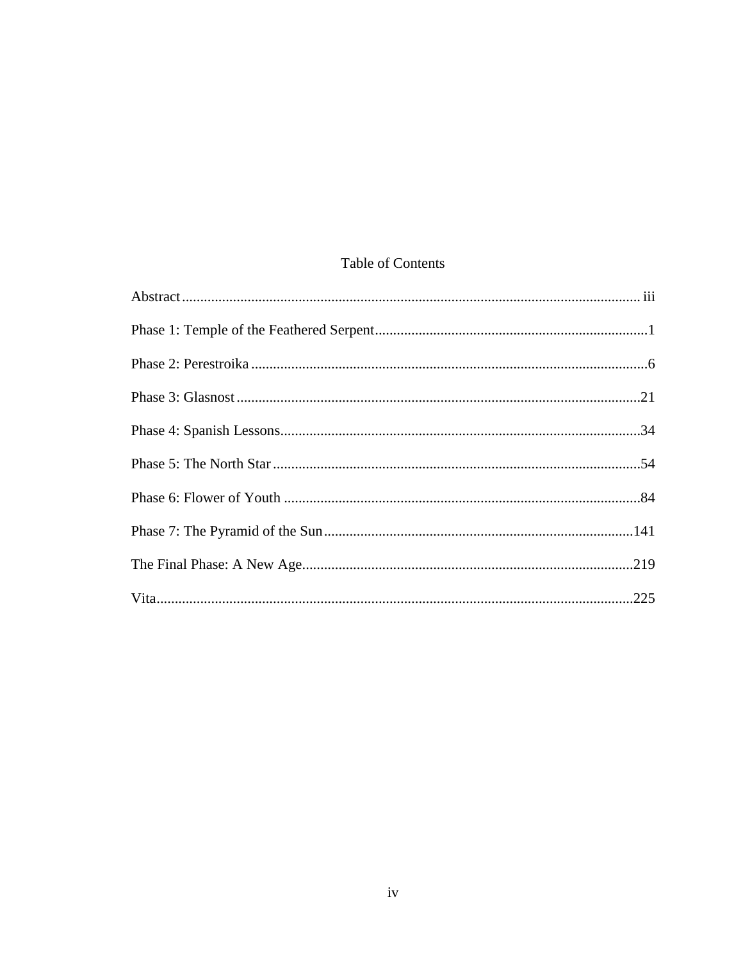# Table of Contents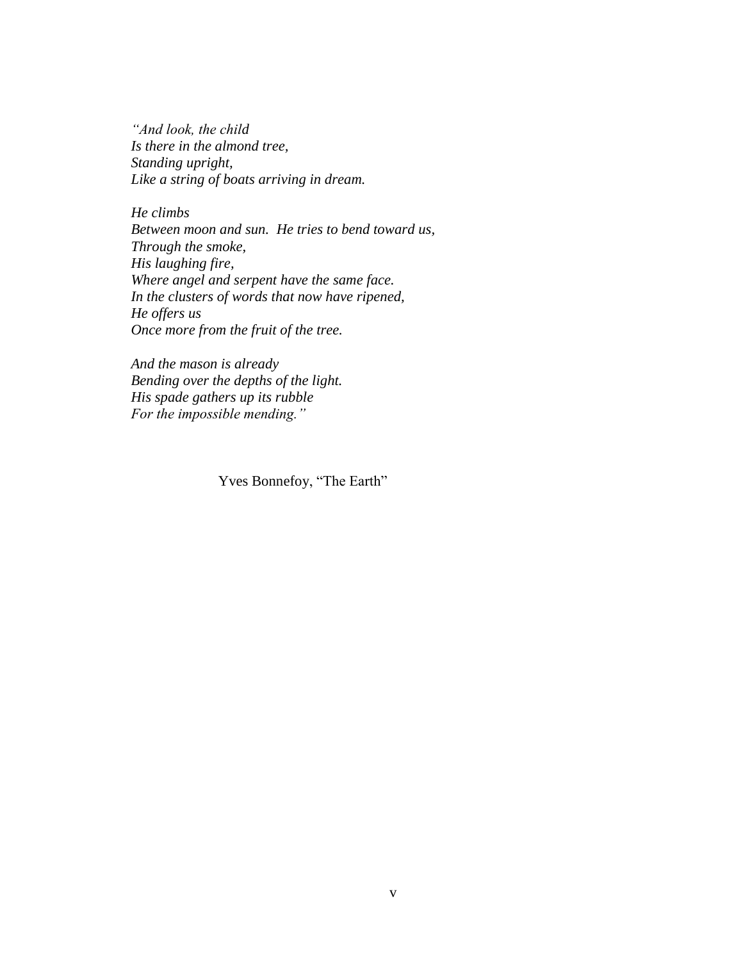*"And look, the child Is there in the almond tree, Standing upright, Like a string of boats arriving in dream.*

*He climbs Between moon and sun. He tries to bend toward us, Through the smoke, His laughing fire, Where angel and serpent have the same face. In the clusters of words that now have ripened, He offers us Once more from the fruit of the tree.*

*And the mason is already Bending over the depths of the light. His spade gathers up its rubble For the impossible mending."*

Yves Bonnefoy, "The Earth"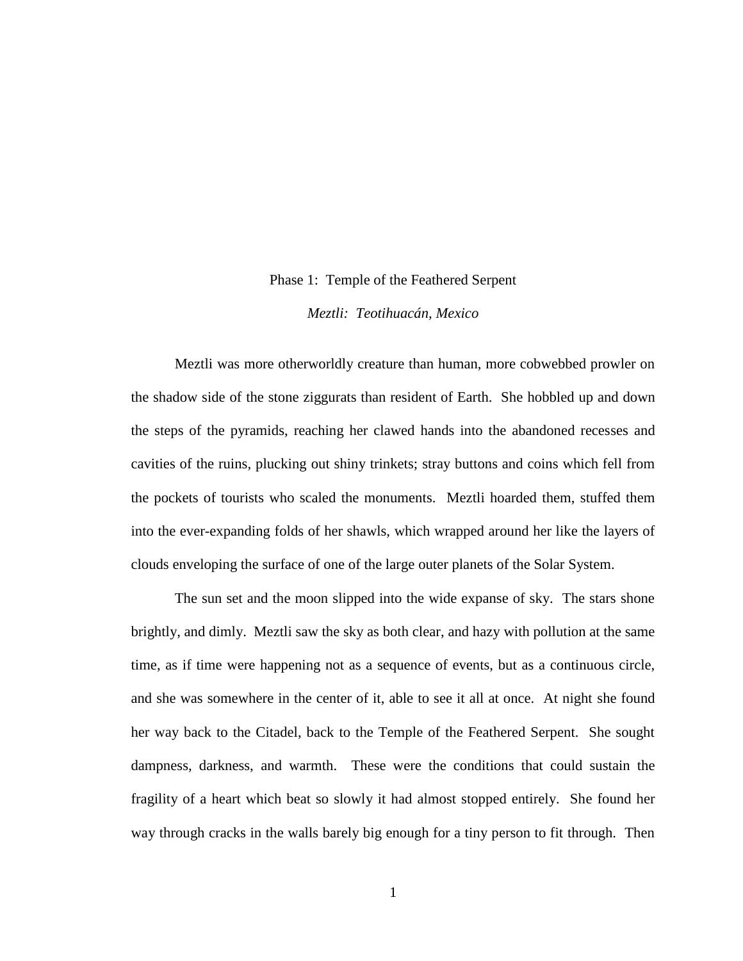#### Phase 1: Temple of the Feathered Serpent

*Meztli: Teotihuacán, Mexico*

Meztli was more otherworldly creature than human, more cobwebbed prowler on the shadow side of the stone ziggurats than resident of Earth. She hobbled up and down the steps of the pyramids, reaching her clawed hands into the abandoned recesses and cavities of the ruins, plucking out shiny trinkets; stray buttons and coins which fell from the pockets of tourists who scaled the monuments. Meztli hoarded them, stuffed them into the ever-expanding folds of her shawls, which wrapped around her like the layers of clouds enveloping the surface of one of the large outer planets of the Solar System.

The sun set and the moon slipped into the wide expanse of sky. The stars shone brightly, and dimly. Meztli saw the sky as both clear, and hazy with pollution at the same time, as if time were happening not as a sequence of events, but as a continuous circle, and she was somewhere in the center of it, able to see it all at once. At night she found her way back to the Citadel, back to the Temple of the Feathered Serpent. She sought dampness, darkness, and warmth. These were the conditions that could sustain the fragility of a heart which beat so slowly it had almost stopped entirely. She found her way through cracks in the walls barely big enough for a tiny person to fit through. Then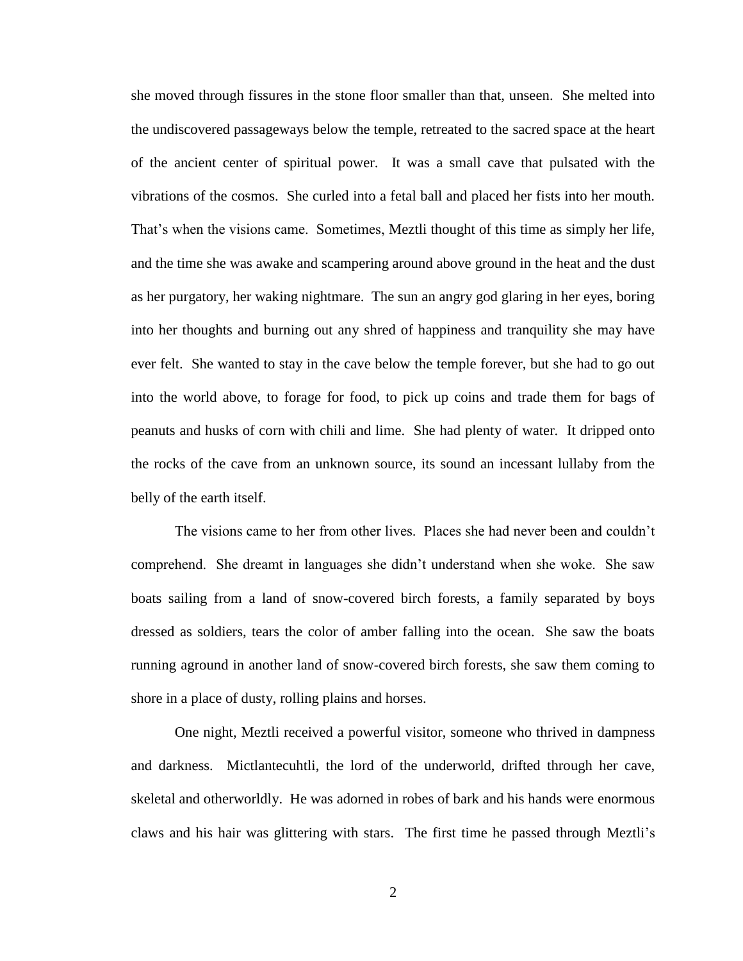she moved through fissures in the stone floor smaller than that, unseen. She melted into the undiscovered passageways below the temple, retreated to the sacred space at the heart of the ancient center of spiritual power. It was a small cave that pulsated with the vibrations of the cosmos. She curled into a fetal ball and placed her fists into her mouth. That's when the visions came. Sometimes, Meztli thought of this time as simply her life, and the time she was awake and scampering around above ground in the heat and the dust as her purgatory, her waking nightmare. The sun an angry god glaring in her eyes, boring into her thoughts and burning out any shred of happiness and tranquility she may have ever felt. She wanted to stay in the cave below the temple forever, but she had to go out into the world above, to forage for food, to pick up coins and trade them for bags of peanuts and husks of corn with chili and lime. She had plenty of water. It dripped onto the rocks of the cave from an unknown source, its sound an incessant lullaby from the belly of the earth itself.

The visions came to her from other lives. Places she had never been and couldn't comprehend. She dreamt in languages she didn't understand when she woke. She saw boats sailing from a land of snow-covered birch forests, a family separated by boys dressed as soldiers, tears the color of amber falling into the ocean. She saw the boats running aground in another land of snow-covered birch forests, she saw them coming to shore in a place of dusty, rolling plains and horses.

One night, Meztli received a powerful visitor, someone who thrived in dampness and darkness. Mictlantecuhtli, the lord of the underworld, drifted through her cave, skeletal and otherworldly. He was adorned in robes of bark and his hands were enormous claws and his hair was glittering with stars. The first time he passed through Meztli's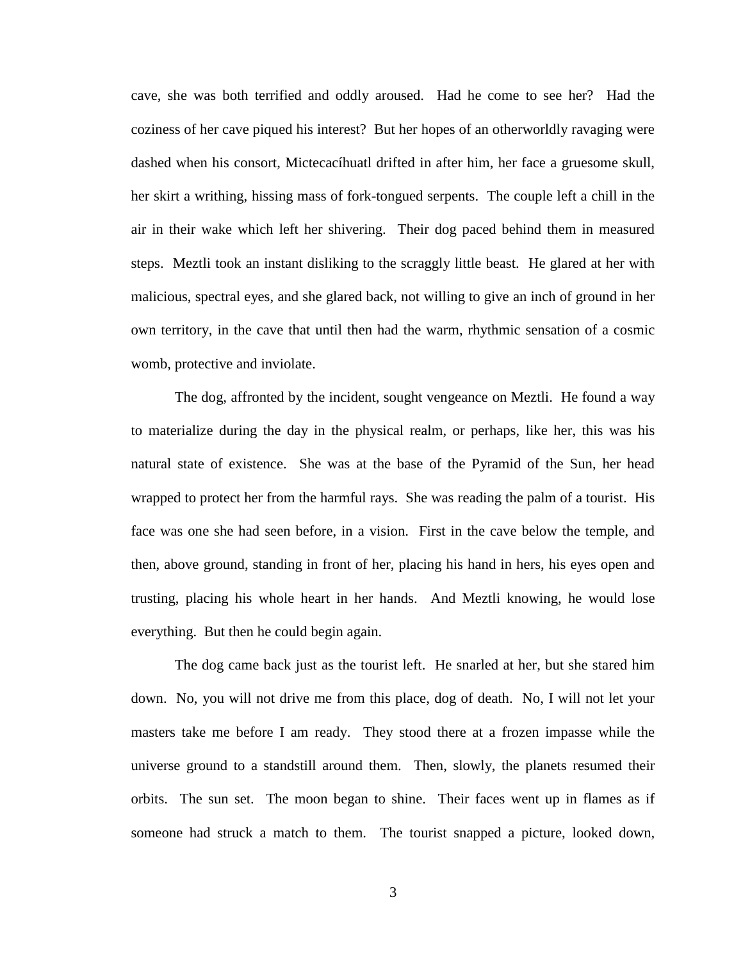cave, she was both terrified and oddly aroused. Had he come to see her? Had the coziness of her cave piqued his interest? But her hopes of an otherworldly ravaging were dashed when his consort, Mictecacíhuatl drifted in after him, her face a gruesome skull, her skirt a writhing, hissing mass of fork-tongued serpents. The couple left a chill in the air in their wake which left her shivering. Their dog paced behind them in measured steps. Meztli took an instant disliking to the scraggly little beast. He glared at her with malicious, spectral eyes, and she glared back, not willing to give an inch of ground in her own territory, in the cave that until then had the warm, rhythmic sensation of a cosmic womb, protective and inviolate.

The dog, affronted by the incident, sought vengeance on Meztli. He found a way to materialize during the day in the physical realm, or perhaps, like her, this was his natural state of existence. She was at the base of the Pyramid of the Sun, her head wrapped to protect her from the harmful rays. She was reading the palm of a tourist. His face was one she had seen before, in a vision. First in the cave below the temple, and then, above ground, standing in front of her, placing his hand in hers, his eyes open and trusting, placing his whole heart in her hands. And Meztli knowing, he would lose everything. But then he could begin again.

The dog came back just as the tourist left. He snarled at her, but she stared him down. No, you will not drive me from this place, dog of death. No, I will not let your masters take me before I am ready. They stood there at a frozen impasse while the universe ground to a standstill around them. Then, slowly, the planets resumed their orbits. The sun set. The moon began to shine. Their faces went up in flames as if someone had struck a match to them. The tourist snapped a picture, looked down,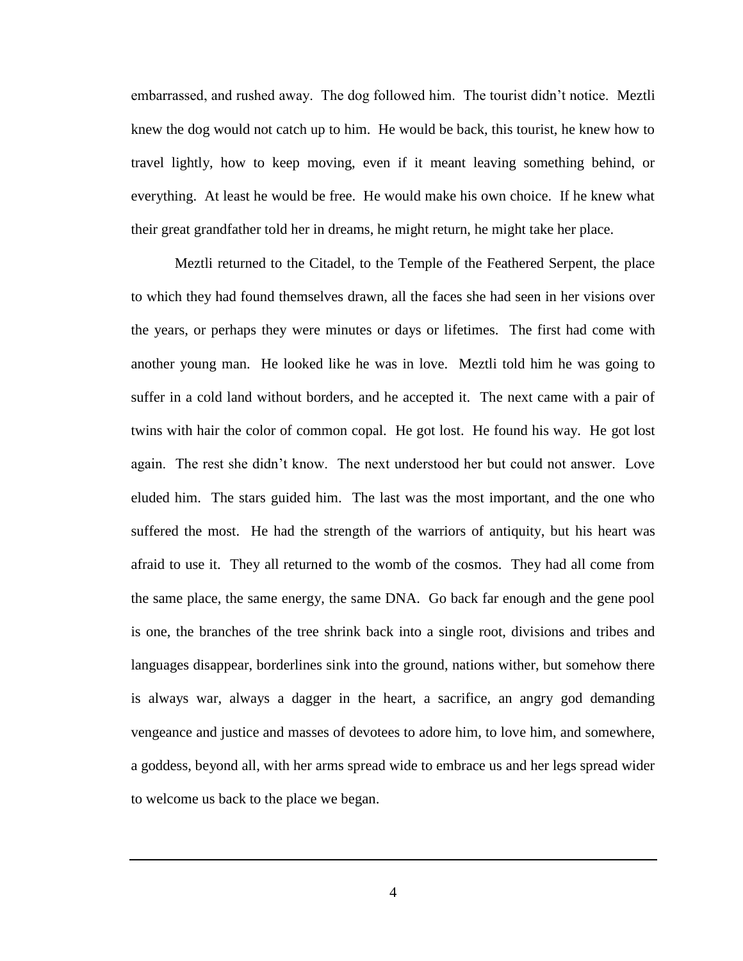embarrassed, and rushed away. The dog followed him. The tourist didn't notice. Meztli knew the dog would not catch up to him. He would be back, this tourist, he knew how to travel lightly, how to keep moving, even if it meant leaving something behind, or everything. At least he would be free. He would make his own choice. If he knew what their great grandfather told her in dreams, he might return, he might take her place.

Meztli returned to the Citadel, to the Temple of the Feathered Serpent, the place to which they had found themselves drawn, all the faces she had seen in her visions over the years, or perhaps they were minutes or days or lifetimes. The first had come with another young man. He looked like he was in love. Meztli told him he was going to suffer in a cold land without borders, and he accepted it. The next came with a pair of twins with hair the color of common copal. He got lost. He found his way. He got lost again. The rest she didn't know. The next understood her but could not answer. Love eluded him. The stars guided him. The last was the most important, and the one who suffered the most. He had the strength of the warriors of antiquity, but his heart was afraid to use it. They all returned to the womb of the cosmos. They had all come from the same place, the same energy, the same DNA. Go back far enough and the gene pool is one, the branches of the tree shrink back into a single root, divisions and tribes and languages disappear, borderlines sink into the ground, nations wither, but somehow there is always war, always a dagger in the heart, a sacrifice, an angry god demanding vengeance and justice and masses of devotees to adore him, to love him, and somewhere, a goddess, beyond all, with her arms spread wide to embrace us and her legs spread wider to welcome us back to the place we began.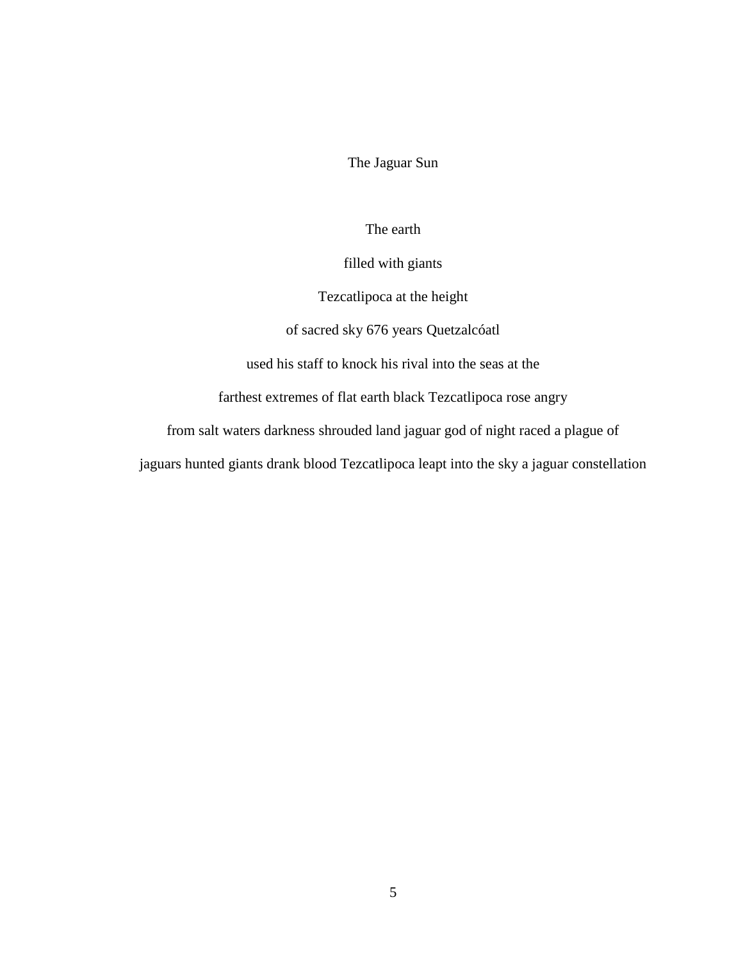The Jaguar Sun

The earth

filled with giants

Tezcatlipoca at the height

of sacred sky 676 years Quetzalcóatl

used his staff to knock his rival into the seas at the

farthest extremes of flat earth black Tezcatlipoca rose angry

from salt waters darkness shrouded land jaguar god of night raced a plague of

jaguars hunted giants drank blood Tezcatlipoca leapt into the sky a jaguar constellation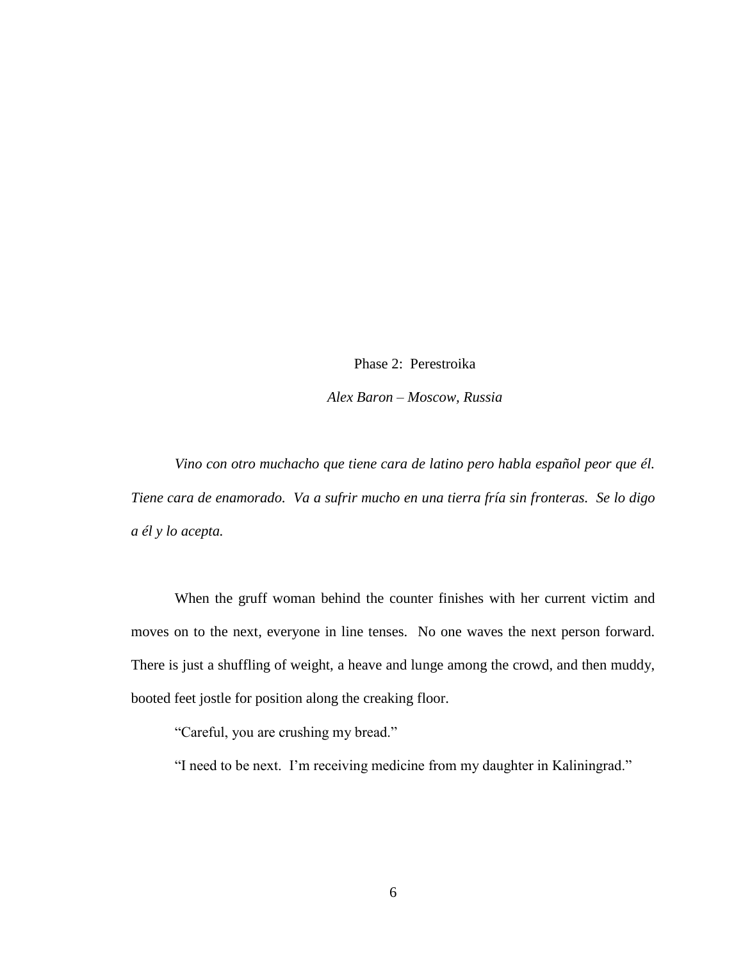Phase 2: Perestroika *Alex Baron – Moscow, Russia*

*Vino con otro muchacho que tiene cara de latino pero habla español peor que él. Tiene cara de enamorado. Va a sufrir mucho en una tierra fría sin fronteras. Se lo digo a él y lo acepta.*

When the gruff woman behind the counter finishes with her current victim and moves on to the next, everyone in line tenses. No one waves the next person forward. There is just a shuffling of weight, a heave and lunge among the crowd, and then muddy, booted feet jostle for position along the creaking floor.

"Careful, you are crushing my bread."

"I need to be next. I'm receiving medicine from my daughter in Kaliningrad."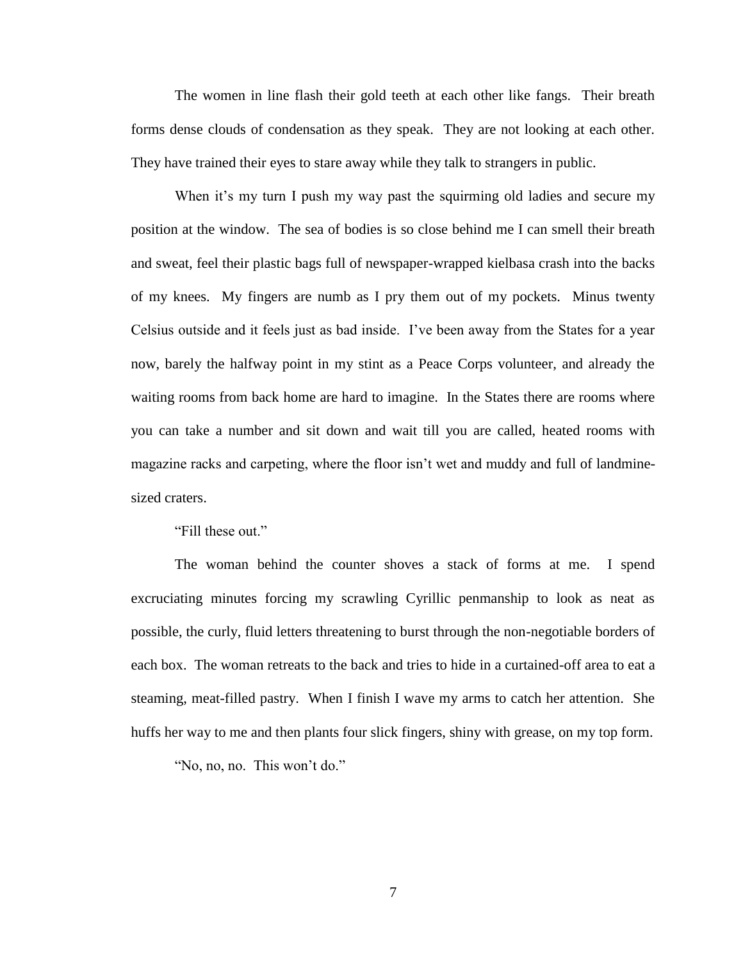The women in line flash their gold teeth at each other like fangs. Their breath forms dense clouds of condensation as they speak. They are not looking at each other. They have trained their eyes to stare away while they talk to strangers in public.

When it's my turn I push my way past the squirming old ladies and secure my position at the window. The sea of bodies is so close behind me I can smell their breath and sweat, feel their plastic bags full of newspaper-wrapped kielbasa crash into the backs of my knees. My fingers are numb as I pry them out of my pockets. Minus twenty Celsius outside and it feels just as bad inside. I've been away from the States for a year now, barely the halfway point in my stint as a Peace Corps volunteer, and already the waiting rooms from back home are hard to imagine. In the States there are rooms where you can take a number and sit down and wait till you are called, heated rooms with magazine racks and carpeting, where the floor isn't wet and muddy and full of landminesized craters.

"Fill these out."

The woman behind the counter shoves a stack of forms at me. I spend excruciating minutes forcing my scrawling Cyrillic penmanship to look as neat as possible, the curly, fluid letters threatening to burst through the non-negotiable borders of each box. The woman retreats to the back and tries to hide in a curtained-off area to eat a steaming, meat-filled pastry. When I finish I wave my arms to catch her attention. She huffs her way to me and then plants four slick fingers, shiny with grease, on my top form.

"No, no, no. This won't do."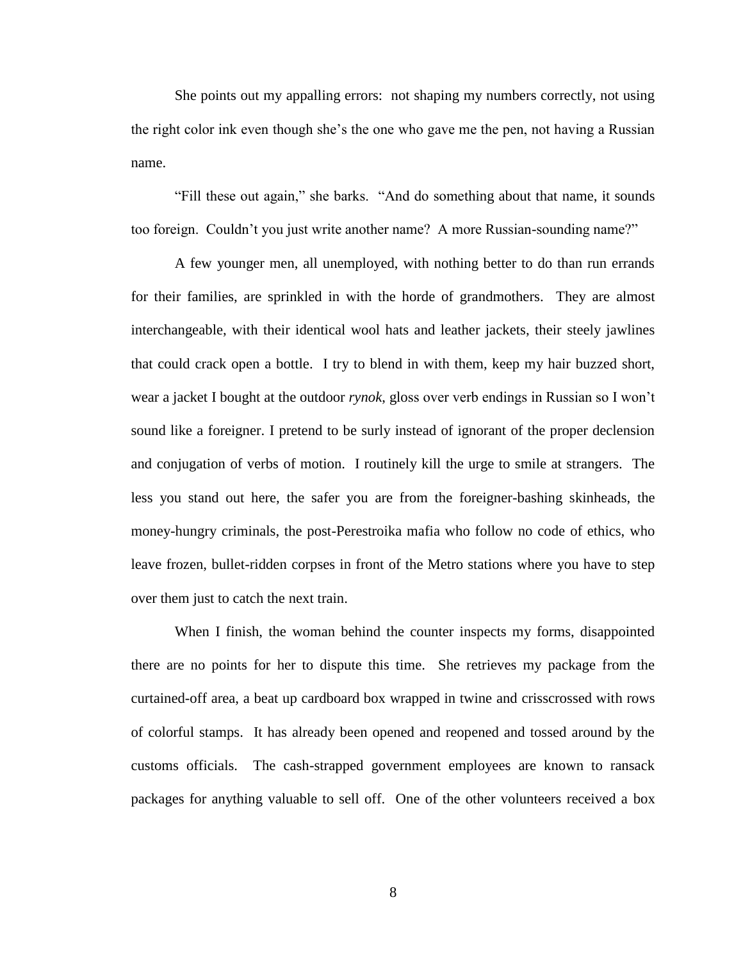She points out my appalling errors: not shaping my numbers correctly, not using the right color ink even though she's the one who gave me the pen, not having a Russian name.

"Fill these out again," she barks. "And do something about that name, it sounds too foreign. Couldn't you just write another name? A more Russian-sounding name?"

A few younger men, all unemployed, with nothing better to do than run errands for their families, are sprinkled in with the horde of grandmothers. They are almost interchangeable, with their identical wool hats and leather jackets, their steely jawlines that could crack open a bottle. I try to blend in with them, keep my hair buzzed short, wear a jacket I bought at the outdoor *rynok*, gloss over verb endings in Russian so I won't sound like a foreigner. I pretend to be surly instead of ignorant of the proper declension and conjugation of verbs of motion. I routinely kill the urge to smile at strangers. The less you stand out here, the safer you are from the foreigner-bashing skinheads, the money-hungry criminals, the post-Perestroika mafia who follow no code of ethics, who leave frozen, bullet-ridden corpses in front of the Metro stations where you have to step over them just to catch the next train.

When I finish, the woman behind the counter inspects my forms, disappointed there are no points for her to dispute this time. She retrieves my package from the curtained-off area, a beat up cardboard box wrapped in twine and crisscrossed with rows of colorful stamps. It has already been opened and reopened and tossed around by the customs officials. The cash-strapped government employees are known to ransack packages for anything valuable to sell off. One of the other volunteers received a box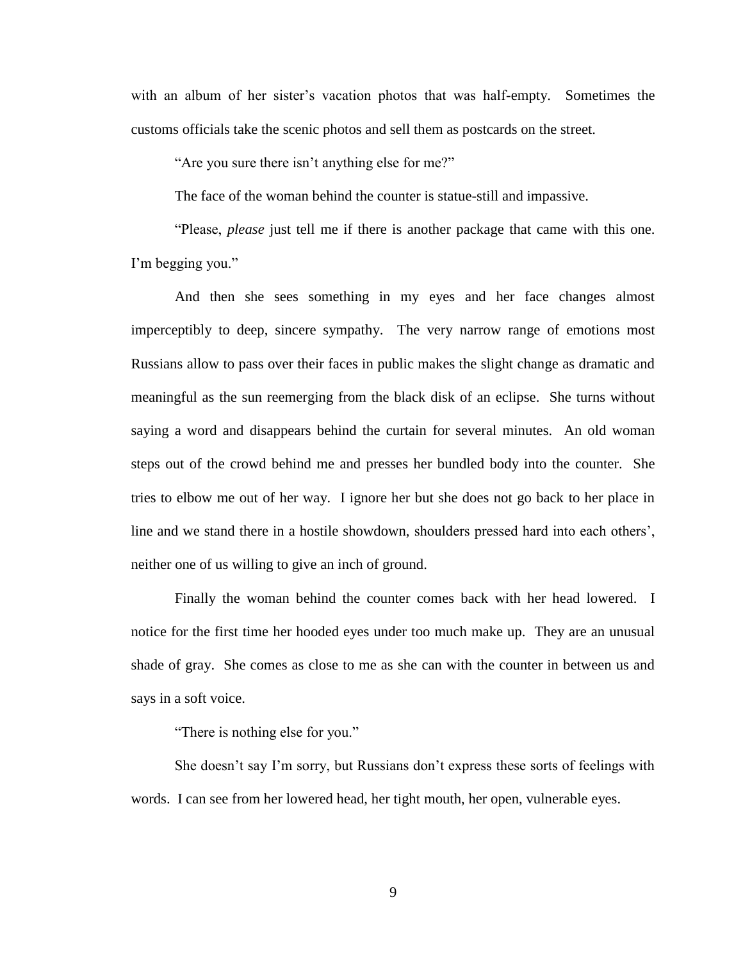with an album of her sister's vacation photos that was half-empty. Sometimes the customs officials take the scenic photos and sell them as postcards on the street.

"Are you sure there isn't anything else for me?"

The face of the woman behind the counter is statue-still and impassive.

"Please, *please* just tell me if there is another package that came with this one. I'm begging you."

And then she sees something in my eyes and her face changes almost imperceptibly to deep, sincere sympathy. The very narrow range of emotions most Russians allow to pass over their faces in public makes the slight change as dramatic and meaningful as the sun reemerging from the black disk of an eclipse. She turns without saying a word and disappears behind the curtain for several minutes. An old woman steps out of the crowd behind me and presses her bundled body into the counter. She tries to elbow me out of her way. I ignore her but she does not go back to her place in line and we stand there in a hostile showdown, shoulders pressed hard into each others', neither one of us willing to give an inch of ground.

Finally the woman behind the counter comes back with her head lowered. I notice for the first time her hooded eyes under too much make up. They are an unusual shade of gray. She comes as close to me as she can with the counter in between us and says in a soft voice.

"There is nothing else for you."

She doesn't say I'm sorry, but Russians don't express these sorts of feelings with words. I can see from her lowered head, her tight mouth, her open, vulnerable eyes.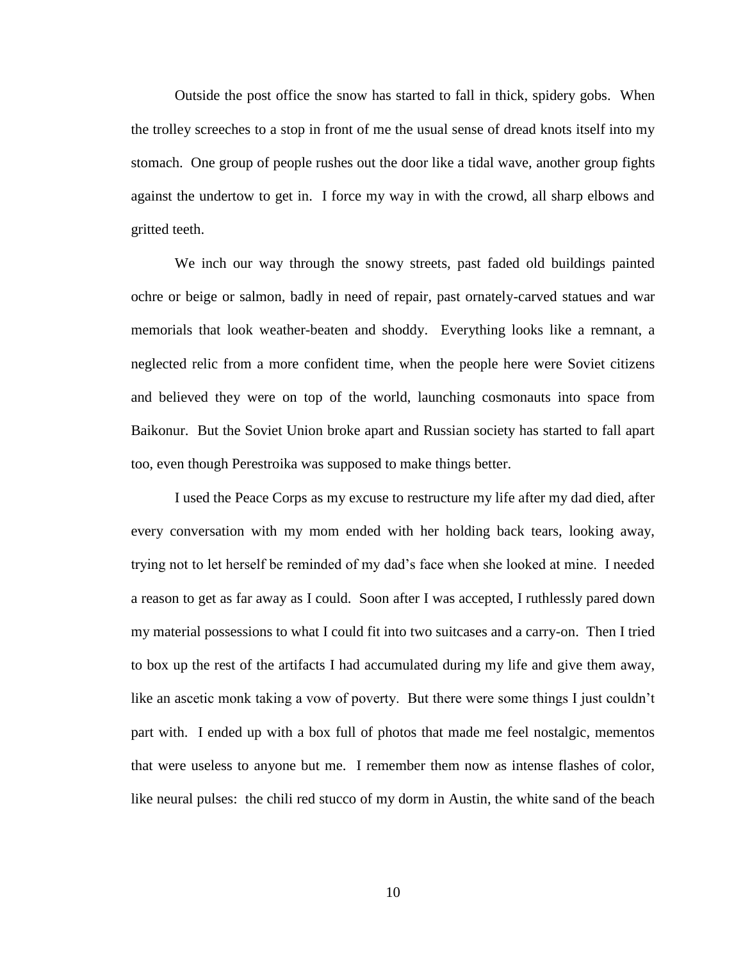Outside the post office the snow has started to fall in thick, spidery gobs. When the trolley screeches to a stop in front of me the usual sense of dread knots itself into my stomach. One group of people rushes out the door like a tidal wave, another group fights against the undertow to get in. I force my way in with the crowd, all sharp elbows and gritted teeth.

We inch our way through the snowy streets, past faded old buildings painted ochre or beige or salmon, badly in need of repair, past ornately-carved statues and war memorials that look weather-beaten and shoddy. Everything looks like a remnant, a neglected relic from a more confident time, when the people here were Soviet citizens and believed they were on top of the world, launching cosmonauts into space from Baikonur. But the Soviet Union broke apart and Russian society has started to fall apart too, even though Perestroika was supposed to make things better.

I used the Peace Corps as my excuse to restructure my life after my dad died, after every conversation with my mom ended with her holding back tears, looking away, trying not to let herself be reminded of my dad's face when she looked at mine. I needed a reason to get as far away as I could. Soon after I was accepted, I ruthlessly pared down my material possessions to what I could fit into two suitcases and a carry-on. Then I tried to box up the rest of the artifacts I had accumulated during my life and give them away, like an ascetic monk taking a vow of poverty. But there were some things I just couldn't part with. I ended up with a box full of photos that made me feel nostalgic, mementos that were useless to anyone but me. I remember them now as intense flashes of color, like neural pulses: the chili red stucco of my dorm in Austin, the white sand of the beach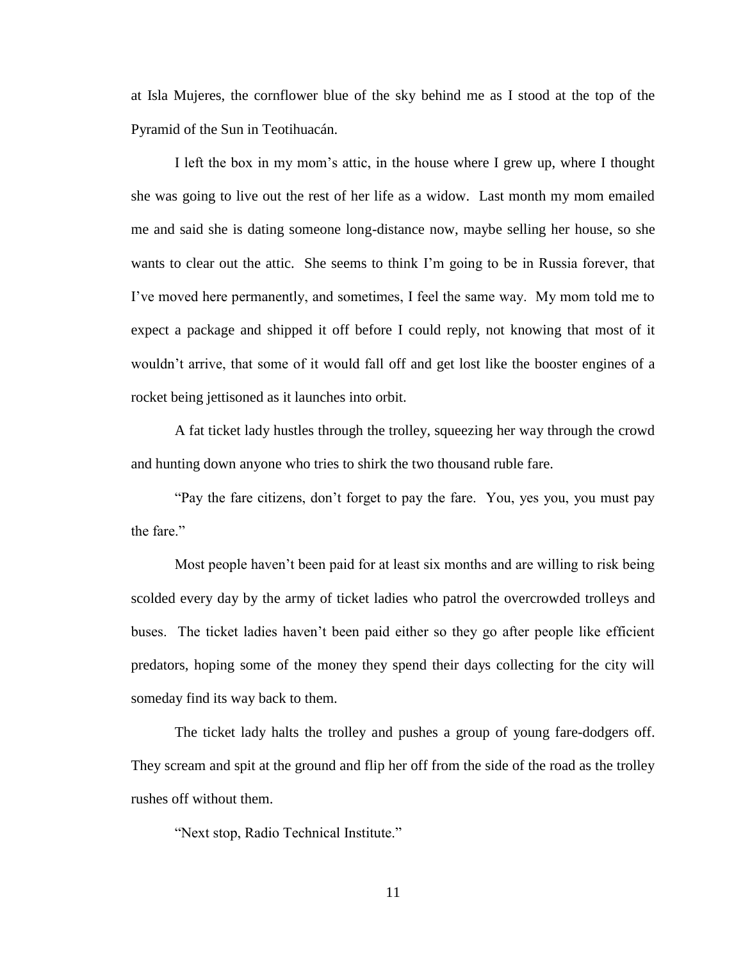at Isla Mujeres, the cornflower blue of the sky behind me as I stood at the top of the Pyramid of the Sun in Teotihuacán.

I left the box in my mom's attic, in the house where I grew up, where I thought she was going to live out the rest of her life as a widow. Last month my mom emailed me and said she is dating someone long-distance now, maybe selling her house, so she wants to clear out the attic. She seems to think I'm going to be in Russia forever, that I've moved here permanently, and sometimes, I feel the same way. My mom told me to expect a package and shipped it off before I could reply, not knowing that most of it wouldn't arrive, that some of it would fall off and get lost like the booster engines of a rocket being jettisoned as it launches into orbit.

A fat ticket lady hustles through the trolley, squeezing her way through the crowd and hunting down anyone who tries to shirk the two thousand ruble fare.

"Pay the fare citizens, don't forget to pay the fare. You, yes you, you must pay the fare."

Most people haven't been paid for at least six months and are willing to risk being scolded every day by the army of ticket ladies who patrol the overcrowded trolleys and buses. The ticket ladies haven't been paid either so they go after people like efficient predators, hoping some of the money they spend their days collecting for the city will someday find its way back to them.

The ticket lady halts the trolley and pushes a group of young fare-dodgers off. They scream and spit at the ground and flip her off from the side of the road as the trolley rushes off without them.

"Next stop, Radio Technical Institute."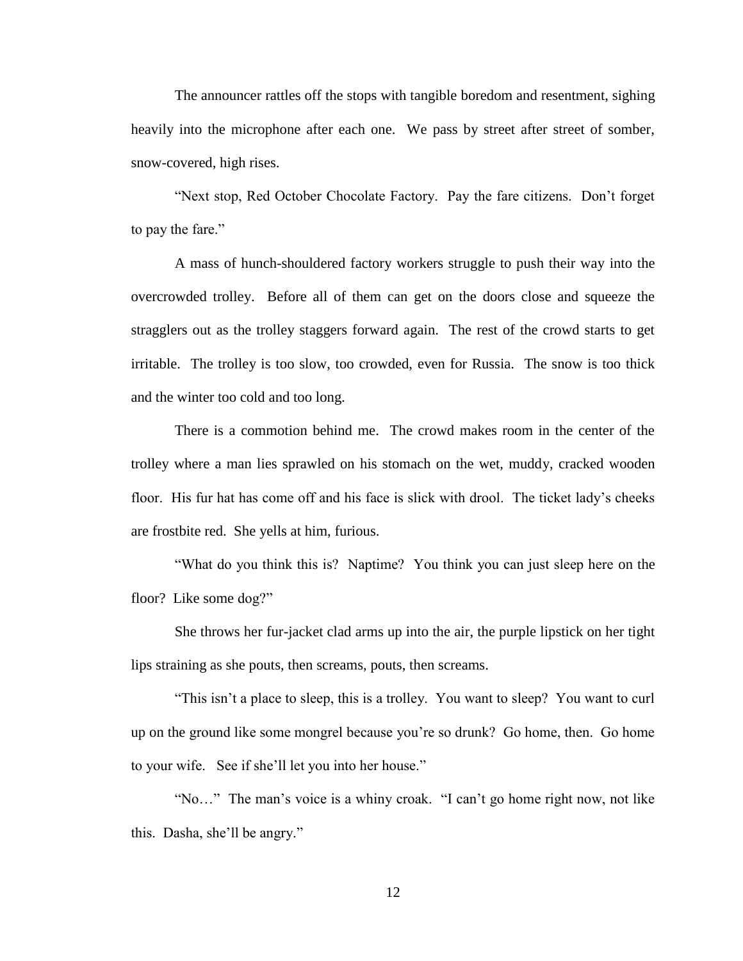The announcer rattles off the stops with tangible boredom and resentment, sighing heavily into the microphone after each one. We pass by street after street of somber, snow-covered, high rises.

"Next stop, Red October Chocolate Factory. Pay the fare citizens. Don't forget to pay the fare."

A mass of hunch-shouldered factory workers struggle to push their way into the overcrowded trolley. Before all of them can get on the doors close and squeeze the stragglers out as the trolley staggers forward again. The rest of the crowd starts to get irritable. The trolley is too slow, too crowded, even for Russia. The snow is too thick and the winter too cold and too long.

There is a commotion behind me. The crowd makes room in the center of the trolley where a man lies sprawled on his stomach on the wet, muddy, cracked wooden floor. His fur hat has come off and his face is slick with drool. The ticket lady's cheeks are frostbite red. She yells at him, furious.

"What do you think this is? Naptime? You think you can just sleep here on the floor? Like some dog?"

She throws her fur-jacket clad arms up into the air, the purple lipstick on her tight lips straining as she pouts, then screams, pouts, then screams.

"This isn't a place to sleep, this is a trolley. You want to sleep? You want to curl up on the ground like some mongrel because you're so drunk? Go home, then. Go home to your wife. See if she'll let you into her house."

"No…" The man's voice is a whiny croak. "I can't go home right now, not like this. Dasha, she'll be angry."

12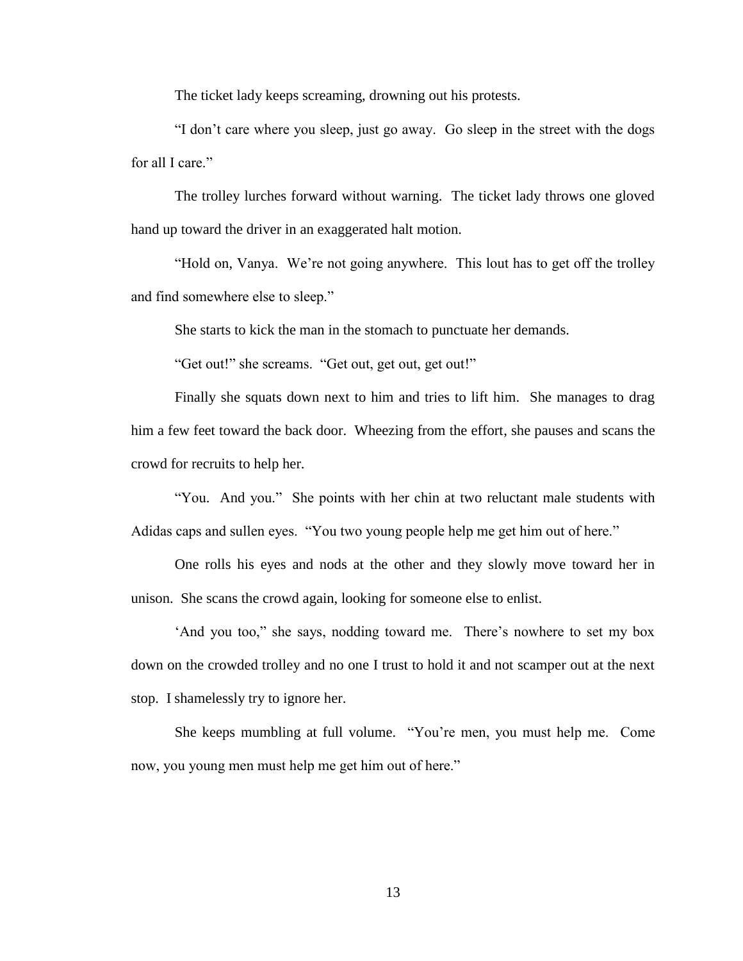The ticket lady keeps screaming, drowning out his protests.

"I don't care where you sleep, just go away. Go sleep in the street with the dogs for all I care."

The trolley lurches forward without warning. The ticket lady throws one gloved hand up toward the driver in an exaggerated halt motion.

"Hold on, Vanya. We're not going anywhere. This lout has to get off the trolley and find somewhere else to sleep."

She starts to kick the man in the stomach to punctuate her demands.

"Get out!" she screams. "Get out, get out, get out!"

Finally she squats down next to him and tries to lift him. She manages to drag him a few feet toward the back door. Wheezing from the effort, she pauses and scans the crowd for recruits to help her.

"You. And you." She points with her chin at two reluctant male students with Adidas caps and sullen eyes. "You two young people help me get him out of here."

One rolls his eyes and nods at the other and they slowly move toward her in unison. She scans the crowd again, looking for someone else to enlist.

'And you too," she says, nodding toward me. There's nowhere to set my box down on the crowded trolley and no one I trust to hold it and not scamper out at the next stop. I shamelessly try to ignore her.

She keeps mumbling at full volume. "You're men, you must help me. Come now, you young men must help me get him out of here."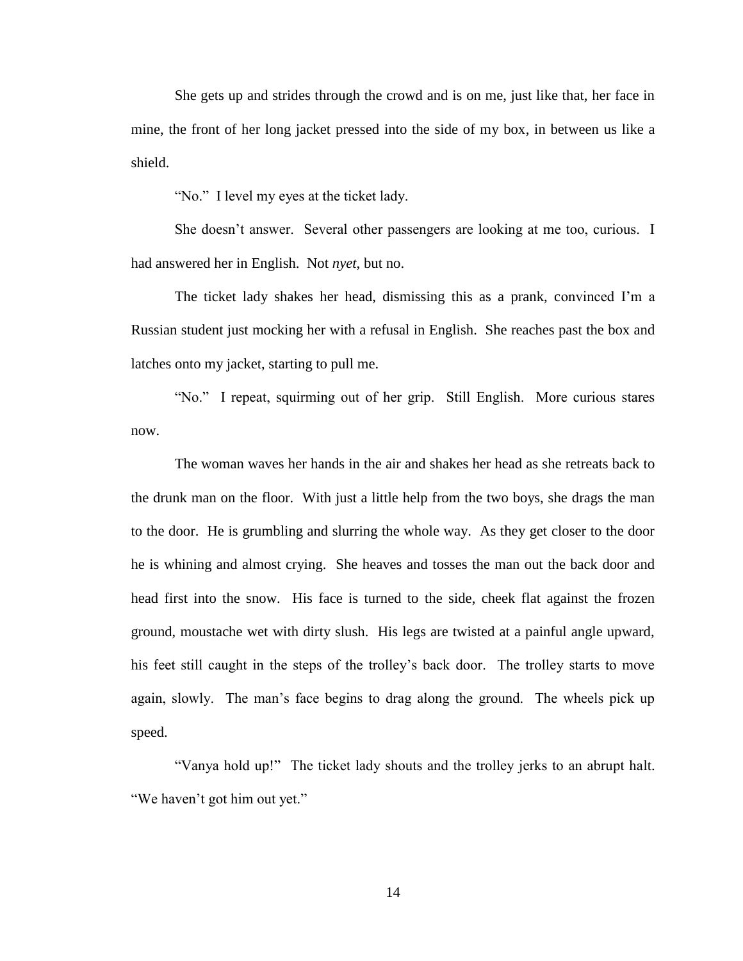She gets up and strides through the crowd and is on me, just like that, her face in mine, the front of her long jacket pressed into the side of my box, in between us like a shield.

"No." I level my eyes at the ticket lady.

She doesn't answer. Several other passengers are looking at me too, curious. I had answered her in English. Not *nyet*, but no.

The ticket lady shakes her head, dismissing this as a prank, convinced I'm a Russian student just mocking her with a refusal in English. She reaches past the box and latches onto my jacket, starting to pull me.

"No." I repeat, squirming out of her grip. Still English. More curious stares now.

The woman waves her hands in the air and shakes her head as she retreats back to the drunk man on the floor. With just a little help from the two boys, she drags the man to the door. He is grumbling and slurring the whole way. As they get closer to the door he is whining and almost crying. She heaves and tosses the man out the back door and head first into the snow. His face is turned to the side, cheek flat against the frozen ground, moustache wet with dirty slush. His legs are twisted at a painful angle upward, his feet still caught in the steps of the trolley's back door. The trolley starts to move again, slowly. The man's face begins to drag along the ground. The wheels pick up speed.

"Vanya hold up!" The ticket lady shouts and the trolley jerks to an abrupt halt. "We haven't got him out yet."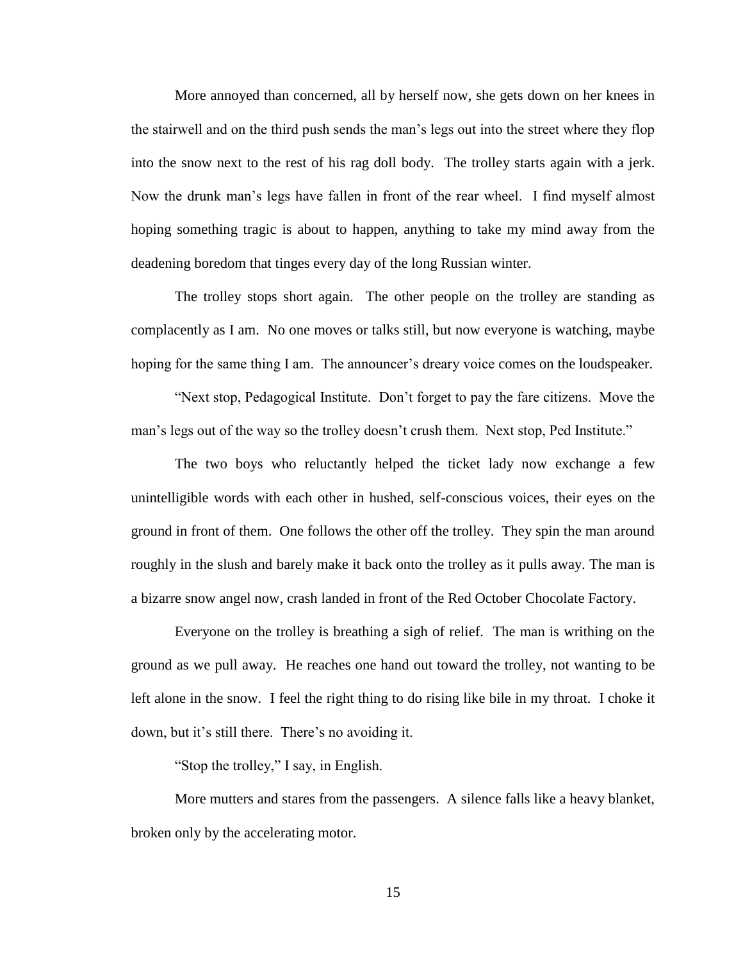More annoyed than concerned, all by herself now, she gets down on her knees in the stairwell and on the third push sends the man's legs out into the street where they flop into the snow next to the rest of his rag doll body. The trolley starts again with a jerk. Now the drunk man's legs have fallen in front of the rear wheel. I find myself almost hoping something tragic is about to happen, anything to take my mind away from the deadening boredom that tinges every day of the long Russian winter.

The trolley stops short again. The other people on the trolley are standing as complacently as I am. No one moves or talks still, but now everyone is watching, maybe hoping for the same thing I am. The announcer's dreary voice comes on the loudspeaker.

"Next stop, Pedagogical Institute. Don't forget to pay the fare citizens. Move the man's legs out of the way so the trolley doesn't crush them. Next stop, Ped Institute."

The two boys who reluctantly helped the ticket lady now exchange a few unintelligible words with each other in hushed, self-conscious voices, their eyes on the ground in front of them. One follows the other off the trolley. They spin the man around roughly in the slush and barely make it back onto the trolley as it pulls away. The man is a bizarre snow angel now, crash landed in front of the Red October Chocolate Factory.

Everyone on the trolley is breathing a sigh of relief. The man is writhing on the ground as we pull away. He reaches one hand out toward the trolley, not wanting to be left alone in the snow. I feel the right thing to do rising like bile in my throat. I choke it down, but it's still there. There's no avoiding it.

"Stop the trolley," I say, in English.

More mutters and stares from the passengers. A silence falls like a heavy blanket, broken only by the accelerating motor.

15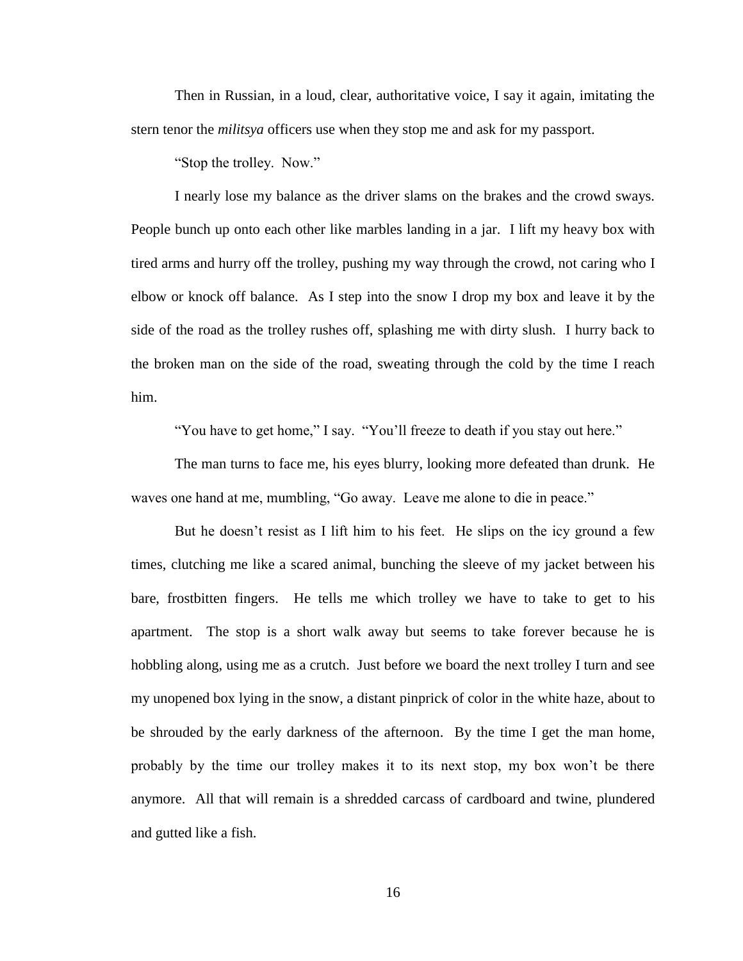Then in Russian, in a loud, clear, authoritative voice, I say it again, imitating the stern tenor the *militsya* officers use when they stop me and ask for my passport.

"Stop the trolley. Now."

I nearly lose my balance as the driver slams on the brakes and the crowd sways. People bunch up onto each other like marbles landing in a jar. I lift my heavy box with tired arms and hurry off the trolley, pushing my way through the crowd, not caring who I elbow or knock off balance. As I step into the snow I drop my box and leave it by the side of the road as the trolley rushes off, splashing me with dirty slush. I hurry back to the broken man on the side of the road, sweating through the cold by the time I reach him.

"You have to get home," I say. "You'll freeze to death if you stay out here."

The man turns to face me, his eyes blurry, looking more defeated than drunk. He waves one hand at me, mumbling, "Go away. Leave me alone to die in peace."

But he doesn't resist as I lift him to his feet. He slips on the icy ground a few times, clutching me like a scared animal, bunching the sleeve of my jacket between his bare, frostbitten fingers. He tells me which trolley we have to take to get to his apartment. The stop is a short walk away but seems to take forever because he is hobbling along, using me as a crutch. Just before we board the next trolley I turn and see my unopened box lying in the snow, a distant pinprick of color in the white haze, about to be shrouded by the early darkness of the afternoon. By the time I get the man home, probably by the time our trolley makes it to its next stop, my box won't be there anymore. All that will remain is a shredded carcass of cardboard and twine, plundered and gutted like a fish.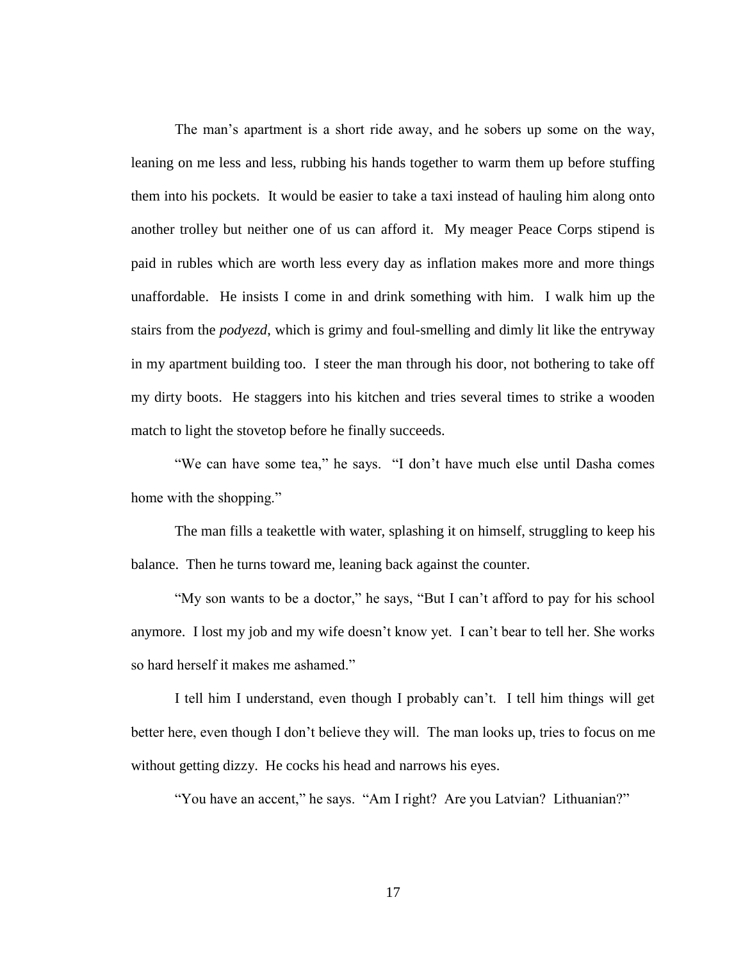The man's apartment is a short ride away, and he sobers up some on the way, leaning on me less and less, rubbing his hands together to warm them up before stuffing them into his pockets. It would be easier to take a taxi instead of hauling him along onto another trolley but neither one of us can afford it. My meager Peace Corps stipend is paid in rubles which are worth less every day as inflation makes more and more things unaffordable. He insists I come in and drink something with him. I walk him up the stairs from the *podyezd*, which is grimy and foul-smelling and dimly lit like the entryway in my apartment building too. I steer the man through his door, not bothering to take off my dirty boots. He staggers into his kitchen and tries several times to strike a wooden match to light the stovetop before he finally succeeds.

"We can have some tea," he says. "I don't have much else until Dasha comes home with the shopping."

The man fills a teakettle with water, splashing it on himself, struggling to keep his balance. Then he turns toward me, leaning back against the counter.

"My son wants to be a doctor," he says, "But I can't afford to pay for his school anymore. I lost my job and my wife doesn't know yet. I can't bear to tell her. She works so hard herself it makes me ashamed."

I tell him I understand, even though I probably can't. I tell him things will get better here, even though I don't believe they will. The man looks up, tries to focus on me without getting dizzy. He cocks his head and narrows his eyes.

"You have an accent," he says. "Am I right? Are you Latvian? Lithuanian?"

17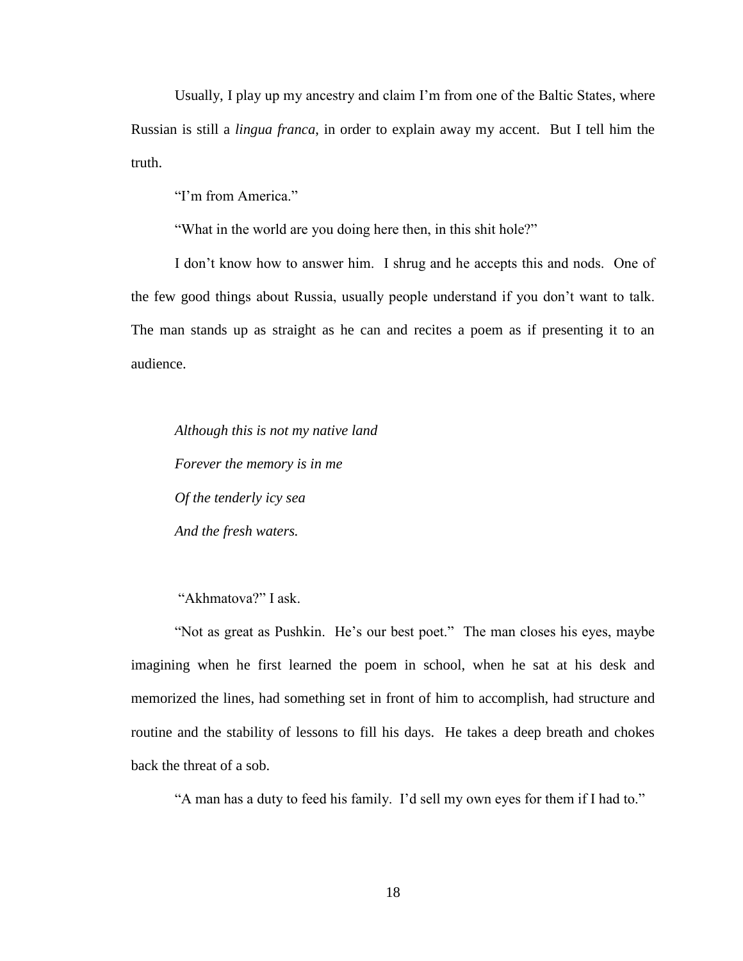Usually, I play up my ancestry and claim I'm from one of the Baltic States, where Russian is still a *lingua franca*, in order to explain away my accent. But I tell him the truth.

"I'm from America."

"What in the world are you doing here then, in this shit hole?"

I don't know how to answer him. I shrug and he accepts this and nods. One of the few good things about Russia, usually people understand if you don't want to talk. The man stands up as straight as he can and recites a poem as if presenting it to an audience.

*Although this is not my native land Forever the memory is in me Of the tenderly icy sea And the fresh waters.*

"Akhmatova?" I ask.

"Not as great as Pushkin. He's our best poet." The man closes his eyes, maybe imagining when he first learned the poem in school, when he sat at his desk and memorized the lines, had something set in front of him to accomplish, had structure and routine and the stability of lessons to fill his days. He takes a deep breath and chokes back the threat of a sob.

"A man has a duty to feed his family. I'd sell my own eyes for them if I had to."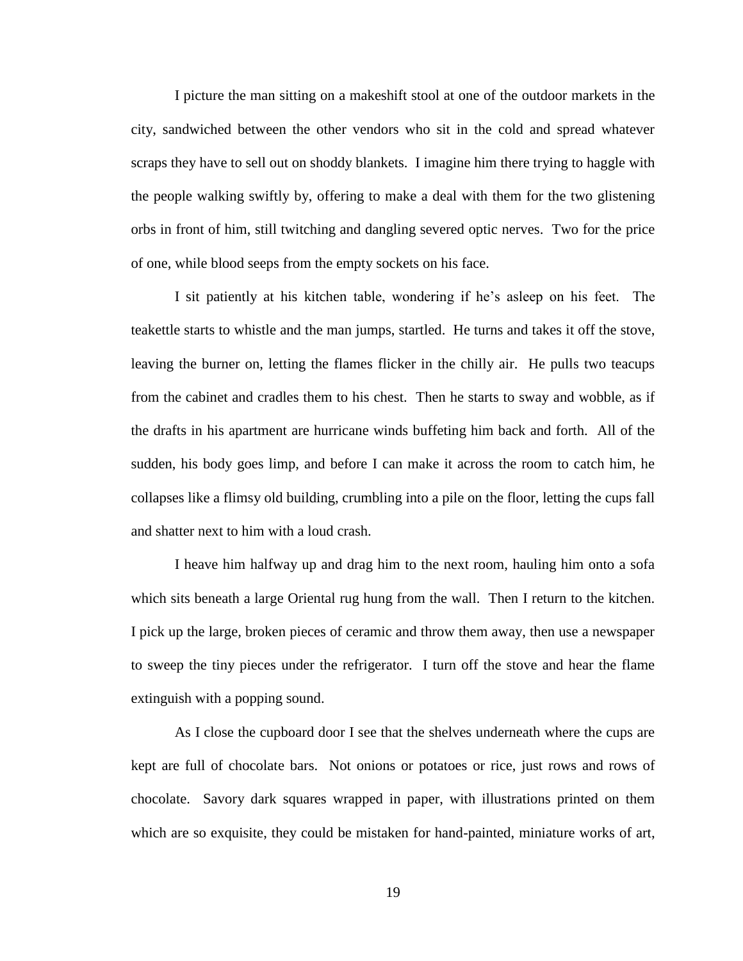I picture the man sitting on a makeshift stool at one of the outdoor markets in the city, sandwiched between the other vendors who sit in the cold and spread whatever scraps they have to sell out on shoddy blankets. I imagine him there trying to haggle with the people walking swiftly by, offering to make a deal with them for the two glistening orbs in front of him, still twitching and dangling severed optic nerves. Two for the price of one, while blood seeps from the empty sockets on his face.

I sit patiently at his kitchen table, wondering if he's asleep on his feet. The teakettle starts to whistle and the man jumps, startled. He turns and takes it off the stove, leaving the burner on, letting the flames flicker in the chilly air. He pulls two teacups from the cabinet and cradles them to his chest. Then he starts to sway and wobble, as if the drafts in his apartment are hurricane winds buffeting him back and forth. All of the sudden, his body goes limp, and before I can make it across the room to catch him, he collapses like a flimsy old building, crumbling into a pile on the floor, letting the cups fall and shatter next to him with a loud crash.

I heave him halfway up and drag him to the next room, hauling him onto a sofa which sits beneath a large Oriental rug hung from the wall. Then I return to the kitchen. I pick up the large, broken pieces of ceramic and throw them away, then use a newspaper to sweep the tiny pieces under the refrigerator. I turn off the stove and hear the flame extinguish with a popping sound.

As I close the cupboard door I see that the shelves underneath where the cups are kept are full of chocolate bars. Not onions or potatoes or rice, just rows and rows of chocolate. Savory dark squares wrapped in paper, with illustrations printed on them which are so exquisite, they could be mistaken for hand-painted, miniature works of art,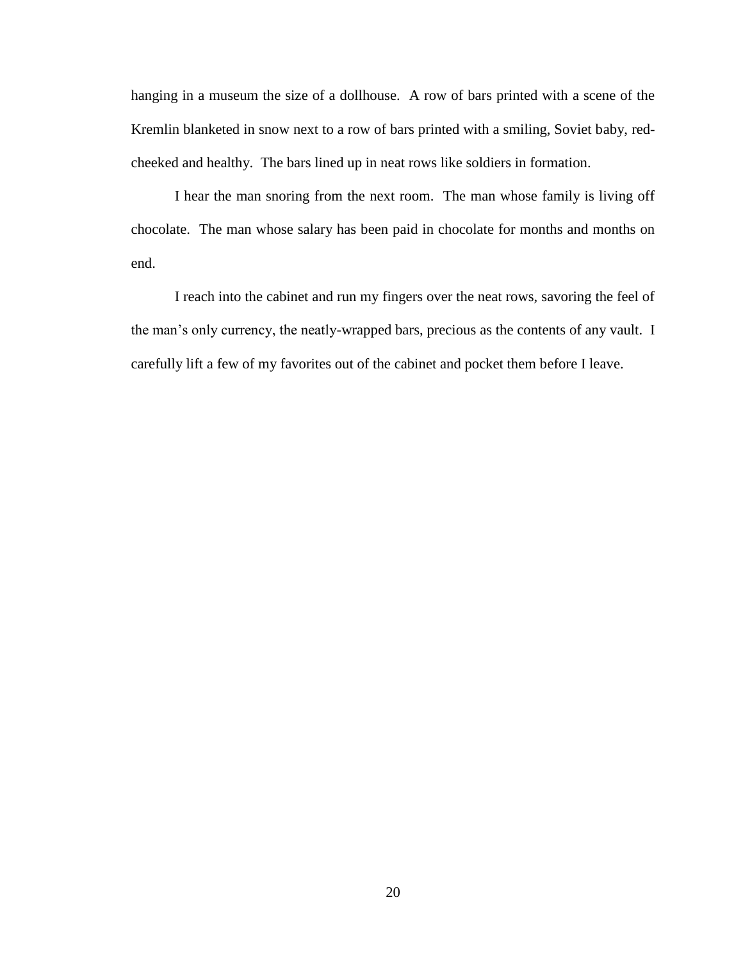hanging in a museum the size of a dollhouse. A row of bars printed with a scene of the Kremlin blanketed in snow next to a row of bars printed with a smiling, Soviet baby, redcheeked and healthy. The bars lined up in neat rows like soldiers in formation.

I hear the man snoring from the next room. The man whose family is living off chocolate. The man whose salary has been paid in chocolate for months and months on end.

I reach into the cabinet and run my fingers over the neat rows, savoring the feel of the man's only currency, the neatly-wrapped bars, precious as the contents of any vault. I carefully lift a few of my favorites out of the cabinet and pocket them before I leave.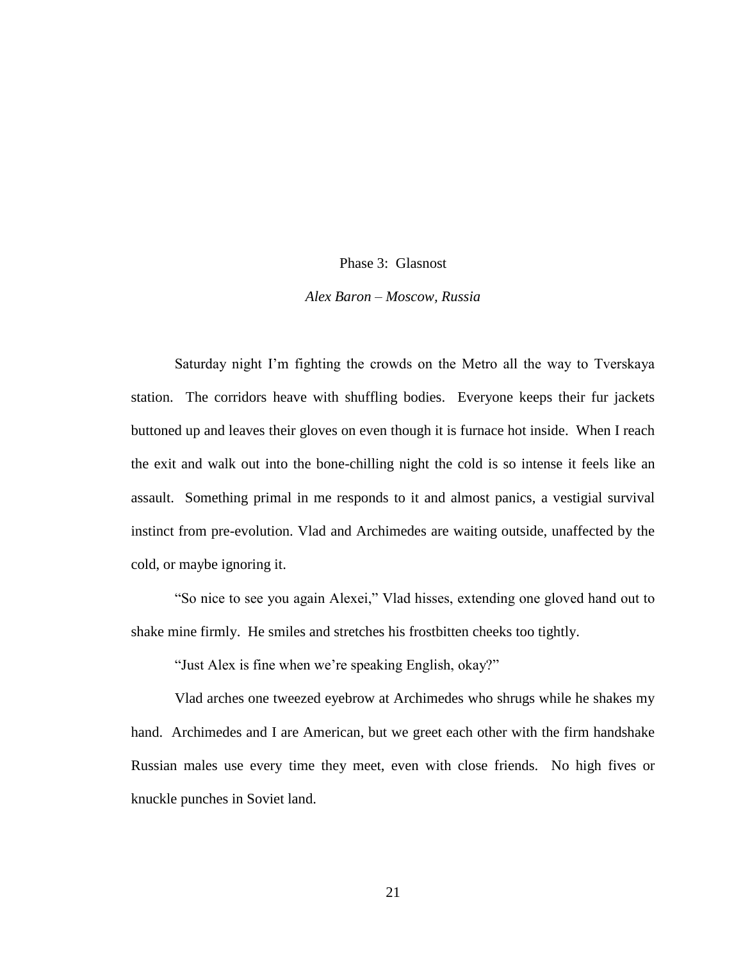#### Phase 3: Glasnost

#### *Alex Baron – Moscow, Russia*

Saturday night I'm fighting the crowds on the Metro all the way to Tverskaya station. The corridors heave with shuffling bodies. Everyone keeps their fur jackets buttoned up and leaves their gloves on even though it is furnace hot inside. When I reach the exit and walk out into the bone-chilling night the cold is so intense it feels like an assault. Something primal in me responds to it and almost panics, a vestigial survival instinct from pre-evolution. Vlad and Archimedes are waiting outside, unaffected by the cold, or maybe ignoring it.

"So nice to see you again Alexei," Vlad hisses, extending one gloved hand out to shake mine firmly. He smiles and stretches his frostbitten cheeks too tightly.

"Just Alex is fine when we're speaking English, okay?"

Vlad arches one tweezed eyebrow at Archimedes who shrugs while he shakes my hand. Archimedes and I are American, but we greet each other with the firm handshake Russian males use every time they meet, even with close friends. No high fives or knuckle punches in Soviet land.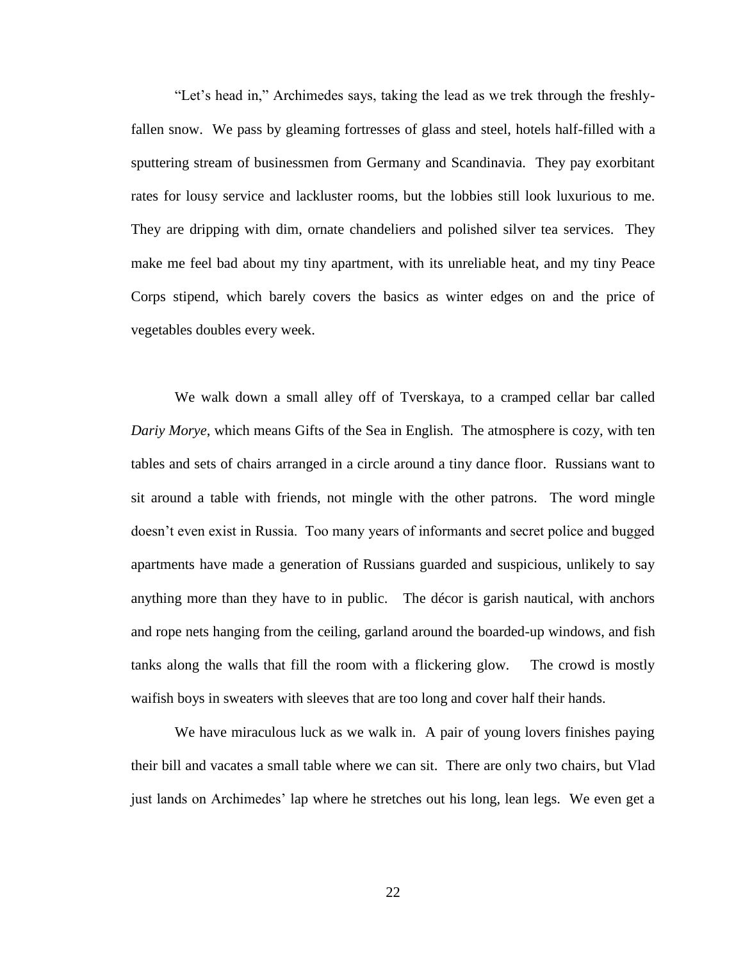"Let's head in," Archimedes says, taking the lead as we trek through the freshlyfallen snow. We pass by gleaming fortresses of glass and steel, hotels half-filled with a sputtering stream of businessmen from Germany and Scandinavia. They pay exorbitant rates for lousy service and lackluster rooms, but the lobbies still look luxurious to me. They are dripping with dim, ornate chandeliers and polished silver tea services. They make me feel bad about my tiny apartment, with its unreliable heat, and my tiny Peace Corps stipend, which barely covers the basics as winter edges on and the price of vegetables doubles every week.

We walk down a small alley off of Tverskaya, to a cramped cellar bar called *Dariy Morye*, which means Gifts of the Sea in English. The atmosphere is cozy, with ten tables and sets of chairs arranged in a circle around a tiny dance floor. Russians want to sit around a table with friends, not mingle with the other patrons. The word mingle doesn't even exist in Russia. Too many years of informants and secret police and bugged apartments have made a generation of Russians guarded and suspicious, unlikely to say anything more than they have to in public. The décor is garish nautical, with anchors and rope nets hanging from the ceiling, garland around the boarded-up windows, and fish tanks along the walls that fill the room with a flickering glow. The crowd is mostly waifish boys in sweaters with sleeves that are too long and cover half their hands.

We have miraculous luck as we walk in. A pair of young lovers finishes paying their bill and vacates a small table where we can sit. There are only two chairs, but Vlad just lands on Archimedes' lap where he stretches out his long, lean legs. We even get a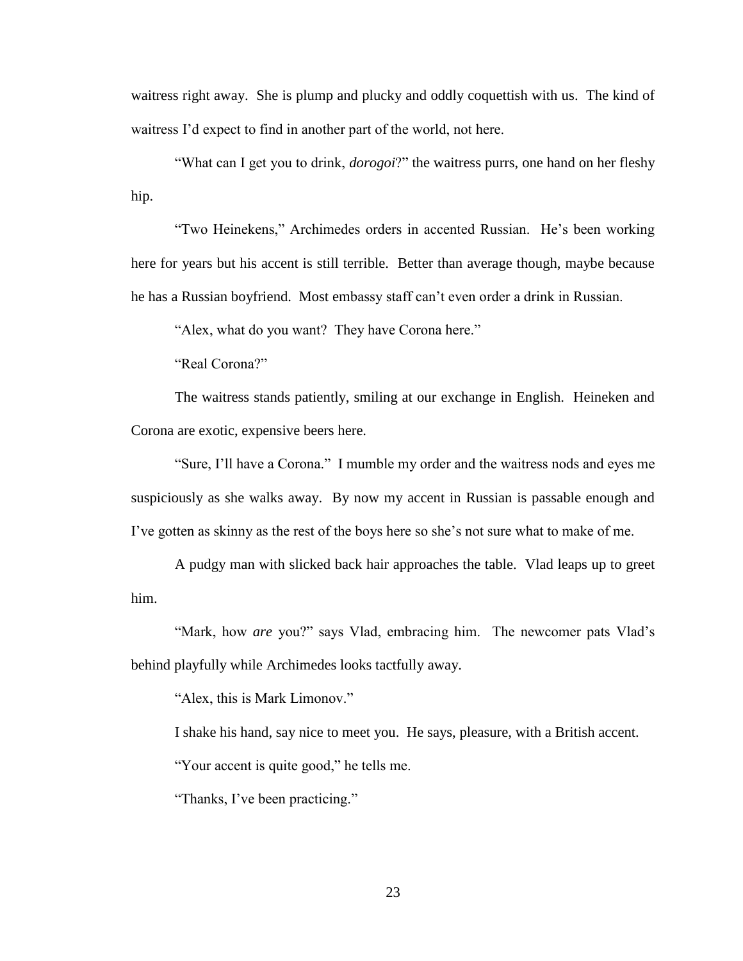waitress right away. She is plump and plucky and oddly coquettish with us. The kind of waitress I'd expect to find in another part of the world, not here.

"What can I get you to drink, *dorogoi*?" the waitress purrs, one hand on her fleshy hip.

"Two Heinekens," Archimedes orders in accented Russian. He's been working here for years but his accent is still terrible. Better than average though, maybe because he has a Russian boyfriend. Most embassy staff can't even order a drink in Russian.

"Alex, what do you want? They have Corona here."

"Real Corona?"

The waitress stands patiently, smiling at our exchange in English. Heineken and Corona are exotic, expensive beers here.

"Sure, I'll have a Corona." I mumble my order and the waitress nods and eyes me suspiciously as she walks away. By now my accent in Russian is passable enough and I've gotten as skinny as the rest of the boys here so she's not sure what to make of me.

A pudgy man with slicked back hair approaches the table. Vlad leaps up to greet him.

"Mark, how *are* you?" says Vlad, embracing him. The newcomer pats Vlad's behind playfully while Archimedes looks tactfully away.

"Alex, this is Mark Limonov."

I shake his hand, say nice to meet you. He says, pleasure, with a British accent.

"Your accent is quite good," he tells me.

"Thanks, I've been practicing."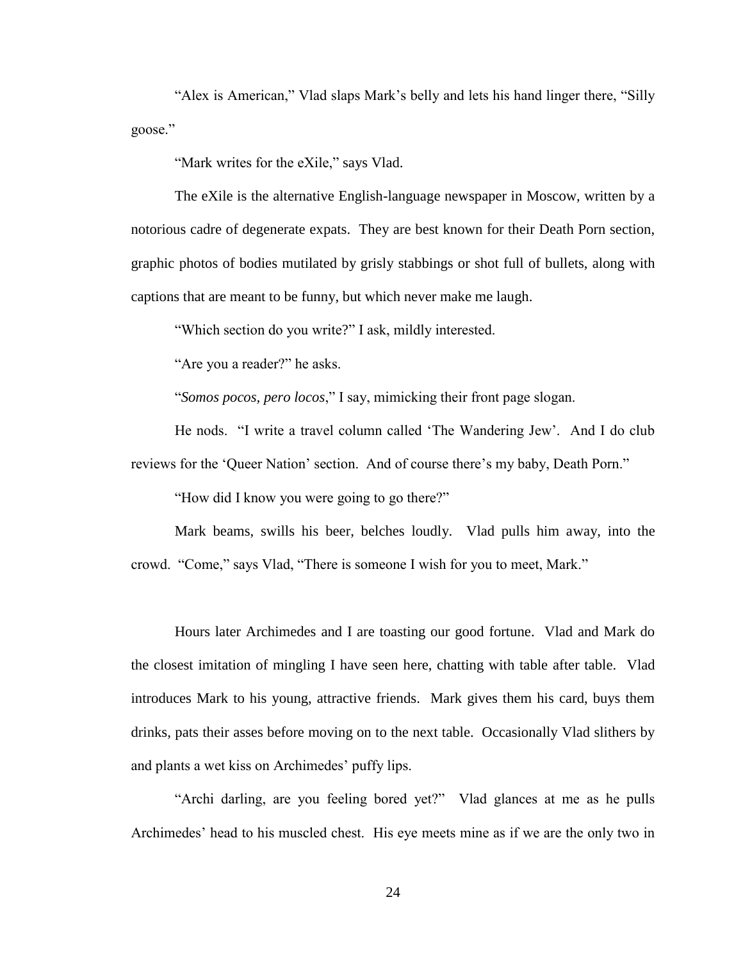"Alex is American," Vlad slaps Mark's belly and lets his hand linger there, "Silly goose."

"Mark writes for the eXile," says Vlad.

The eXile is the alternative English-language newspaper in Moscow, written by a notorious cadre of degenerate expats. They are best known for their Death Porn section, graphic photos of bodies mutilated by grisly stabbings or shot full of bullets, along with captions that are meant to be funny, but which never make me laugh.

"Which section do you write?" I ask, mildly interested.

"Are you a reader?" he asks.

"*Somos pocos, pero locos*," I say, mimicking their front page slogan.

He nods. "I write a travel column called 'The Wandering Jew'. And I do club reviews for the 'Queer Nation' section. And of course there's my baby, Death Porn."

"How did I know you were going to go there?"

Mark beams, swills his beer, belches loudly. Vlad pulls him away, into the crowd. "Come," says Vlad, "There is someone I wish for you to meet, Mark."

Hours later Archimedes and I are toasting our good fortune. Vlad and Mark do the closest imitation of mingling I have seen here, chatting with table after table. Vlad introduces Mark to his young, attractive friends. Mark gives them his card, buys them drinks, pats their asses before moving on to the next table. Occasionally Vlad slithers by and plants a wet kiss on Archimedes' puffy lips.

"Archi darling, are you feeling bored yet?" Vlad glances at me as he pulls Archimedes' head to his muscled chest. His eye meets mine as if we are the only two in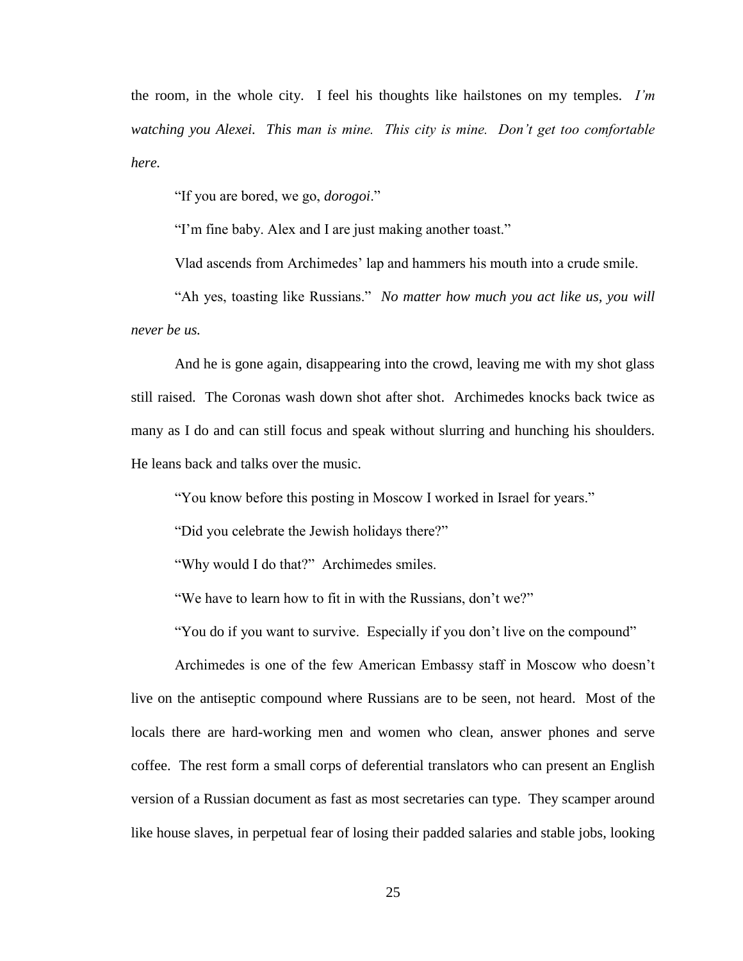the room, in the whole city. I feel his thoughts like hailstones on my temples. *I'm watching you Alexei. This man is mine. This city is mine. Don't get too comfortable here.* 

"If you are bored, we go, *dorogoi*."

"I'm fine baby. Alex and I are just making another toast."

Vlad ascends from Archimedes' lap and hammers his mouth into a crude smile.

"Ah yes, toasting like Russians." *No matter how much you act like us, you will never be us.*

And he is gone again, disappearing into the crowd, leaving me with my shot glass still raised. The Coronas wash down shot after shot. Archimedes knocks back twice as many as I do and can still focus and speak without slurring and hunching his shoulders. He leans back and talks over the music.

"You know before this posting in Moscow I worked in Israel for years."

"Did you celebrate the Jewish holidays there?"

"Why would I do that?" Archimedes smiles.

"We have to learn how to fit in with the Russians, don't we?"

"You do if you want to survive. Especially if you don't live on the compound"

Archimedes is one of the few American Embassy staff in Moscow who doesn't live on the antiseptic compound where Russians are to be seen, not heard. Most of the locals there are hard-working men and women who clean, answer phones and serve coffee. The rest form a small corps of deferential translators who can present an English version of a Russian document as fast as most secretaries can type. They scamper around like house slaves, in perpetual fear of losing their padded salaries and stable jobs, looking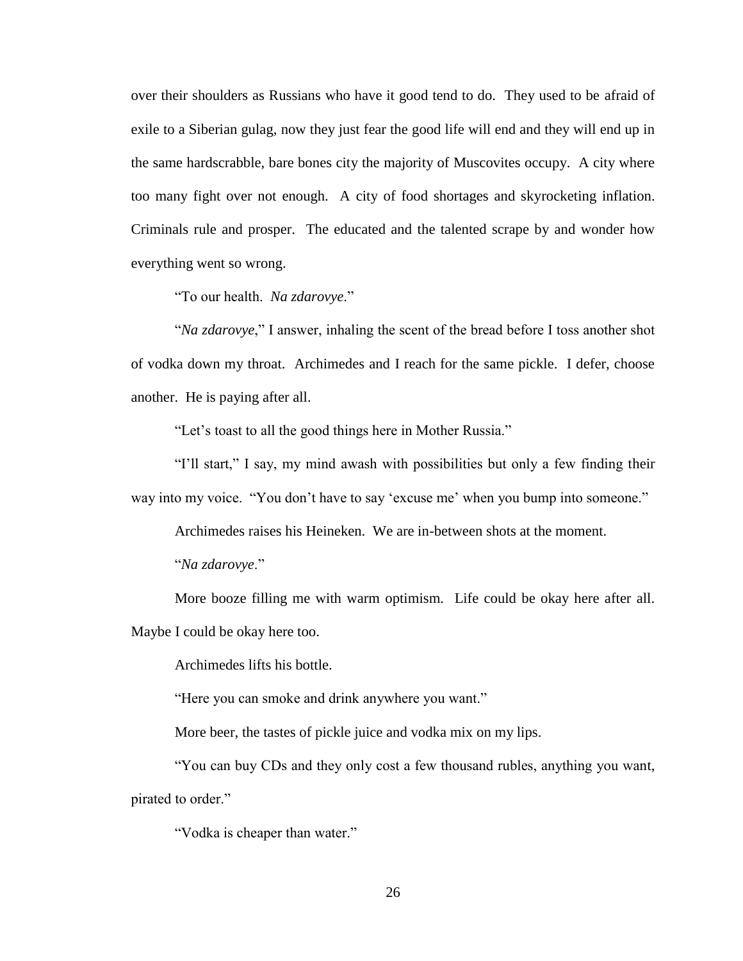over their shoulders as Russians who have it good tend to do. They used to be afraid of exile to a Siberian gulag, now they just fear the good life will end and they will end up in the same hardscrabble, bare bones city the majority of Muscovites occupy. A city where too many fight over not enough. A city of food shortages and skyrocketing inflation. Criminals rule and prosper. The educated and the talented scrape by and wonder how everything went so wrong.

"To our health. *Na zdarovye*."

"*Na zdarovye*," I answer, inhaling the scent of the bread before I toss another shot of vodka down my throat. Archimedes and I reach for the same pickle. I defer, choose another. He is paying after all.

"Let's toast to all the good things here in Mother Russia."

"I'll start," I say, my mind awash with possibilities but only a few finding their way into my voice. "You don't have to say 'excuse me' when you bump into someone."

Archimedes raises his Heineken. We are in-between shots at the moment.

"*Na zdarovye*."

More booze filling me with warm optimism. Life could be okay here after all. Maybe I could be okay here too.

Archimedes lifts his bottle.

"Here you can smoke and drink anywhere you want."

More beer, the tastes of pickle juice and vodka mix on my lips.

"You can buy CDs and they only cost a few thousand rubles, anything you want, pirated to order."

"Vodka is cheaper than water."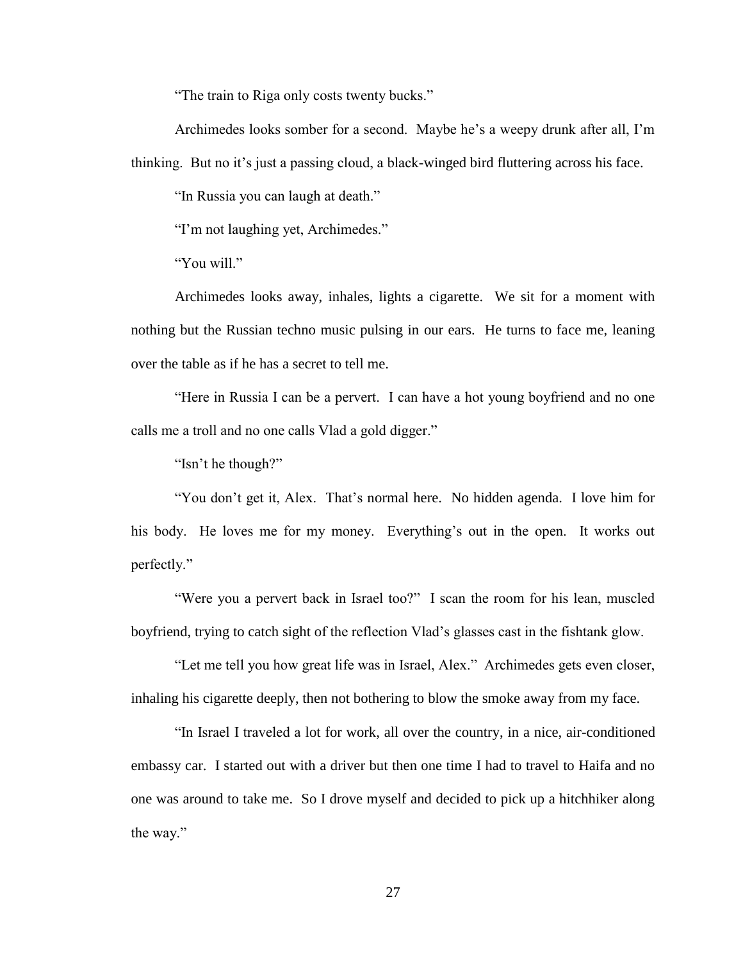"The train to Riga only costs twenty bucks."

Archimedes looks somber for a second. Maybe he's a weepy drunk after all, I'm thinking. But no it's just a passing cloud, a black-winged bird fluttering across his face.

"In Russia you can laugh at death."

"I'm not laughing yet, Archimedes."

"You will."

Archimedes looks away, inhales, lights a cigarette. We sit for a moment with nothing but the Russian techno music pulsing in our ears. He turns to face me, leaning over the table as if he has a secret to tell me.

"Here in Russia I can be a pervert. I can have a hot young boyfriend and no one calls me a troll and no one calls Vlad a gold digger."

"Isn't he though?"

"You don't get it, Alex. That's normal here. No hidden agenda. I love him for his body. He loves me for my money. Everything's out in the open. It works out perfectly."

"Were you a pervert back in Israel too?" I scan the room for his lean, muscled boyfriend, trying to catch sight of the reflection Vlad's glasses cast in the fishtank glow.

"Let me tell you how great life was in Israel, Alex." Archimedes gets even closer, inhaling his cigarette deeply, then not bothering to blow the smoke away from my face.

"In Israel I traveled a lot for work, all over the country, in a nice, air-conditioned embassy car. I started out with a driver but then one time I had to travel to Haifa and no one was around to take me. So I drove myself and decided to pick up a hitchhiker along the way."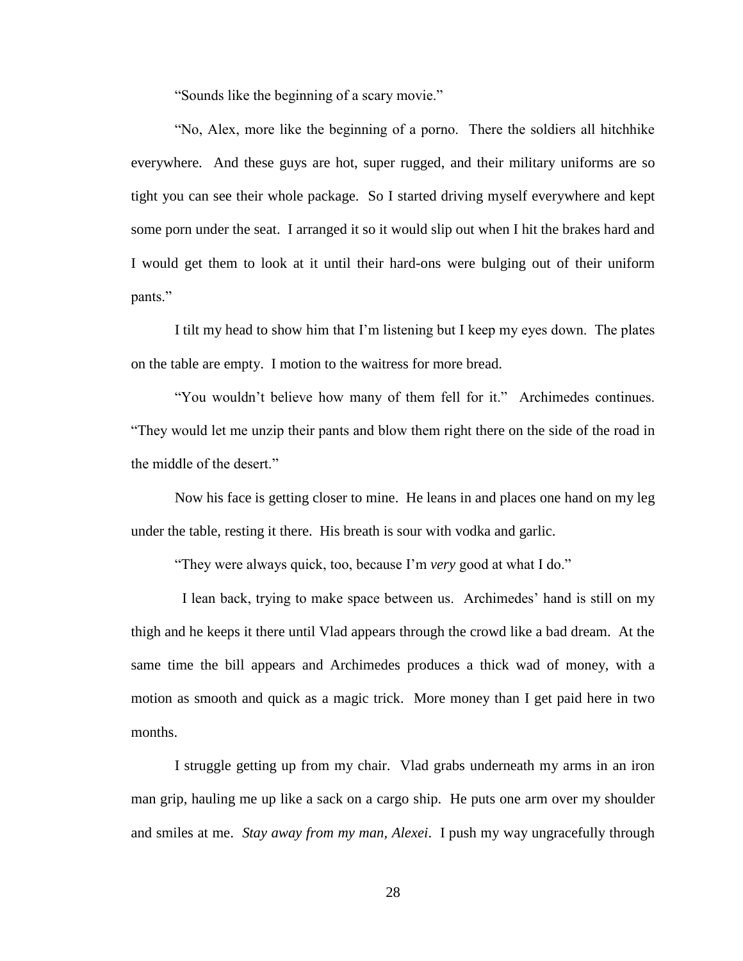"Sounds like the beginning of a scary movie."

"No, Alex, more like the beginning of a porno. There the soldiers all hitchhike everywhere. And these guys are hot, super rugged, and their military uniforms are so tight you can see their whole package. So I started driving myself everywhere and kept some porn under the seat. I arranged it so it would slip out when I hit the brakes hard and I would get them to look at it until their hard-ons were bulging out of their uniform pants."

I tilt my head to show him that I'm listening but I keep my eyes down. The plates on the table are empty. I motion to the waitress for more bread.

"You wouldn't believe how many of them fell for it." Archimedes continues. "They would let me unzip their pants and blow them right there on the side of the road in the middle of the desert."

Now his face is getting closer to mine. He leans in and places one hand on my leg under the table, resting it there. His breath is sour with vodka and garlic.

"They were always quick, too, because I'm *very* good at what I do."

 I lean back, trying to make space between us. Archimedes' hand is still on my thigh and he keeps it there until Vlad appears through the crowd like a bad dream. At the same time the bill appears and Archimedes produces a thick wad of money, with a motion as smooth and quick as a magic trick. More money than I get paid here in two months.

I struggle getting up from my chair. Vlad grabs underneath my arms in an iron man grip, hauling me up like a sack on a cargo ship. He puts one arm over my shoulder and smiles at me. *Stay away from my man, Alexei*. I push my way ungracefully through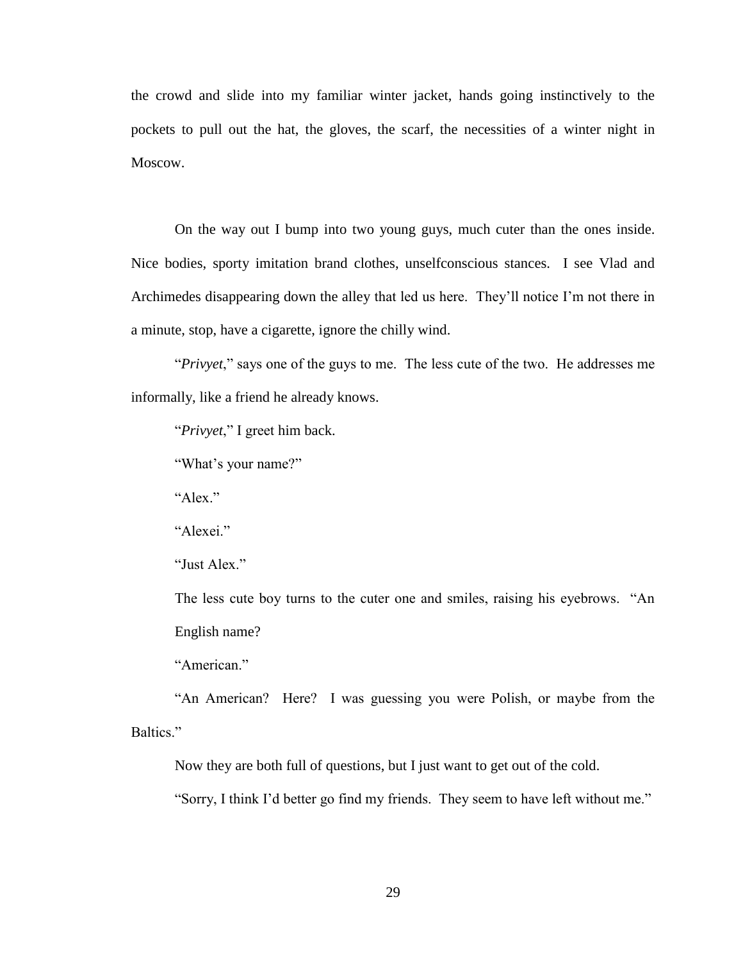the crowd and slide into my familiar winter jacket, hands going instinctively to the pockets to pull out the hat, the gloves, the scarf, the necessities of a winter night in Moscow.

On the way out I bump into two young guys, much cuter than the ones inside. Nice bodies, sporty imitation brand clothes, unselfconscious stances. I see Vlad and Archimedes disappearing down the alley that led us here. They'll notice I'm not there in a minute, stop, have a cigarette, ignore the chilly wind.

"*Privyet*," says one of the guys to me. The less cute of the two. He addresses me informally, like a friend he already knows.

"*Privyet*," I greet him back.

"What's your name?"

"Alex."

"Alexei."

"Just Alex."

The less cute boy turns to the cuter one and smiles, raising his eyebrows. "An English name?

"American"

"An American? Here? I was guessing you were Polish, or maybe from the Baltics."

Now they are both full of questions, but I just want to get out of the cold.

"Sorry, I think I'd better go find my friends. They seem to have left without me."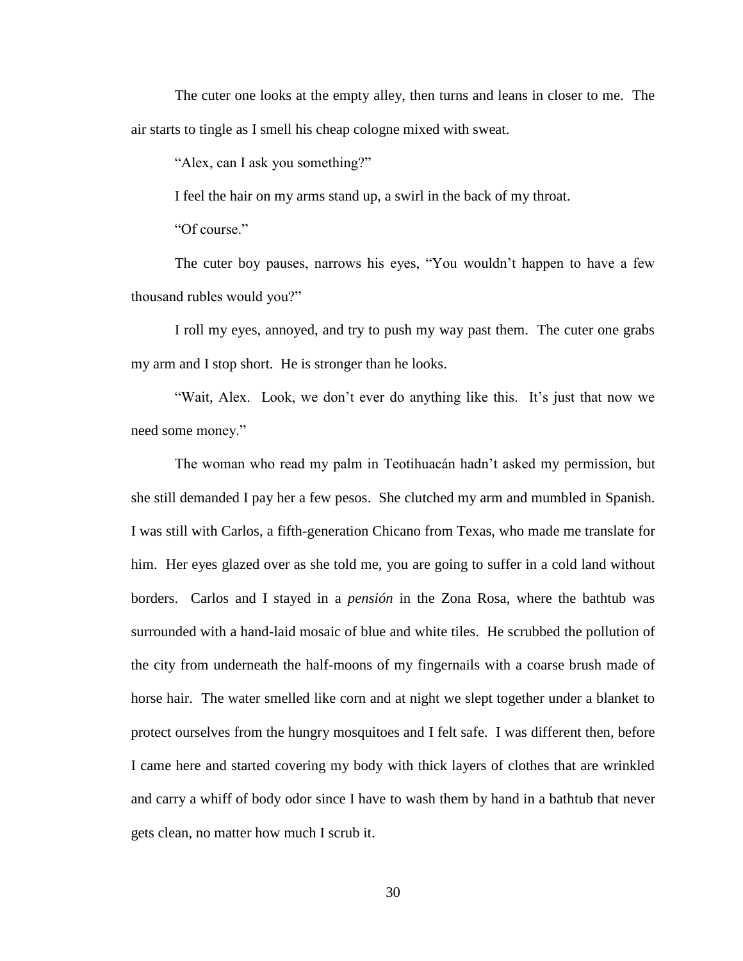The cuter one looks at the empty alley, then turns and leans in closer to me. The air starts to tingle as I smell his cheap cologne mixed with sweat.

"Alex, can I ask you something?"

I feel the hair on my arms stand up, a swirl in the back of my throat.

"Of course."

The cuter boy pauses, narrows his eyes, "You wouldn't happen to have a few thousand rubles would you?"

I roll my eyes, annoyed, and try to push my way past them. The cuter one grabs my arm and I stop short. He is stronger than he looks.

"Wait, Alex. Look, we don't ever do anything like this. It's just that now we need some money."

The woman who read my palm in Teotihuacán hadn't asked my permission, but she still demanded I pay her a few pesos. She clutched my arm and mumbled in Spanish. I was still with Carlos, a fifth-generation Chicano from Texas, who made me translate for him. Her eyes glazed over as she told me, you are going to suffer in a cold land without borders. Carlos and I stayed in a *pensión* in the Zona Rosa, where the bathtub was surrounded with a hand-laid mosaic of blue and white tiles. He scrubbed the pollution of the city from underneath the half-moons of my fingernails with a coarse brush made of horse hair. The water smelled like corn and at night we slept together under a blanket to protect ourselves from the hungry mosquitoes and I felt safe. I was different then, before I came here and started covering my body with thick layers of clothes that are wrinkled and carry a whiff of body odor since I have to wash them by hand in a bathtub that never gets clean, no matter how much I scrub it.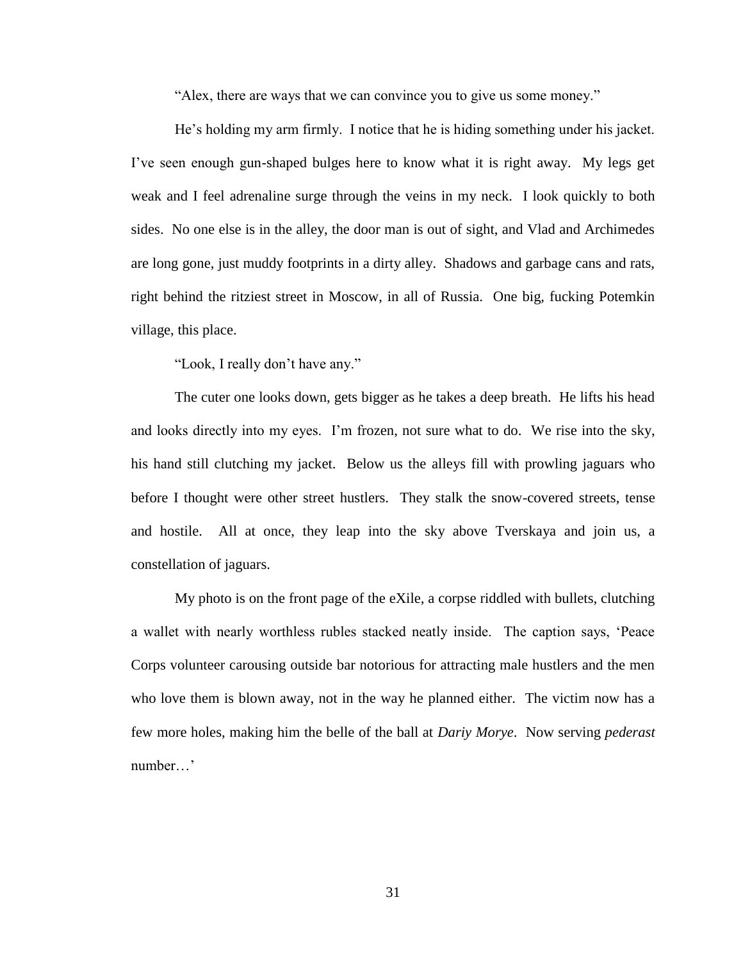"Alex, there are ways that we can convince you to give us some money."

He's holding my arm firmly. I notice that he is hiding something under his jacket. I've seen enough gun-shaped bulges here to know what it is right away. My legs get weak and I feel adrenaline surge through the veins in my neck. I look quickly to both sides. No one else is in the alley, the door man is out of sight, and Vlad and Archimedes are long gone, just muddy footprints in a dirty alley. Shadows and garbage cans and rats, right behind the ritziest street in Moscow, in all of Russia. One big, fucking Potemkin village, this place.

"Look, I really don't have any."

The cuter one looks down, gets bigger as he takes a deep breath. He lifts his head and looks directly into my eyes. I'm frozen, not sure what to do. We rise into the sky, his hand still clutching my jacket. Below us the alleys fill with prowling jaguars who before I thought were other street hustlers. They stalk the snow-covered streets, tense and hostile. All at once, they leap into the sky above Tverskaya and join us, a constellation of jaguars.

My photo is on the front page of the eXile, a corpse riddled with bullets, clutching a wallet with nearly worthless rubles stacked neatly inside. The caption says, 'Peace Corps volunteer carousing outside bar notorious for attracting male hustlers and the men who love them is blown away, not in the way he planned either. The victim now has a few more holes, making him the belle of the ball at *Dariy Morye*. Now serving *pederast* number…'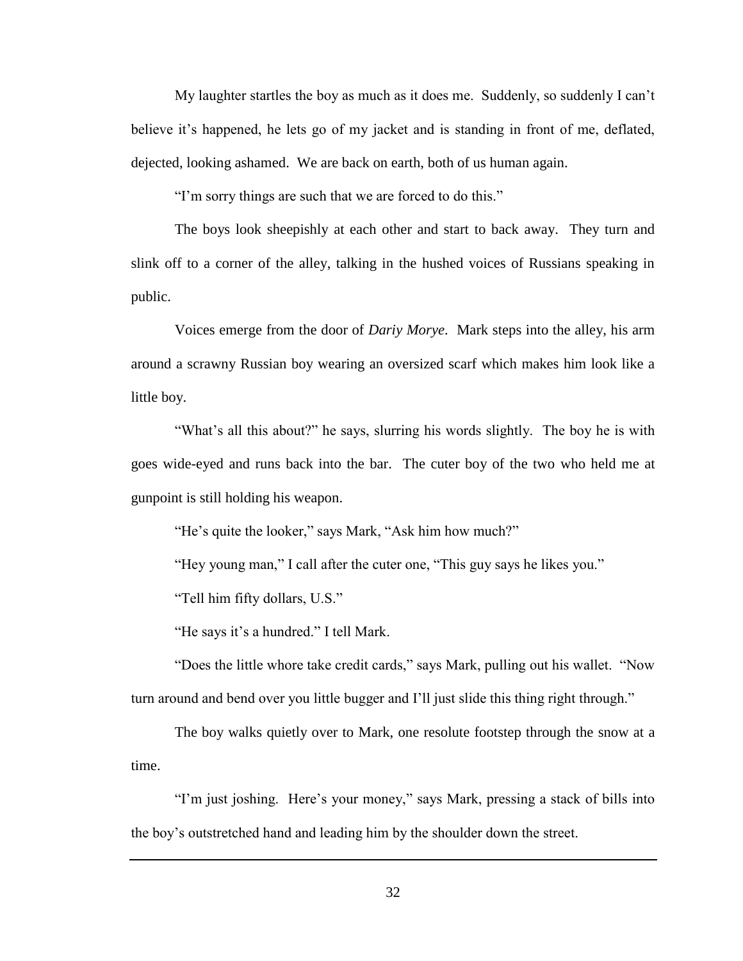My laughter startles the boy as much as it does me. Suddenly, so suddenly I can't believe it's happened, he lets go of my jacket and is standing in front of me, deflated, dejected, looking ashamed. We are back on earth, both of us human again.

"I'm sorry things are such that we are forced to do this."

The boys look sheepishly at each other and start to back away. They turn and slink off to a corner of the alley, talking in the hushed voices of Russians speaking in public.

Voices emerge from the door of *Dariy Morye*. Mark steps into the alley, his arm around a scrawny Russian boy wearing an oversized scarf which makes him look like a little boy.

"What's all this about?" he says, slurring his words slightly. The boy he is with goes wide-eyed and runs back into the bar. The cuter boy of the two who held me at gunpoint is still holding his weapon.

"He's quite the looker," says Mark, "Ask him how much?"

"Hey young man," I call after the cuter one, "This guy says he likes you."

"Tell him fifty dollars, U.S."

"He says it's a hundred." I tell Mark.

"Does the little whore take credit cards," says Mark, pulling out his wallet. "Now turn around and bend over you little bugger and I'll just slide this thing right through."

The boy walks quietly over to Mark, one resolute footstep through the snow at a time.

"I'm just joshing. Here's your money," says Mark, pressing a stack of bills into the boy's outstretched hand and leading him by the shoulder down the street.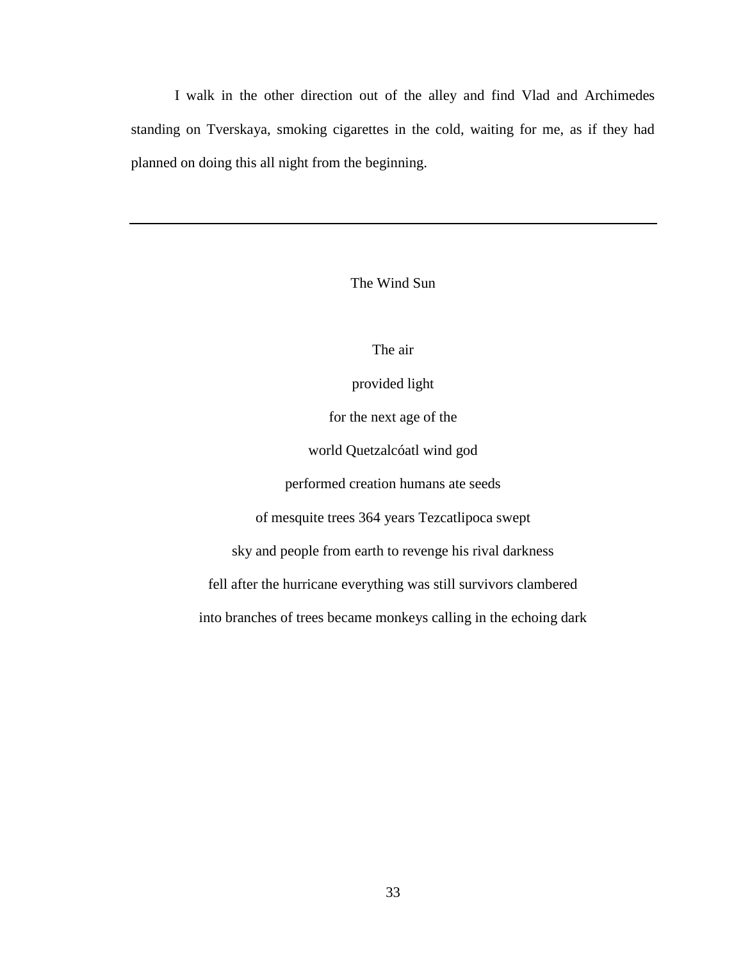I walk in the other direction out of the alley and find Vlad and Archimedes standing on Tverskaya, smoking cigarettes in the cold, waiting for me, as if they had planned on doing this all night from the beginning.

## The Wind Sun

## The air

provided light

for the next age of the

world Quetzalcóatl wind god

performed creation humans ate seeds

of mesquite trees 364 years Tezcatlipoca swept

sky and people from earth to revenge his rival darkness

fell after the hurricane everything was still survivors clambered

into branches of trees became monkeys calling in the echoing dark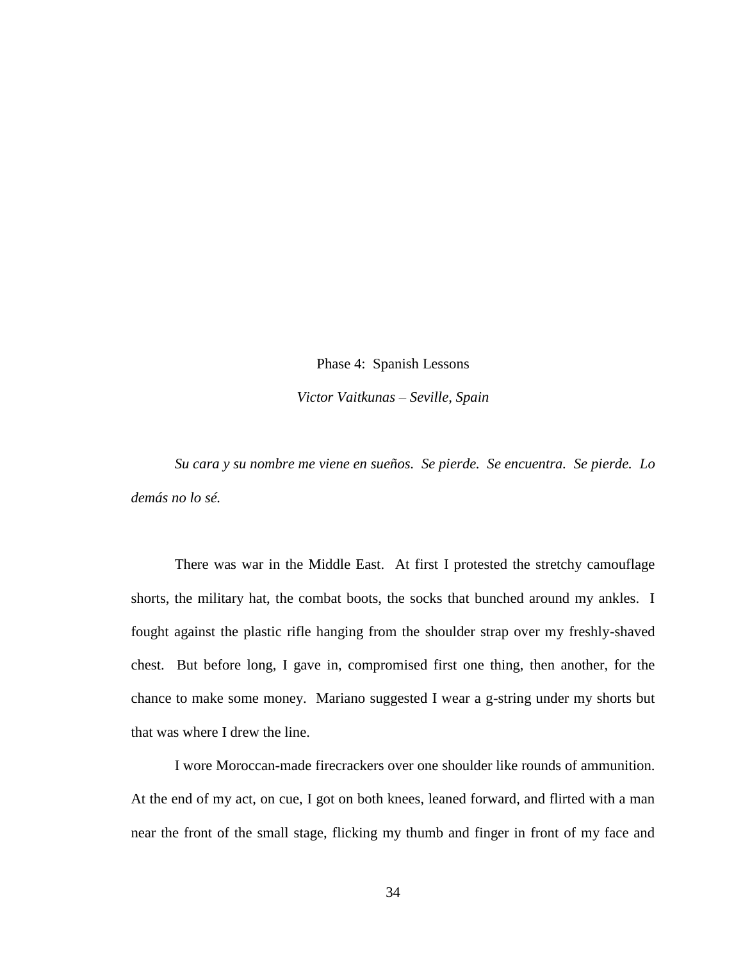Phase 4: Spanish Lessons *Victor Vaitkunas – Seville, Spain*

*Su cara y su nombre me viene en sueños. Se pierde. Se encuentra. Se pierde. Lo demás no lo sé.*

There was war in the Middle East. At first I protested the stretchy camouflage shorts, the military hat, the combat boots, the socks that bunched around my ankles. I fought against the plastic rifle hanging from the shoulder strap over my freshly-shaved chest. But before long, I gave in, compromised first one thing, then another, for the chance to make some money. Mariano suggested I wear a g-string under my shorts but that was where I drew the line.

I wore Moroccan-made firecrackers over one shoulder like rounds of ammunition. At the end of my act, on cue, I got on both knees, leaned forward, and flirted with a man near the front of the small stage, flicking my thumb and finger in front of my face and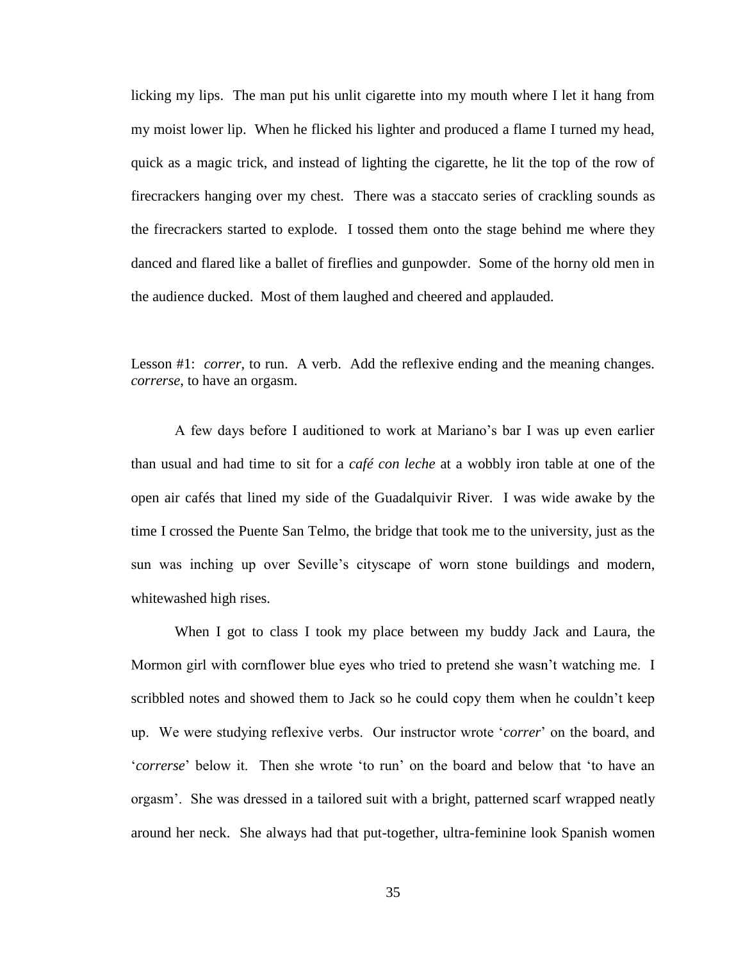licking my lips. The man put his unlit cigarette into my mouth where I let it hang from my moist lower lip. When he flicked his lighter and produced a flame I turned my head, quick as a magic trick, and instead of lighting the cigarette, he lit the top of the row of firecrackers hanging over my chest. There was a staccato series of crackling sounds as the firecrackers started to explode. I tossed them onto the stage behind me where they danced and flared like a ballet of fireflies and gunpowder. Some of the horny old men in the audience ducked. Most of them laughed and cheered and applauded.

Lesson #1: *correr*, to run. A verb. Add the reflexive ending and the meaning changes. *correrse*, to have an orgasm.

A few days before I auditioned to work at Mariano's bar I was up even earlier than usual and had time to sit for a *café con leche* at a wobbly iron table at one of the open air cafés that lined my side of the Guadalquivir River. I was wide awake by the time I crossed the Puente San Telmo, the bridge that took me to the university, just as the sun was inching up over Seville's cityscape of worn stone buildings and modern, whitewashed high rises.

When I got to class I took my place between my buddy Jack and Laura, the Mormon girl with cornflower blue eyes who tried to pretend she wasn't watching me. I scribbled notes and showed them to Jack so he could copy them when he couldn't keep up. We were studying reflexive verbs. Our instructor wrote '*correr*' on the board, and '*correrse*' below it. Then she wrote 'to run' on the board and below that 'to have an orgasm'. She was dressed in a tailored suit with a bright, patterned scarf wrapped neatly around her neck. She always had that put-together, ultra-feminine look Spanish women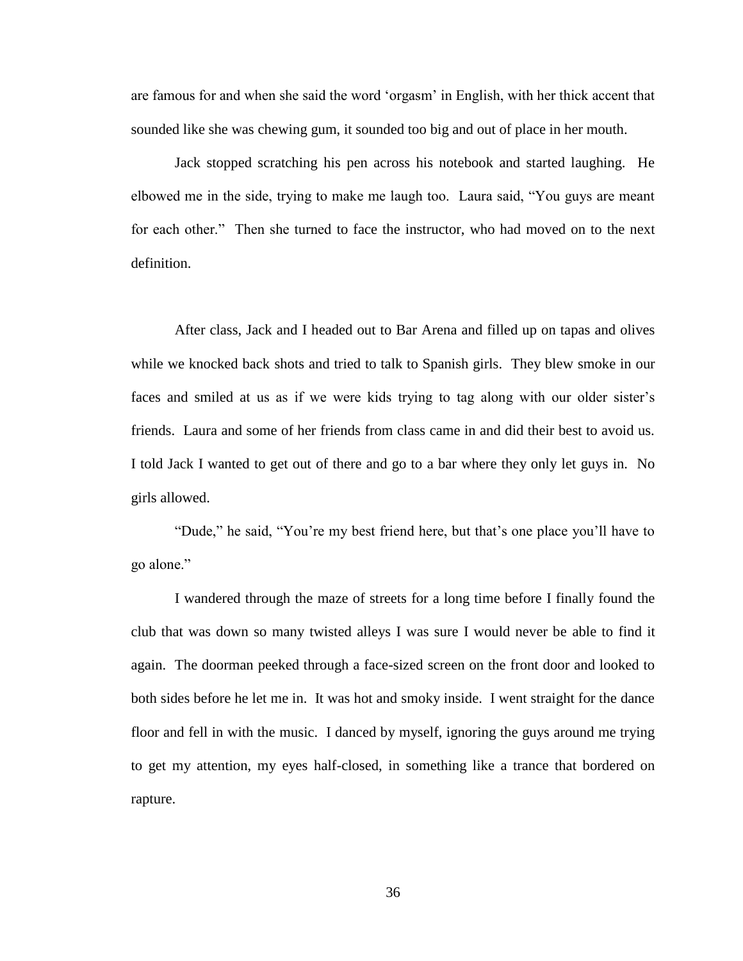are famous for and when she said the word 'orgasm' in English, with her thick accent that sounded like she was chewing gum, it sounded too big and out of place in her mouth.

Jack stopped scratching his pen across his notebook and started laughing. He elbowed me in the side, trying to make me laugh too. Laura said, "You guys are meant for each other." Then she turned to face the instructor, who had moved on to the next definition.

After class, Jack and I headed out to Bar Arena and filled up on tapas and olives while we knocked back shots and tried to talk to Spanish girls. They blew smoke in our faces and smiled at us as if we were kids trying to tag along with our older sister's friends. Laura and some of her friends from class came in and did their best to avoid us. I told Jack I wanted to get out of there and go to a bar where they only let guys in. No girls allowed.

"Dude," he said, "You're my best friend here, but that's one place you'll have to go alone."

I wandered through the maze of streets for a long time before I finally found the club that was down so many twisted alleys I was sure I would never be able to find it again. The doorman peeked through a face-sized screen on the front door and looked to both sides before he let me in. It was hot and smoky inside. I went straight for the dance floor and fell in with the music. I danced by myself, ignoring the guys around me trying to get my attention, my eyes half-closed, in something like a trance that bordered on rapture.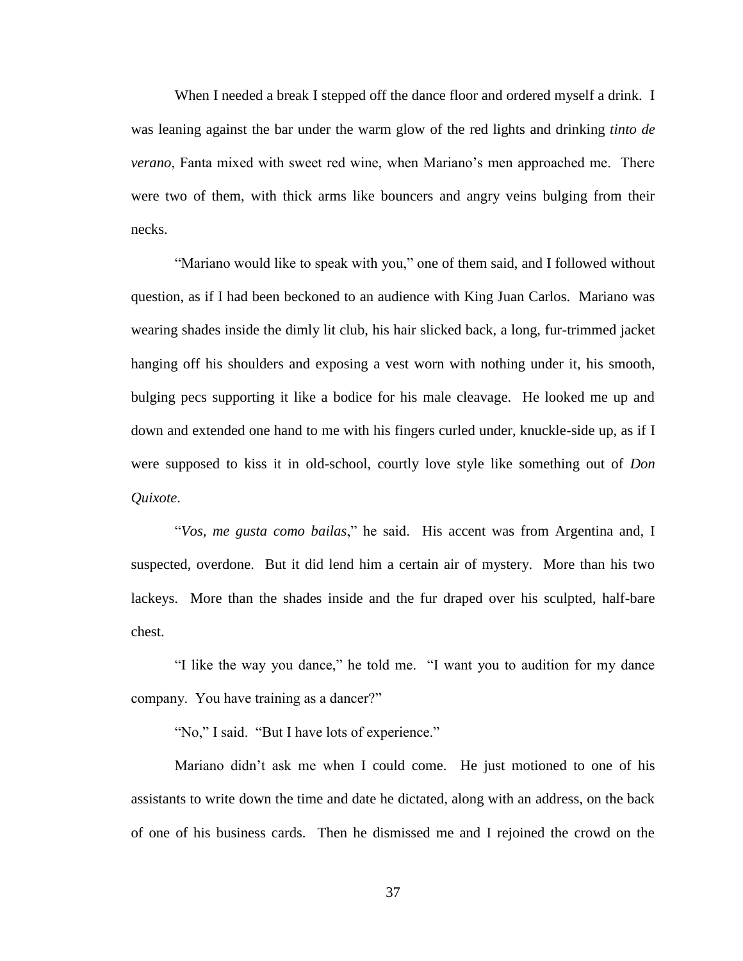When I needed a break I stepped off the dance floor and ordered myself a drink. I was leaning against the bar under the warm glow of the red lights and drinking *tinto de verano*, Fanta mixed with sweet red wine, when Mariano's men approached me. There were two of them, with thick arms like bouncers and angry veins bulging from their necks.

"Mariano would like to speak with you," one of them said, and I followed without question, as if I had been beckoned to an audience with King Juan Carlos. Mariano was wearing shades inside the dimly lit club, his hair slicked back, a long, fur-trimmed jacket hanging off his shoulders and exposing a vest worn with nothing under it, his smooth, bulging pecs supporting it like a bodice for his male cleavage. He looked me up and down and extended one hand to me with his fingers curled under, knuckle-side up, as if I were supposed to kiss it in old-school, courtly love style like something out of *Don Quixote*.

"*Vos, me gusta como bailas*," he said. His accent was from Argentina and, I suspected, overdone. But it did lend him a certain air of mystery. More than his two lackeys. More than the shades inside and the fur draped over his sculpted, half-bare chest.

"I like the way you dance," he told me. "I want you to audition for my dance company. You have training as a dancer?"

"No," I said. "But I have lots of experience."

Mariano didn't ask me when I could come. He just motioned to one of his assistants to write down the time and date he dictated, along with an address, on the back of one of his business cards. Then he dismissed me and I rejoined the crowd on the

37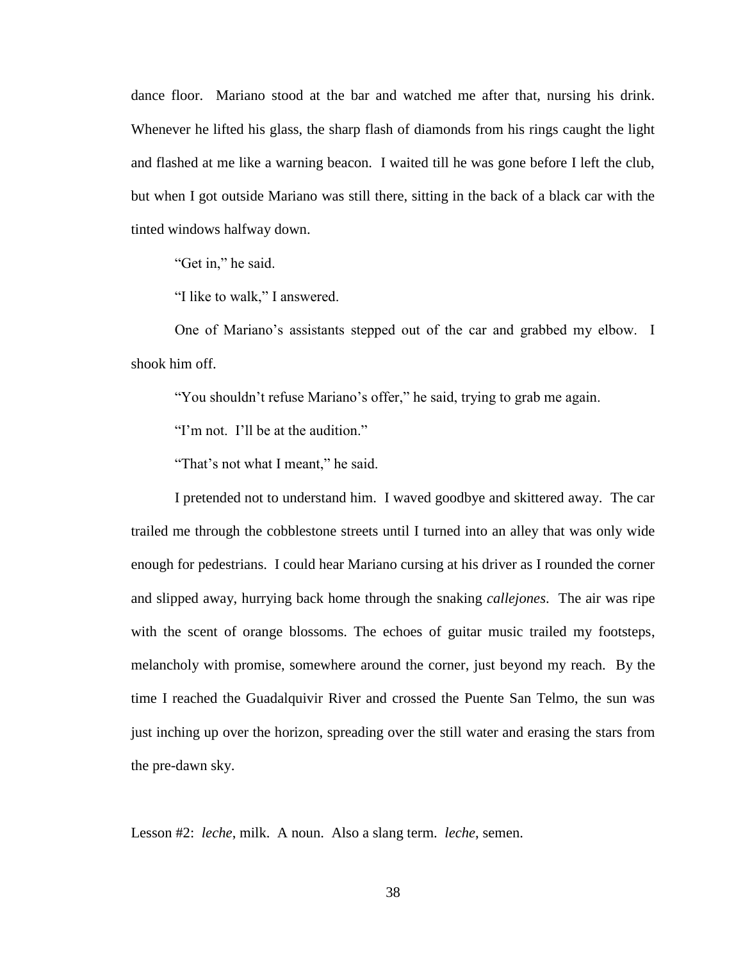dance floor. Mariano stood at the bar and watched me after that, nursing his drink. Whenever he lifted his glass, the sharp flash of diamonds from his rings caught the light and flashed at me like a warning beacon. I waited till he was gone before I left the club, but when I got outside Mariano was still there, sitting in the back of a black car with the tinted windows halfway down.

"Get in," he said.

"I like to walk," I answered.

One of Mariano's assistants stepped out of the car and grabbed my elbow. I shook him off.

"You shouldn't refuse Mariano's offer," he said, trying to grab me again.

"I'm not. I'll be at the audition."

"That's not what I meant," he said.

I pretended not to understand him. I waved goodbye and skittered away. The car trailed me through the cobblestone streets until I turned into an alley that was only wide enough for pedestrians. I could hear Mariano cursing at his driver as I rounded the corner and slipped away, hurrying back home through the snaking *callejones*. The air was ripe with the scent of orange blossoms. The echoes of guitar music trailed my footsteps, melancholy with promise, somewhere around the corner, just beyond my reach. By the time I reached the Guadalquivir River and crossed the Puente San Telmo, the sun was just inching up over the horizon, spreading over the still water and erasing the stars from the pre-dawn sky.

Lesson #2: *leche*, milk. A noun. Also a slang term. *leche*, semen.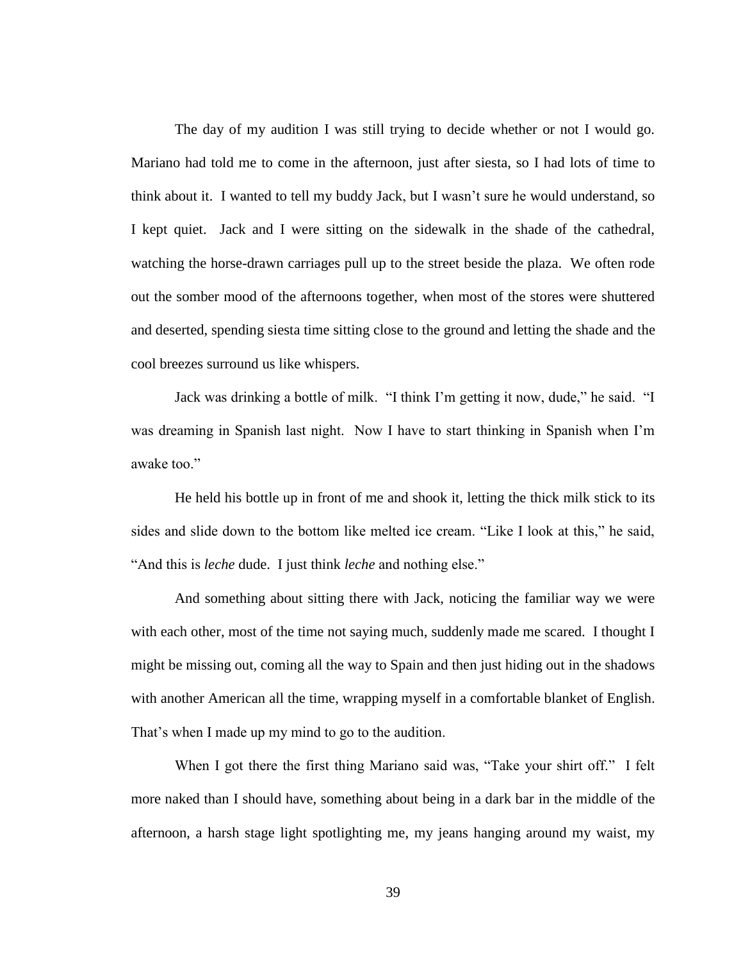The day of my audition I was still trying to decide whether or not I would go. Mariano had told me to come in the afternoon, just after siesta, so I had lots of time to think about it. I wanted to tell my buddy Jack, but I wasn't sure he would understand, so I kept quiet. Jack and I were sitting on the sidewalk in the shade of the cathedral, watching the horse-drawn carriages pull up to the street beside the plaza. We often rode out the somber mood of the afternoons together, when most of the stores were shuttered and deserted, spending siesta time sitting close to the ground and letting the shade and the cool breezes surround us like whispers.

Jack was drinking a bottle of milk. "I think I'm getting it now, dude," he said. "I was dreaming in Spanish last night. Now I have to start thinking in Spanish when I'm awake too."

He held his bottle up in front of me and shook it, letting the thick milk stick to its sides and slide down to the bottom like melted ice cream. "Like I look at this," he said, "And this is *leche* dude. I just think *leche* and nothing else."

And something about sitting there with Jack, noticing the familiar way we were with each other, most of the time not saying much, suddenly made me scared. I thought I might be missing out, coming all the way to Spain and then just hiding out in the shadows with another American all the time, wrapping myself in a comfortable blanket of English. That's when I made up my mind to go to the audition.

When I got there the first thing Mariano said was, "Take your shirt off." I felt more naked than I should have, something about being in a dark bar in the middle of the afternoon, a harsh stage light spotlighting me, my jeans hanging around my waist, my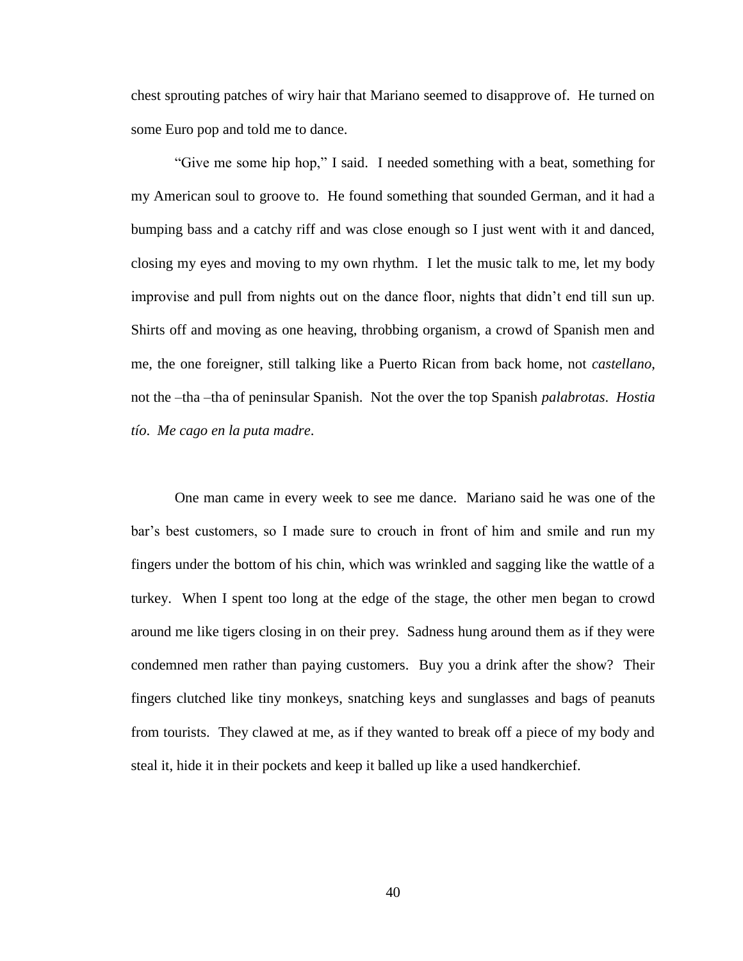chest sprouting patches of wiry hair that Mariano seemed to disapprove of. He turned on some Euro pop and told me to dance.

"Give me some hip hop," I said. I needed something with a beat, something for my American soul to groove to. He found something that sounded German, and it had a bumping bass and a catchy riff and was close enough so I just went with it and danced, closing my eyes and moving to my own rhythm. I let the music talk to me, let my body improvise and pull from nights out on the dance floor, nights that didn't end till sun up. Shirts off and moving as one heaving, throbbing organism, a crowd of Spanish men and me, the one foreigner, still talking like a Puerto Rican from back home, not *castellano*, not the –tha –tha of peninsular Spanish. Not the over the top Spanish *palabrotas*. *Hostia tío*. *Me cago en la puta madre*.

One man came in every week to see me dance. Mariano said he was one of the bar's best customers, so I made sure to crouch in front of him and smile and run my fingers under the bottom of his chin, which was wrinkled and sagging like the wattle of a turkey. When I spent too long at the edge of the stage, the other men began to crowd around me like tigers closing in on their prey. Sadness hung around them as if they were condemned men rather than paying customers. Buy you a drink after the show? Their fingers clutched like tiny monkeys, snatching keys and sunglasses and bags of peanuts from tourists. They clawed at me, as if they wanted to break off a piece of my body and steal it, hide it in their pockets and keep it balled up like a used handkerchief.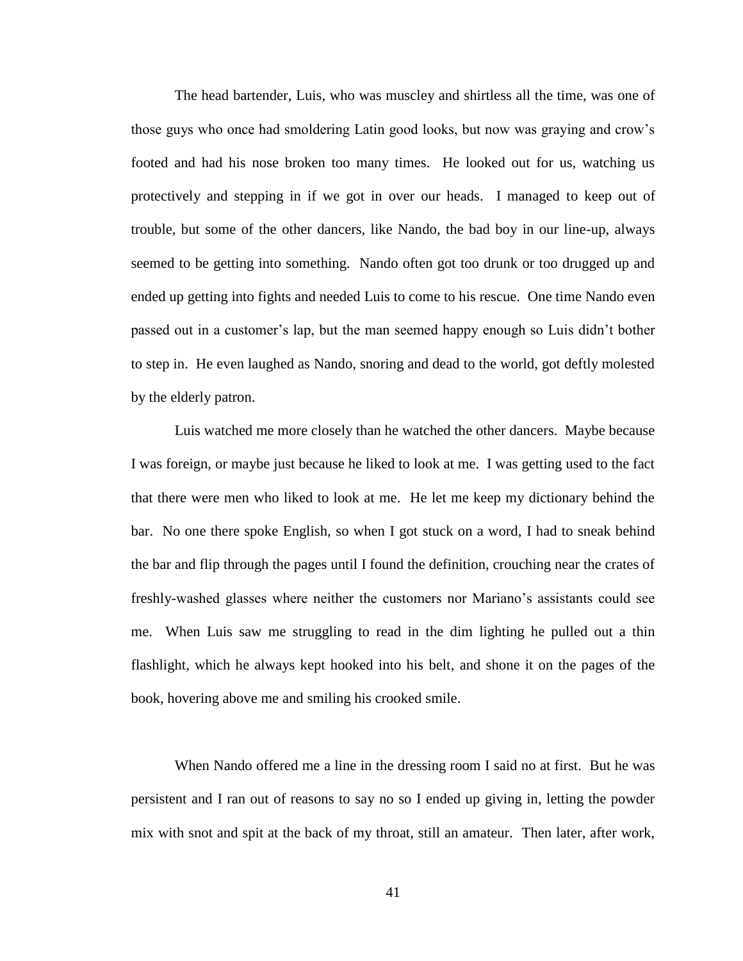The head bartender, Luis, who was muscley and shirtless all the time, was one of those guys who once had smoldering Latin good looks, but now was graying and crow's footed and had his nose broken too many times. He looked out for us, watching us protectively and stepping in if we got in over our heads. I managed to keep out of trouble, but some of the other dancers, like Nando, the bad boy in our line-up, always seemed to be getting into something. Nando often got too drunk or too drugged up and ended up getting into fights and needed Luis to come to his rescue. One time Nando even passed out in a customer's lap, but the man seemed happy enough so Luis didn't bother to step in. He even laughed as Nando, snoring and dead to the world, got deftly molested by the elderly patron.

Luis watched me more closely than he watched the other dancers. Maybe because I was foreign, or maybe just because he liked to look at me. I was getting used to the fact that there were men who liked to look at me. He let me keep my dictionary behind the bar. No one there spoke English, so when I got stuck on a word, I had to sneak behind the bar and flip through the pages until I found the definition, crouching near the crates of freshly-washed glasses where neither the customers nor Mariano's assistants could see me. When Luis saw me struggling to read in the dim lighting he pulled out a thin flashlight, which he always kept hooked into his belt, and shone it on the pages of the book, hovering above me and smiling his crooked smile.

When Nando offered me a line in the dressing room I said no at first. But he was persistent and I ran out of reasons to say no so I ended up giving in, letting the powder mix with snot and spit at the back of my throat, still an amateur. Then later, after work,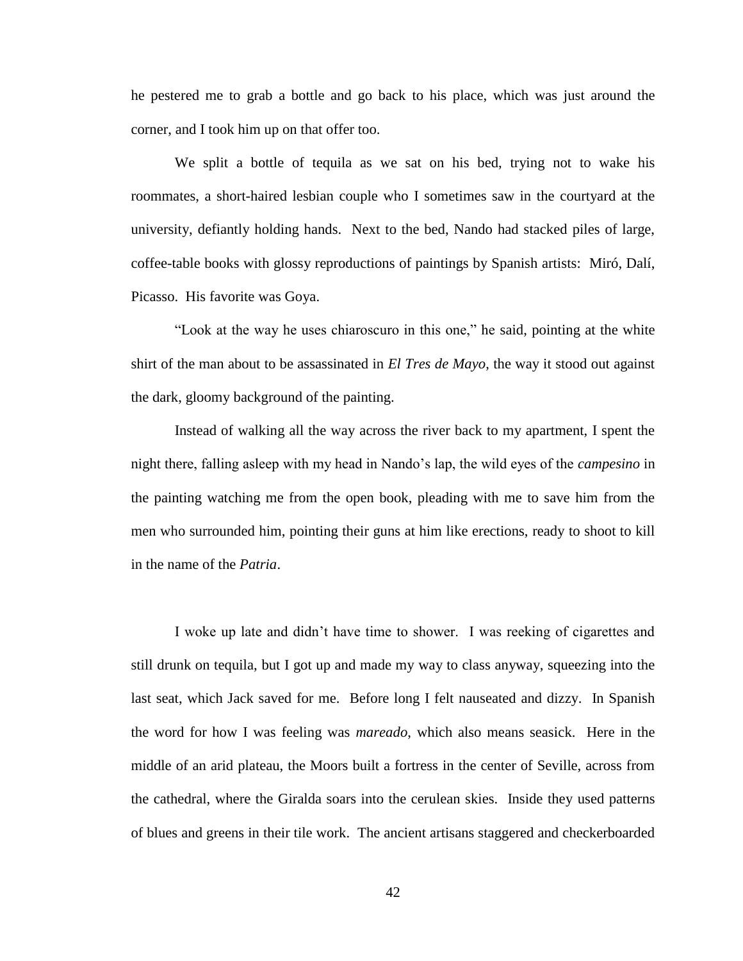he pestered me to grab a bottle and go back to his place, which was just around the corner, and I took him up on that offer too.

We split a bottle of tequila as we sat on his bed, trying not to wake his roommates, a short-haired lesbian couple who I sometimes saw in the courtyard at the university, defiantly holding hands. Next to the bed, Nando had stacked piles of large, coffee-table books with glossy reproductions of paintings by Spanish artists: Miró, Dalí, Picasso. His favorite was Goya.

"Look at the way he uses chiaroscuro in this one," he said, pointing at the white shirt of the man about to be assassinated in *El Tres de Mayo*, the way it stood out against the dark, gloomy background of the painting.

Instead of walking all the way across the river back to my apartment, I spent the night there, falling asleep with my head in Nando's lap, the wild eyes of the *campesino* in the painting watching me from the open book, pleading with me to save him from the men who surrounded him, pointing their guns at him like erections, ready to shoot to kill in the name of the *Patria*.

I woke up late and didn't have time to shower. I was reeking of cigarettes and still drunk on tequila, but I got up and made my way to class anyway, squeezing into the last seat, which Jack saved for me. Before long I felt nauseated and dizzy. In Spanish the word for how I was feeling was *mareado*, which also means seasick. Here in the middle of an arid plateau, the Moors built a fortress in the center of Seville, across from the cathedral, where the Giralda soars into the cerulean skies. Inside they used patterns of blues and greens in their tile work. The ancient artisans staggered and checkerboarded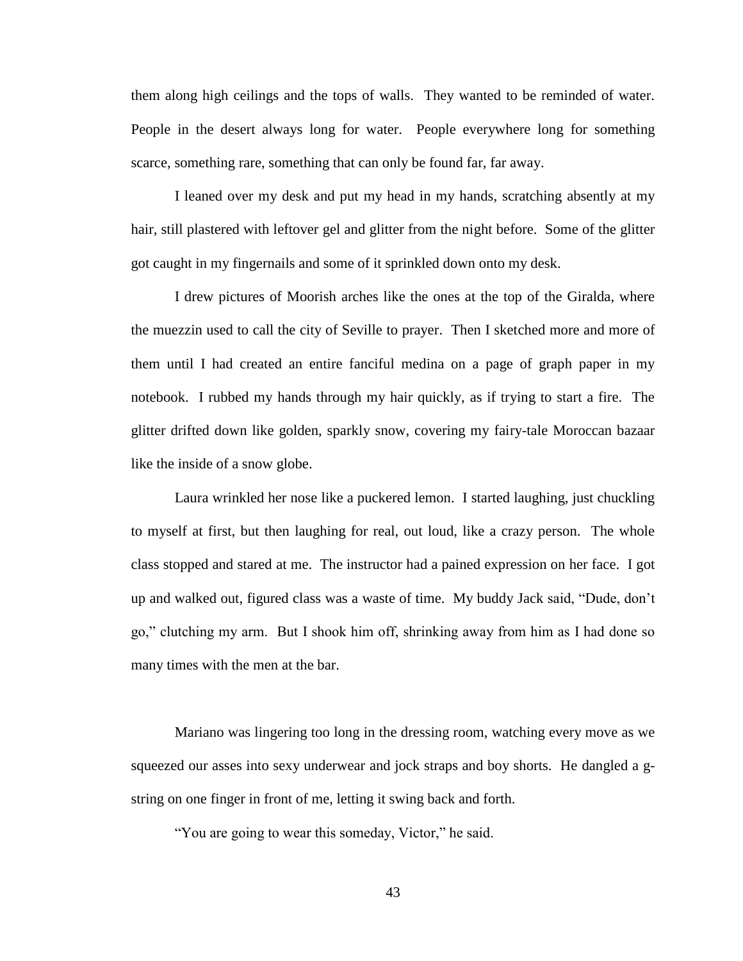them along high ceilings and the tops of walls. They wanted to be reminded of water. People in the desert always long for water. People everywhere long for something scarce, something rare, something that can only be found far, far away.

I leaned over my desk and put my head in my hands, scratching absently at my hair, still plastered with leftover gel and glitter from the night before. Some of the glitter got caught in my fingernails and some of it sprinkled down onto my desk.

I drew pictures of Moorish arches like the ones at the top of the Giralda, where the muezzin used to call the city of Seville to prayer. Then I sketched more and more of them until I had created an entire fanciful medina on a page of graph paper in my notebook. I rubbed my hands through my hair quickly, as if trying to start a fire. The glitter drifted down like golden, sparkly snow, covering my fairy-tale Moroccan bazaar like the inside of a snow globe.

Laura wrinkled her nose like a puckered lemon. I started laughing, just chuckling to myself at first, but then laughing for real, out loud, like a crazy person. The whole class stopped and stared at me. The instructor had a pained expression on her face. I got up and walked out, figured class was a waste of time. My buddy Jack said, "Dude, don't go," clutching my arm. But I shook him off, shrinking away from him as I had done so many times with the men at the bar.

Mariano was lingering too long in the dressing room, watching every move as we squeezed our asses into sexy underwear and jock straps and boy shorts. He dangled a gstring on one finger in front of me, letting it swing back and forth.

"You are going to wear this someday, Victor," he said.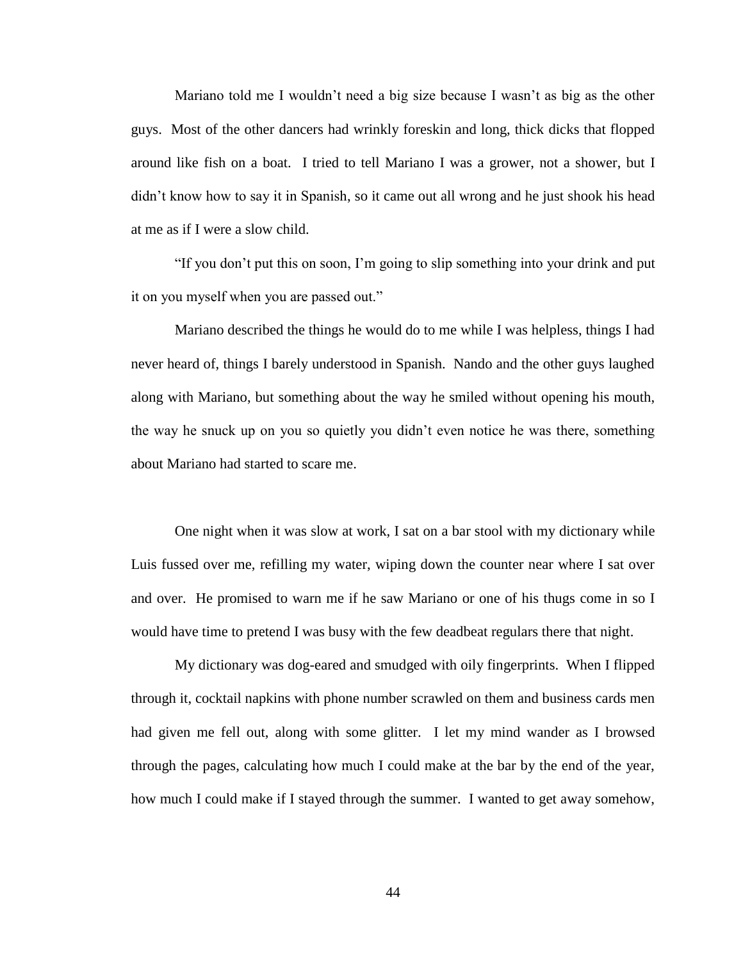Mariano told me I wouldn't need a big size because I wasn't as big as the other guys. Most of the other dancers had wrinkly foreskin and long, thick dicks that flopped around like fish on a boat. I tried to tell Mariano I was a grower, not a shower, but I didn't know how to say it in Spanish, so it came out all wrong and he just shook his head at me as if I were a slow child.

"If you don't put this on soon, I'm going to slip something into your drink and put it on you myself when you are passed out."

Mariano described the things he would do to me while I was helpless, things I had never heard of, things I barely understood in Spanish. Nando and the other guys laughed along with Mariano, but something about the way he smiled without opening his mouth, the way he snuck up on you so quietly you didn't even notice he was there, something about Mariano had started to scare me.

One night when it was slow at work, I sat on a bar stool with my dictionary while Luis fussed over me, refilling my water, wiping down the counter near where I sat over and over. He promised to warn me if he saw Mariano or one of his thugs come in so I would have time to pretend I was busy with the few deadbeat regulars there that night.

My dictionary was dog-eared and smudged with oily fingerprints. When I flipped through it, cocktail napkins with phone number scrawled on them and business cards men had given me fell out, along with some glitter. I let my mind wander as I browsed through the pages, calculating how much I could make at the bar by the end of the year, how much I could make if I stayed through the summer. I wanted to get away somehow,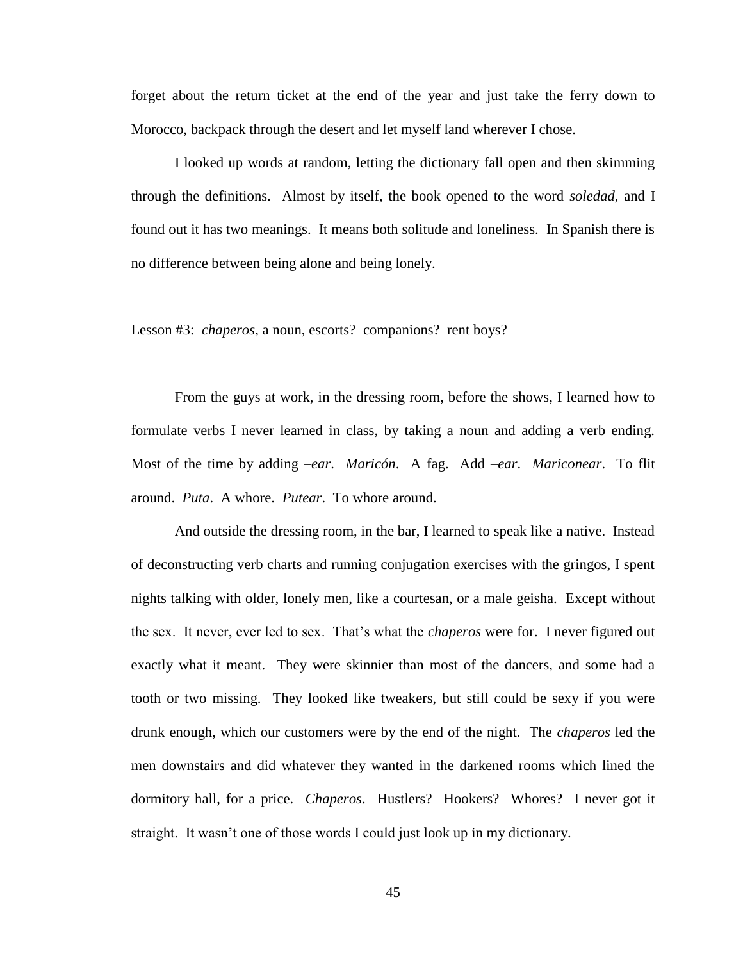forget about the return ticket at the end of the year and just take the ferry down to Morocco, backpack through the desert and let myself land wherever I chose.

I looked up words at random, letting the dictionary fall open and then skimming through the definitions. Almost by itself, the book opened to the word *soledad*, and I found out it has two meanings. It means both solitude and loneliness. In Spanish there is no difference between being alone and being lonely.

Lesson #3: *chaperos*, a noun, escorts? companions? rent boys?

From the guys at work, in the dressing room, before the shows, I learned how to formulate verbs I never learned in class, by taking a noun and adding a verb ending. Most of the time by adding –*ear*. *Maricón*. A fag. Add –*ear*. *Mariconear*. To flit around. *Puta*. A whore. *Putear*. To whore around.

And outside the dressing room, in the bar, I learned to speak like a native. Instead of deconstructing verb charts and running conjugation exercises with the gringos, I spent nights talking with older, lonely men, like a courtesan, or a male geisha. Except without the sex. It never, ever led to sex. That's what the *chaperos* were for. I never figured out exactly what it meant. They were skinnier than most of the dancers, and some had a tooth or two missing. They looked like tweakers, but still could be sexy if you were drunk enough, which our customers were by the end of the night. The *chaperos* led the men downstairs and did whatever they wanted in the darkened rooms which lined the dormitory hall, for a price. *Chaperos*. Hustlers? Hookers? Whores? I never got it straight. It wasn't one of those words I could just look up in my dictionary.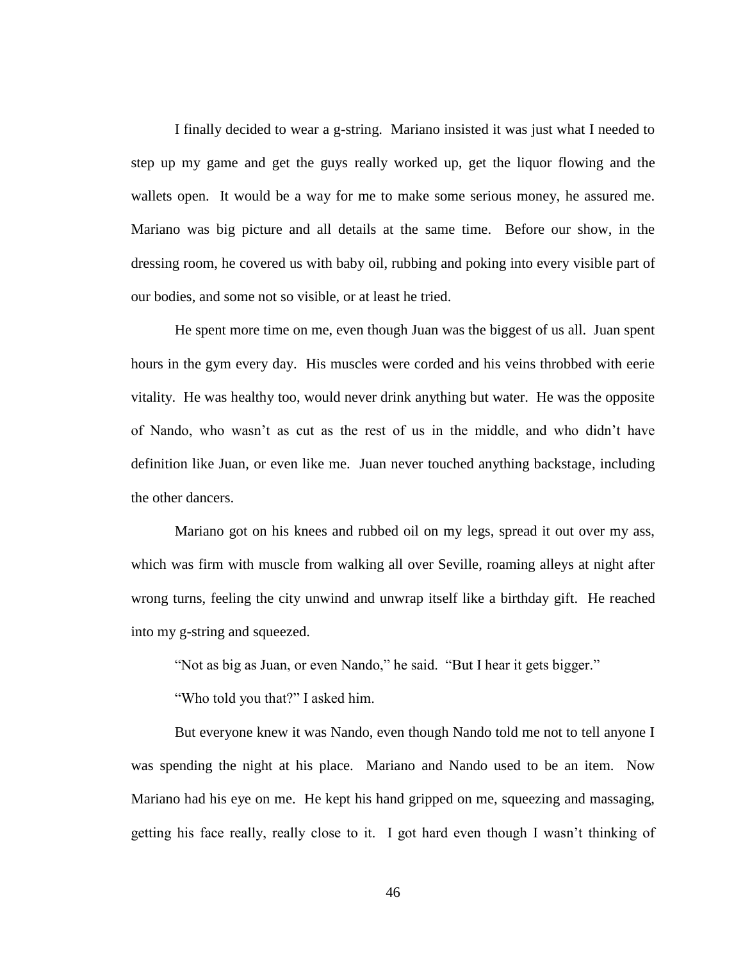I finally decided to wear a g-string. Mariano insisted it was just what I needed to step up my game and get the guys really worked up, get the liquor flowing and the wallets open. It would be a way for me to make some serious money, he assured me. Mariano was big picture and all details at the same time. Before our show, in the dressing room, he covered us with baby oil, rubbing and poking into every visible part of our bodies, and some not so visible, or at least he tried.

He spent more time on me, even though Juan was the biggest of us all. Juan spent hours in the gym every day. His muscles were corded and his veins throbbed with eerie vitality. He was healthy too, would never drink anything but water. He was the opposite of Nando, who wasn't as cut as the rest of us in the middle, and who didn't have definition like Juan, or even like me. Juan never touched anything backstage, including the other dancers.

Mariano got on his knees and rubbed oil on my legs, spread it out over my ass, which was firm with muscle from walking all over Seville, roaming alleys at night after wrong turns, feeling the city unwind and unwrap itself like a birthday gift. He reached into my g-string and squeezed.

"Not as big as Juan, or even Nando," he said. "But I hear it gets bigger."

"Who told you that?" I asked him.

But everyone knew it was Nando, even though Nando told me not to tell anyone I was spending the night at his place. Mariano and Nando used to be an item. Now Mariano had his eye on me. He kept his hand gripped on me, squeezing and massaging, getting his face really, really close to it. I got hard even though I wasn't thinking of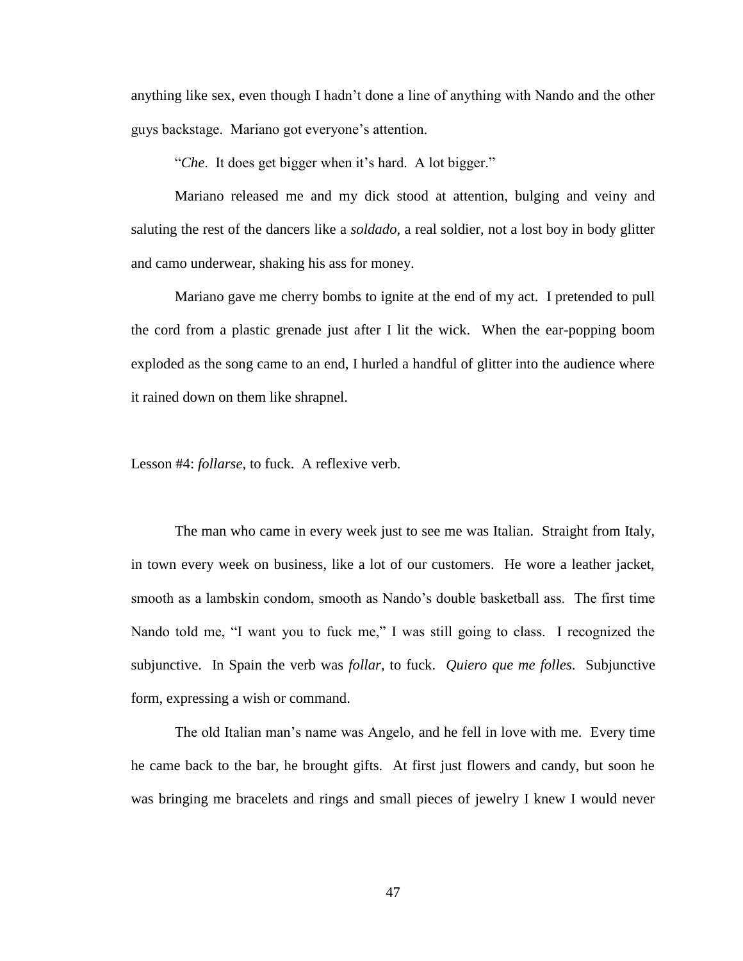anything like sex, even though I hadn't done a line of anything with Nando and the other guys backstage. Mariano got everyone's attention.

"*Che*. It does get bigger when it's hard. A lot bigger."

Mariano released me and my dick stood at attention, bulging and veiny and saluting the rest of the dancers like a *soldado*, a real soldier, not a lost boy in body glitter and camo underwear, shaking his ass for money.

Mariano gave me cherry bombs to ignite at the end of my act. I pretended to pull the cord from a plastic grenade just after I lit the wick. When the ear-popping boom exploded as the song came to an end, I hurled a handful of glitter into the audience where it rained down on them like shrapnel.

Lesson #4: *follarse*, to fuck. A reflexive verb.

The man who came in every week just to see me was Italian. Straight from Italy, in town every week on business, like a lot of our customers. He wore a leather jacket, smooth as a lambskin condom, smooth as Nando's double basketball ass. The first time Nando told me, "I want you to fuck me," I was still going to class. I recognized the subjunctive. In Spain the verb was *follar*, to fuck. *Quiero que me folles*. Subjunctive form, expressing a wish or command.

The old Italian man's name was Angelo, and he fell in love with me. Every time he came back to the bar, he brought gifts. At first just flowers and candy, but soon he was bringing me bracelets and rings and small pieces of jewelry I knew I would never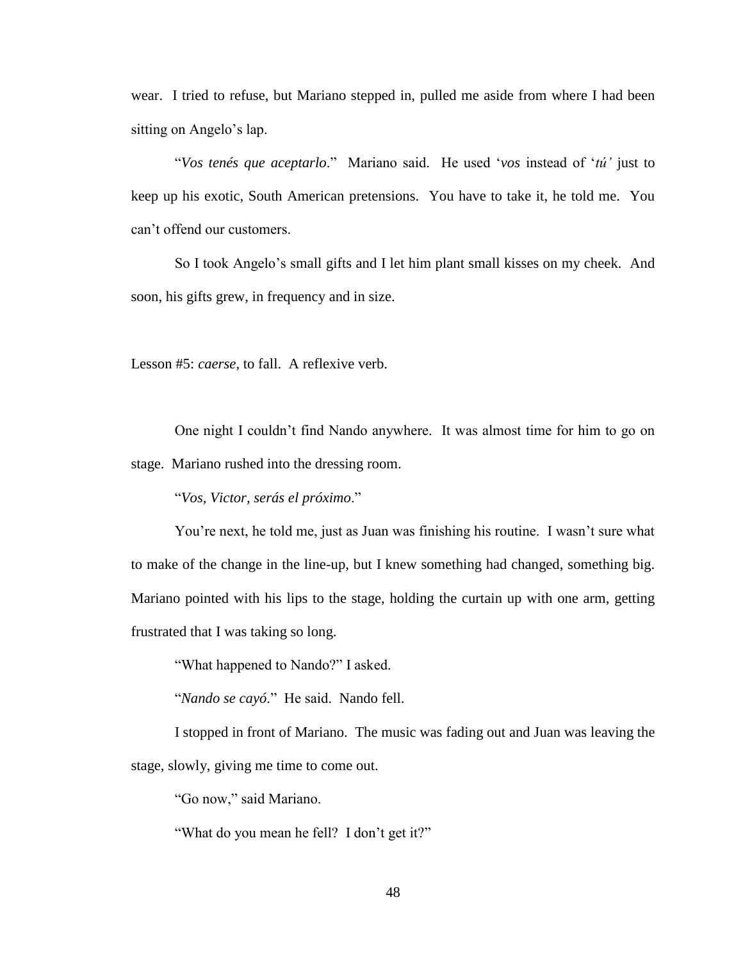wear. I tried to refuse, but Mariano stepped in, pulled me aside from where I had been sitting on Angelo's lap.

"*Vos tenés que aceptarlo*." Mariano said. He used '*vos* instead of '*tú'* just to keep up his exotic, South American pretensions. You have to take it, he told me. You can't offend our customers.

So I took Angelo's small gifts and I let him plant small kisses on my cheek. And soon, his gifts grew, in frequency and in size.

Lesson #5: *caerse*, to fall. A reflexive verb.

One night I couldn't find Nando anywhere. It was almost time for him to go on stage. Mariano rushed into the dressing room.

"*Vos, Victor, serás el próximo*."

You're next, he told me, just as Juan was finishing his routine. I wasn't sure what to make of the change in the line-up, but I knew something had changed, something big. Mariano pointed with his lips to the stage, holding the curtain up with one arm, getting frustrated that I was taking so long.

"What happened to Nando?" I asked.

"*Nando se cayó*." He said. Nando fell.

I stopped in front of Mariano. The music was fading out and Juan was leaving the stage, slowly, giving me time to come out.

"Go now," said Mariano.

"What do you mean he fell? I don't get it?"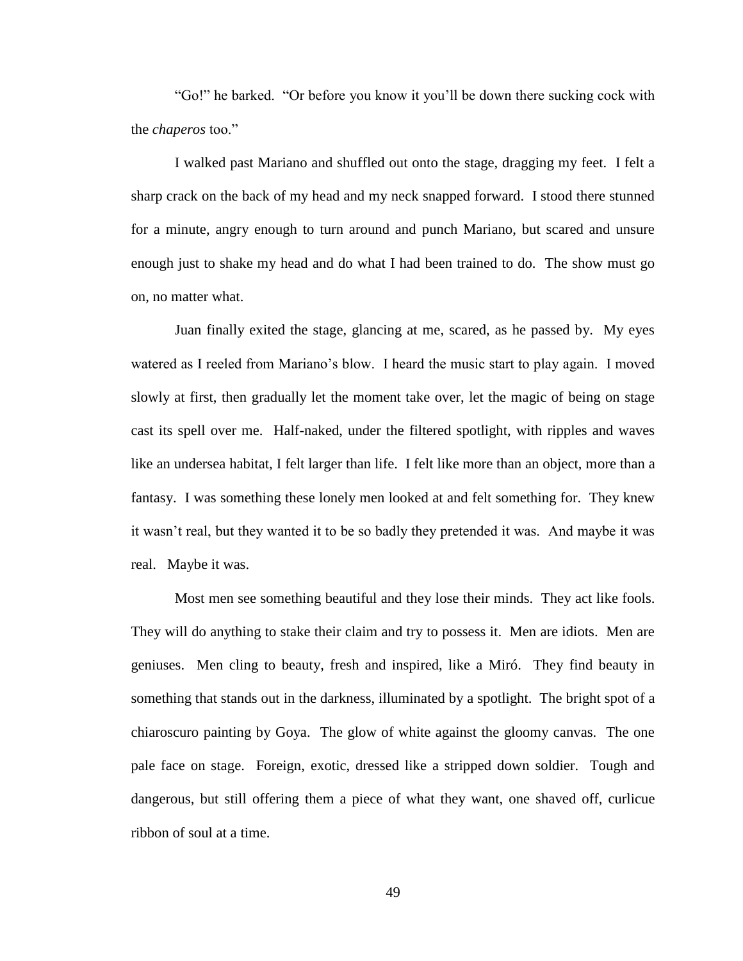"Go!" he barked. "Or before you know it you'll be down there sucking cock with the *chaperos* too."

I walked past Mariano and shuffled out onto the stage, dragging my feet. I felt a sharp crack on the back of my head and my neck snapped forward. I stood there stunned for a minute, angry enough to turn around and punch Mariano, but scared and unsure enough just to shake my head and do what I had been trained to do. The show must go on, no matter what.

Juan finally exited the stage, glancing at me, scared, as he passed by. My eyes watered as I reeled from Mariano's blow. I heard the music start to play again. I moved slowly at first, then gradually let the moment take over, let the magic of being on stage cast its spell over me. Half-naked, under the filtered spotlight, with ripples and waves like an undersea habitat, I felt larger than life. I felt like more than an object, more than a fantasy. I was something these lonely men looked at and felt something for. They knew it wasn't real, but they wanted it to be so badly they pretended it was. And maybe it was real. Maybe it was.

Most men see something beautiful and they lose their minds. They act like fools. They will do anything to stake their claim and try to possess it. Men are idiots. Men are geniuses. Men cling to beauty, fresh and inspired, like a Miró. They find beauty in something that stands out in the darkness, illuminated by a spotlight. The bright spot of a chiaroscuro painting by Goya. The glow of white against the gloomy canvas. The one pale face on stage. Foreign, exotic, dressed like a stripped down soldier. Tough and dangerous, but still offering them a piece of what they want, one shaved off, curlicue ribbon of soul at a time.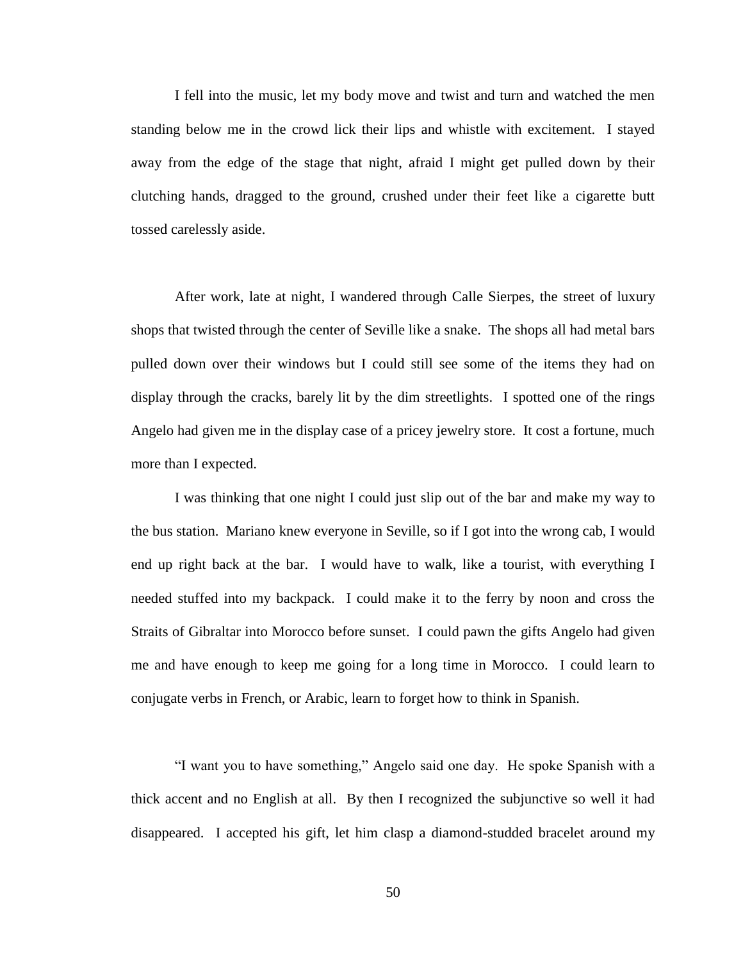I fell into the music, let my body move and twist and turn and watched the men standing below me in the crowd lick their lips and whistle with excitement. I stayed away from the edge of the stage that night, afraid I might get pulled down by their clutching hands, dragged to the ground, crushed under their feet like a cigarette butt tossed carelessly aside.

After work, late at night, I wandered through Calle Sierpes, the street of luxury shops that twisted through the center of Seville like a snake. The shops all had metal bars pulled down over their windows but I could still see some of the items they had on display through the cracks, barely lit by the dim streetlights. I spotted one of the rings Angelo had given me in the display case of a pricey jewelry store. It cost a fortune, much more than I expected.

I was thinking that one night I could just slip out of the bar and make my way to the bus station. Mariano knew everyone in Seville, so if I got into the wrong cab, I would end up right back at the bar. I would have to walk, like a tourist, with everything I needed stuffed into my backpack. I could make it to the ferry by noon and cross the Straits of Gibraltar into Morocco before sunset. I could pawn the gifts Angelo had given me and have enough to keep me going for a long time in Morocco. I could learn to conjugate verbs in French, or Arabic, learn to forget how to think in Spanish.

"I want you to have something," Angelo said one day. He spoke Spanish with a thick accent and no English at all. By then I recognized the subjunctive so well it had disappeared. I accepted his gift, let him clasp a diamond-studded bracelet around my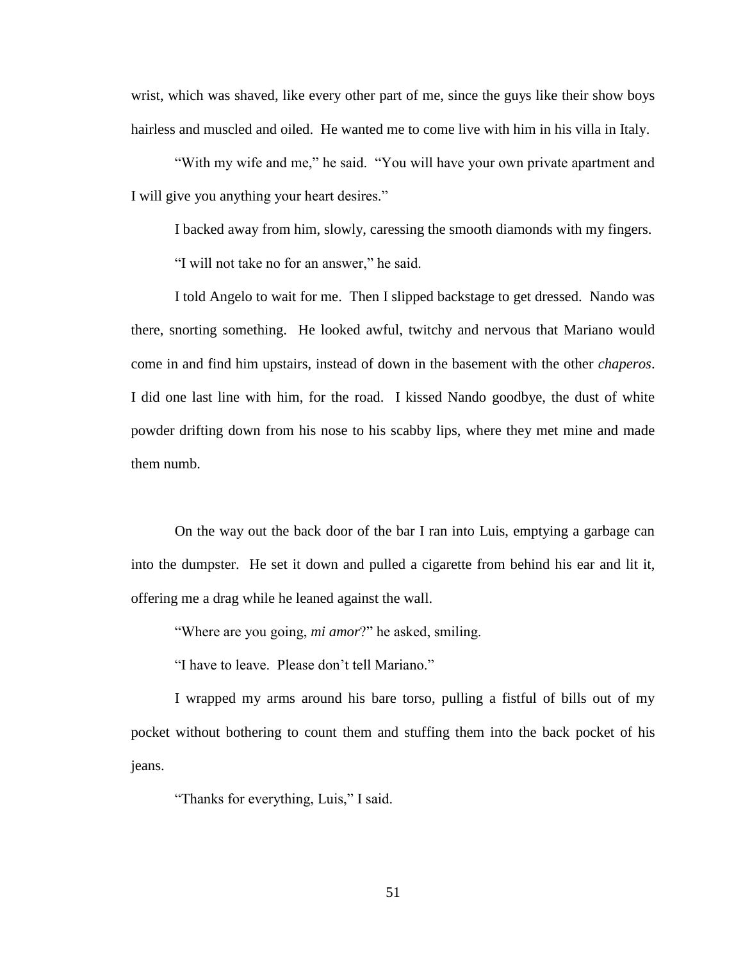wrist, which was shaved, like every other part of me, since the guys like their show boys hairless and muscled and oiled. He wanted me to come live with him in his villa in Italy.

"With my wife and me," he said. "You will have your own private apartment and I will give you anything your heart desires."

I backed away from him, slowly, caressing the smooth diamonds with my fingers.

"I will not take no for an answer," he said.

I told Angelo to wait for me. Then I slipped backstage to get dressed. Nando was there, snorting something. He looked awful, twitchy and nervous that Mariano would come in and find him upstairs, instead of down in the basement with the other *chaperos*. I did one last line with him, for the road. I kissed Nando goodbye, the dust of white powder drifting down from his nose to his scabby lips, where they met mine and made them numb.

On the way out the back door of the bar I ran into Luis, emptying a garbage can into the dumpster. He set it down and pulled a cigarette from behind his ear and lit it, offering me a drag while he leaned against the wall.

"Where are you going, *mi amor*?" he asked, smiling.

"I have to leave. Please don't tell Mariano."

I wrapped my arms around his bare torso, pulling a fistful of bills out of my pocket without bothering to count them and stuffing them into the back pocket of his jeans.

"Thanks for everything, Luis," I said.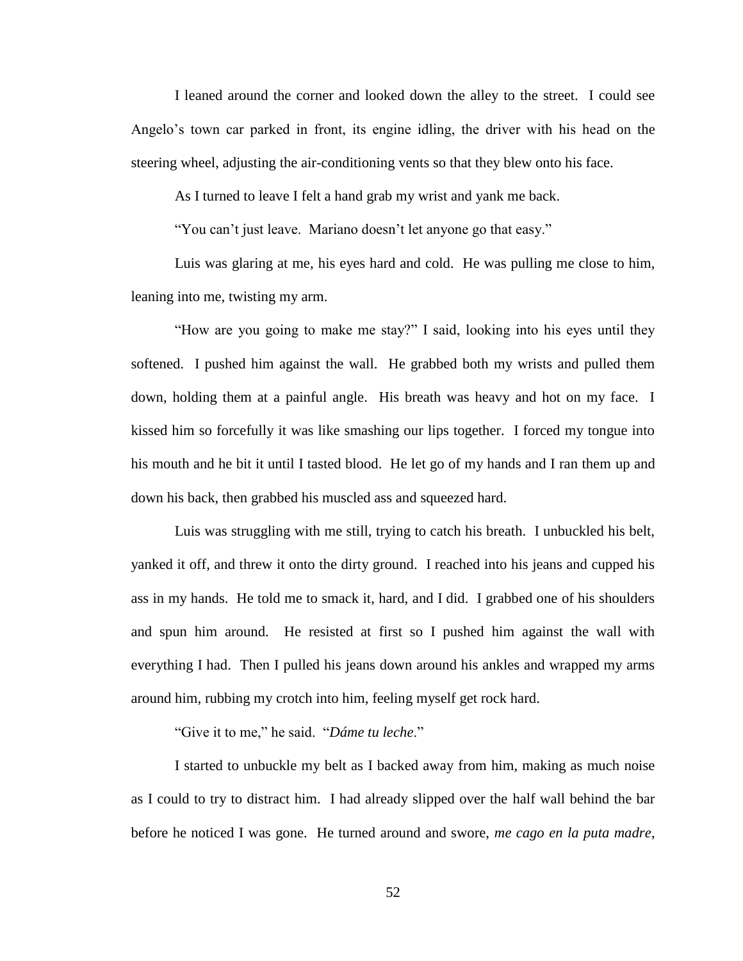I leaned around the corner and looked down the alley to the street. I could see Angelo's town car parked in front, its engine idling, the driver with his head on the steering wheel, adjusting the air-conditioning vents so that they blew onto his face.

As I turned to leave I felt a hand grab my wrist and yank me back.

"You can't just leave. Mariano doesn't let anyone go that easy."

Luis was glaring at me, his eyes hard and cold. He was pulling me close to him, leaning into me, twisting my arm.

"How are you going to make me stay?" I said, looking into his eyes until they softened. I pushed him against the wall. He grabbed both my wrists and pulled them down, holding them at a painful angle. His breath was heavy and hot on my face. I kissed him so forcefully it was like smashing our lips together. I forced my tongue into his mouth and he bit it until I tasted blood. He let go of my hands and I ran them up and down his back, then grabbed his muscled ass and squeezed hard.

Luis was struggling with me still, trying to catch his breath. I unbuckled his belt, yanked it off, and threw it onto the dirty ground. I reached into his jeans and cupped his ass in my hands. He told me to smack it, hard, and I did. I grabbed one of his shoulders and spun him around. He resisted at first so I pushed him against the wall with everything I had. Then I pulled his jeans down around his ankles and wrapped my arms around him, rubbing my crotch into him, feeling myself get rock hard.

"Give it to me," he said. "*Dáme tu leche*."

I started to unbuckle my belt as I backed away from him, making as much noise as I could to try to distract him. I had already slipped over the half wall behind the bar before he noticed I was gone. He turned around and swore, *me cago en la puta madre*,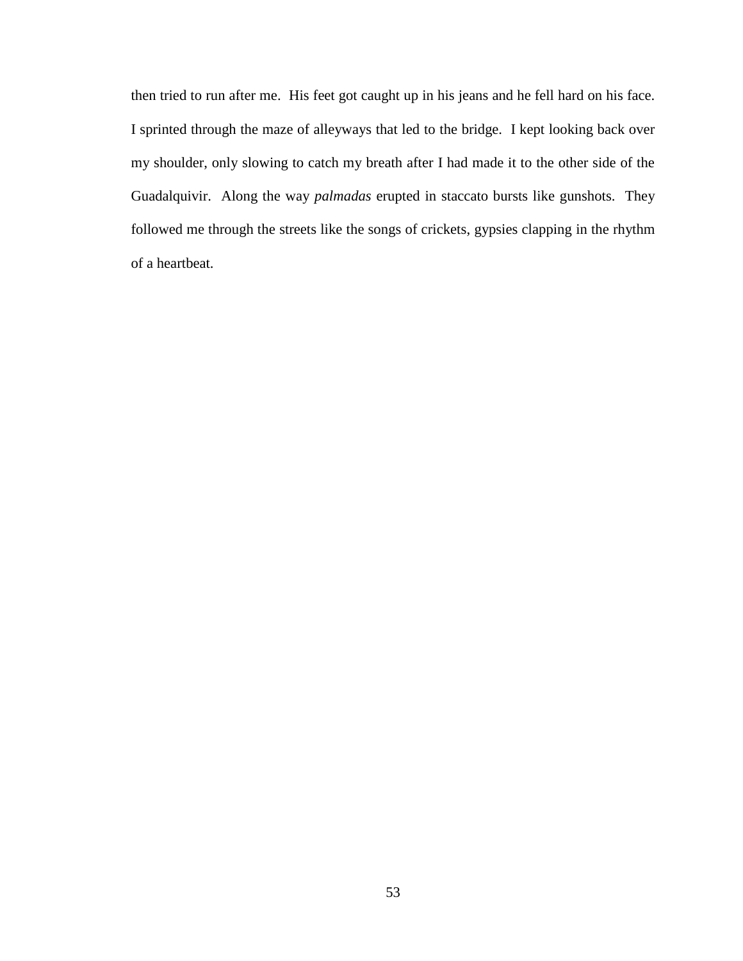then tried to run after me. His feet got caught up in his jeans and he fell hard on his face. I sprinted through the maze of alleyways that led to the bridge. I kept looking back over my shoulder, only slowing to catch my breath after I had made it to the other side of the Guadalquivir. Along the way *palmadas* erupted in staccato bursts like gunshots. They followed me through the streets like the songs of crickets, gypsies clapping in the rhythm of a heartbeat.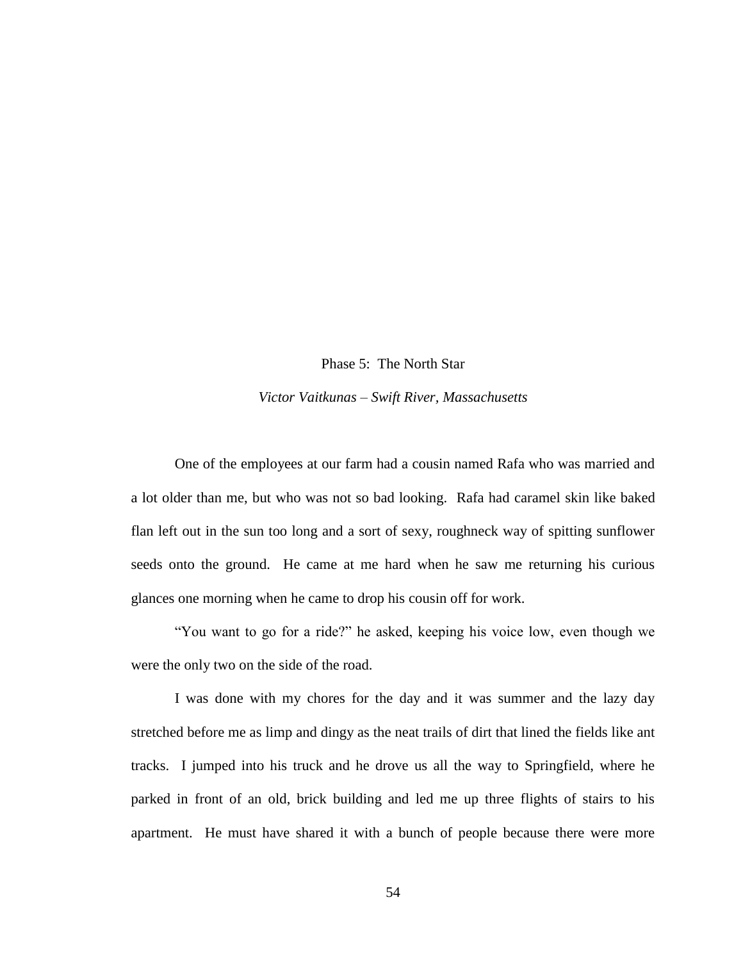Phase 5: The North Star

*Victor Vaitkunas – Swift River, Massachusetts*

One of the employees at our farm had a cousin named Rafa who was married and a lot older than me, but who was not so bad looking. Rafa had caramel skin like baked flan left out in the sun too long and a sort of sexy, roughneck way of spitting sunflower seeds onto the ground. He came at me hard when he saw me returning his curious glances one morning when he came to drop his cousin off for work.

"You want to go for a ride?" he asked, keeping his voice low, even though we were the only two on the side of the road.

I was done with my chores for the day and it was summer and the lazy day stretched before me as limp and dingy as the neat trails of dirt that lined the fields like ant tracks. I jumped into his truck and he drove us all the way to Springfield, where he parked in front of an old, brick building and led me up three flights of stairs to his apartment. He must have shared it with a bunch of people because there were more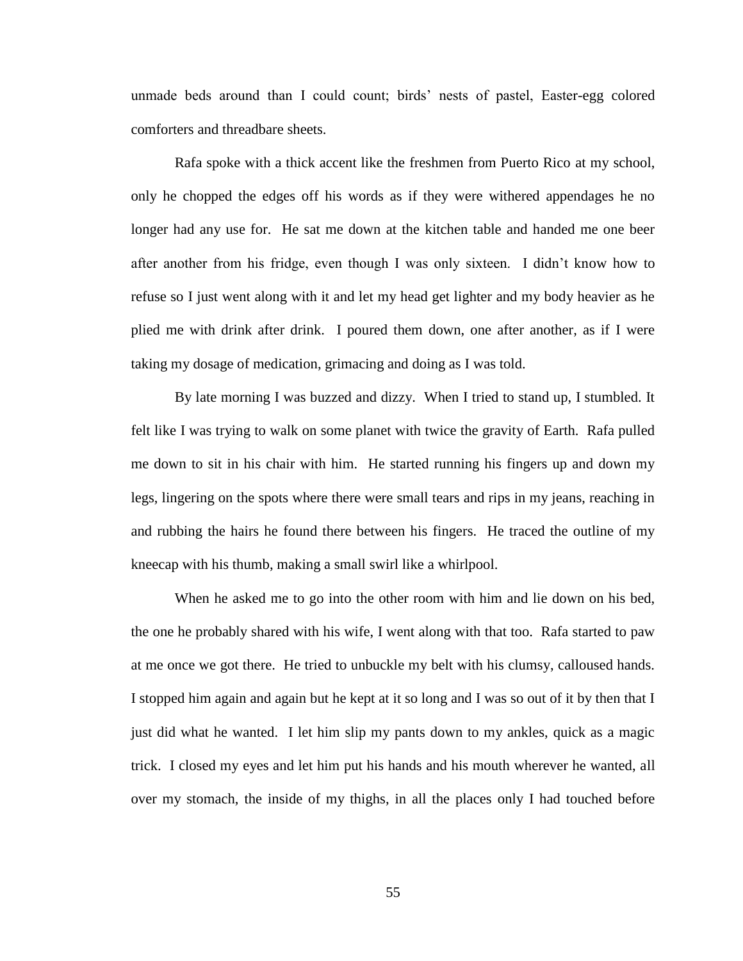unmade beds around than I could count; birds' nests of pastel, Easter-egg colored comforters and threadbare sheets.

Rafa spoke with a thick accent like the freshmen from Puerto Rico at my school, only he chopped the edges off his words as if they were withered appendages he no longer had any use for. He sat me down at the kitchen table and handed me one beer after another from his fridge, even though I was only sixteen. I didn't know how to refuse so I just went along with it and let my head get lighter and my body heavier as he plied me with drink after drink. I poured them down, one after another, as if I were taking my dosage of medication, grimacing and doing as I was told.

By late morning I was buzzed and dizzy. When I tried to stand up, I stumbled. It felt like I was trying to walk on some planet with twice the gravity of Earth. Rafa pulled me down to sit in his chair with him. He started running his fingers up and down my legs, lingering on the spots where there were small tears and rips in my jeans, reaching in and rubbing the hairs he found there between his fingers. He traced the outline of my kneecap with his thumb, making a small swirl like a whirlpool.

When he asked me to go into the other room with him and lie down on his bed, the one he probably shared with his wife, I went along with that too. Rafa started to paw at me once we got there. He tried to unbuckle my belt with his clumsy, calloused hands. I stopped him again and again but he kept at it so long and I was so out of it by then that I just did what he wanted. I let him slip my pants down to my ankles, quick as a magic trick. I closed my eyes and let him put his hands and his mouth wherever he wanted, all over my stomach, the inside of my thighs, in all the places only I had touched before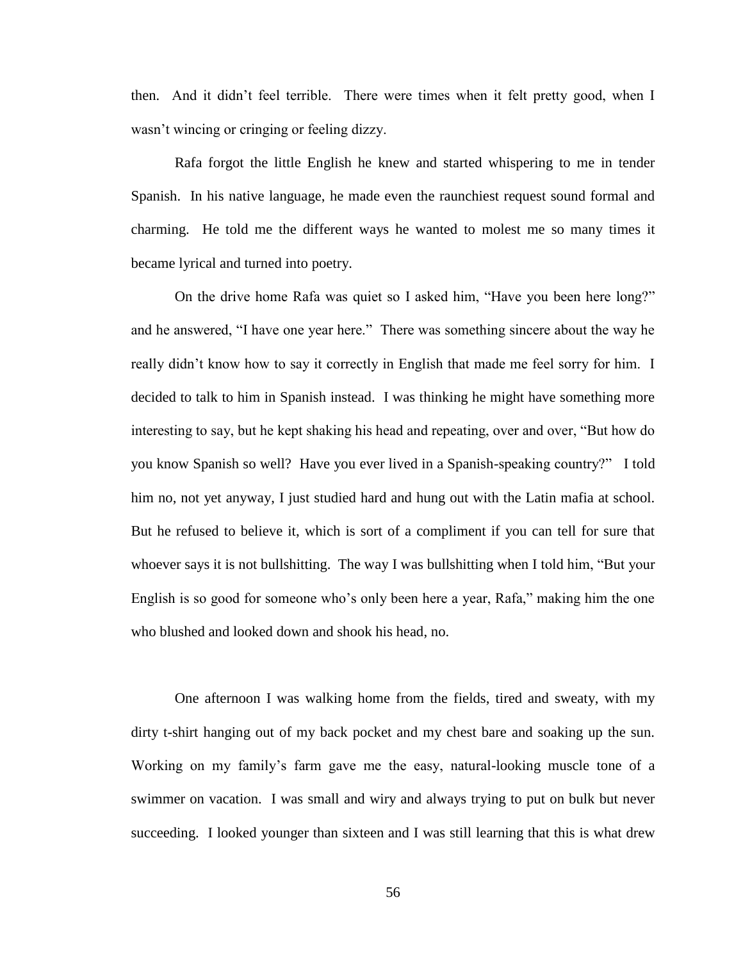then. And it didn't feel terrible. There were times when it felt pretty good, when I wasn't wincing or cringing or feeling dizzy.

Rafa forgot the little English he knew and started whispering to me in tender Spanish. In his native language, he made even the raunchiest request sound formal and charming. He told me the different ways he wanted to molest me so many times it became lyrical and turned into poetry.

On the drive home Rafa was quiet so I asked him, "Have you been here long?" and he answered, "I have one year here." There was something sincere about the way he really didn't know how to say it correctly in English that made me feel sorry for him. I decided to talk to him in Spanish instead. I was thinking he might have something more interesting to say, but he kept shaking his head and repeating, over and over, "But how do you know Spanish so well? Have you ever lived in a Spanish-speaking country?" I told him no, not yet anyway, I just studied hard and hung out with the Latin mafia at school. But he refused to believe it, which is sort of a compliment if you can tell for sure that whoever says it is not bullshitting. The way I was bullshitting when I told him, "But your" English is so good for someone who's only been here a year, Rafa," making him the one who blushed and looked down and shook his head, no.

One afternoon I was walking home from the fields, tired and sweaty, with my dirty t-shirt hanging out of my back pocket and my chest bare and soaking up the sun. Working on my family's farm gave me the easy, natural-looking muscle tone of a swimmer on vacation. I was small and wiry and always trying to put on bulk but never succeeding. I looked younger than sixteen and I was still learning that this is what drew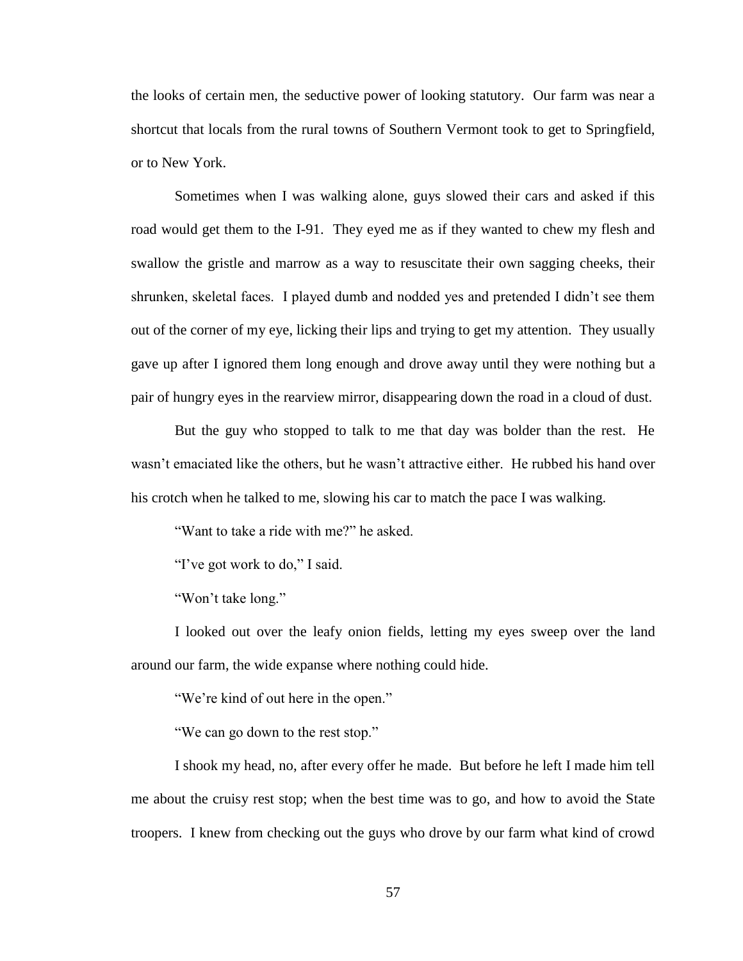the looks of certain men, the seductive power of looking statutory. Our farm was near a shortcut that locals from the rural towns of Southern Vermont took to get to Springfield, or to New York.

Sometimes when I was walking alone, guys slowed their cars and asked if this road would get them to the I-91. They eyed me as if they wanted to chew my flesh and swallow the gristle and marrow as a way to resuscitate their own sagging cheeks, their shrunken, skeletal faces. I played dumb and nodded yes and pretended I didn't see them out of the corner of my eye, licking their lips and trying to get my attention. They usually gave up after I ignored them long enough and drove away until they were nothing but a pair of hungry eyes in the rearview mirror, disappearing down the road in a cloud of dust.

But the guy who stopped to talk to me that day was bolder than the rest. He wasn't emaciated like the others, but he wasn't attractive either. He rubbed his hand over his crotch when he talked to me, slowing his car to match the pace I was walking.

"Want to take a ride with me?" he asked.

"I've got work to do," I said.

"Won't take long."

I looked out over the leafy onion fields, letting my eyes sweep over the land around our farm, the wide expanse where nothing could hide.

"We're kind of out here in the open."

"We can go down to the rest stop."

I shook my head, no, after every offer he made. But before he left I made him tell me about the cruisy rest stop; when the best time was to go, and how to avoid the State troopers. I knew from checking out the guys who drove by our farm what kind of crowd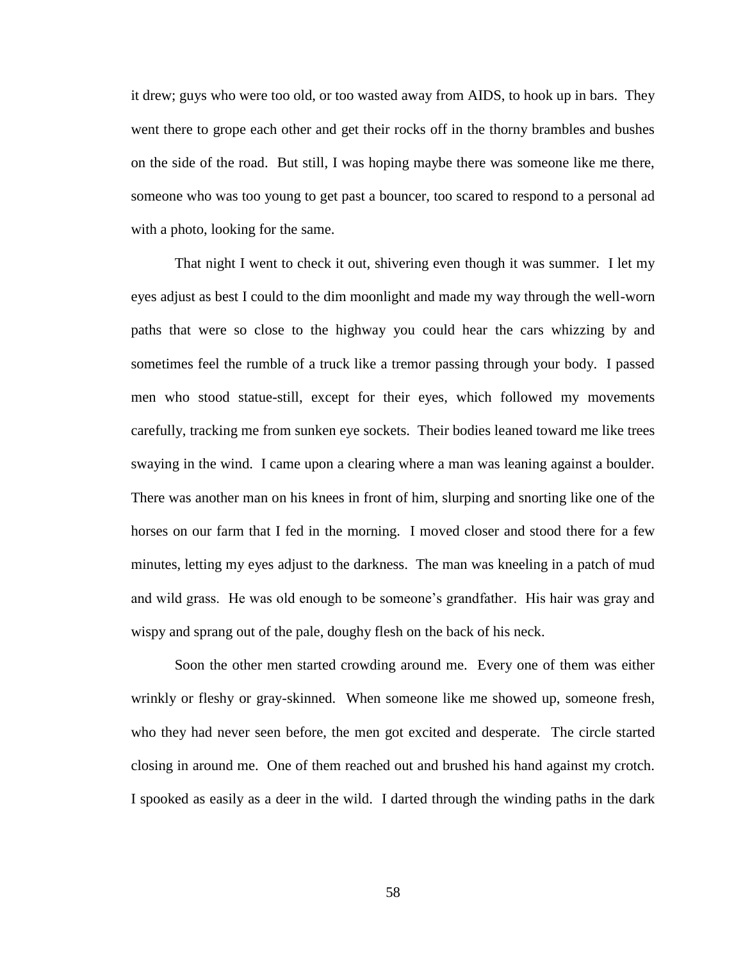it drew; guys who were too old, or too wasted away from AIDS, to hook up in bars. They went there to grope each other and get their rocks off in the thorny brambles and bushes on the side of the road. But still, I was hoping maybe there was someone like me there, someone who was too young to get past a bouncer, too scared to respond to a personal ad with a photo, looking for the same.

That night I went to check it out, shivering even though it was summer. I let my eyes adjust as best I could to the dim moonlight and made my way through the well-worn paths that were so close to the highway you could hear the cars whizzing by and sometimes feel the rumble of a truck like a tremor passing through your body. I passed men who stood statue-still, except for their eyes, which followed my movements carefully, tracking me from sunken eye sockets. Their bodies leaned toward me like trees swaying in the wind. I came upon a clearing where a man was leaning against a boulder. There was another man on his knees in front of him, slurping and snorting like one of the horses on our farm that I fed in the morning. I moved closer and stood there for a few minutes, letting my eyes adjust to the darkness. The man was kneeling in a patch of mud and wild grass. He was old enough to be someone's grandfather. His hair was gray and wispy and sprang out of the pale, doughy flesh on the back of his neck.

Soon the other men started crowding around me. Every one of them was either wrinkly or fleshy or gray-skinned. When someone like me showed up, someone fresh, who they had never seen before, the men got excited and desperate. The circle started closing in around me. One of them reached out and brushed his hand against my crotch. I spooked as easily as a deer in the wild. I darted through the winding paths in the dark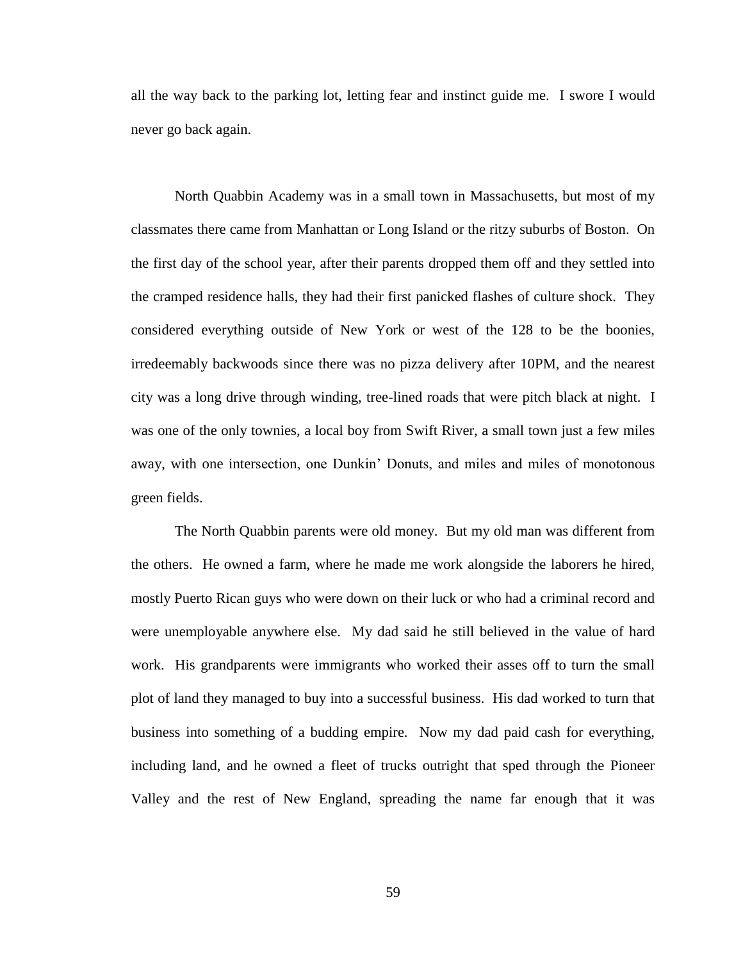all the way back to the parking lot, letting fear and instinct guide me. I swore I would never go back again.

North Quabbin Academy was in a small town in Massachusetts, but most of my classmates there came from Manhattan or Long Island or the ritzy suburbs of Boston. On the first day of the school year, after their parents dropped them off and they settled into the cramped residence halls, they had their first panicked flashes of culture shock. They considered everything outside of New York or west of the 128 to be the boonies, irredeemably backwoods since there was no pizza delivery after 10PM, and the nearest city was a long drive through winding, tree-lined roads that were pitch black at night. I was one of the only townies, a local boy from Swift River, a small town just a few miles away, with one intersection, one Dunkin' Donuts, and miles and miles of monotonous green fields.

The North Quabbin parents were old money. But my old man was different from the others. He owned a farm, where he made me work alongside the laborers he hired, mostly Puerto Rican guys who were down on their luck or who had a criminal record and were unemployable anywhere else. My dad said he still believed in the value of hard work. His grandparents were immigrants who worked their asses off to turn the small plot of land they managed to buy into a successful business. His dad worked to turn that business into something of a budding empire. Now my dad paid cash for everything, including land, and he owned a fleet of trucks outright that sped through the Pioneer Valley and the rest of New England, spreading the name far enough that it was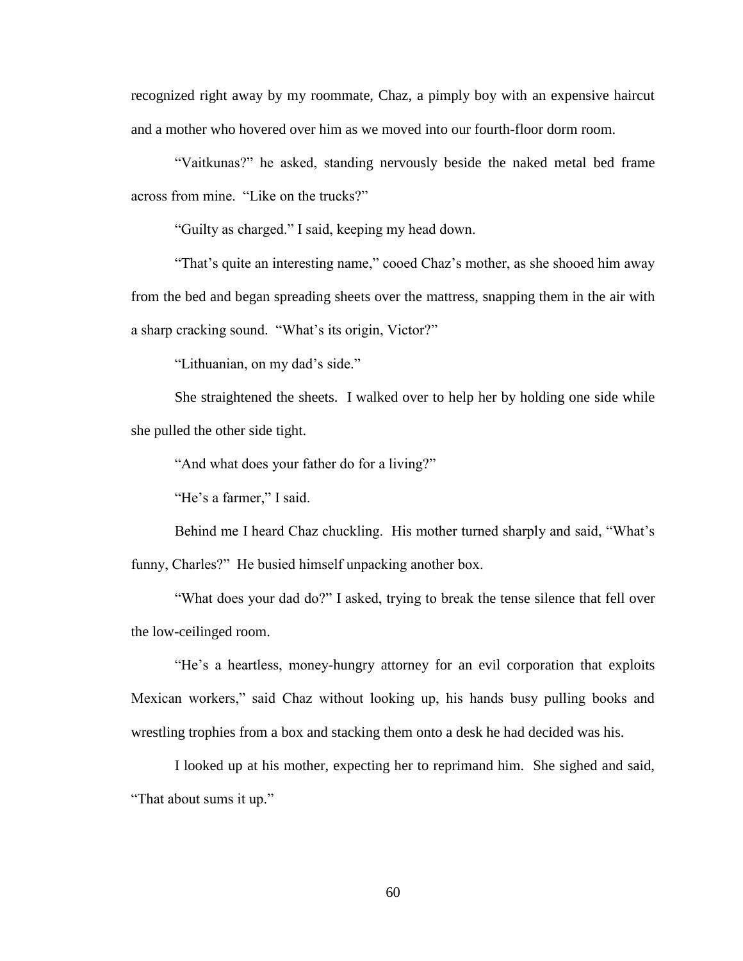recognized right away by my roommate, Chaz, a pimply boy with an expensive haircut and a mother who hovered over him as we moved into our fourth-floor dorm room.

"Vaitkunas?" he asked, standing nervously beside the naked metal bed frame across from mine. "Like on the trucks?"

"Guilty as charged." I said, keeping my head down.

"That's quite an interesting name," cooed Chaz's mother, as she shooed him away from the bed and began spreading sheets over the mattress, snapping them in the air with a sharp cracking sound. "What's its origin, Victor?"

"Lithuanian, on my dad's side."

She straightened the sheets. I walked over to help her by holding one side while she pulled the other side tight.

"And what does your father do for a living?"

"He's a farmer," I said.

Behind me I heard Chaz chuckling. His mother turned sharply and said, "What's funny, Charles?" He busied himself unpacking another box.

"What does your dad do?" I asked, trying to break the tense silence that fell over the low-ceilinged room.

"He's a heartless, money-hungry attorney for an evil corporation that exploits Mexican workers," said Chaz without looking up, his hands busy pulling books and wrestling trophies from a box and stacking them onto a desk he had decided was his.

I looked up at his mother, expecting her to reprimand him. She sighed and said, "That about sums it up."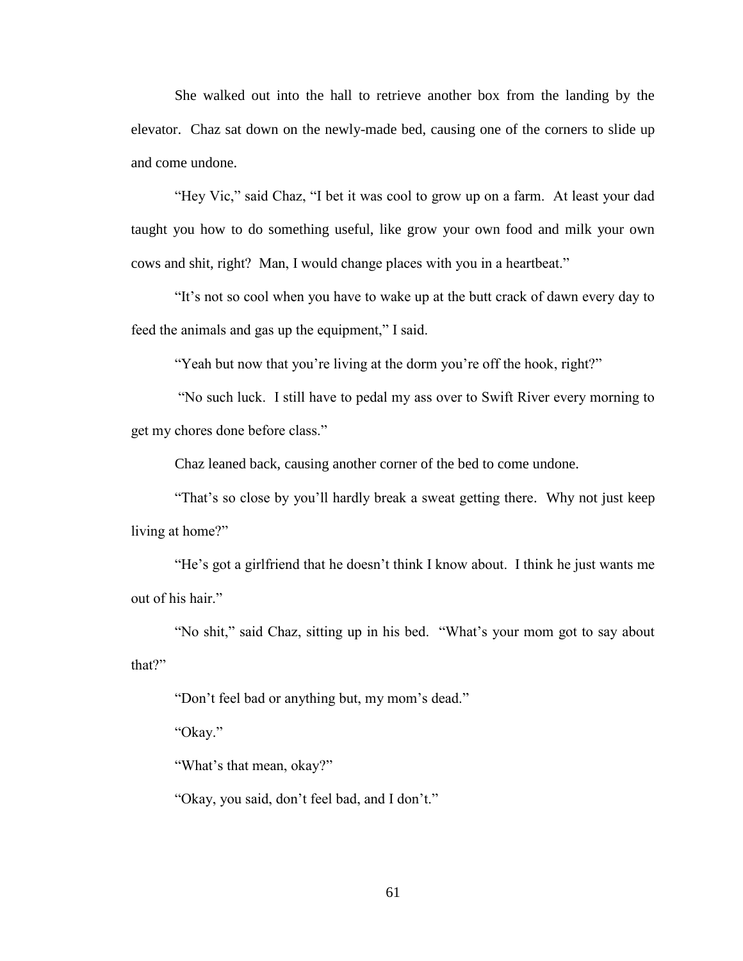She walked out into the hall to retrieve another box from the landing by the elevator. Chaz sat down on the newly-made bed, causing one of the corners to slide up and come undone.

"Hey Vic," said Chaz, "I bet it was cool to grow up on a farm. At least your dad taught you how to do something useful, like grow your own food and milk your own cows and shit, right? Man, I would change places with you in a heartbeat."

"It's not so cool when you have to wake up at the butt crack of dawn every day to feed the animals and gas up the equipment," I said.

"Yeah but now that you're living at the dorm you're off the hook, right?"

"No such luck. I still have to pedal my ass over to Swift River every morning to get my chores done before class."

Chaz leaned back, causing another corner of the bed to come undone.

"That's so close by you'll hardly break a sweat getting there. Why not just keep living at home?"

"He's got a girlfriend that he doesn't think I know about. I think he just wants me out of his hair."

"No shit," said Chaz, sitting up in his bed. "What's your mom got to say about that?"

"Don't feel bad or anything but, my mom's dead."

"Okay."

"What's that mean, okay?"

"Okay, you said, don't feel bad, and I don't."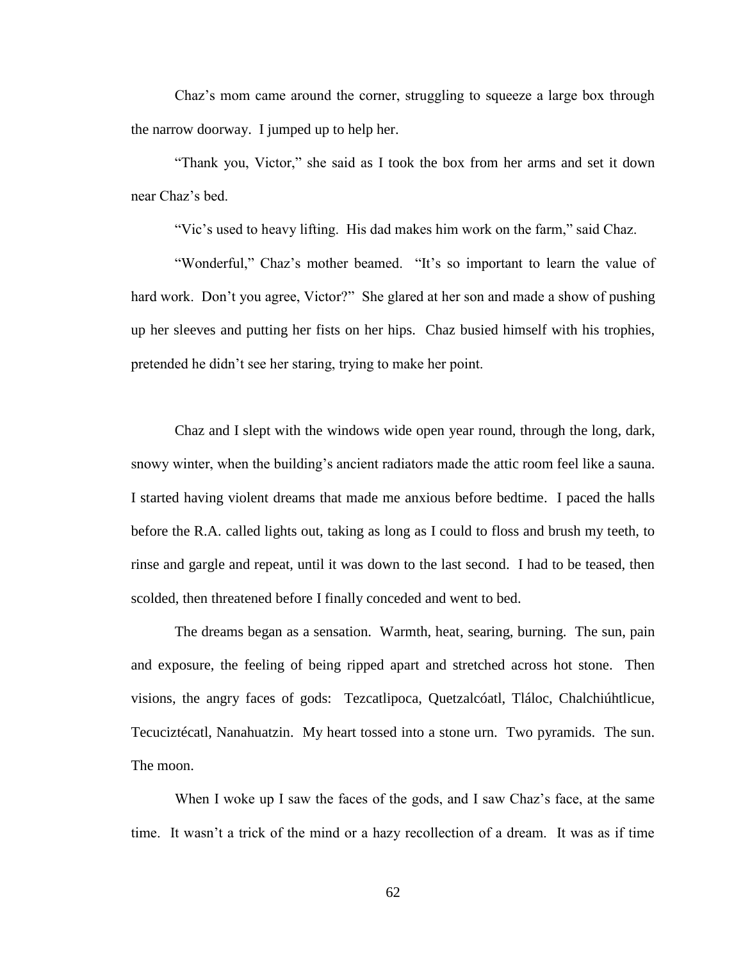Chaz's mom came around the corner, struggling to squeeze a large box through the narrow doorway. I jumped up to help her.

"Thank you, Victor," she said as I took the box from her arms and set it down near Chaz's bed.

"Vic's used to heavy lifting. His dad makes him work on the farm," said Chaz.

"Wonderful," Chaz's mother beamed. "It's so important to learn the value of hard work. Don't you agree, Victor?" She glared at her son and made a show of pushing up her sleeves and putting her fists on her hips. Chaz busied himself with his trophies, pretended he didn't see her staring, trying to make her point.

Chaz and I slept with the windows wide open year round, through the long, dark, snowy winter, when the building's ancient radiators made the attic room feel like a sauna. I started having violent dreams that made me anxious before bedtime. I paced the halls before the R.A. called lights out, taking as long as I could to floss and brush my teeth, to rinse and gargle and repeat, until it was down to the last second. I had to be teased, then scolded, then threatened before I finally conceded and went to bed.

The dreams began as a sensation. Warmth, heat, searing, burning. The sun, pain and exposure, the feeling of being ripped apart and stretched across hot stone. Then visions, the angry faces of gods: Tezcatlipoca, Quetzalcóatl, Tláloc, Chalchiúhtlicue, Tecuciztécatl, Nanahuatzin. My heart tossed into a stone urn. Two pyramids. The sun. The moon.

When I woke up I saw the faces of the gods, and I saw Chaz's face, at the same time. It wasn't a trick of the mind or a hazy recollection of a dream. It was as if time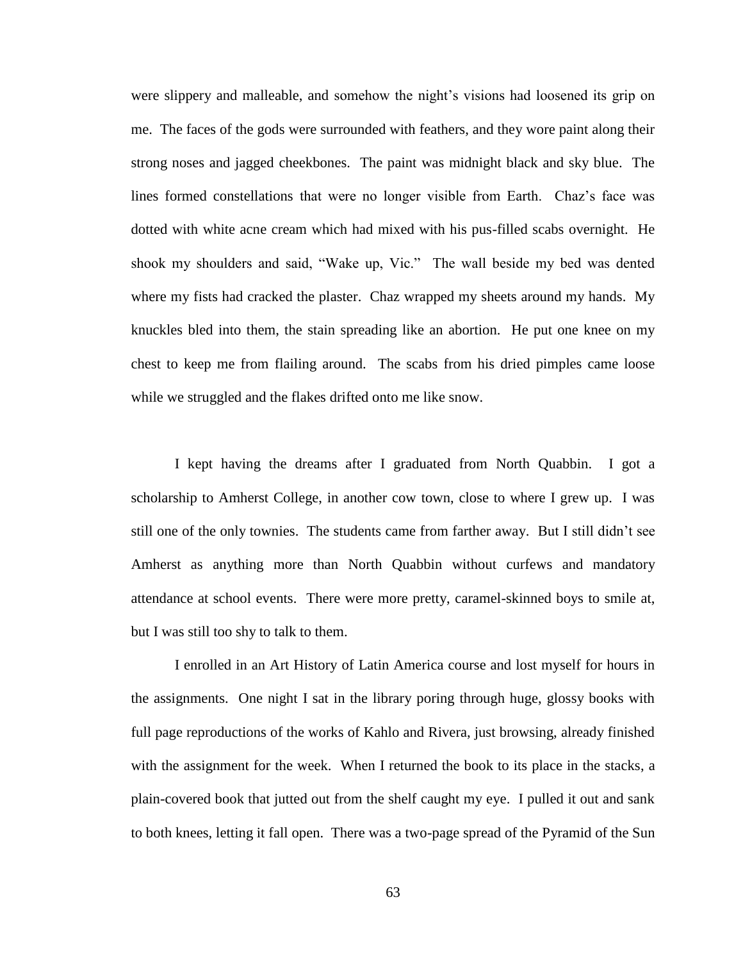were slippery and malleable, and somehow the night's visions had loosened its grip on me. The faces of the gods were surrounded with feathers, and they wore paint along their strong noses and jagged cheekbones. The paint was midnight black and sky blue. The lines formed constellations that were no longer visible from Earth. Chaz's face was dotted with white acne cream which had mixed with his pus-filled scabs overnight. He shook my shoulders and said, "Wake up, Vic." The wall beside my bed was dented where my fists had cracked the plaster. Chaz wrapped my sheets around my hands. My knuckles bled into them, the stain spreading like an abortion. He put one knee on my chest to keep me from flailing around. The scabs from his dried pimples came loose while we struggled and the flakes drifted onto me like snow.

I kept having the dreams after I graduated from North Quabbin. I got a scholarship to Amherst College, in another cow town, close to where I grew up. I was still one of the only townies. The students came from farther away. But I still didn't see Amherst as anything more than North Quabbin without curfews and mandatory attendance at school events. There were more pretty, caramel-skinned boys to smile at, but I was still too shy to talk to them.

I enrolled in an Art History of Latin America course and lost myself for hours in the assignments. One night I sat in the library poring through huge, glossy books with full page reproductions of the works of Kahlo and Rivera, just browsing, already finished with the assignment for the week. When I returned the book to its place in the stacks, a plain-covered book that jutted out from the shelf caught my eye. I pulled it out and sank to both knees, letting it fall open. There was a two-page spread of the Pyramid of the Sun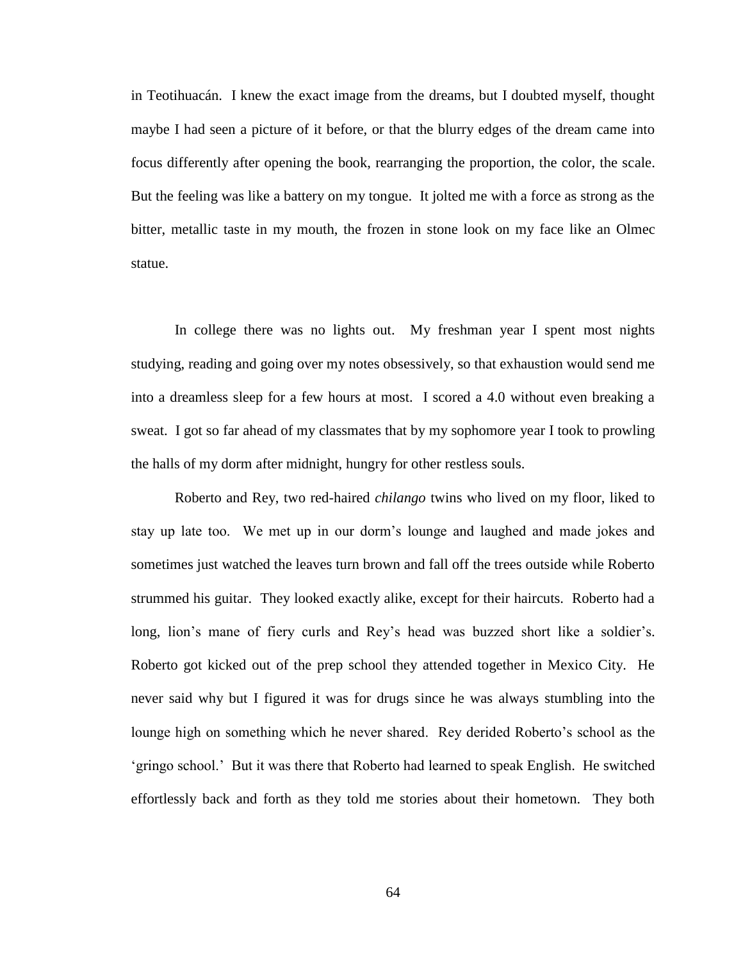in Teotihuacán. I knew the exact image from the dreams, but I doubted myself, thought maybe I had seen a picture of it before, or that the blurry edges of the dream came into focus differently after opening the book, rearranging the proportion, the color, the scale. But the feeling was like a battery on my tongue. It jolted me with a force as strong as the bitter, metallic taste in my mouth, the frozen in stone look on my face like an Olmec statue.

In college there was no lights out. My freshman year I spent most nights studying, reading and going over my notes obsessively, so that exhaustion would send me into a dreamless sleep for a few hours at most. I scored a 4.0 without even breaking a sweat. I got so far ahead of my classmates that by my sophomore year I took to prowling the halls of my dorm after midnight, hungry for other restless souls.

Roberto and Rey, two red-haired *chilango* twins who lived on my floor, liked to stay up late too. We met up in our dorm's lounge and laughed and made jokes and sometimes just watched the leaves turn brown and fall off the trees outside while Roberto strummed his guitar. They looked exactly alike, except for their haircuts. Roberto had a long, lion's mane of fiery curls and Rey's head was buzzed short like a soldier's. Roberto got kicked out of the prep school they attended together in Mexico City. He never said why but I figured it was for drugs since he was always stumbling into the lounge high on something which he never shared. Rey derided Roberto's school as the 'gringo school.' But it was there that Roberto had learned to speak English. He switched effortlessly back and forth as they told me stories about their hometown. They both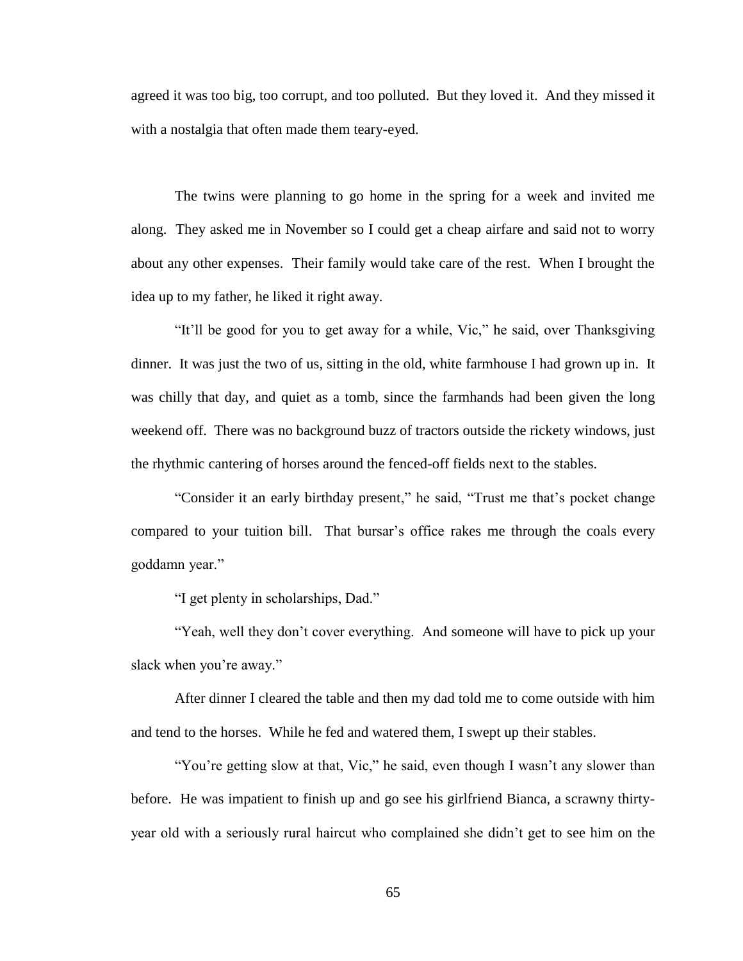agreed it was too big, too corrupt, and too polluted. But they loved it. And they missed it with a nostalgia that often made them teary-eyed.

The twins were planning to go home in the spring for a week and invited me along. They asked me in November so I could get a cheap airfare and said not to worry about any other expenses. Their family would take care of the rest. When I brought the idea up to my father, he liked it right away.

"It'll be good for you to get away for a while, Vic," he said, over Thanksgiving dinner. It was just the two of us, sitting in the old, white farmhouse I had grown up in. It was chilly that day, and quiet as a tomb, since the farmhands had been given the long weekend off. There was no background buzz of tractors outside the rickety windows, just the rhythmic cantering of horses around the fenced-off fields next to the stables.

"Consider it an early birthday present," he said, "Trust me that's pocket change compared to your tuition bill. That bursar's office rakes me through the coals every goddamn year."

"I get plenty in scholarships, Dad."

"Yeah, well they don't cover everything. And someone will have to pick up your slack when you're away."

After dinner I cleared the table and then my dad told me to come outside with him and tend to the horses. While he fed and watered them, I swept up their stables.

"You're getting slow at that, Vic," he said, even though I wasn't any slower than before. He was impatient to finish up and go see his girlfriend Bianca, a scrawny thirtyyear old with a seriously rural haircut who complained she didn't get to see him on the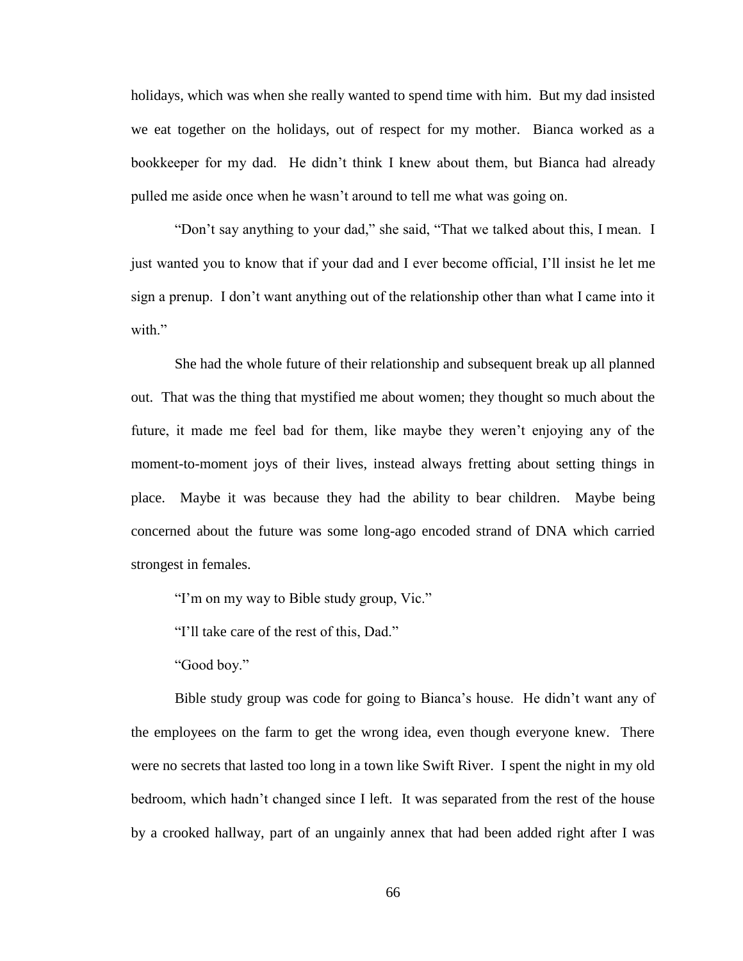holidays, which was when she really wanted to spend time with him. But my dad insisted we eat together on the holidays, out of respect for my mother. Bianca worked as a bookkeeper for my dad. He didn't think I knew about them, but Bianca had already pulled me aside once when he wasn't around to tell me what was going on.

"Don't say anything to your dad," she said, "That we talked about this, I mean. I just wanted you to know that if your dad and I ever become official, I'll insist he let me sign a prenup. I don't want anything out of the relationship other than what I came into it with"

She had the whole future of their relationship and subsequent break up all planned out. That was the thing that mystified me about women; they thought so much about the future, it made me feel bad for them, like maybe they weren't enjoying any of the moment-to-moment joys of their lives, instead always fretting about setting things in place. Maybe it was because they had the ability to bear children. Maybe being concerned about the future was some long-ago encoded strand of DNA which carried strongest in females.

"I'm on my way to Bible study group, Vic."

"I'll take care of the rest of this, Dad."

"Good boy."

Bible study group was code for going to Bianca's house. He didn't want any of the employees on the farm to get the wrong idea, even though everyone knew. There were no secrets that lasted too long in a town like Swift River. I spent the night in my old bedroom, which hadn't changed since I left. It was separated from the rest of the house by a crooked hallway, part of an ungainly annex that had been added right after I was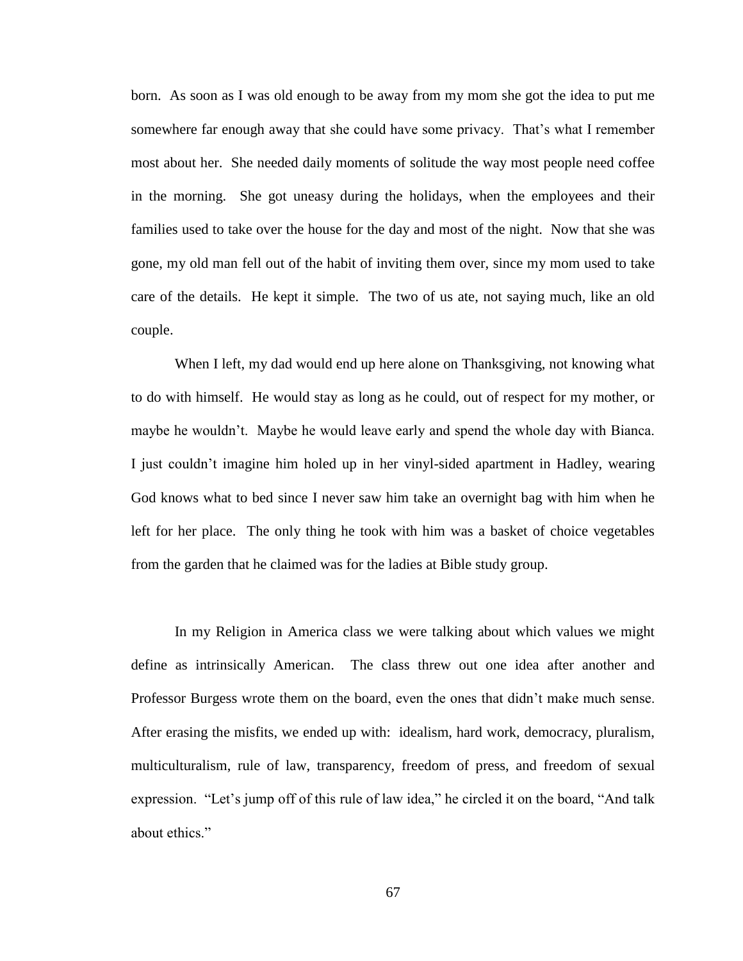born. As soon as I was old enough to be away from my mom she got the idea to put me somewhere far enough away that she could have some privacy. That's what I remember most about her. She needed daily moments of solitude the way most people need coffee in the morning. She got uneasy during the holidays, when the employees and their families used to take over the house for the day and most of the night. Now that she was gone, my old man fell out of the habit of inviting them over, since my mom used to take care of the details. He kept it simple. The two of us ate, not saying much, like an old couple.

When I left, my dad would end up here alone on Thanksgiving, not knowing what to do with himself. He would stay as long as he could, out of respect for my mother, or maybe he wouldn't. Maybe he would leave early and spend the whole day with Bianca. I just couldn't imagine him holed up in her vinyl-sided apartment in Hadley, wearing God knows what to bed since I never saw him take an overnight bag with him when he left for her place. The only thing he took with him was a basket of choice vegetables from the garden that he claimed was for the ladies at Bible study group.

In my Religion in America class we were talking about which values we might define as intrinsically American. The class threw out one idea after another and Professor Burgess wrote them on the board, even the ones that didn't make much sense. After erasing the misfits, we ended up with: idealism, hard work, democracy, pluralism, multiculturalism, rule of law, transparency, freedom of press, and freedom of sexual expression. "Let's jump off of this rule of law idea," he circled it on the board, "And talk about ethics."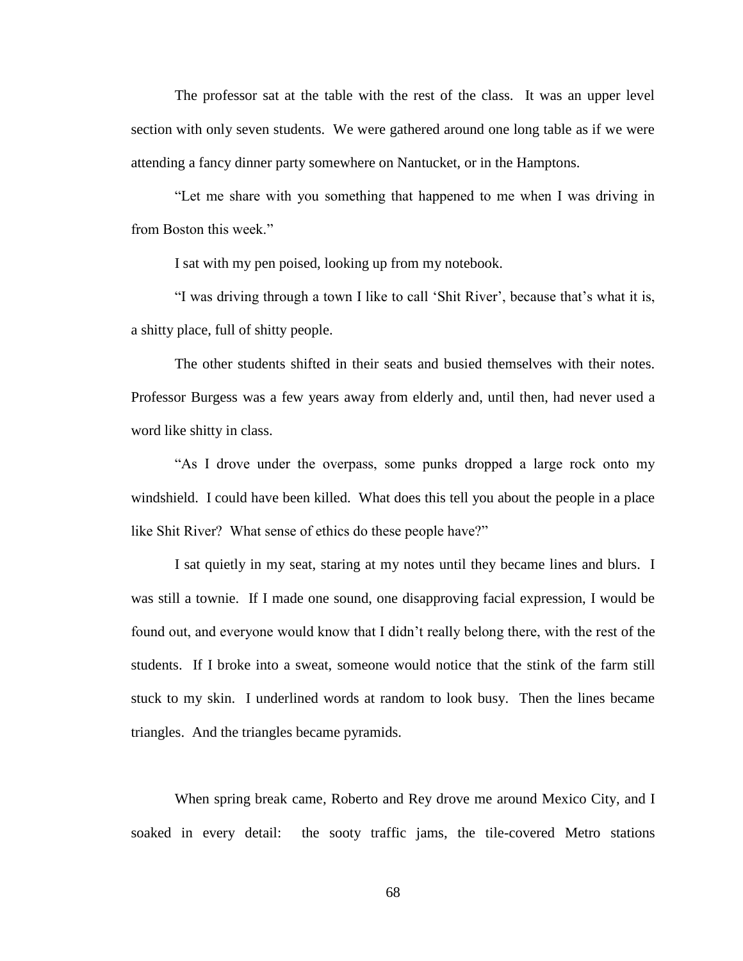The professor sat at the table with the rest of the class. It was an upper level section with only seven students. We were gathered around one long table as if we were attending a fancy dinner party somewhere on Nantucket, or in the Hamptons.

"Let me share with you something that happened to me when I was driving in from Boston this week."

I sat with my pen poised, looking up from my notebook.

"I was driving through a town I like to call 'Shit River', because that's what it is, a shitty place, full of shitty people.

The other students shifted in their seats and busied themselves with their notes. Professor Burgess was a few years away from elderly and, until then, had never used a word like shitty in class.

"As I drove under the overpass, some punks dropped a large rock onto my windshield. I could have been killed. What does this tell you about the people in a place like Shit River? What sense of ethics do these people have?"

I sat quietly in my seat, staring at my notes until they became lines and blurs. I was still a townie. If I made one sound, one disapproving facial expression, I would be found out, and everyone would know that I didn't really belong there, with the rest of the students. If I broke into a sweat, someone would notice that the stink of the farm still stuck to my skin. I underlined words at random to look busy. Then the lines became triangles. And the triangles became pyramids.

When spring break came, Roberto and Rey drove me around Mexico City, and I soaked in every detail: the sooty traffic jams, the tile-covered Metro stations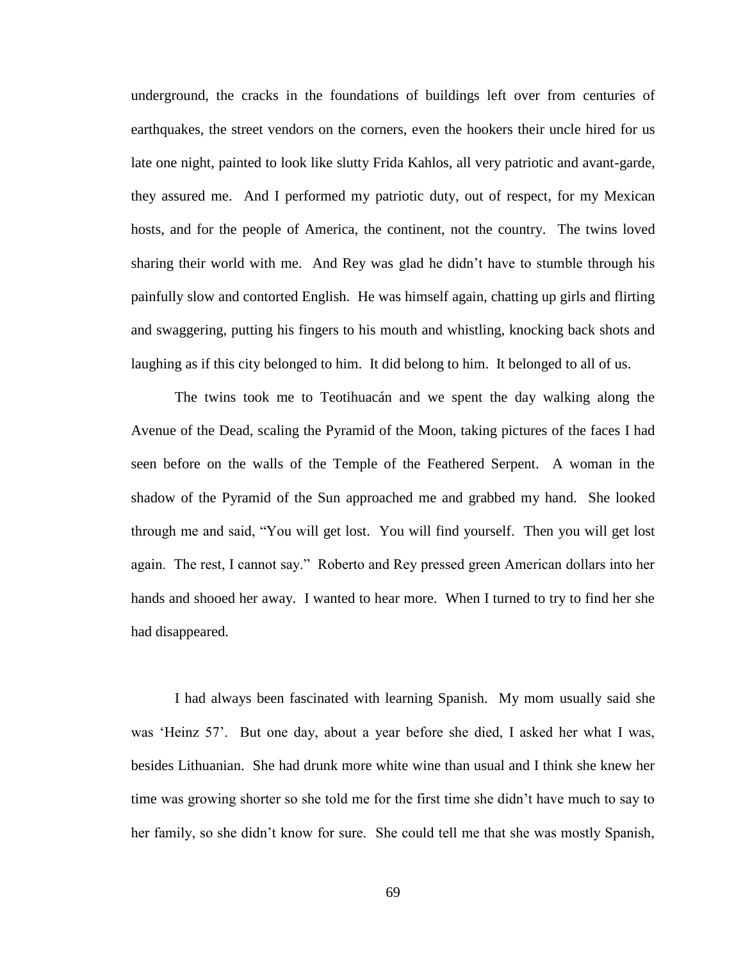underground, the cracks in the foundations of buildings left over from centuries of earthquakes, the street vendors on the corners, even the hookers their uncle hired for us late one night, painted to look like slutty Frida Kahlos, all very patriotic and avant-garde, they assured me. And I performed my patriotic duty, out of respect, for my Mexican hosts, and for the people of America, the continent, not the country. The twins loved sharing their world with me. And Rey was glad he didn't have to stumble through his painfully slow and contorted English. He was himself again, chatting up girls and flirting and swaggering, putting his fingers to his mouth and whistling, knocking back shots and laughing as if this city belonged to him. It did belong to him. It belonged to all of us.

The twins took me to Teotihuacán and we spent the day walking along the Avenue of the Dead, scaling the Pyramid of the Moon, taking pictures of the faces I had seen before on the walls of the Temple of the Feathered Serpent. A woman in the shadow of the Pyramid of the Sun approached me and grabbed my hand. She looked through me and said, "You will get lost. You will find yourself. Then you will get lost again. The rest, I cannot say." Roberto and Rey pressed green American dollars into her hands and shooed her away. I wanted to hear more. When I turned to try to find her she had disappeared.

I had always been fascinated with learning Spanish. My mom usually said she was 'Heinz 57'. But one day, about a year before she died, I asked her what I was, besides Lithuanian. She had drunk more white wine than usual and I think she knew her time was growing shorter so she told me for the first time she didn't have much to say to her family, so she didn't know for sure. She could tell me that she was mostly Spanish,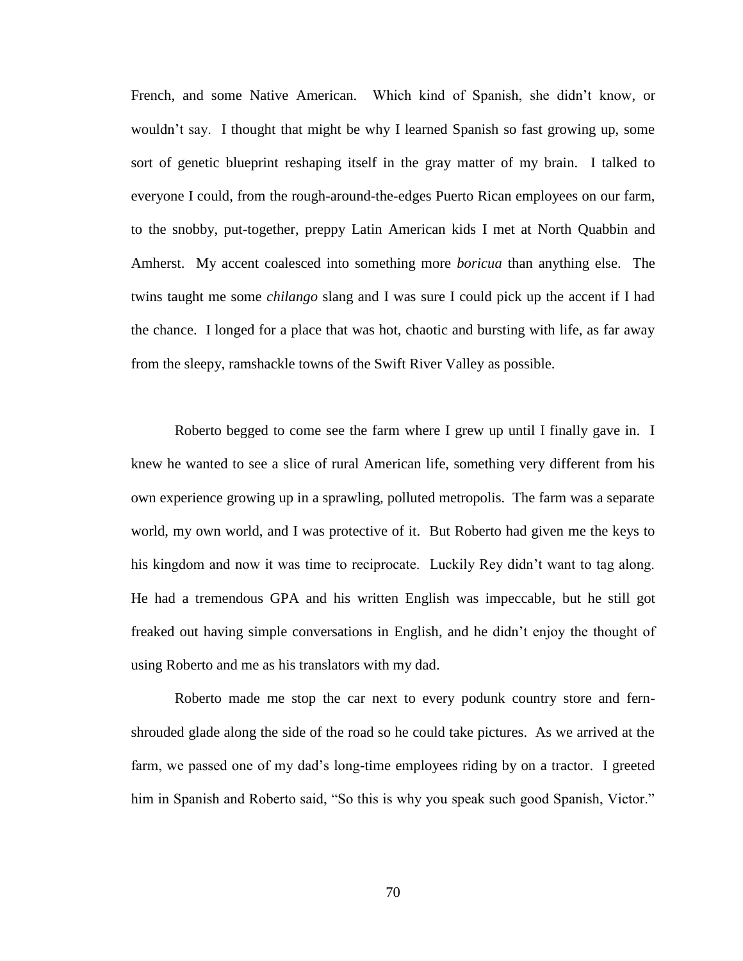French, and some Native American. Which kind of Spanish, she didn't know, or wouldn't say. I thought that might be why I learned Spanish so fast growing up, some sort of genetic blueprint reshaping itself in the gray matter of my brain. I talked to everyone I could, from the rough-around-the-edges Puerto Rican employees on our farm, to the snobby, put-together, preppy Latin American kids I met at North Quabbin and Amherst. My accent coalesced into something more *boricua* than anything else. The twins taught me some *chilango* slang and I was sure I could pick up the accent if I had the chance. I longed for a place that was hot, chaotic and bursting with life, as far away from the sleepy, ramshackle towns of the Swift River Valley as possible.

Roberto begged to come see the farm where I grew up until I finally gave in. I knew he wanted to see a slice of rural American life, something very different from his own experience growing up in a sprawling, polluted metropolis. The farm was a separate world, my own world, and I was protective of it. But Roberto had given me the keys to his kingdom and now it was time to reciprocate. Luckily Rey didn't want to tag along. He had a tremendous GPA and his written English was impeccable, but he still got freaked out having simple conversations in English, and he didn't enjoy the thought of using Roberto and me as his translators with my dad.

Roberto made me stop the car next to every podunk country store and fernshrouded glade along the side of the road so he could take pictures. As we arrived at the farm, we passed one of my dad's long-time employees riding by on a tractor. I greeted him in Spanish and Roberto said, "So this is why you speak such good Spanish, Victor."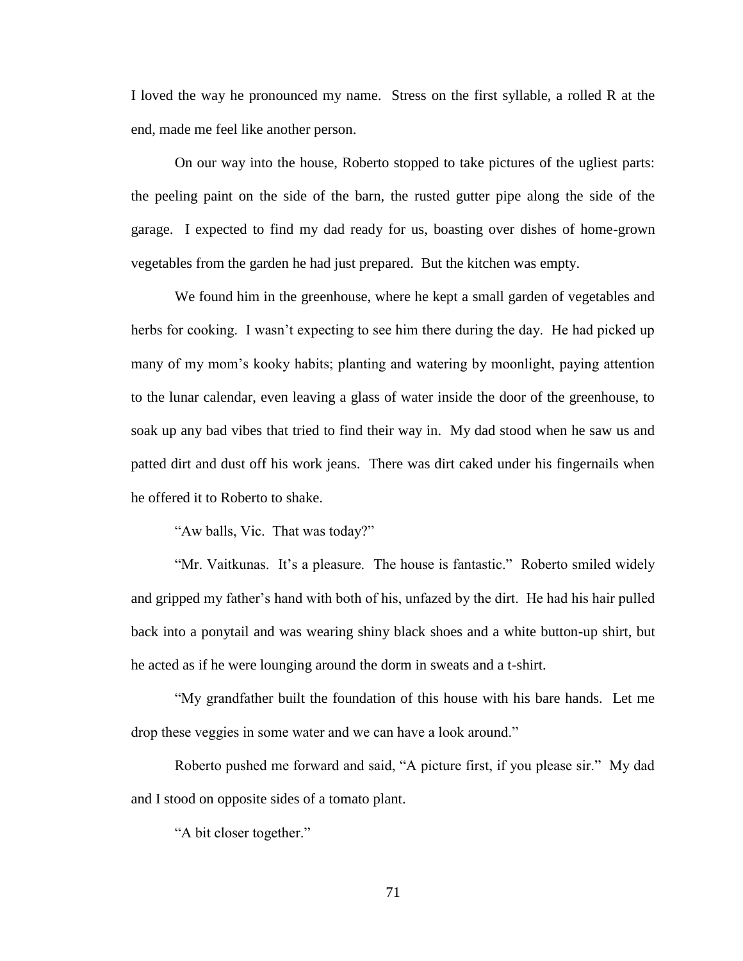I loved the way he pronounced my name. Stress on the first syllable, a rolled R at the end, made me feel like another person.

On our way into the house, Roberto stopped to take pictures of the ugliest parts: the peeling paint on the side of the barn, the rusted gutter pipe along the side of the garage. I expected to find my dad ready for us, boasting over dishes of home-grown vegetables from the garden he had just prepared. But the kitchen was empty.

We found him in the greenhouse, where he kept a small garden of vegetables and herbs for cooking. I wasn't expecting to see him there during the day. He had picked up many of my mom's kooky habits; planting and watering by moonlight, paying attention to the lunar calendar, even leaving a glass of water inside the door of the greenhouse, to soak up any bad vibes that tried to find their way in. My dad stood when he saw us and patted dirt and dust off his work jeans. There was dirt caked under his fingernails when he offered it to Roberto to shake.

"Aw balls, Vic. That was today?"

"Mr. Vaitkunas. It's a pleasure. The house is fantastic." Roberto smiled widely and gripped my father's hand with both of his, unfazed by the dirt. He had his hair pulled back into a ponytail and was wearing shiny black shoes and a white button-up shirt, but he acted as if he were lounging around the dorm in sweats and a t-shirt.

"My grandfather built the foundation of this house with his bare hands. Let me drop these veggies in some water and we can have a look around."

Roberto pushed me forward and said, "A picture first, if you please sir." My dad and I stood on opposite sides of a tomato plant.

"A bit closer together."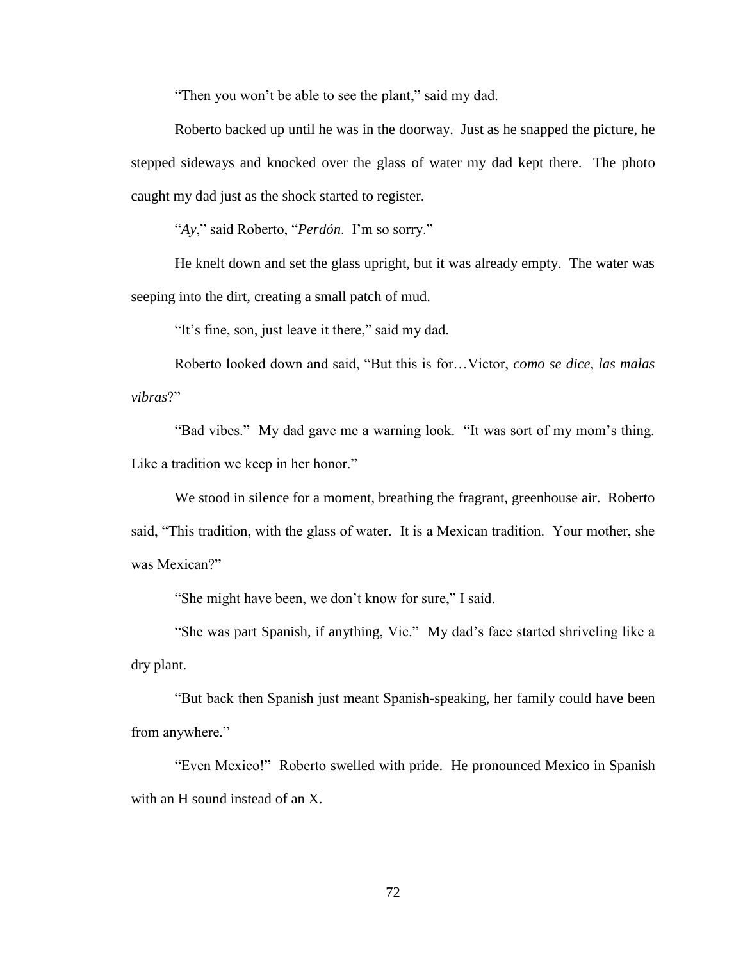"Then you won't be able to see the plant," said my dad.

Roberto backed up until he was in the doorway. Just as he snapped the picture, he stepped sideways and knocked over the glass of water my dad kept there. The photo caught my dad just as the shock started to register.

"*Ay*," said Roberto, "*Perdón*. I'm so sorry."

He knelt down and set the glass upright, but it was already empty. The water was seeping into the dirt, creating a small patch of mud.

"It's fine, son, just leave it there," said my dad.

Roberto looked down and said, "But this is for…Victor, *como se dice, las malas vibras*?"

"Bad vibes." My dad gave me a warning look. "It was sort of my mom's thing. Like a tradition we keep in her honor."

We stood in silence for a moment, breathing the fragrant, greenhouse air. Roberto said, "This tradition, with the glass of water. It is a Mexican tradition. Your mother, she was Mexican?"

"She might have been, we don't know for sure," I said.

"She was part Spanish, if anything, Vic." My dad's face started shriveling like a dry plant.

"But back then Spanish just meant Spanish-speaking, her family could have been from anywhere."

"Even Mexico!" Roberto swelled with pride. He pronounced Mexico in Spanish with an H sound instead of an X.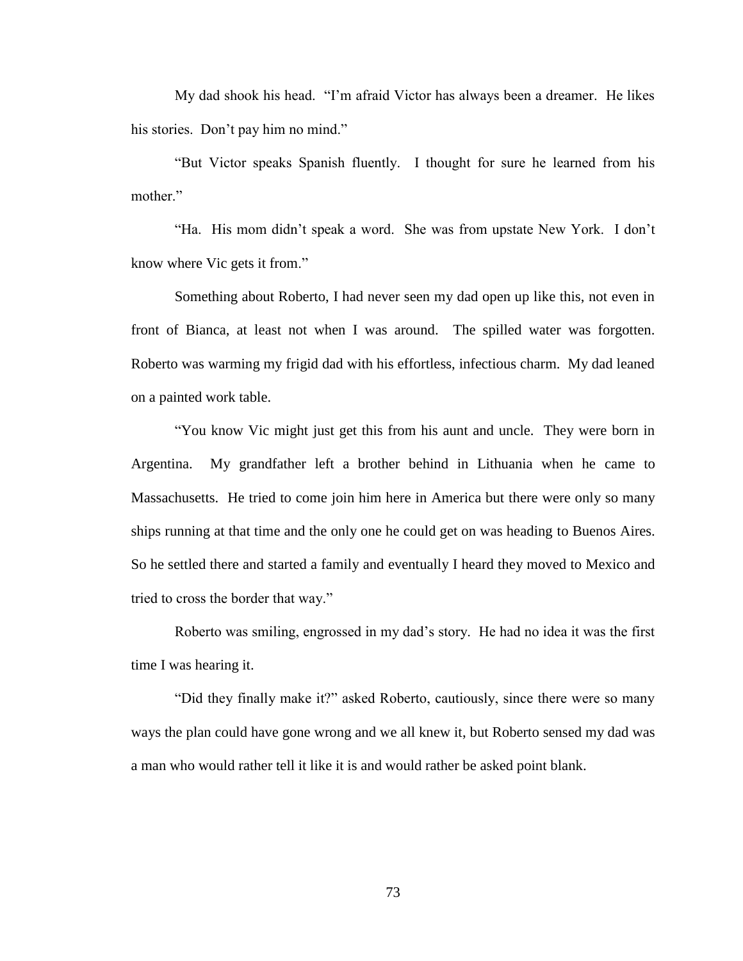My dad shook his head. "I'm afraid Victor has always been a dreamer. He likes his stories. Don't pay him no mind."

"But Victor speaks Spanish fluently. I thought for sure he learned from his mother."

"Ha. His mom didn't speak a word. She was from upstate New York. I don't know where Vic gets it from."

Something about Roberto, I had never seen my dad open up like this, not even in front of Bianca, at least not when I was around. The spilled water was forgotten. Roberto was warming my frigid dad with his effortless, infectious charm. My dad leaned on a painted work table.

"You know Vic might just get this from his aunt and uncle. They were born in Argentina. My grandfather left a brother behind in Lithuania when he came to Massachusetts. He tried to come join him here in America but there were only so many ships running at that time and the only one he could get on was heading to Buenos Aires. So he settled there and started a family and eventually I heard they moved to Mexico and tried to cross the border that way."

Roberto was smiling, engrossed in my dad's story. He had no idea it was the first time I was hearing it.

"Did they finally make it?" asked Roberto, cautiously, since there were so many ways the plan could have gone wrong and we all knew it, but Roberto sensed my dad was a man who would rather tell it like it is and would rather be asked point blank.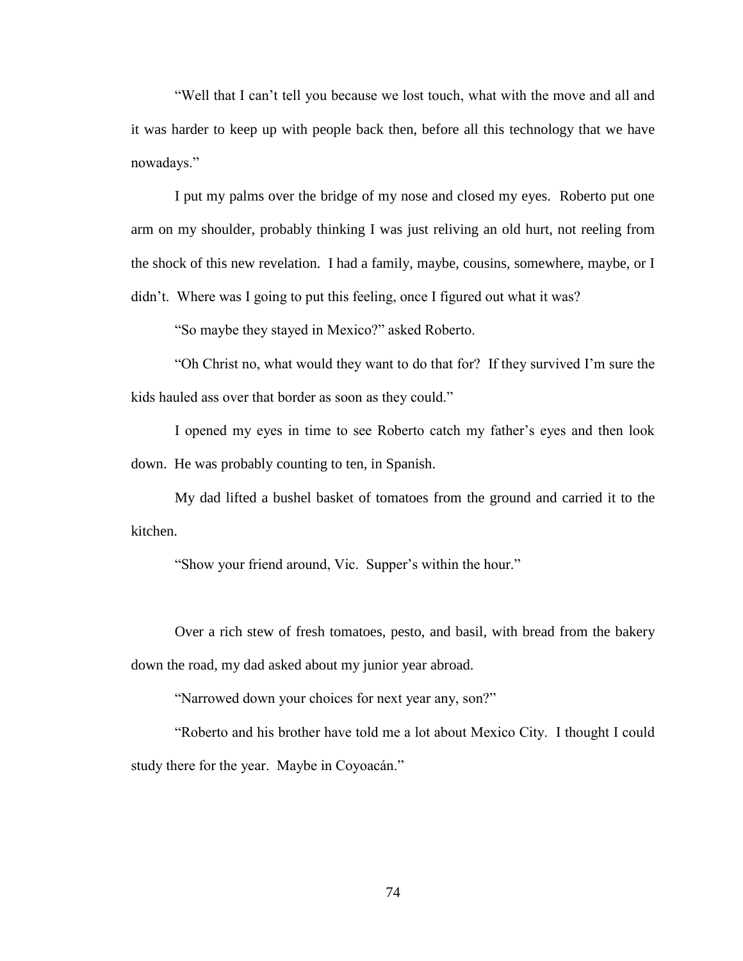"Well that I can't tell you because we lost touch, what with the move and all and it was harder to keep up with people back then, before all this technology that we have nowadays."

I put my palms over the bridge of my nose and closed my eyes. Roberto put one arm on my shoulder, probably thinking I was just reliving an old hurt, not reeling from the shock of this new revelation. I had a family, maybe, cousins, somewhere, maybe, or I didn't. Where was I going to put this feeling, once I figured out what it was?

"So maybe they stayed in Mexico?" asked Roberto.

"Oh Christ no, what would they want to do that for? If they survived I'm sure the kids hauled ass over that border as soon as they could."

I opened my eyes in time to see Roberto catch my father's eyes and then look down. He was probably counting to ten, in Spanish.

My dad lifted a bushel basket of tomatoes from the ground and carried it to the kitchen.

"Show your friend around, Vic. Supper's within the hour."

Over a rich stew of fresh tomatoes, pesto, and basil, with bread from the bakery down the road, my dad asked about my junior year abroad.

"Narrowed down your choices for next year any, son?"

"Roberto and his brother have told me a lot about Mexico City. I thought I could study there for the year. Maybe in Coyoacán."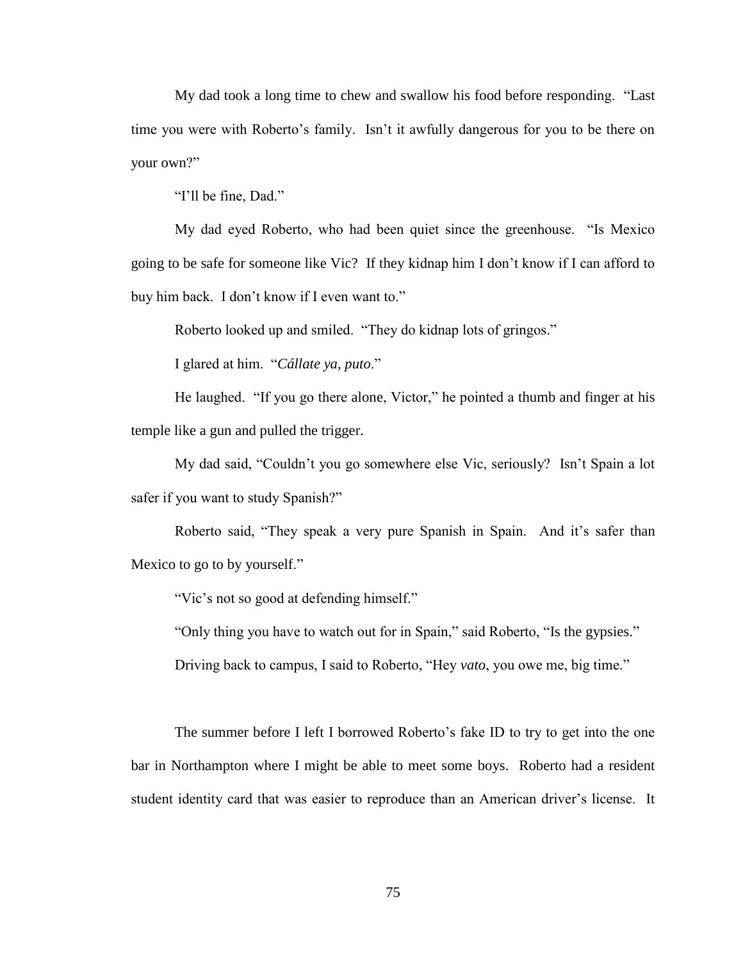My dad took a long time to chew and swallow his food before responding. "Last time you were with Roberto's family. Isn't it awfully dangerous for you to be there on your own?"

"I'll be fine, Dad."

My dad eyed Roberto, who had been quiet since the greenhouse. "Is Mexico going to be safe for someone like Vic? If they kidnap him I don't know if I can afford to buy him back. I don't know if I even want to."

Roberto looked up and smiled. "They do kidnap lots of gringos."

I glared at him. "*Cállate ya, puto*."

He laughed. "If you go there alone, Victor," he pointed a thumb and finger at his temple like a gun and pulled the trigger.

My dad said, "Couldn't you go somewhere else Vic, seriously? Isn't Spain a lot safer if you want to study Spanish?"

Roberto said, "They speak a very pure Spanish in Spain. And it's safer than Mexico to go to by yourself."

"Vic's not so good at defending himself."

"Only thing you have to watch out for in Spain," said Roberto, "Is the gypsies."

Driving back to campus, I said to Roberto, "Hey *vato*, you owe me, big time."

The summer before I left I borrowed Roberto's fake ID to try to get into the one bar in Northampton where I might be able to meet some boys. Roberto had a resident student identity card that was easier to reproduce than an American driver's license. It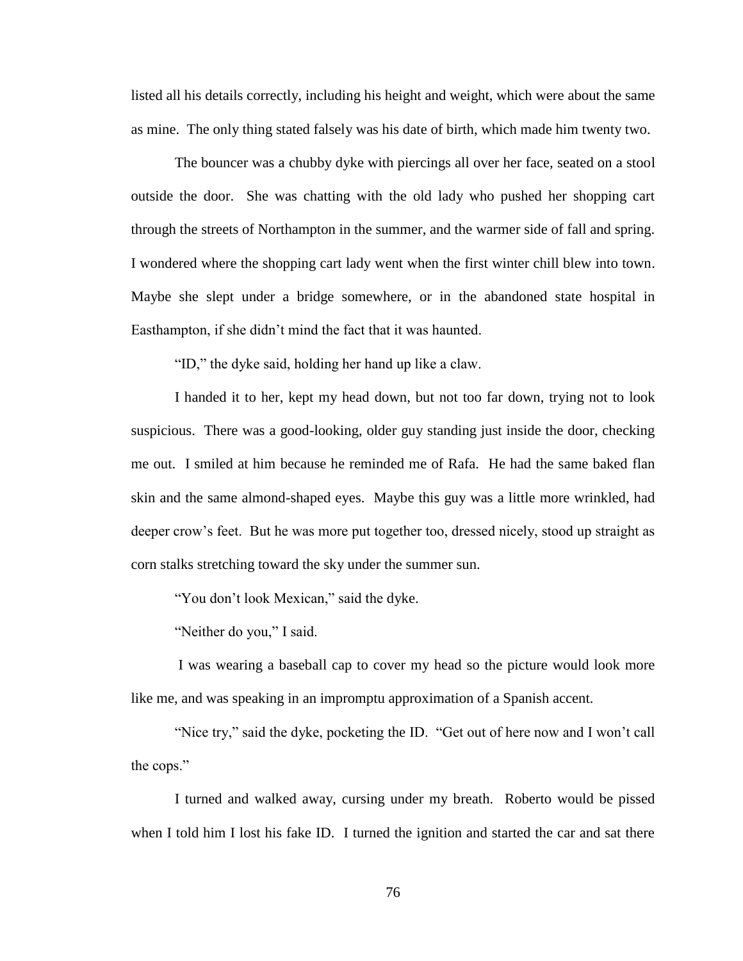listed all his details correctly, including his height and weight, which were about the same as mine. The only thing stated falsely was his date of birth, which made him twenty two.

The bouncer was a chubby dyke with piercings all over her face, seated on a stool outside the door. She was chatting with the old lady who pushed her shopping cart through the streets of Northampton in the summer, and the warmer side of fall and spring. I wondered where the shopping cart lady went when the first winter chill blew into town. Maybe she slept under a bridge somewhere, or in the abandoned state hospital in Easthampton, if she didn't mind the fact that it was haunted.

"ID," the dyke said, holding her hand up like a claw.

I handed it to her, kept my head down, but not too far down, trying not to look suspicious. There was a good-looking, older guy standing just inside the door, checking me out. I smiled at him because he reminded me of Rafa. He had the same baked flan skin and the same almond-shaped eyes. Maybe this guy was a little more wrinkled, had deeper crow's feet. But he was more put together too, dressed nicely, stood up straight as corn stalks stretching toward the sky under the summer sun.

"You don't look Mexican," said the dyke.

"Neither do you," I said.

I was wearing a baseball cap to cover my head so the picture would look more like me, and was speaking in an impromptu approximation of a Spanish accent.

"Nice try," said the dyke, pocketing the ID. "Get out of here now and I won't call the cops."

I turned and walked away, cursing under my breath. Roberto would be pissed when I told him I lost his fake ID. I turned the ignition and started the car and sat there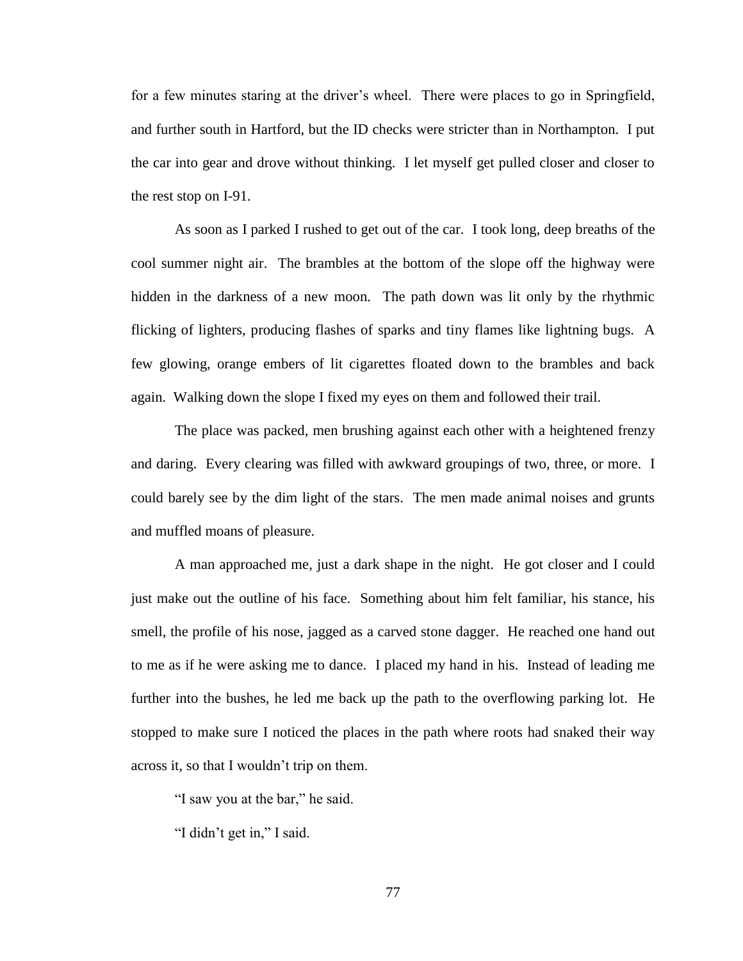for a few minutes staring at the driver's wheel. There were places to go in Springfield, and further south in Hartford, but the ID checks were stricter than in Northampton. I put the car into gear and drove without thinking. I let myself get pulled closer and closer to the rest stop on I-91.

As soon as I parked I rushed to get out of the car. I took long, deep breaths of the cool summer night air. The brambles at the bottom of the slope off the highway were hidden in the darkness of a new moon. The path down was lit only by the rhythmic flicking of lighters, producing flashes of sparks and tiny flames like lightning bugs. A few glowing, orange embers of lit cigarettes floated down to the brambles and back again. Walking down the slope I fixed my eyes on them and followed their trail.

The place was packed, men brushing against each other with a heightened frenzy and daring. Every clearing was filled with awkward groupings of two, three, or more. I could barely see by the dim light of the stars. The men made animal noises and grunts and muffled moans of pleasure.

A man approached me, just a dark shape in the night. He got closer and I could just make out the outline of his face. Something about him felt familiar, his stance, his smell, the profile of his nose, jagged as a carved stone dagger. He reached one hand out to me as if he were asking me to dance. I placed my hand in his. Instead of leading me further into the bushes, he led me back up the path to the overflowing parking lot. He stopped to make sure I noticed the places in the path where roots had snaked their way across it, so that I wouldn't trip on them.

"I saw you at the bar," he said.

"I didn't get in," I said.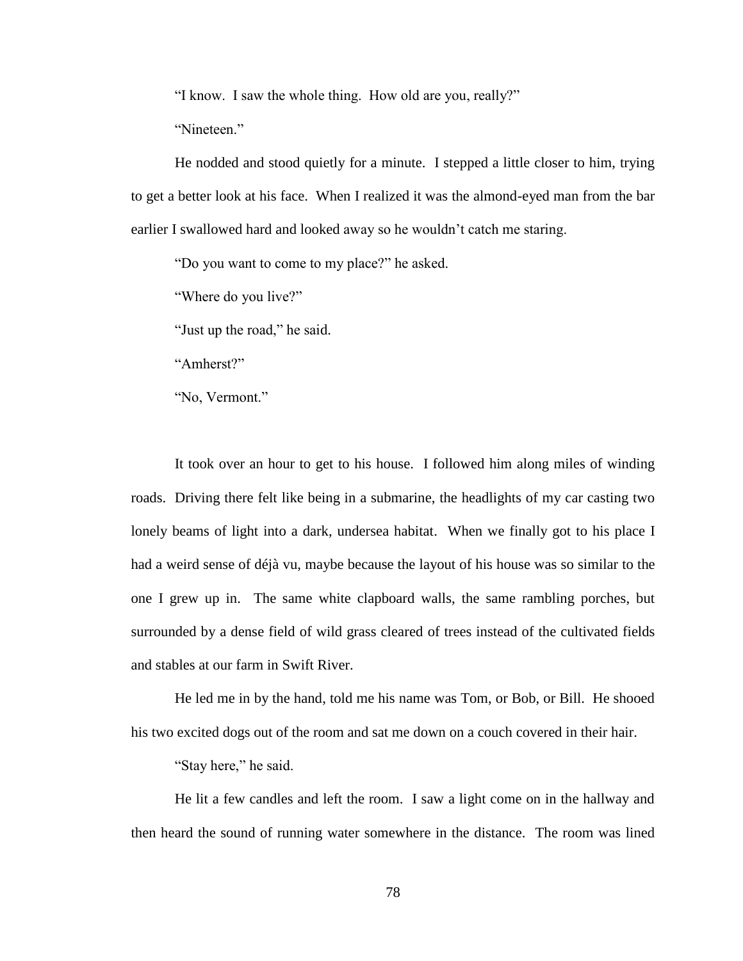"I know. I saw the whole thing. How old are you, really?"

"Nineteen"

He nodded and stood quietly for a minute. I stepped a little closer to him, trying to get a better look at his face. When I realized it was the almond-eyed man from the bar earlier I swallowed hard and looked away so he wouldn't catch me staring.

"Do you want to come to my place?" he asked.

"Where do you live?"

"Just up the road," he said.

"Amherst?"

"No, Vermont."

It took over an hour to get to his house. I followed him along miles of winding roads. Driving there felt like being in a submarine, the headlights of my car casting two lonely beams of light into a dark, undersea habitat. When we finally got to his place I had a weird sense of déjà vu, maybe because the layout of his house was so similar to the one I grew up in. The same white clapboard walls, the same rambling porches, but surrounded by a dense field of wild grass cleared of trees instead of the cultivated fields and stables at our farm in Swift River.

He led me in by the hand, told me his name was Tom, or Bob, or Bill. He shooed his two excited dogs out of the room and sat me down on a couch covered in their hair.

"Stay here," he said.

He lit a few candles and left the room. I saw a light come on in the hallway and then heard the sound of running water somewhere in the distance. The room was lined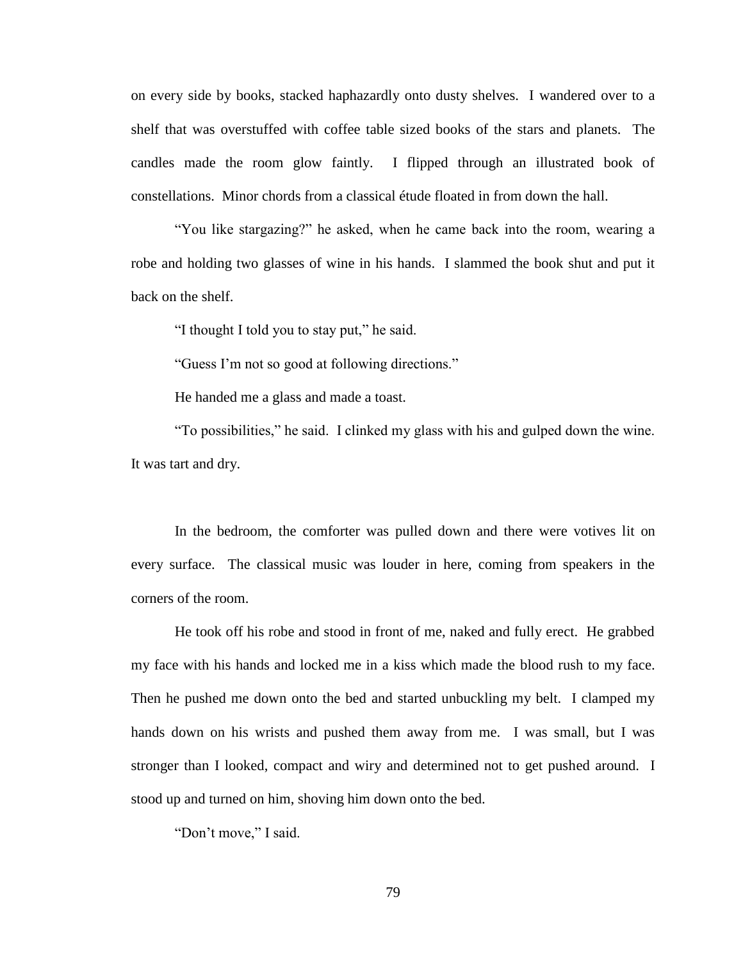on every side by books, stacked haphazardly onto dusty shelves. I wandered over to a shelf that was overstuffed with coffee table sized books of the stars and planets. The candles made the room glow faintly. I flipped through an illustrated book of constellations. Minor chords from a classical étude floated in from down the hall.

"You like stargazing?" he asked, when he came back into the room, wearing a robe and holding two glasses of wine in his hands. I slammed the book shut and put it back on the shelf.

"I thought I told you to stay put," he said.

"Guess I'm not so good at following directions."

He handed me a glass and made a toast.

"To possibilities," he said. I clinked my glass with his and gulped down the wine. It was tart and dry.

In the bedroom, the comforter was pulled down and there were votives lit on every surface. The classical music was louder in here, coming from speakers in the corners of the room.

He took off his robe and stood in front of me, naked and fully erect. He grabbed my face with his hands and locked me in a kiss which made the blood rush to my face. Then he pushed me down onto the bed and started unbuckling my belt. I clamped my hands down on his wrists and pushed them away from me. I was small, but I was stronger than I looked, compact and wiry and determined not to get pushed around. I stood up and turned on him, shoving him down onto the bed.

"Don't move," I said.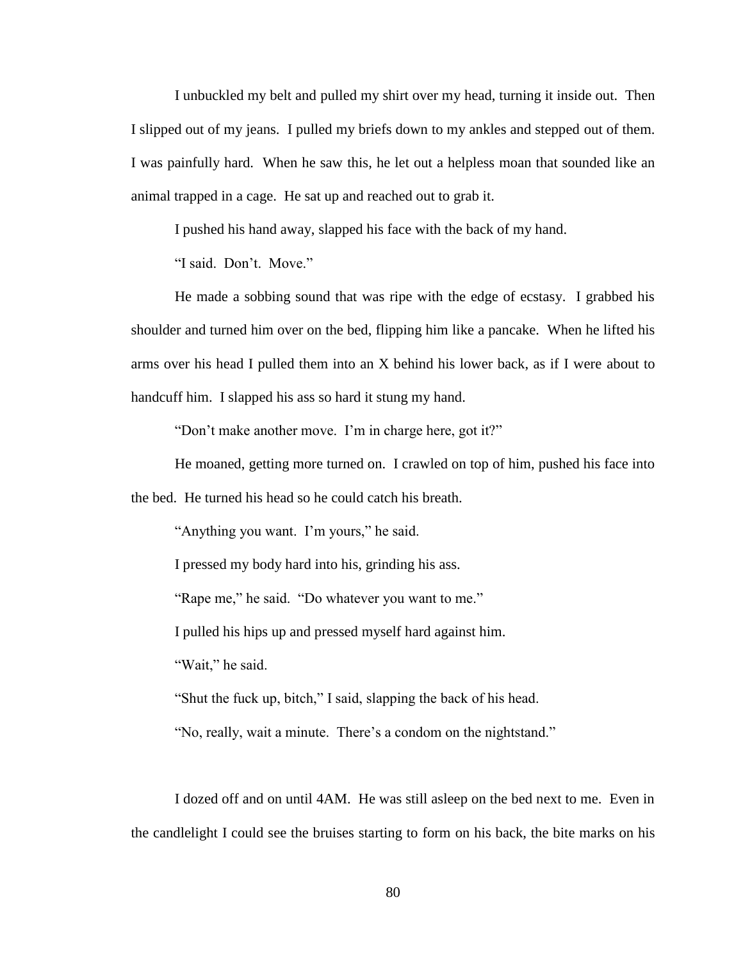I unbuckled my belt and pulled my shirt over my head, turning it inside out. Then I slipped out of my jeans. I pulled my briefs down to my ankles and stepped out of them. I was painfully hard. When he saw this, he let out a helpless moan that sounded like an animal trapped in a cage. He sat up and reached out to grab it.

I pushed his hand away, slapped his face with the back of my hand.

"I said. Don't. Move."

He made a sobbing sound that was ripe with the edge of ecstasy. I grabbed his shoulder and turned him over on the bed, flipping him like a pancake. When he lifted his arms over his head I pulled them into an X behind his lower back, as if I were about to handcuff him. I slapped his ass so hard it stung my hand.

"Don't make another move. I'm in charge here, got it?"

He moaned, getting more turned on. I crawled on top of him, pushed his face into the bed. He turned his head so he could catch his breath.

"Anything you want. I'm yours," he said.

I pressed my body hard into his, grinding his ass.

"Rape me," he said. "Do whatever you want to me."

I pulled his hips up and pressed myself hard against him.

"Wait," he said.

"Shut the fuck up, bitch," I said, slapping the back of his head.

"No, really, wait a minute. There's a condom on the nightstand."

I dozed off and on until 4AM. He was still asleep on the bed next to me. Even in the candlelight I could see the bruises starting to form on his back, the bite marks on his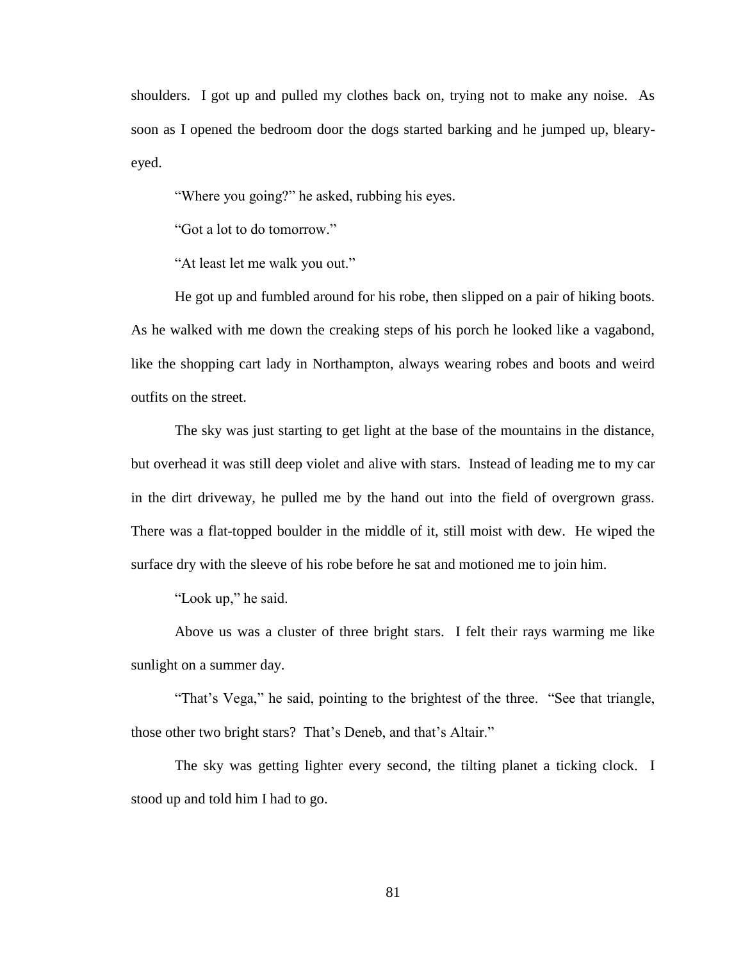shoulders. I got up and pulled my clothes back on, trying not to make any noise. As soon as I opened the bedroom door the dogs started barking and he jumped up, blearyeyed.

"Where you going?" he asked, rubbing his eyes.

"Got a lot to do tomorrow."

"At least let me walk you out."

He got up and fumbled around for his robe, then slipped on a pair of hiking boots. As he walked with me down the creaking steps of his porch he looked like a vagabond, like the shopping cart lady in Northampton, always wearing robes and boots and weird outfits on the street.

The sky was just starting to get light at the base of the mountains in the distance, but overhead it was still deep violet and alive with stars. Instead of leading me to my car in the dirt driveway, he pulled me by the hand out into the field of overgrown grass. There was a flat-topped boulder in the middle of it, still moist with dew. He wiped the surface dry with the sleeve of his robe before he sat and motioned me to join him.

"Look up," he said.

Above us was a cluster of three bright stars. I felt their rays warming me like sunlight on a summer day.

"That's Vega," he said, pointing to the brightest of the three. "See that triangle, those other two bright stars? That's Deneb, and that's Altair."

The sky was getting lighter every second, the tilting planet a ticking clock. I stood up and told him I had to go.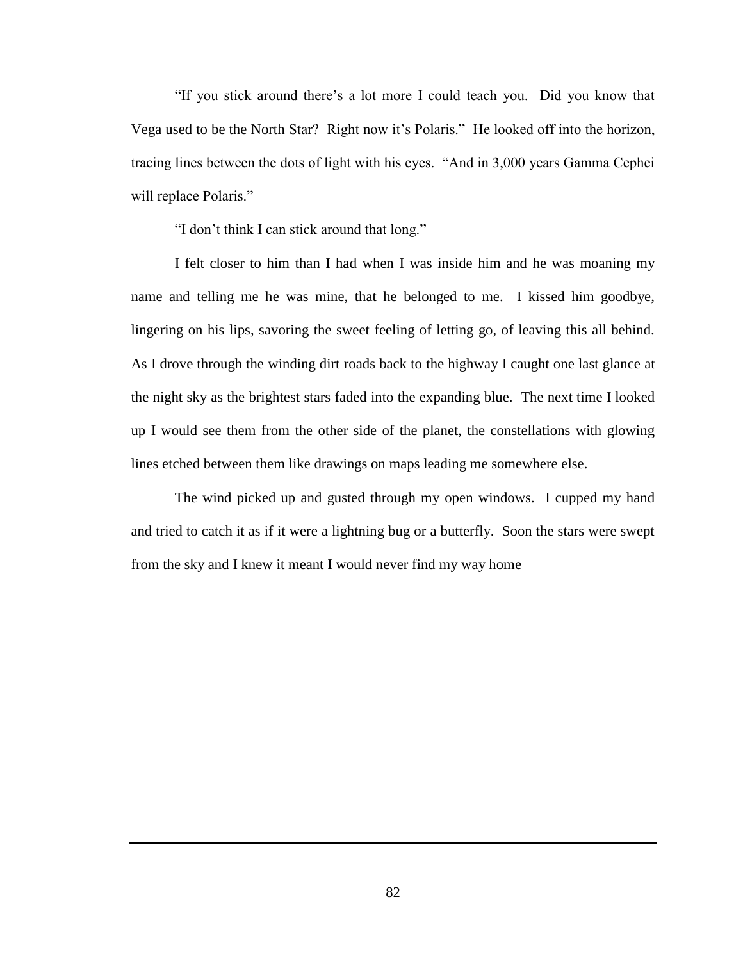"If you stick around there's a lot more I could teach you. Did you know that Vega used to be the North Star? Right now it's Polaris." He looked off into the horizon, tracing lines between the dots of light with his eyes. "And in 3,000 years Gamma Cephei will replace Polaris."

"I don't think I can stick around that long."

I felt closer to him than I had when I was inside him and he was moaning my name and telling me he was mine, that he belonged to me. I kissed him goodbye, lingering on his lips, savoring the sweet feeling of letting go, of leaving this all behind. As I drove through the winding dirt roads back to the highway I caught one last glance at the night sky as the brightest stars faded into the expanding blue. The next time I looked up I would see them from the other side of the planet, the constellations with glowing lines etched between them like drawings on maps leading me somewhere else.

The wind picked up and gusted through my open windows. I cupped my hand and tried to catch it as if it were a lightning bug or a butterfly. Soon the stars were swept from the sky and I knew it meant I would never find my way home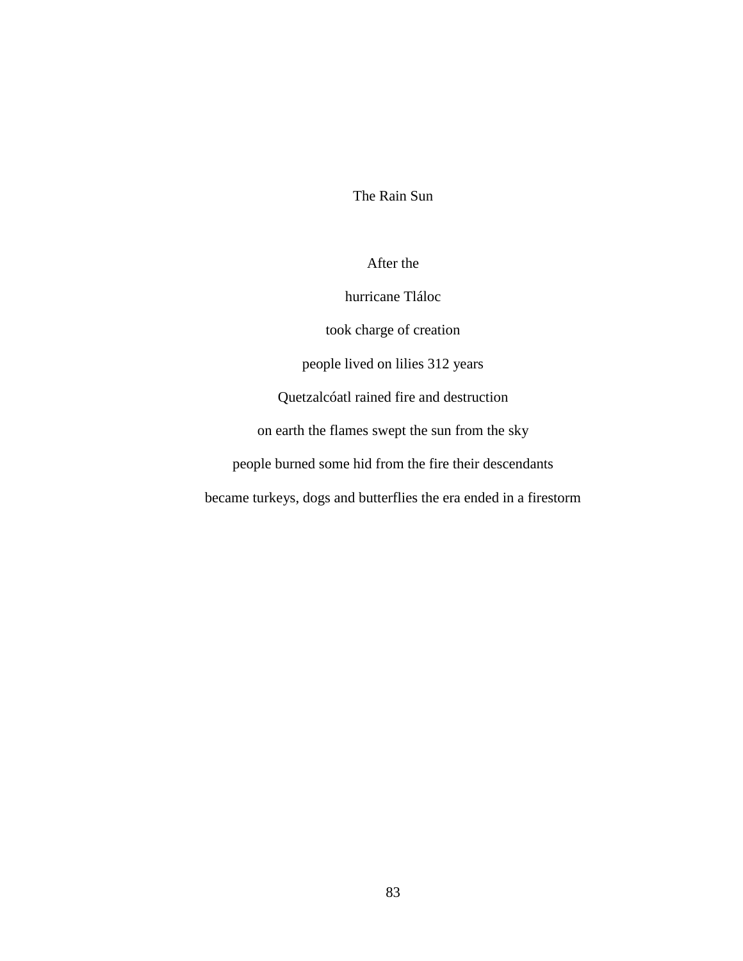The Rain Sun

After the

hurricane Tláloc

took charge of creation

people lived on lilies 312 years

Quetzalcóatl rained fire and destruction

on earth the flames swept the sun from the sky

people burned some hid from the fire their descendants

became turkeys, dogs and butterflies the era ended in a firestorm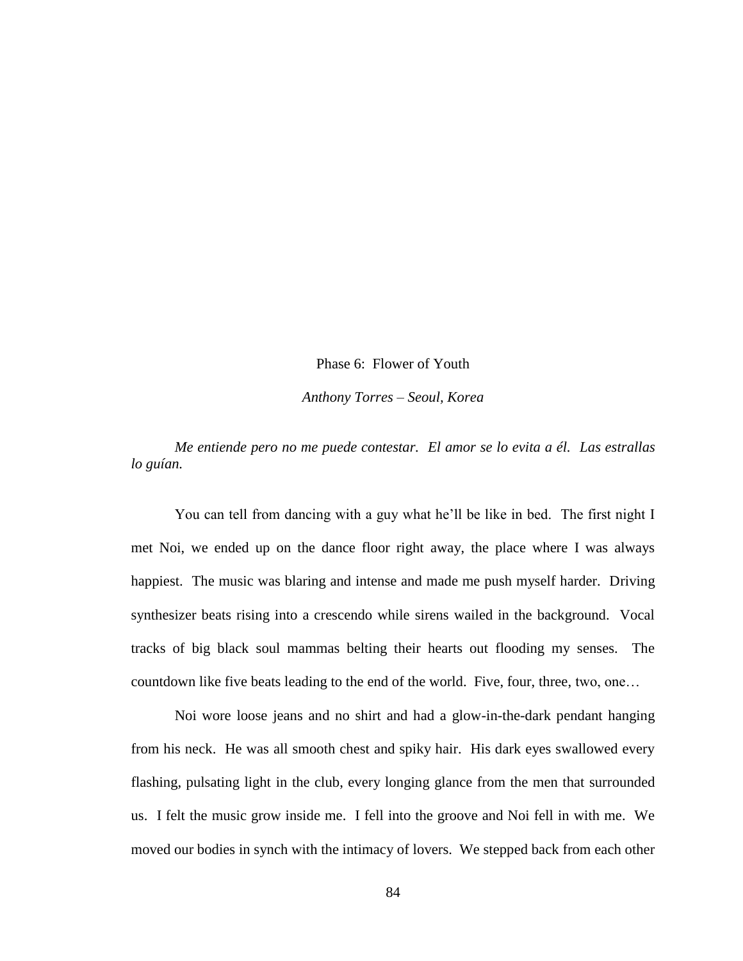Phase 6: Flower of Youth

*Anthony Torres – Seoul, Korea*

*Me entiende pero no me puede contestar. El amor se lo evita a él. Las estrallas lo guían.*

You can tell from dancing with a guy what he'll be like in bed. The first night I met Noi, we ended up on the dance floor right away, the place where I was always happiest. The music was blaring and intense and made me push myself harder. Driving synthesizer beats rising into a crescendo while sirens wailed in the background. Vocal tracks of big black soul mammas belting their hearts out flooding my senses. The countdown like five beats leading to the end of the world. Five, four, three, two, one…

Noi wore loose jeans and no shirt and had a glow-in-the-dark pendant hanging from his neck. He was all smooth chest and spiky hair. His dark eyes swallowed every flashing, pulsating light in the club, every longing glance from the men that surrounded us. I felt the music grow inside me. I fell into the groove and Noi fell in with me. We moved our bodies in synch with the intimacy of lovers. We stepped back from each other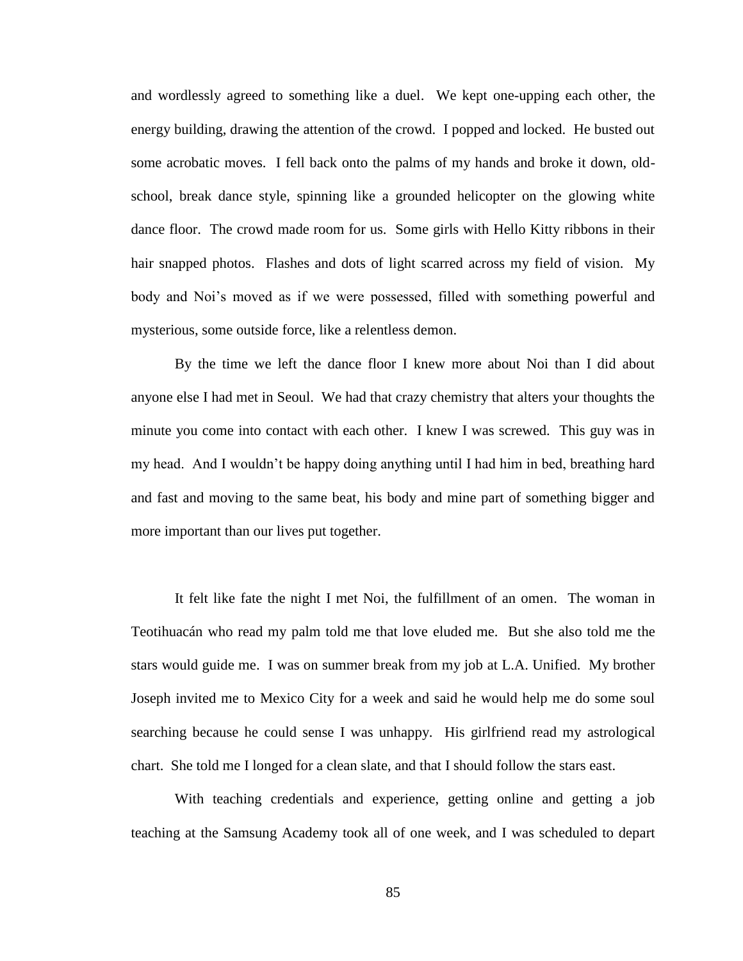and wordlessly agreed to something like a duel. We kept one-upping each other, the energy building, drawing the attention of the crowd. I popped and locked. He busted out some acrobatic moves. I fell back onto the palms of my hands and broke it down, oldschool, break dance style, spinning like a grounded helicopter on the glowing white dance floor. The crowd made room for us. Some girls with Hello Kitty ribbons in their hair snapped photos. Flashes and dots of light scarred across my field of vision. My body and Noi's moved as if we were possessed, filled with something powerful and mysterious, some outside force, like a relentless demon.

By the time we left the dance floor I knew more about Noi than I did about anyone else I had met in Seoul. We had that crazy chemistry that alters your thoughts the minute you come into contact with each other. I knew I was screwed. This guy was in my head. And I wouldn't be happy doing anything until I had him in bed, breathing hard and fast and moving to the same beat, his body and mine part of something bigger and more important than our lives put together.

It felt like fate the night I met Noi, the fulfillment of an omen. The woman in Teotihuacán who read my palm told me that love eluded me. But she also told me the stars would guide me. I was on summer break from my job at L.A. Unified. My brother Joseph invited me to Mexico City for a week and said he would help me do some soul searching because he could sense I was unhappy. His girlfriend read my astrological chart. She told me I longed for a clean slate, and that I should follow the stars east.

With teaching credentials and experience, getting online and getting a job teaching at the Samsung Academy took all of one week, and I was scheduled to depart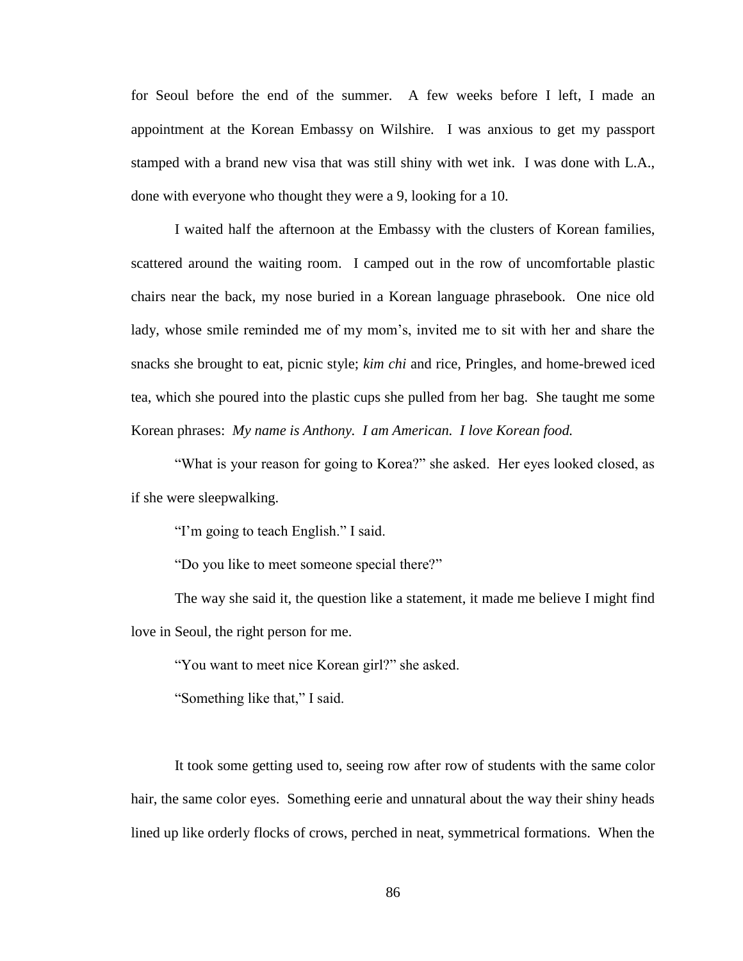for Seoul before the end of the summer. A few weeks before I left, I made an appointment at the Korean Embassy on Wilshire. I was anxious to get my passport stamped with a brand new visa that was still shiny with wet ink. I was done with L.A., done with everyone who thought they were a 9, looking for a 10.

I waited half the afternoon at the Embassy with the clusters of Korean families, scattered around the waiting room. I camped out in the row of uncomfortable plastic chairs near the back, my nose buried in a Korean language phrasebook. One nice old lady, whose smile reminded me of my mom's, invited me to sit with her and share the snacks she brought to eat, picnic style; *kim chi* and rice, Pringles, and home-brewed iced tea, which she poured into the plastic cups she pulled from her bag. She taught me some Korean phrases: *My name is Anthony. I am American. I love Korean food.*

"What is your reason for going to Korea?" she asked. Her eyes looked closed, as if she were sleepwalking.

"I'm going to teach English." I said.

"Do you like to meet someone special there?"

The way she said it, the question like a statement, it made me believe I might find love in Seoul, the right person for me.

"You want to meet nice Korean girl?" she asked.

"Something like that," I said.

It took some getting used to, seeing row after row of students with the same color hair, the same color eyes. Something eerie and unnatural about the way their shiny heads lined up like orderly flocks of crows, perched in neat, symmetrical formations. When the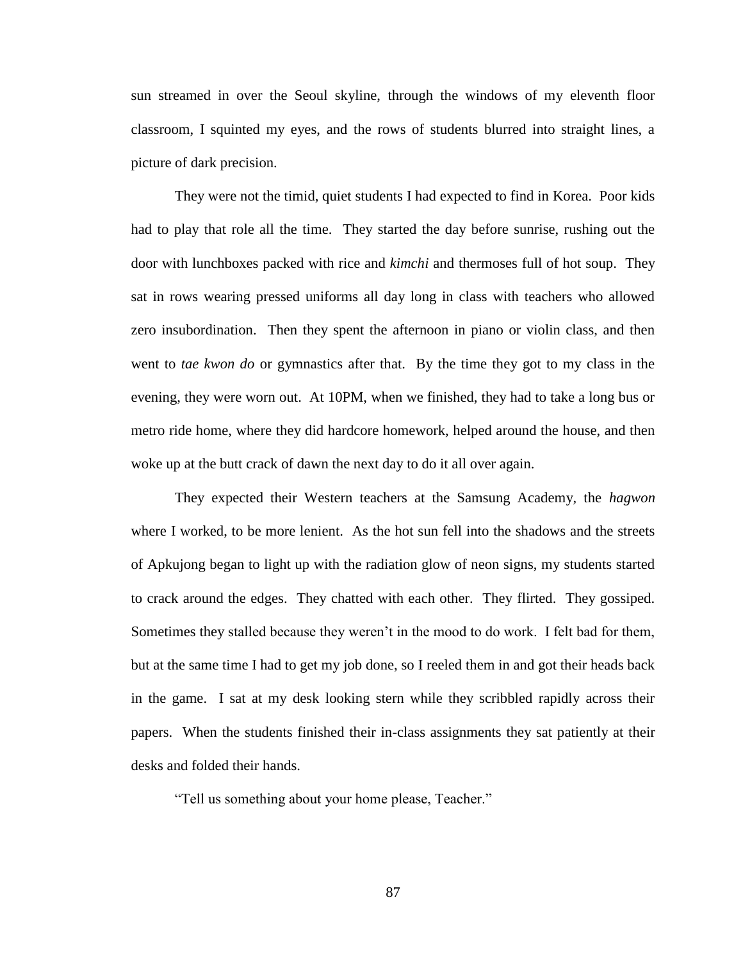sun streamed in over the Seoul skyline, through the windows of my eleventh floor classroom, I squinted my eyes, and the rows of students blurred into straight lines, a picture of dark precision.

They were not the timid, quiet students I had expected to find in Korea. Poor kids had to play that role all the time. They started the day before sunrise, rushing out the door with lunchboxes packed with rice and *kimchi* and thermoses full of hot soup. They sat in rows wearing pressed uniforms all day long in class with teachers who allowed zero insubordination. Then they spent the afternoon in piano or violin class, and then went to *tae kwon do* or gymnastics after that. By the time they got to my class in the evening, they were worn out. At 10PM, when we finished, they had to take a long bus or metro ride home, where they did hardcore homework, helped around the house, and then woke up at the butt crack of dawn the next day to do it all over again.

They expected their Western teachers at the Samsung Academy, the *hagwon* where I worked, to be more lenient. As the hot sun fell into the shadows and the streets of Apkujong began to light up with the radiation glow of neon signs, my students started to crack around the edges. They chatted with each other. They flirted. They gossiped. Sometimes they stalled because they weren't in the mood to do work. I felt bad for them, but at the same time I had to get my job done, so I reeled them in and got their heads back in the game. I sat at my desk looking stern while they scribbled rapidly across their papers. When the students finished their in-class assignments they sat patiently at their desks and folded their hands.

"Tell us something about your home please, Teacher."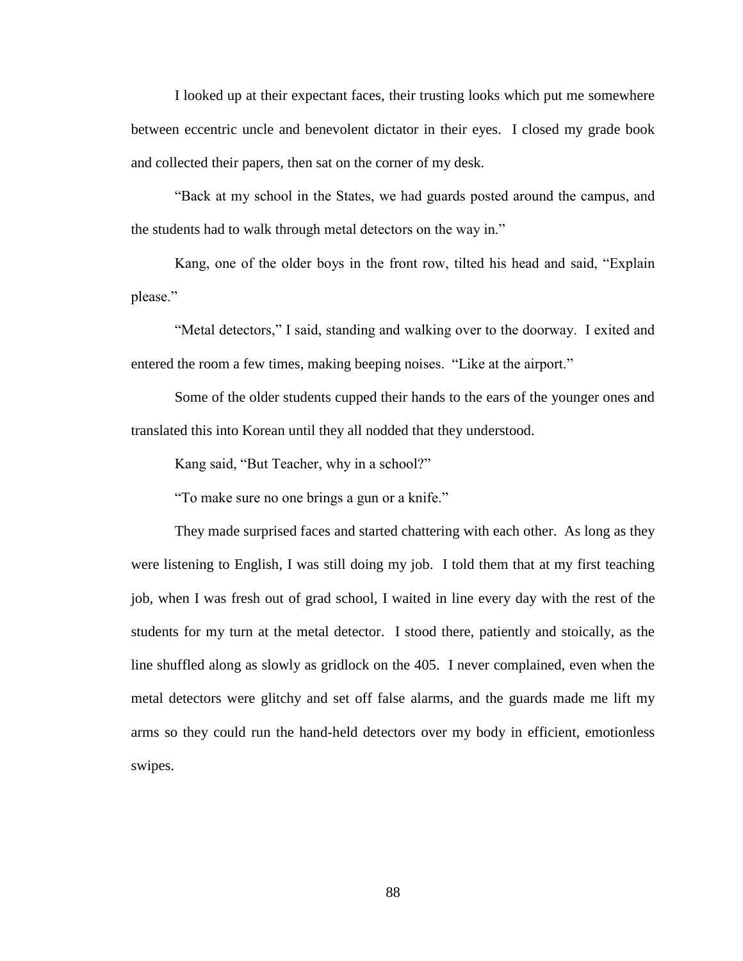I looked up at their expectant faces, their trusting looks which put me somewhere between eccentric uncle and benevolent dictator in their eyes. I closed my grade book and collected their papers, then sat on the corner of my desk.

"Back at my school in the States, we had guards posted around the campus, and the students had to walk through metal detectors on the way in."

Kang, one of the older boys in the front row, tilted his head and said, "Explain please."

"Metal detectors," I said, standing and walking over to the doorway. I exited and entered the room a few times, making beeping noises. "Like at the airport."

Some of the older students cupped their hands to the ears of the younger ones and translated this into Korean until they all nodded that they understood.

Kang said, "But Teacher, why in a school?"

"To make sure no one brings a gun or a knife."

They made surprised faces and started chattering with each other. As long as they were listening to English, I was still doing my job. I told them that at my first teaching job, when I was fresh out of grad school, I waited in line every day with the rest of the students for my turn at the metal detector. I stood there, patiently and stoically, as the line shuffled along as slowly as gridlock on the 405. I never complained, even when the metal detectors were glitchy and set off false alarms, and the guards made me lift my arms so they could run the hand-held detectors over my body in efficient, emotionless swipes.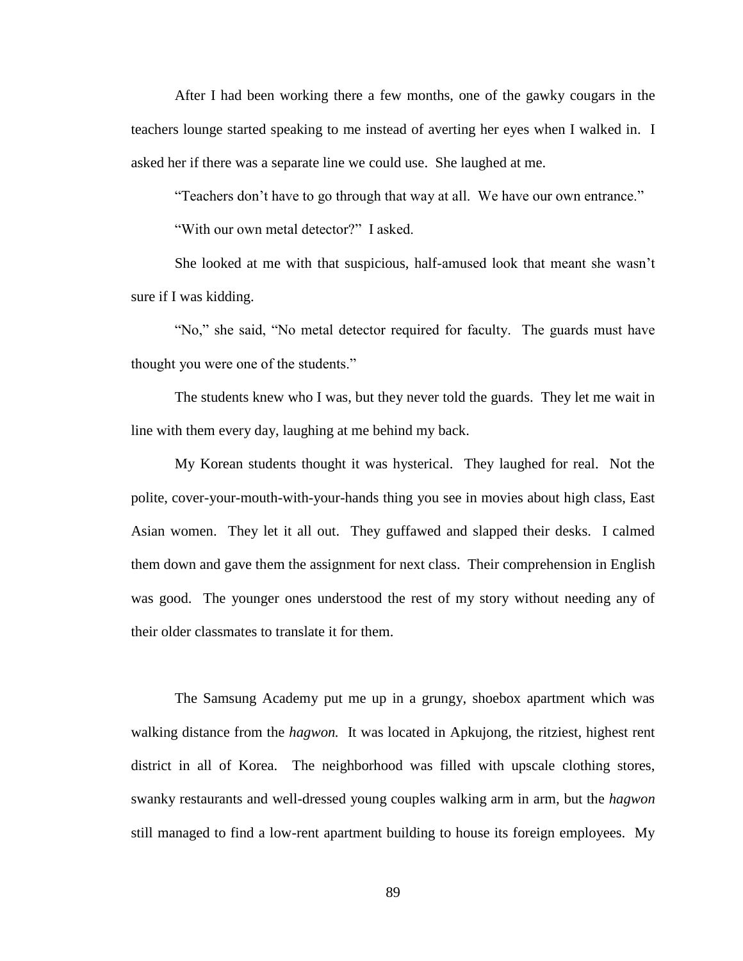After I had been working there a few months, one of the gawky cougars in the teachers lounge started speaking to me instead of averting her eyes when I walked in. I asked her if there was a separate line we could use. She laughed at me.

"Teachers don't have to go through that way at all. We have our own entrance."

"With our own metal detector?" I asked.

She looked at me with that suspicious, half-amused look that meant she wasn't sure if I was kidding.

"No," she said, "No metal detector required for faculty. The guards must have thought you were one of the students."

The students knew who I was, but they never told the guards. They let me wait in line with them every day, laughing at me behind my back.

My Korean students thought it was hysterical. They laughed for real. Not the polite, cover-your-mouth-with-your-hands thing you see in movies about high class, East Asian women. They let it all out. They guffawed and slapped their desks. I calmed them down and gave them the assignment for next class. Their comprehension in English was good. The younger ones understood the rest of my story without needing any of their older classmates to translate it for them.

The Samsung Academy put me up in a grungy, shoebox apartment which was walking distance from the *hagwon.* It was located in Apkujong, the ritziest, highest rent district in all of Korea. The neighborhood was filled with upscale clothing stores, swanky restaurants and well-dressed young couples walking arm in arm, but the *hagwon* still managed to find a low-rent apartment building to house its foreign employees. My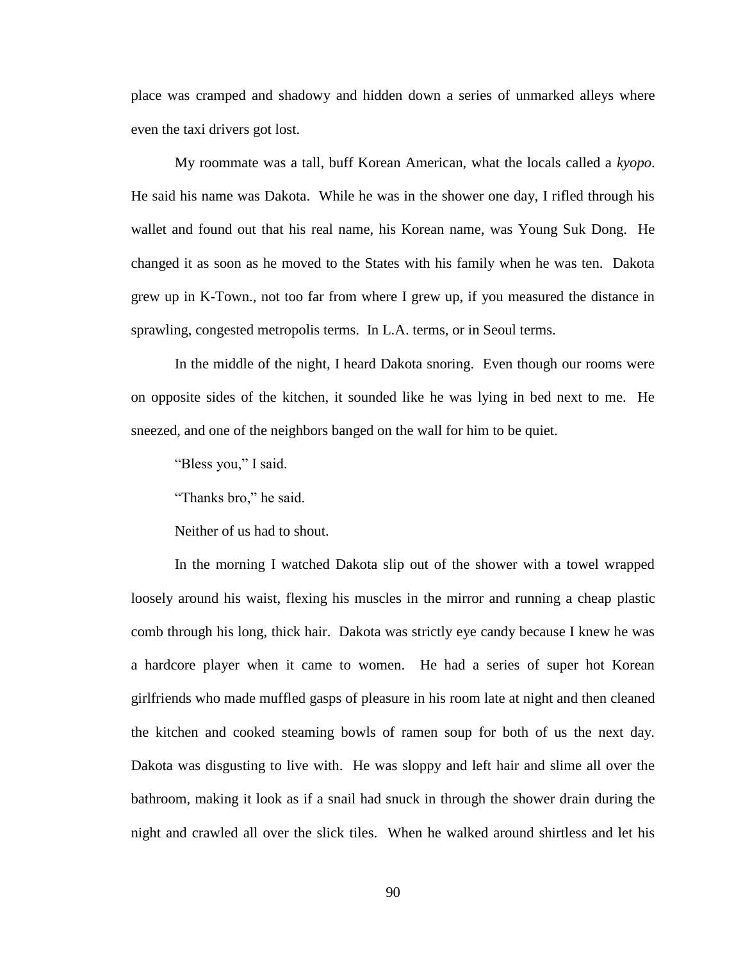place was cramped and shadowy and hidden down a series of unmarked alleys where even the taxi drivers got lost.

My roommate was a tall, buff Korean American, what the locals called a *kyopo*. He said his name was Dakota. While he was in the shower one day, I rifled through his wallet and found out that his real name, his Korean name, was Young Suk Dong. He changed it as soon as he moved to the States with his family when he was ten. Dakota grew up in K-Town., not too far from where I grew up, if you measured the distance in sprawling, congested metropolis terms. In L.A. terms, or in Seoul terms.

In the middle of the night, I heard Dakota snoring. Even though our rooms were on opposite sides of the kitchen, it sounded like he was lying in bed next to me. He sneezed, and one of the neighbors banged on the wall for him to be quiet.

"Bless you," I said.

"Thanks bro," he said.

Neither of us had to shout.

In the morning I watched Dakota slip out of the shower with a towel wrapped loosely around his waist, flexing his muscles in the mirror and running a cheap plastic comb through his long, thick hair. Dakota was strictly eye candy because I knew he was a hardcore player when it came to women. He had a series of super hot Korean girlfriends who made muffled gasps of pleasure in his room late at night and then cleaned the kitchen and cooked steaming bowls of ramen soup for both of us the next day. Dakota was disgusting to live with. He was sloppy and left hair and slime all over the bathroom, making it look as if a snail had snuck in through the shower drain during the night and crawled all over the slick tiles. When he walked around shirtless and let his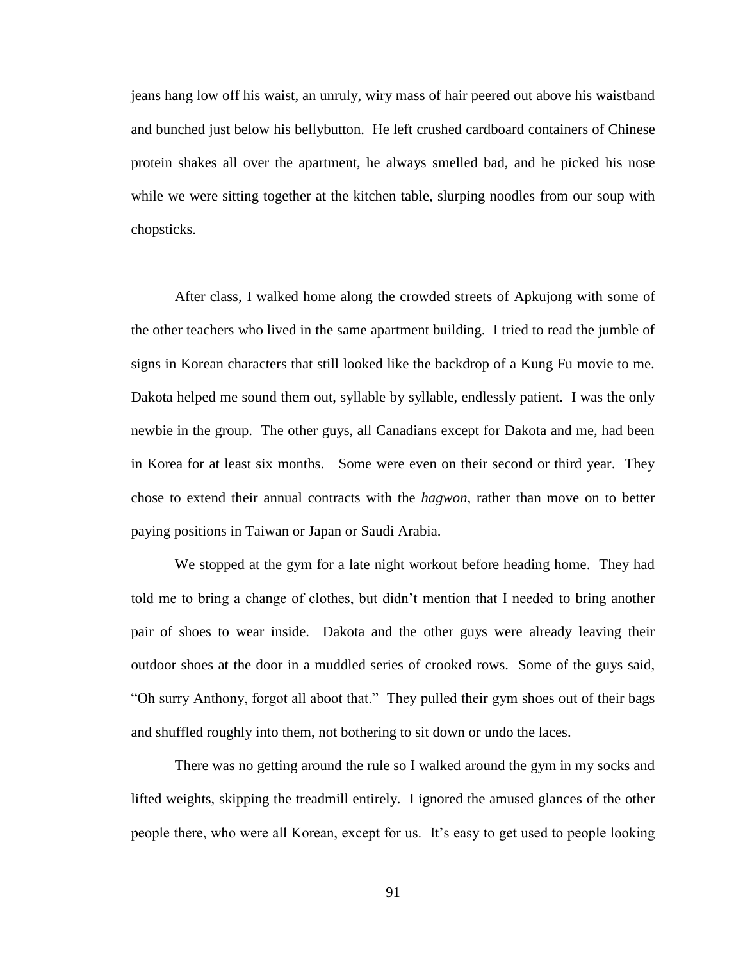jeans hang low off his waist, an unruly, wiry mass of hair peered out above his waistband and bunched just below his bellybutton. He left crushed cardboard containers of Chinese protein shakes all over the apartment, he always smelled bad, and he picked his nose while we were sitting together at the kitchen table, slurping noodles from our soup with chopsticks.

After class, I walked home along the crowded streets of Apkujong with some of the other teachers who lived in the same apartment building. I tried to read the jumble of signs in Korean characters that still looked like the backdrop of a Kung Fu movie to me. Dakota helped me sound them out, syllable by syllable, endlessly patient. I was the only newbie in the group. The other guys, all Canadians except for Dakota and me, had been in Korea for at least six months. Some were even on their second or third year. They chose to extend their annual contracts with the *hagwon,* rather than move on to better paying positions in Taiwan or Japan or Saudi Arabia.

We stopped at the gym for a late night workout before heading home. They had told me to bring a change of clothes, but didn't mention that I needed to bring another pair of shoes to wear inside. Dakota and the other guys were already leaving their outdoor shoes at the door in a muddled series of crooked rows. Some of the guys said, "Oh surry Anthony, forgot all aboot that." They pulled their gym shoes out of their bags and shuffled roughly into them, not bothering to sit down or undo the laces.

There was no getting around the rule so I walked around the gym in my socks and lifted weights, skipping the treadmill entirely. I ignored the amused glances of the other people there, who were all Korean, except for us. It's easy to get used to people looking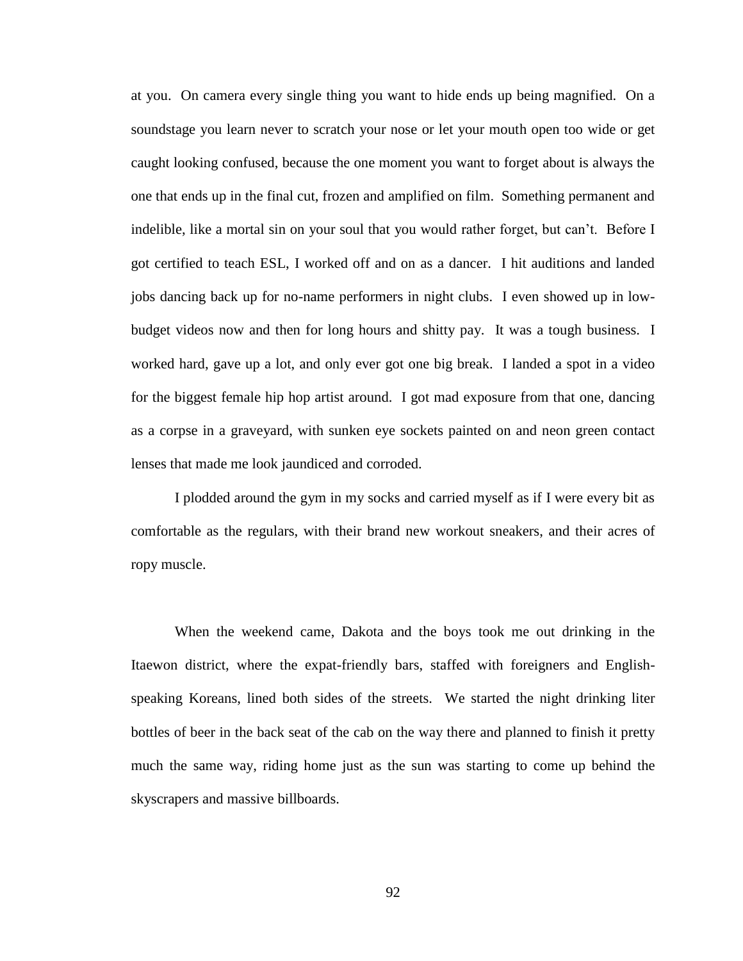at you. On camera every single thing you want to hide ends up being magnified. On a soundstage you learn never to scratch your nose or let your mouth open too wide or get caught looking confused, because the one moment you want to forget about is always the one that ends up in the final cut, frozen and amplified on film. Something permanent and indelible, like a mortal sin on your soul that you would rather forget, but can't. Before I got certified to teach ESL, I worked off and on as a dancer. I hit auditions and landed jobs dancing back up for no-name performers in night clubs. I even showed up in lowbudget videos now and then for long hours and shitty pay. It was a tough business. I worked hard, gave up a lot, and only ever got one big break. I landed a spot in a video for the biggest female hip hop artist around. I got mad exposure from that one, dancing as a corpse in a graveyard, with sunken eye sockets painted on and neon green contact lenses that made me look jaundiced and corroded.

I plodded around the gym in my socks and carried myself as if I were every bit as comfortable as the regulars, with their brand new workout sneakers, and their acres of ropy muscle.

When the weekend came, Dakota and the boys took me out drinking in the Itaewon district, where the expat-friendly bars, staffed with foreigners and Englishspeaking Koreans, lined both sides of the streets. We started the night drinking liter bottles of beer in the back seat of the cab on the way there and planned to finish it pretty much the same way, riding home just as the sun was starting to come up behind the skyscrapers and massive billboards.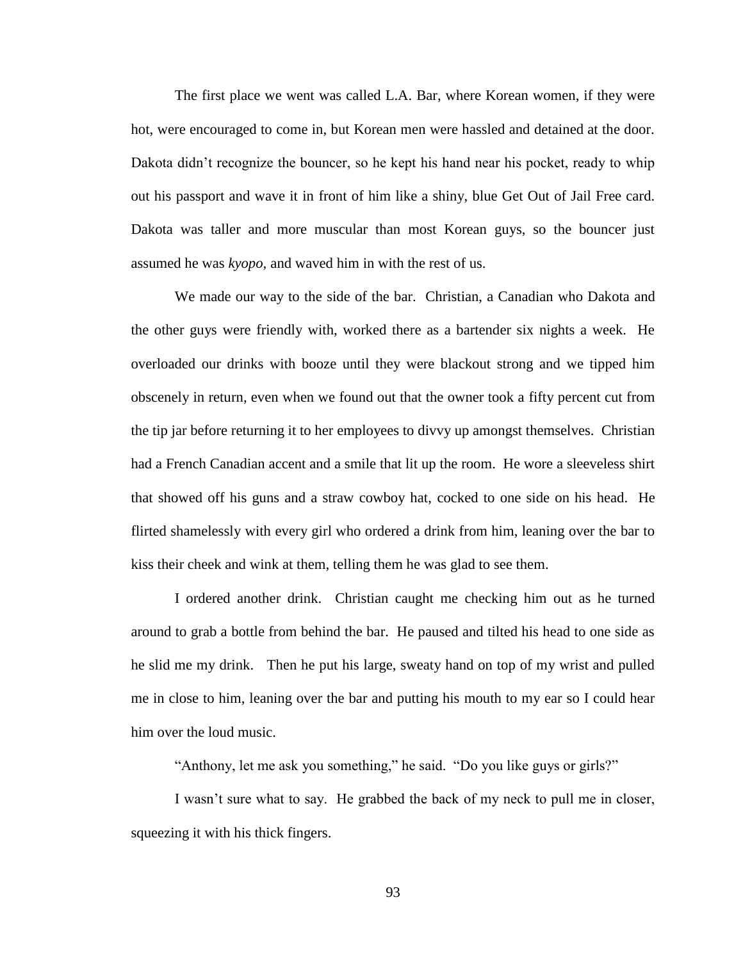The first place we went was called L.A. Bar, where Korean women, if they were hot, were encouraged to come in, but Korean men were hassled and detained at the door. Dakota didn't recognize the bouncer, so he kept his hand near his pocket, ready to whip out his passport and wave it in front of him like a shiny, blue Get Out of Jail Free card. Dakota was taller and more muscular than most Korean guys, so the bouncer just assumed he was *kyopo,* and waved him in with the rest of us.

We made our way to the side of the bar. Christian, a Canadian who Dakota and the other guys were friendly with, worked there as a bartender six nights a week. He overloaded our drinks with booze until they were blackout strong and we tipped him obscenely in return, even when we found out that the owner took a fifty percent cut from the tip jar before returning it to her employees to divvy up amongst themselves. Christian had a French Canadian accent and a smile that lit up the room. He wore a sleeveless shirt that showed off his guns and a straw cowboy hat, cocked to one side on his head. He flirted shamelessly with every girl who ordered a drink from him, leaning over the bar to kiss their cheek and wink at them, telling them he was glad to see them.

I ordered another drink. Christian caught me checking him out as he turned around to grab a bottle from behind the bar. He paused and tilted his head to one side as he slid me my drink. Then he put his large, sweaty hand on top of my wrist and pulled me in close to him, leaning over the bar and putting his mouth to my ear so I could hear him over the loud music.

"Anthony, let me ask you something," he said. "Do you like guys or girls?"

I wasn't sure what to say. He grabbed the back of my neck to pull me in closer, squeezing it with his thick fingers.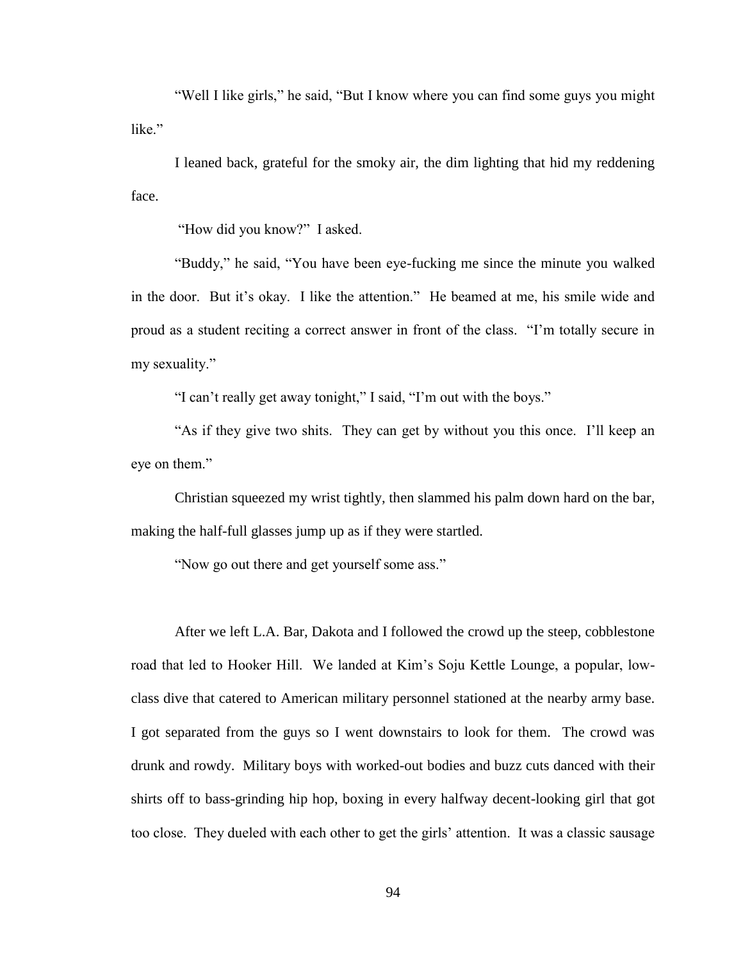"Well I like girls," he said, "But I know where you can find some guys you might like<sup>"</sup>

I leaned back, grateful for the smoky air, the dim lighting that hid my reddening face.

"How did you know?" I asked.

"Buddy," he said, "You have been eye-fucking me since the minute you walked in the door. But it's okay. I like the attention." He beamed at me, his smile wide and proud as a student reciting a correct answer in front of the class. "I'm totally secure in my sexuality."

"I can't really get away tonight," I said, "I'm out with the boys."

"As if they give two shits. They can get by without you this once. I'll keep an eye on them."

Christian squeezed my wrist tightly, then slammed his palm down hard on the bar, making the half-full glasses jump up as if they were startled.

"Now go out there and get yourself some ass."

After we left L.A. Bar, Dakota and I followed the crowd up the steep, cobblestone road that led to Hooker Hill. We landed at Kim's Soju Kettle Lounge, a popular, lowclass dive that catered to American military personnel stationed at the nearby army base. I got separated from the guys so I went downstairs to look for them. The crowd was drunk and rowdy. Military boys with worked-out bodies and buzz cuts danced with their shirts off to bass-grinding hip hop, boxing in every halfway decent-looking girl that got too close. They dueled with each other to get the girls' attention. It was a classic sausage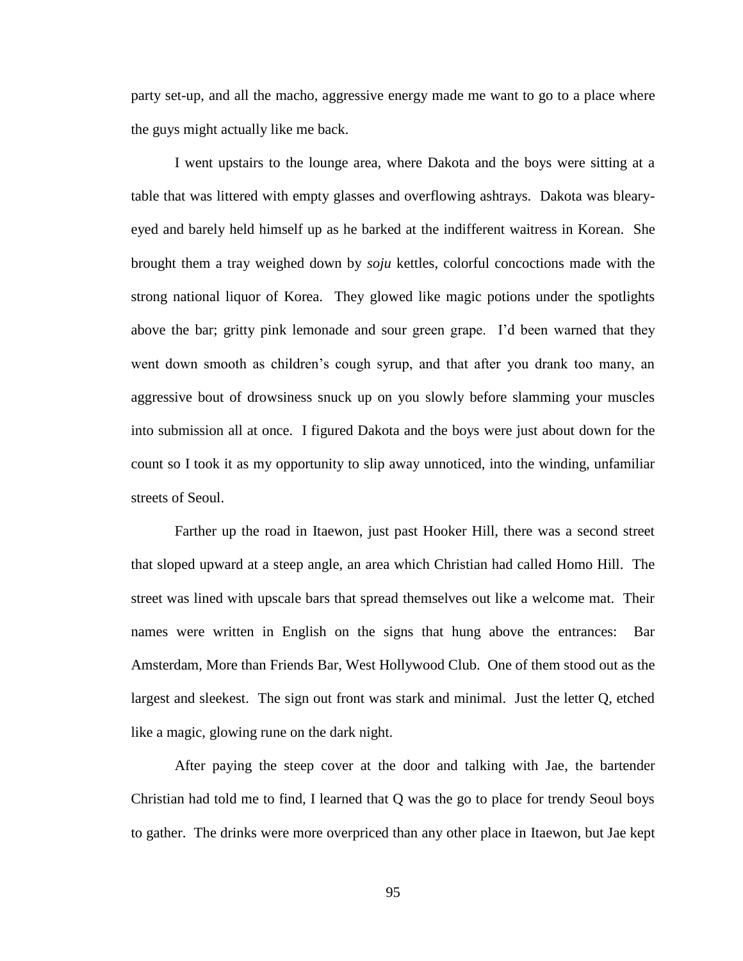party set-up, and all the macho, aggressive energy made me want to go to a place where the guys might actually like me back.

I went upstairs to the lounge area, where Dakota and the boys were sitting at a table that was littered with empty glasses and overflowing ashtrays. Dakota was blearyeyed and barely held himself up as he barked at the indifferent waitress in Korean. She brought them a tray weighed down by *soju* kettles, colorful concoctions made with the strong national liquor of Korea. They glowed like magic potions under the spotlights above the bar; gritty pink lemonade and sour green grape. I'd been warned that they went down smooth as children's cough syrup, and that after you drank too many, an aggressive bout of drowsiness snuck up on you slowly before slamming your muscles into submission all at once. I figured Dakota and the boys were just about down for the count so I took it as my opportunity to slip away unnoticed, into the winding, unfamiliar streets of Seoul.

Farther up the road in Itaewon, just past Hooker Hill, there was a second street that sloped upward at a steep angle, an area which Christian had called Homo Hill. The street was lined with upscale bars that spread themselves out like a welcome mat. Their names were written in English on the signs that hung above the entrances: Bar Amsterdam, More than Friends Bar, West Hollywood Club. One of them stood out as the largest and sleekest. The sign out front was stark and minimal. Just the letter Q, etched like a magic, glowing rune on the dark night.

After paying the steep cover at the door and talking with Jae, the bartender Christian had told me to find, I learned that Q was the go to place for trendy Seoul boys to gather. The drinks were more overpriced than any other place in Itaewon, but Jae kept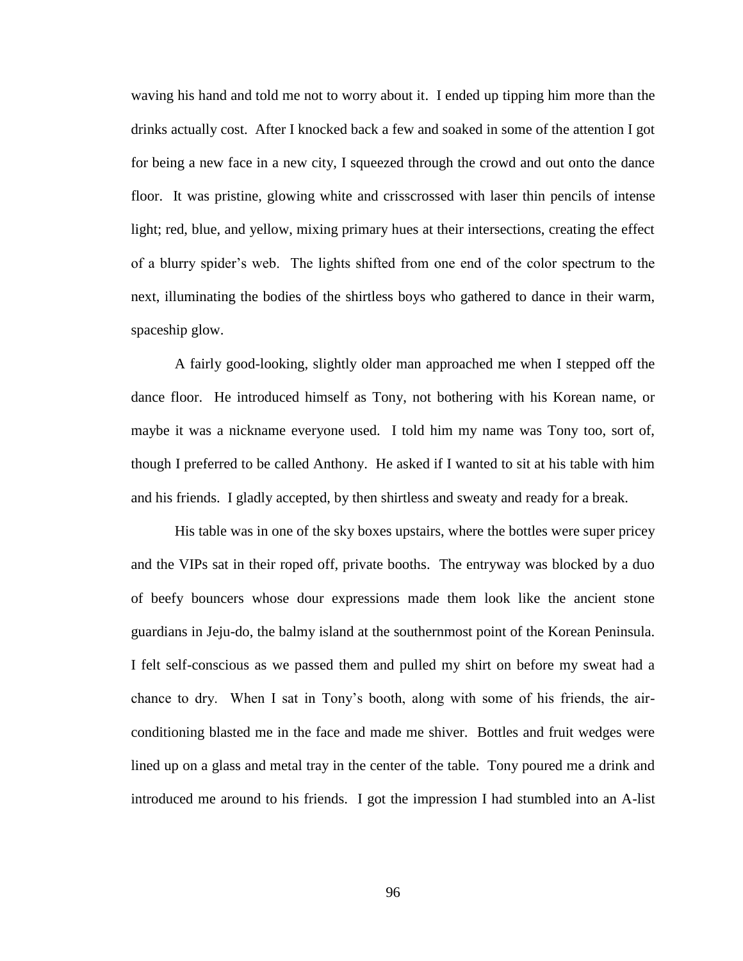waving his hand and told me not to worry about it. I ended up tipping him more than the drinks actually cost. After I knocked back a few and soaked in some of the attention I got for being a new face in a new city, I squeezed through the crowd and out onto the dance floor. It was pristine, glowing white and crisscrossed with laser thin pencils of intense light; red, blue, and yellow, mixing primary hues at their intersections, creating the effect of a blurry spider's web. The lights shifted from one end of the color spectrum to the next, illuminating the bodies of the shirtless boys who gathered to dance in their warm, spaceship glow.

A fairly good-looking, slightly older man approached me when I stepped off the dance floor. He introduced himself as Tony, not bothering with his Korean name, or maybe it was a nickname everyone used. I told him my name was Tony too, sort of, though I preferred to be called Anthony. He asked if I wanted to sit at his table with him and his friends. I gladly accepted, by then shirtless and sweaty and ready for a break.

His table was in one of the sky boxes upstairs, where the bottles were super pricey and the VIPs sat in their roped off, private booths. The entryway was blocked by a duo of beefy bouncers whose dour expressions made them look like the ancient stone guardians in Jeju-do, the balmy island at the southernmost point of the Korean Peninsula. I felt self-conscious as we passed them and pulled my shirt on before my sweat had a chance to dry. When I sat in Tony's booth, along with some of his friends, the airconditioning blasted me in the face and made me shiver. Bottles and fruit wedges were lined up on a glass and metal tray in the center of the table. Tony poured me a drink and introduced me around to his friends. I got the impression I had stumbled into an A-list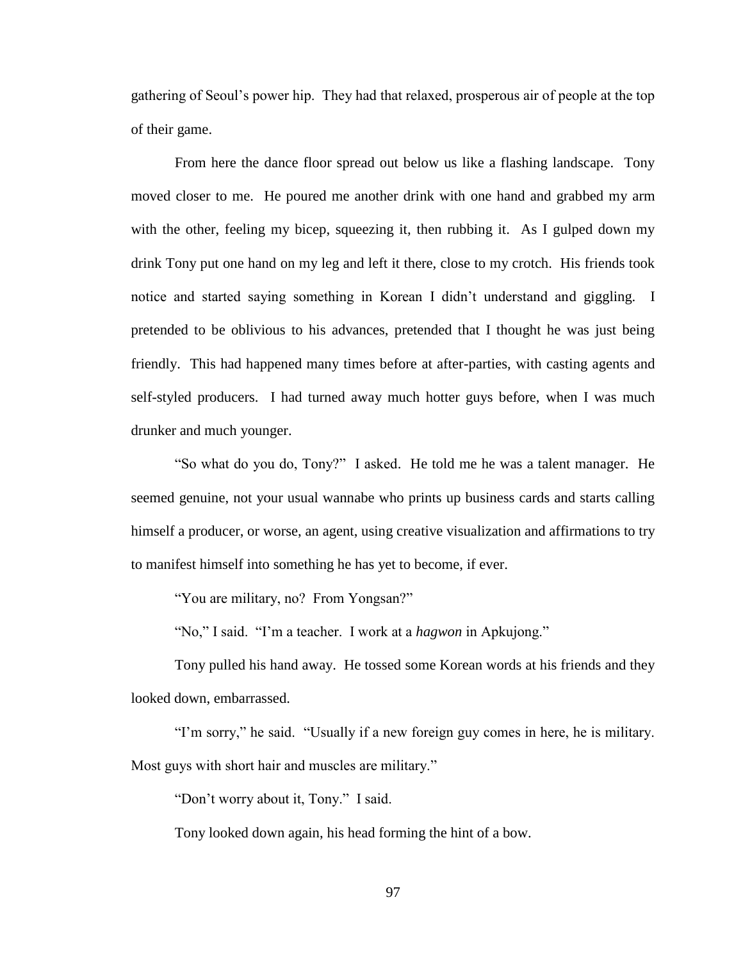gathering of Seoul's power hip. They had that relaxed, prosperous air of people at the top of their game.

From here the dance floor spread out below us like a flashing landscape. Tony moved closer to me. He poured me another drink with one hand and grabbed my arm with the other, feeling my bicep, squeezing it, then rubbing it. As I gulped down my drink Tony put one hand on my leg and left it there, close to my crotch. His friends took notice and started saying something in Korean I didn't understand and giggling. I pretended to be oblivious to his advances, pretended that I thought he was just being friendly. This had happened many times before at after-parties, with casting agents and self-styled producers. I had turned away much hotter guys before, when I was much drunker and much younger.

"So what do you do, Tony?" I asked. He told me he was a talent manager. He seemed genuine, not your usual wannabe who prints up business cards and starts calling himself a producer, or worse, an agent, using creative visualization and affirmations to try to manifest himself into something he has yet to become, if ever.

"You are military, no? From Yongsan?"

"No," I said. "I'm a teacher. I work at a *hagwon* in Apkujong."

Tony pulled his hand away. He tossed some Korean words at his friends and they looked down, embarrassed.

"I'm sorry," he said. "Usually if a new foreign guy comes in here, he is military. Most guys with short hair and muscles are military."

"Don't worry about it, Tony." I said.

Tony looked down again, his head forming the hint of a bow.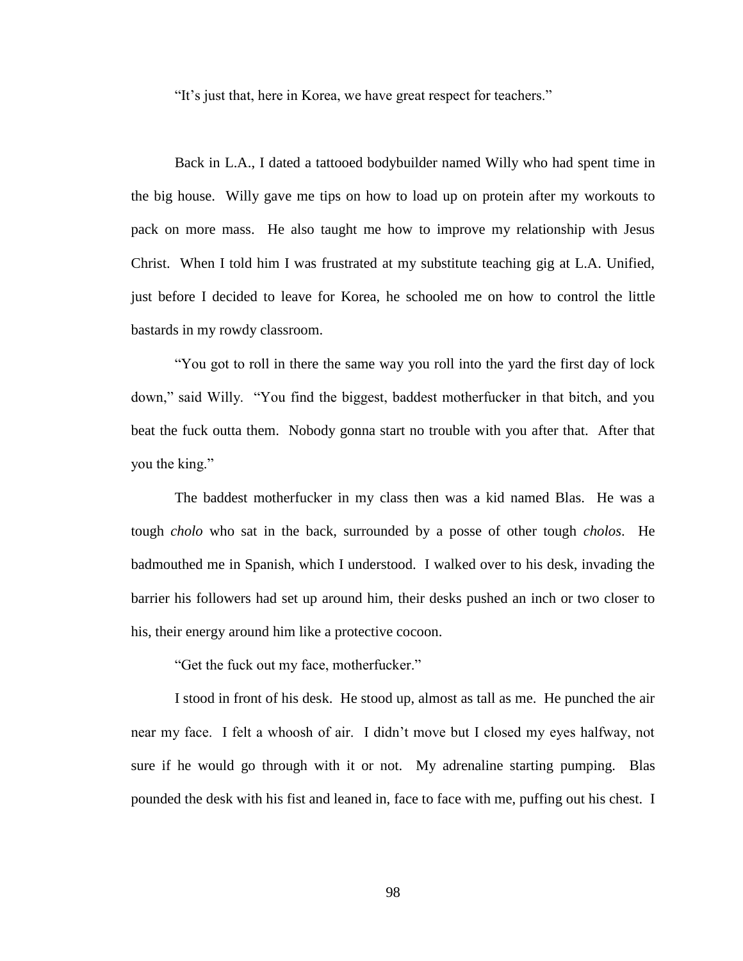"It's just that, here in Korea, we have great respect for teachers."

Back in L.A., I dated a tattooed bodybuilder named Willy who had spent time in the big house. Willy gave me tips on how to load up on protein after my workouts to pack on more mass. He also taught me how to improve my relationship with Jesus Christ. When I told him I was frustrated at my substitute teaching gig at L.A. Unified, just before I decided to leave for Korea, he schooled me on how to control the little bastards in my rowdy classroom.

"You got to roll in there the same way you roll into the yard the first day of lock down," said Willy. "You find the biggest, baddest motherfucker in that bitch, and you beat the fuck outta them. Nobody gonna start no trouble with you after that. After that you the king."

The baddest motherfucker in my class then was a kid named Blas. He was a tough *cholo* who sat in the back, surrounded by a posse of other tough *cholos*. He badmouthed me in Spanish, which I understood. I walked over to his desk, invading the barrier his followers had set up around him, their desks pushed an inch or two closer to his, their energy around him like a protective cocoon.

"Get the fuck out my face, motherfucker."

I stood in front of his desk. He stood up, almost as tall as me. He punched the air near my face. I felt a whoosh of air. I didn't move but I closed my eyes halfway, not sure if he would go through with it or not. My adrenaline starting pumping. Blas pounded the desk with his fist and leaned in, face to face with me, puffing out his chest. I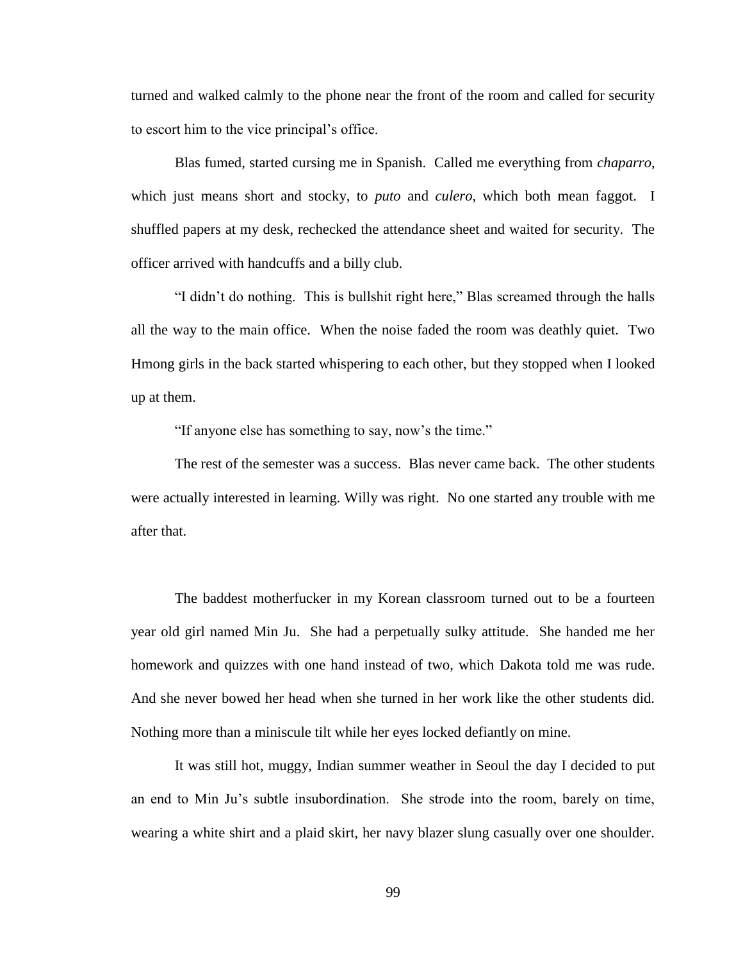turned and walked calmly to the phone near the front of the room and called for security to escort him to the vice principal's office.

Blas fumed, started cursing me in Spanish. Called me everything from *chaparro*, which just means short and stocky, to *puto* and *culero*, which both mean faggot. I shuffled papers at my desk, rechecked the attendance sheet and waited for security. The officer arrived with handcuffs and a billy club.

"I didn't do nothing. This is bullshit right here," Blas screamed through the halls all the way to the main office. When the noise faded the room was deathly quiet. Two Hmong girls in the back started whispering to each other, but they stopped when I looked up at them.

"If anyone else has something to say, now's the time."

The rest of the semester was a success. Blas never came back. The other students were actually interested in learning. Willy was right. No one started any trouble with me after that.

The baddest motherfucker in my Korean classroom turned out to be a fourteen year old girl named Min Ju. She had a perpetually sulky attitude. She handed me her homework and quizzes with one hand instead of two, which Dakota told me was rude. And she never bowed her head when she turned in her work like the other students did. Nothing more than a miniscule tilt while her eyes locked defiantly on mine.

It was still hot, muggy, Indian summer weather in Seoul the day I decided to put an end to Min Ju's subtle insubordination. She strode into the room, barely on time, wearing a white shirt and a plaid skirt, her navy blazer slung casually over one shoulder.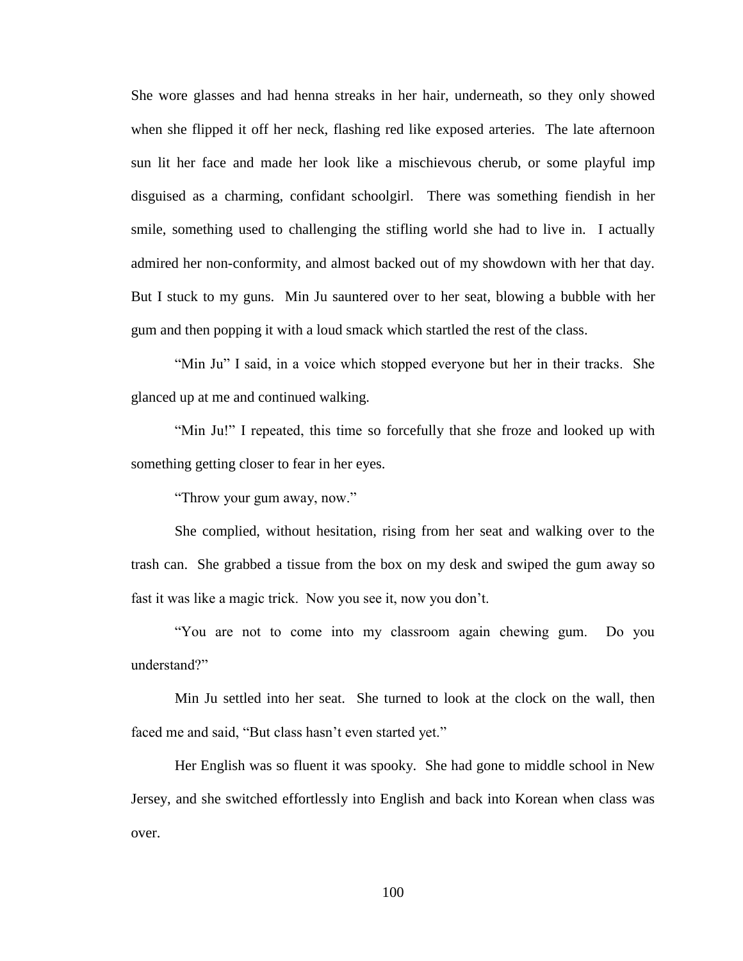She wore glasses and had henna streaks in her hair, underneath, so they only showed when she flipped it off her neck, flashing red like exposed arteries. The late afternoon sun lit her face and made her look like a mischievous cherub, or some playful imp disguised as a charming, confidant schoolgirl. There was something fiendish in her smile, something used to challenging the stifling world she had to live in. I actually admired her non-conformity, and almost backed out of my showdown with her that day. But I stuck to my guns. Min Ju sauntered over to her seat, blowing a bubble with her gum and then popping it with a loud smack which startled the rest of the class.

"Min Ju" I said, in a voice which stopped everyone but her in their tracks. She glanced up at me and continued walking.

"Min Ju!" I repeated, this time so forcefully that she froze and looked up with something getting closer to fear in her eyes.

"Throw your gum away, now."

She complied, without hesitation, rising from her seat and walking over to the trash can. She grabbed a tissue from the box on my desk and swiped the gum away so fast it was like a magic trick. Now you see it, now you don't.

"You are not to come into my classroom again chewing gum. Do you understand?"

Min Ju settled into her seat. She turned to look at the clock on the wall, then faced me and said, "But class hasn't even started yet."

Her English was so fluent it was spooky. She had gone to middle school in New Jersey, and she switched effortlessly into English and back into Korean when class was over.

100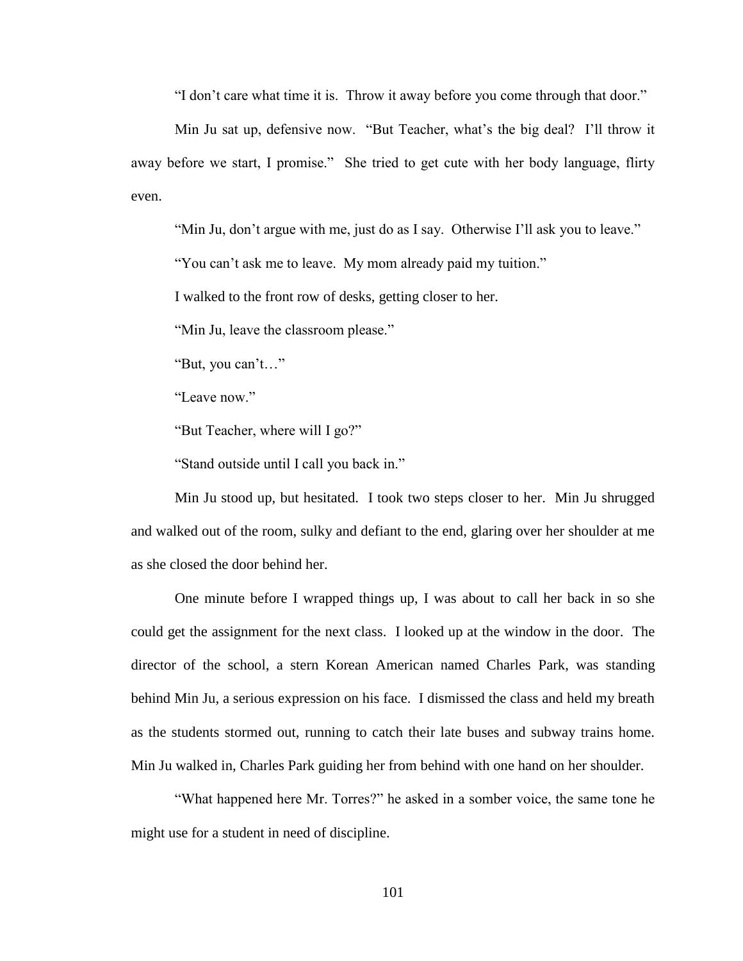"I don't care what time it is. Throw it away before you come through that door."

Min Ju sat up, defensive now. "But Teacher, what's the big deal? I'll throw it away before we start, I promise." She tried to get cute with her body language, flirty even.

"Min Ju, don't argue with me, just do as I say. Otherwise I'll ask you to leave."

"You can't ask me to leave. My mom already paid my tuition."

I walked to the front row of desks, getting closer to her.

"Min Ju, leave the classroom please."

"But, you can't…"

"Leave now."

"But Teacher, where will I go?"

"Stand outside until I call you back in."

Min Ju stood up, but hesitated. I took two steps closer to her. Min Ju shrugged and walked out of the room, sulky and defiant to the end, glaring over her shoulder at me as she closed the door behind her.

One minute before I wrapped things up, I was about to call her back in so she could get the assignment for the next class. I looked up at the window in the door. The director of the school, a stern Korean American named Charles Park, was standing behind Min Ju, a serious expression on his face. I dismissed the class and held my breath as the students stormed out, running to catch their late buses and subway trains home. Min Ju walked in, Charles Park guiding her from behind with one hand on her shoulder.

"What happened here Mr. Torres?" he asked in a somber voice, the same tone he might use for a student in need of discipline.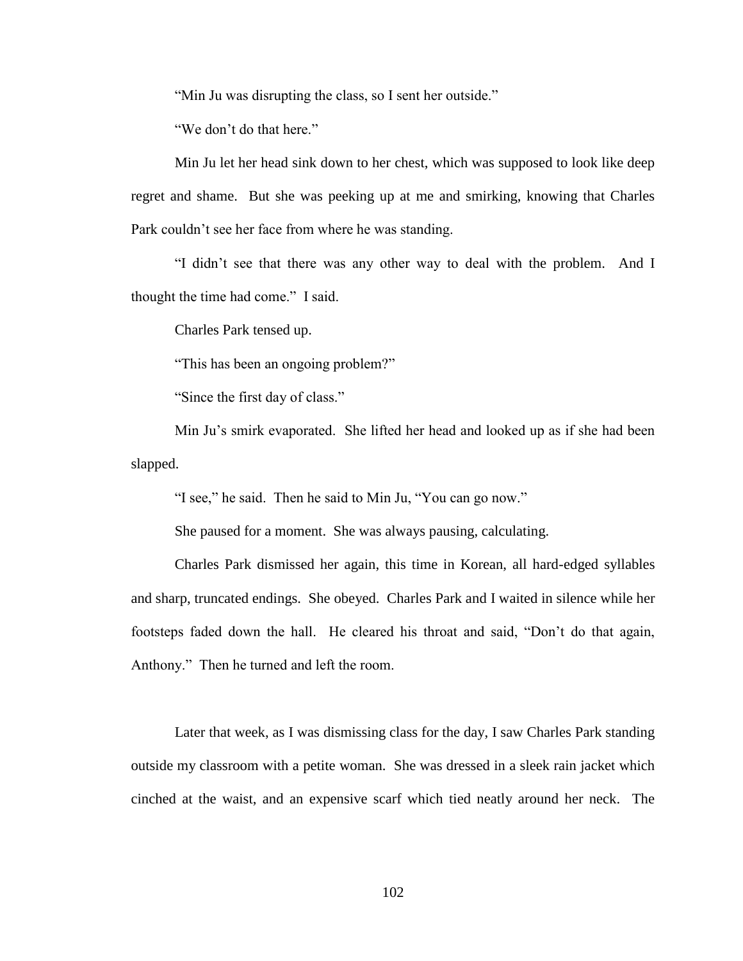"Min Ju was disrupting the class, so I sent her outside."

"We don't do that here."

Min Ju let her head sink down to her chest, which was supposed to look like deep regret and shame. But she was peeking up at me and smirking, knowing that Charles Park couldn't see her face from where he was standing.

"I didn't see that there was any other way to deal with the problem. And I thought the time had come." I said.

Charles Park tensed up.

"This has been an ongoing problem?"

"Since the first day of class."

Min Ju's smirk evaporated. She lifted her head and looked up as if she had been slapped.

"I see," he said. Then he said to Min Ju, "You can go now."

She paused for a moment. She was always pausing, calculating.

Charles Park dismissed her again, this time in Korean, all hard-edged syllables and sharp, truncated endings. She obeyed. Charles Park and I waited in silence while her footsteps faded down the hall. He cleared his throat and said, "Don't do that again, Anthony." Then he turned and left the room.

Later that week, as I was dismissing class for the day, I saw Charles Park standing outside my classroom with a petite woman. She was dressed in a sleek rain jacket which cinched at the waist, and an expensive scarf which tied neatly around her neck. The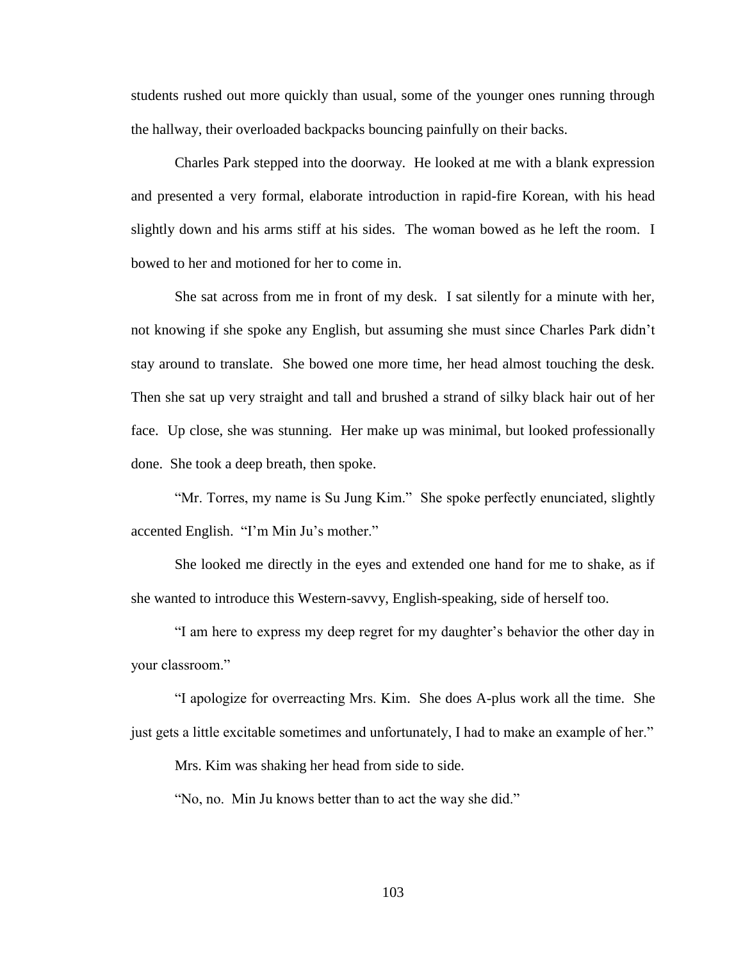students rushed out more quickly than usual, some of the younger ones running through the hallway, their overloaded backpacks bouncing painfully on their backs.

Charles Park stepped into the doorway. He looked at me with a blank expression and presented a very formal, elaborate introduction in rapid-fire Korean, with his head slightly down and his arms stiff at his sides. The woman bowed as he left the room. I bowed to her and motioned for her to come in.

She sat across from me in front of my desk. I sat silently for a minute with her, not knowing if she spoke any English, but assuming she must since Charles Park didn't stay around to translate. She bowed one more time, her head almost touching the desk. Then she sat up very straight and tall and brushed a strand of silky black hair out of her face. Up close, she was stunning. Her make up was minimal, but looked professionally done. She took a deep breath, then spoke.

"Mr. Torres, my name is Su Jung Kim." She spoke perfectly enunciated, slightly accented English. "I'm Min Ju's mother."

She looked me directly in the eyes and extended one hand for me to shake, as if she wanted to introduce this Western-savvy, English-speaking, side of herself too.

"I am here to express my deep regret for my daughter's behavior the other day in your classroom."

"I apologize for overreacting Mrs. Kim. She does A-plus work all the time. She just gets a little excitable sometimes and unfortunately, I had to make an example of her."

Mrs. Kim was shaking her head from side to side.

"No, no. Min Ju knows better than to act the way she did."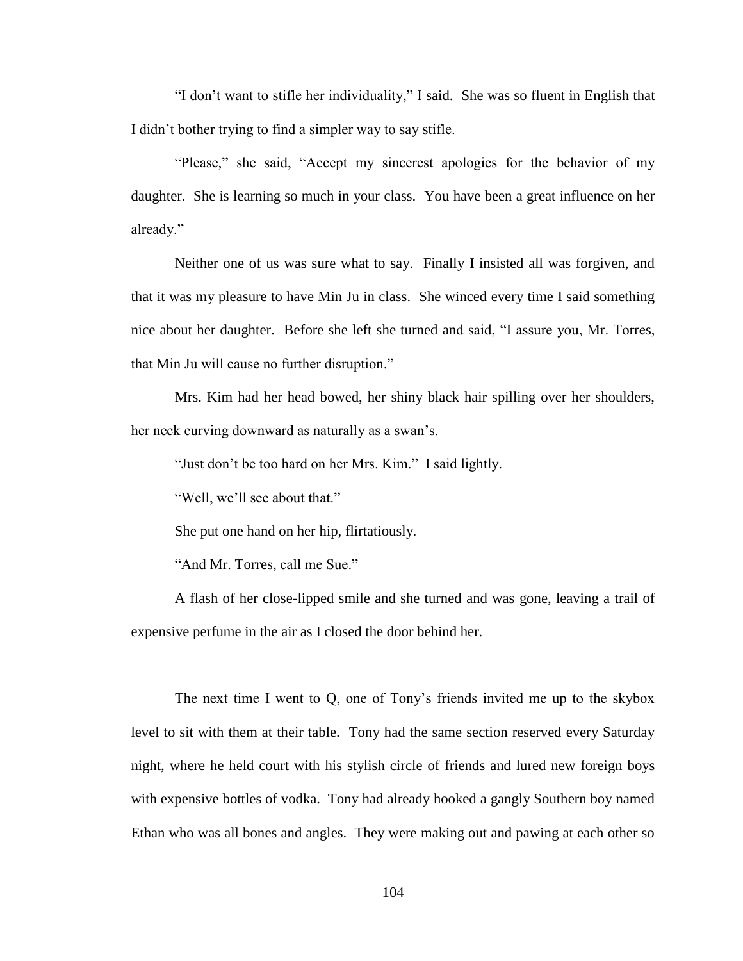"I don't want to stifle her individuality," I said. She was so fluent in English that I didn't bother trying to find a simpler way to say stifle.

"Please," she said, "Accept my sincerest apologies for the behavior of my daughter. She is learning so much in your class. You have been a great influence on her already."

Neither one of us was sure what to say. Finally I insisted all was forgiven, and that it was my pleasure to have Min Ju in class. She winced every time I said something nice about her daughter. Before she left she turned and said, "I assure you, Mr. Torres, that Min Ju will cause no further disruption."

Mrs. Kim had her head bowed, her shiny black hair spilling over her shoulders, her neck curving downward as naturally as a swan's.

"Just don't be too hard on her Mrs. Kim." I said lightly.

"Well, we'll see about that."

She put one hand on her hip, flirtatiously.

"And Mr. Torres, call me Sue."

A flash of her close-lipped smile and she turned and was gone, leaving a trail of expensive perfume in the air as I closed the door behind her.

The next time I went to Q, one of Tony's friends invited me up to the skybox level to sit with them at their table. Tony had the same section reserved every Saturday night, where he held court with his stylish circle of friends and lured new foreign boys with expensive bottles of vodka. Tony had already hooked a gangly Southern boy named Ethan who was all bones and angles. They were making out and pawing at each other so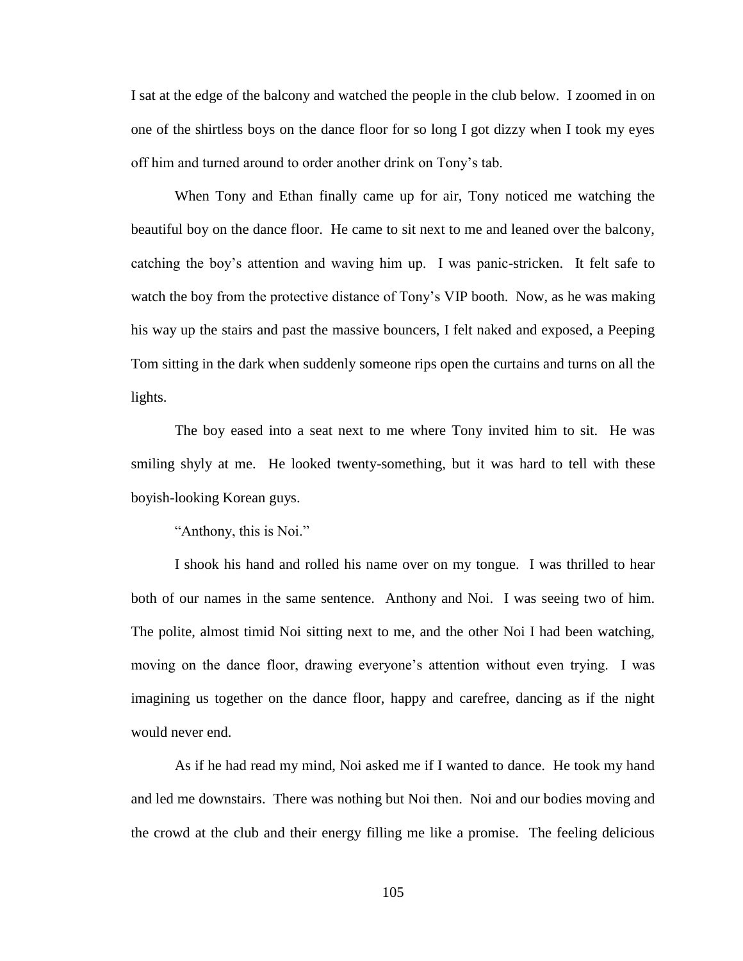I sat at the edge of the balcony and watched the people in the club below. I zoomed in on one of the shirtless boys on the dance floor for so long I got dizzy when I took my eyes off him and turned around to order another drink on Tony's tab.

When Tony and Ethan finally came up for air, Tony noticed me watching the beautiful boy on the dance floor. He came to sit next to me and leaned over the balcony, catching the boy's attention and waving him up. I was panic-stricken. It felt safe to watch the boy from the protective distance of Tony's VIP booth. Now, as he was making his way up the stairs and past the massive bouncers, I felt naked and exposed, a Peeping Tom sitting in the dark when suddenly someone rips open the curtains and turns on all the lights.

The boy eased into a seat next to me where Tony invited him to sit. He was smiling shyly at me. He looked twenty-something, but it was hard to tell with these boyish-looking Korean guys.

"Anthony, this is Noi."

I shook his hand and rolled his name over on my tongue. I was thrilled to hear both of our names in the same sentence. Anthony and Noi. I was seeing two of him. The polite, almost timid Noi sitting next to me, and the other Noi I had been watching, moving on the dance floor, drawing everyone's attention without even trying. I was imagining us together on the dance floor, happy and carefree, dancing as if the night would never end.

As if he had read my mind, Noi asked me if I wanted to dance. He took my hand and led me downstairs. There was nothing but Noi then. Noi and our bodies moving and the crowd at the club and their energy filling me like a promise. The feeling delicious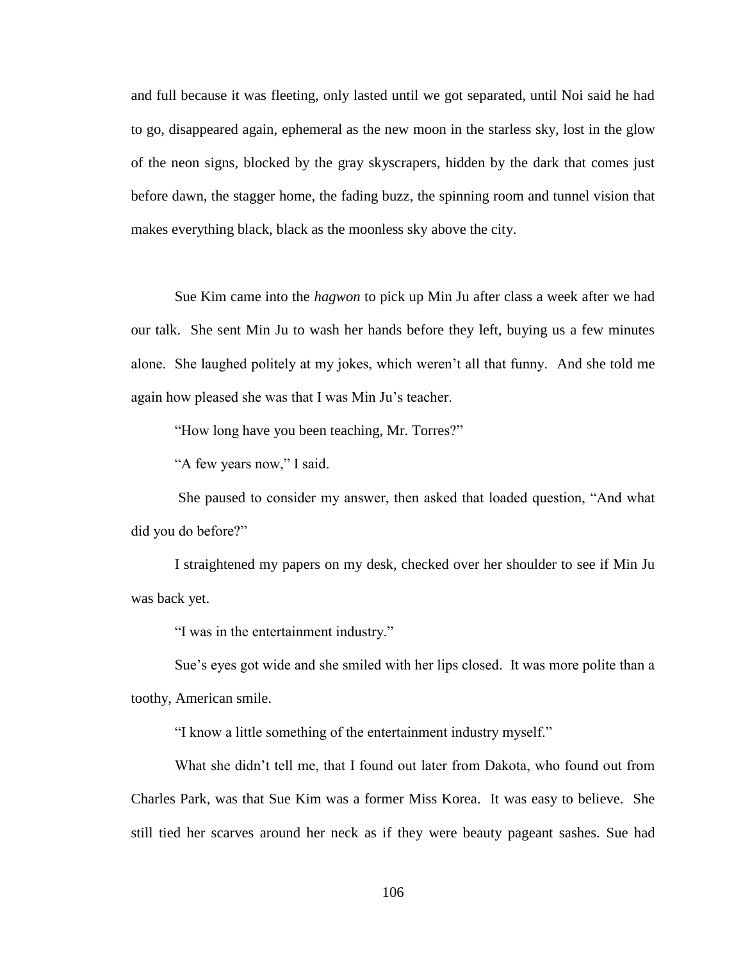and full because it was fleeting, only lasted until we got separated, until Noi said he had to go, disappeared again, ephemeral as the new moon in the starless sky, lost in the glow of the neon signs, blocked by the gray skyscrapers, hidden by the dark that comes just before dawn, the stagger home, the fading buzz, the spinning room and tunnel vision that makes everything black, black as the moonless sky above the city.

Sue Kim came into the *hagwon* to pick up Min Ju after class a week after we had our talk. She sent Min Ju to wash her hands before they left, buying us a few minutes alone. She laughed politely at my jokes, which weren't all that funny. And she told me again how pleased she was that I was Min Ju's teacher.

"How long have you been teaching, Mr. Torres?"

"A few years now," I said.

She paused to consider my answer, then asked that loaded question, "And what did you do before?"

I straightened my papers on my desk, checked over her shoulder to see if Min Ju was back yet.

"I was in the entertainment industry."

Sue's eyes got wide and she smiled with her lips closed. It was more polite than a toothy, American smile.

"I know a little something of the entertainment industry myself."

What she didn't tell me, that I found out later from Dakota, who found out from Charles Park, was that Sue Kim was a former Miss Korea. It was easy to believe. She still tied her scarves around her neck as if they were beauty pageant sashes. Sue had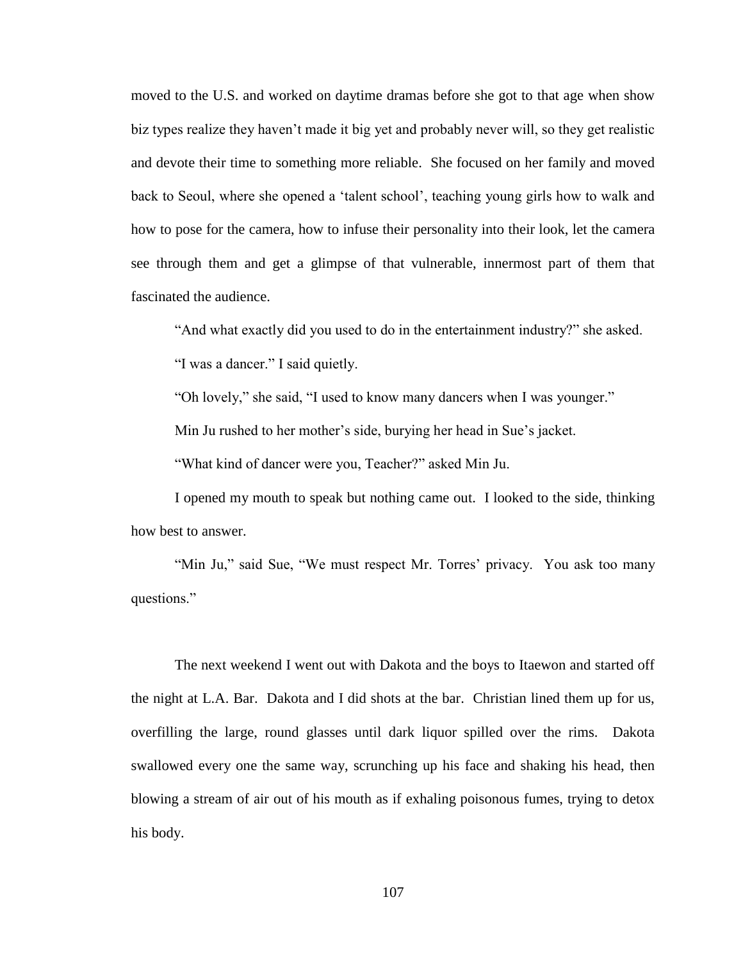moved to the U.S. and worked on daytime dramas before she got to that age when show biz types realize they haven't made it big yet and probably never will, so they get realistic and devote their time to something more reliable. She focused on her family and moved back to Seoul, where she opened a 'talent school', teaching young girls how to walk and how to pose for the camera, how to infuse their personality into their look, let the camera see through them and get a glimpse of that vulnerable, innermost part of them that fascinated the audience.

"And what exactly did you used to do in the entertainment industry?" she asked.

"I was a dancer." I said quietly.

"Oh lovely," she said, "I used to know many dancers when I was younger."

Min Ju rushed to her mother's side, burying her head in Sue's jacket.

"What kind of dancer were you, Teacher?" asked Min Ju.

I opened my mouth to speak but nothing came out. I looked to the side, thinking how best to answer.

"Min Ju," said Sue, "We must respect Mr. Torres' privacy. You ask too many questions."

The next weekend I went out with Dakota and the boys to Itaewon and started off the night at L.A. Bar. Dakota and I did shots at the bar. Christian lined them up for us, overfilling the large, round glasses until dark liquor spilled over the rims. Dakota swallowed every one the same way, scrunching up his face and shaking his head, then blowing a stream of air out of his mouth as if exhaling poisonous fumes, trying to detox his body.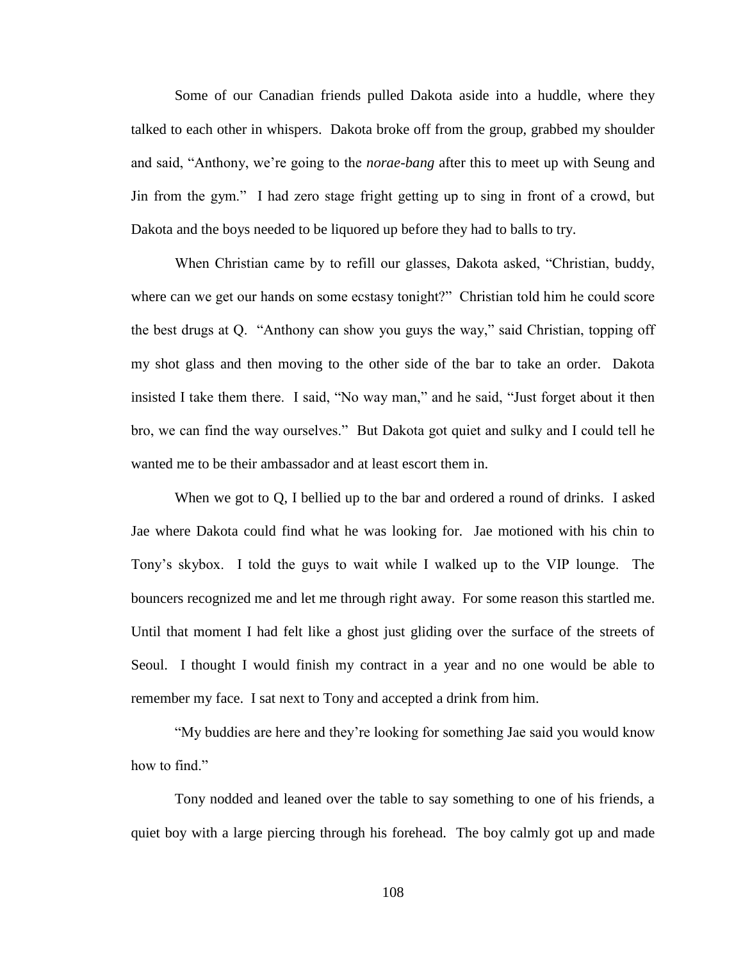Some of our Canadian friends pulled Dakota aside into a huddle, where they talked to each other in whispers. Dakota broke off from the group, grabbed my shoulder and said, "Anthony, we're going to the *norae-bang* after this to meet up with Seung and Jin from the gym." I had zero stage fright getting up to sing in front of a crowd, but Dakota and the boys needed to be liquored up before they had to balls to try.

When Christian came by to refill our glasses, Dakota asked, "Christian, buddy, where can we get our hands on some ecstasy tonight?" Christian told him he could score the best drugs at Q. "Anthony can show you guys the way," said Christian, topping off my shot glass and then moving to the other side of the bar to take an order. Dakota insisted I take them there. I said, "No way man," and he said, "Just forget about it then bro, we can find the way ourselves." But Dakota got quiet and sulky and I could tell he wanted me to be their ambassador and at least escort them in.

When we got to Q, I bellied up to the bar and ordered a round of drinks. I asked Jae where Dakota could find what he was looking for. Jae motioned with his chin to Tony's skybox. I told the guys to wait while I walked up to the VIP lounge. The bouncers recognized me and let me through right away. For some reason this startled me. Until that moment I had felt like a ghost just gliding over the surface of the streets of Seoul. I thought I would finish my contract in a year and no one would be able to remember my face. I sat next to Tony and accepted a drink from him.

"My buddies are here and they're looking for something Jae said you would know how to find."

Tony nodded and leaned over the table to say something to one of his friends, a quiet boy with a large piercing through his forehead. The boy calmly got up and made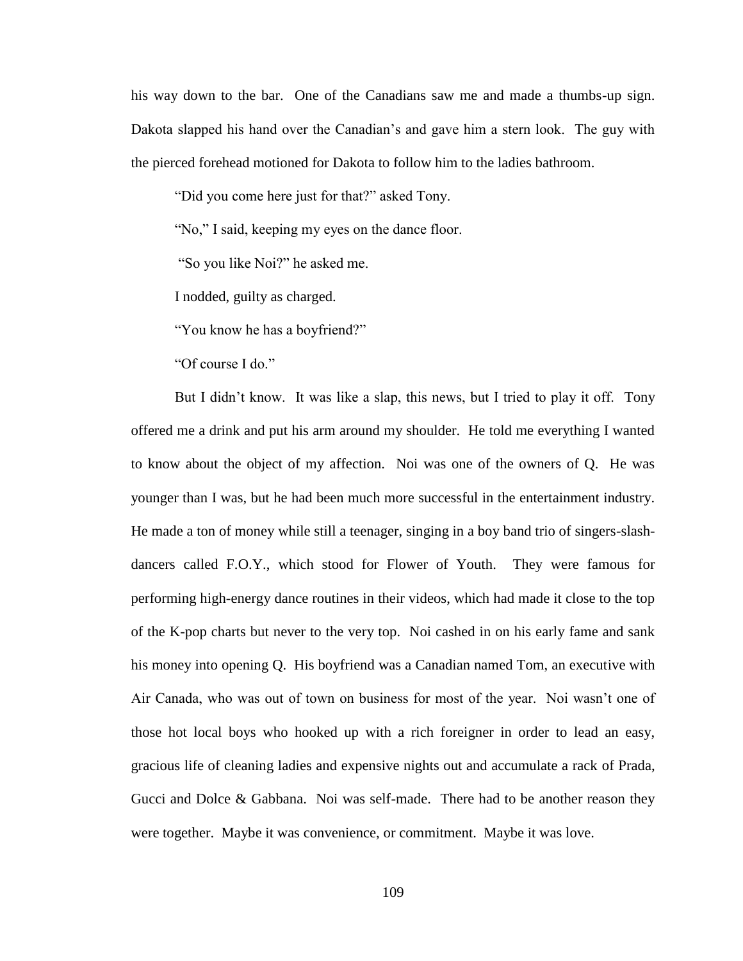his way down to the bar. One of the Canadians saw me and made a thumbs-up sign. Dakota slapped his hand over the Canadian's and gave him a stern look. The guy with the pierced forehead motioned for Dakota to follow him to the ladies bathroom.

"Did you come here just for that?" asked Tony.

"No," I said, keeping my eyes on the dance floor.

"So you like Noi?" he asked me.

I nodded, guilty as charged.

"You know he has a boyfriend?"

"Of course I do."

But I didn't know. It was like a slap, this news, but I tried to play it off. Tony offered me a drink and put his arm around my shoulder. He told me everything I wanted to know about the object of my affection. Noi was one of the owners of Q. He was younger than I was, but he had been much more successful in the entertainment industry. He made a ton of money while still a teenager, singing in a boy band trio of singers-slashdancers called F.O.Y., which stood for Flower of Youth. They were famous for performing high-energy dance routines in their videos, which had made it close to the top of the K-pop charts but never to the very top. Noi cashed in on his early fame and sank his money into opening Q. His boyfriend was a Canadian named Tom, an executive with Air Canada, who was out of town on business for most of the year. Noi wasn't one of those hot local boys who hooked up with a rich foreigner in order to lead an easy, gracious life of cleaning ladies and expensive nights out and accumulate a rack of Prada, Gucci and Dolce & Gabbana. Noi was self-made. There had to be another reason they were together. Maybe it was convenience, or commitment. Maybe it was love.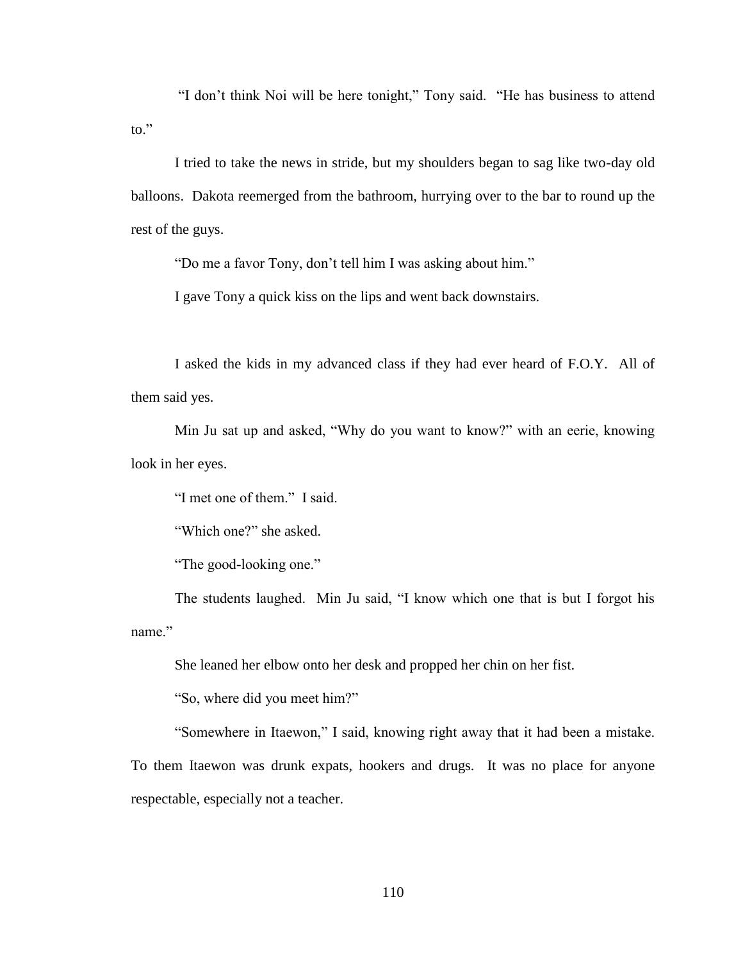"I don't think Noi will be here tonight," Tony said. "He has business to attend to $"$ 

I tried to take the news in stride, but my shoulders began to sag like two-day old balloons. Dakota reemerged from the bathroom, hurrying over to the bar to round up the rest of the guys.

"Do me a favor Tony, don't tell him I was asking about him."

I gave Tony a quick kiss on the lips and went back downstairs.

I asked the kids in my advanced class if they had ever heard of F.O.Y. All of them said yes.

Min Ju sat up and asked, "Why do you want to know?" with an eerie, knowing look in her eyes.

"I met one of them." I said.

"Which one?" she asked.

"The good-looking one."

The students laughed. Min Ju said, "I know which one that is but I forgot his name"

She leaned her elbow onto her desk and propped her chin on her fist.

"So, where did you meet him?"

"Somewhere in Itaewon," I said, knowing right away that it had been a mistake.

To them Itaewon was drunk expats, hookers and drugs. It was no place for anyone respectable, especially not a teacher.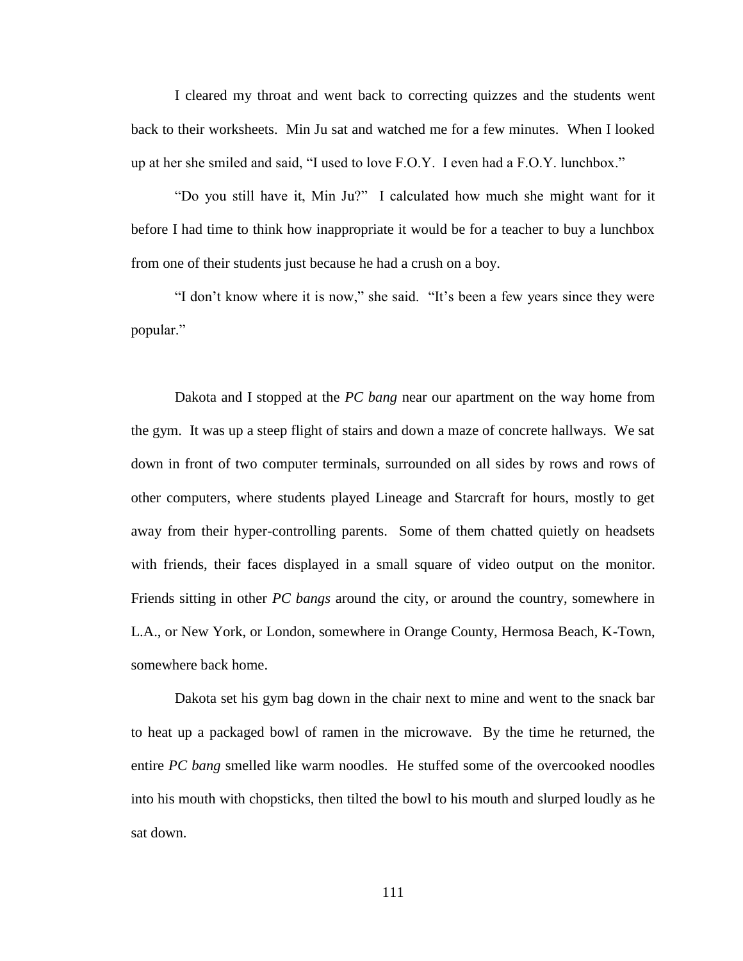I cleared my throat and went back to correcting quizzes and the students went back to their worksheets. Min Ju sat and watched me for a few minutes. When I looked up at her she smiled and said, "I used to love F.O.Y. I even had a F.O.Y. lunchbox."

"Do you still have it, Min Ju?" I calculated how much she might want for it before I had time to think how inappropriate it would be for a teacher to buy a lunchbox from one of their students just because he had a crush on a boy.

"I don't know where it is now," she said. "It's been a few years since they were popular."

Dakota and I stopped at the *PC bang* near our apartment on the way home from the gym. It was up a steep flight of stairs and down a maze of concrete hallways. We sat down in front of two computer terminals, surrounded on all sides by rows and rows of other computers, where students played Lineage and Starcraft for hours, mostly to get away from their hyper-controlling parents. Some of them chatted quietly on headsets with friends, their faces displayed in a small square of video output on the monitor. Friends sitting in other *PC bangs* around the city, or around the country, somewhere in L.A., or New York, or London, somewhere in Orange County, Hermosa Beach, K-Town, somewhere back home.

Dakota set his gym bag down in the chair next to mine and went to the snack bar to heat up a packaged bowl of ramen in the microwave. By the time he returned, the entire *PC bang* smelled like warm noodles. He stuffed some of the overcooked noodles into his mouth with chopsticks, then tilted the bowl to his mouth and slurped loudly as he sat down.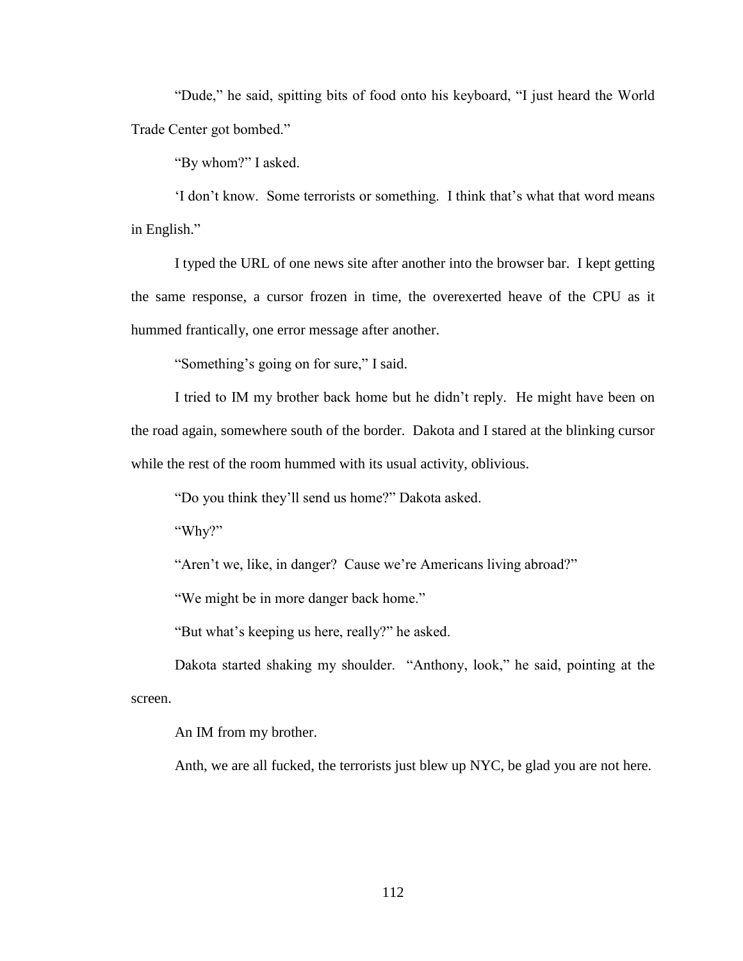"Dude," he said, spitting bits of food onto his keyboard, "I just heard the World Trade Center got bombed."

"By whom?" I asked.

'I don't know. Some terrorists or something. I think that's what that word means in English."

I typed the URL of one news site after another into the browser bar. I kept getting the same response, a cursor frozen in time, the overexerted heave of the CPU as it hummed frantically, one error message after another.

"Something's going on for sure," I said.

I tried to IM my brother back home but he didn't reply. He might have been on the road again, somewhere south of the border. Dakota and I stared at the blinking cursor while the rest of the room hummed with its usual activity, oblivious.

"Do you think they'll send us home?" Dakota asked.

"Why?"

"Aren't we, like, in danger? Cause we're Americans living abroad?"

"We might be in more danger back home."

"But what's keeping us here, really?" he asked.

Dakota started shaking my shoulder. "Anthony, look," he said, pointing at the screen.

An IM from my brother.

Anth, we are all fucked, the terrorists just blew up NYC, be glad you are not here*.*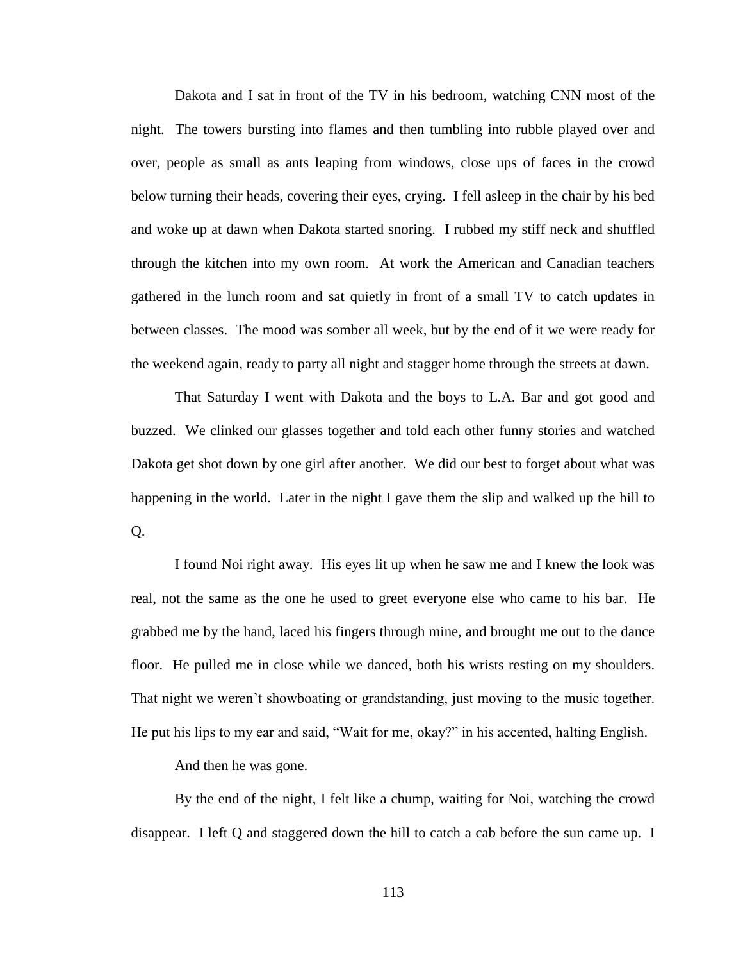Dakota and I sat in front of the TV in his bedroom, watching CNN most of the night. The towers bursting into flames and then tumbling into rubble played over and over, people as small as ants leaping from windows, close ups of faces in the crowd below turning their heads, covering their eyes, crying. I fell asleep in the chair by his bed and woke up at dawn when Dakota started snoring. I rubbed my stiff neck and shuffled through the kitchen into my own room. At work the American and Canadian teachers gathered in the lunch room and sat quietly in front of a small TV to catch updates in between classes. The mood was somber all week, but by the end of it we were ready for the weekend again, ready to party all night and stagger home through the streets at dawn.

That Saturday I went with Dakota and the boys to L.A. Bar and got good and buzzed. We clinked our glasses together and told each other funny stories and watched Dakota get shot down by one girl after another. We did our best to forget about what was happening in the world. Later in the night I gave them the slip and walked up the hill to Q.

I found Noi right away. His eyes lit up when he saw me and I knew the look was real, not the same as the one he used to greet everyone else who came to his bar. He grabbed me by the hand, laced his fingers through mine, and brought me out to the dance floor. He pulled me in close while we danced, both his wrists resting on my shoulders. That night we weren't showboating or grandstanding, just moving to the music together. He put his lips to my ear and said, "Wait for me, okay?" in his accented, halting English.

And then he was gone.

By the end of the night, I felt like a chump, waiting for Noi, watching the crowd disappear. I left Q and staggered down the hill to catch a cab before the sun came up. I

113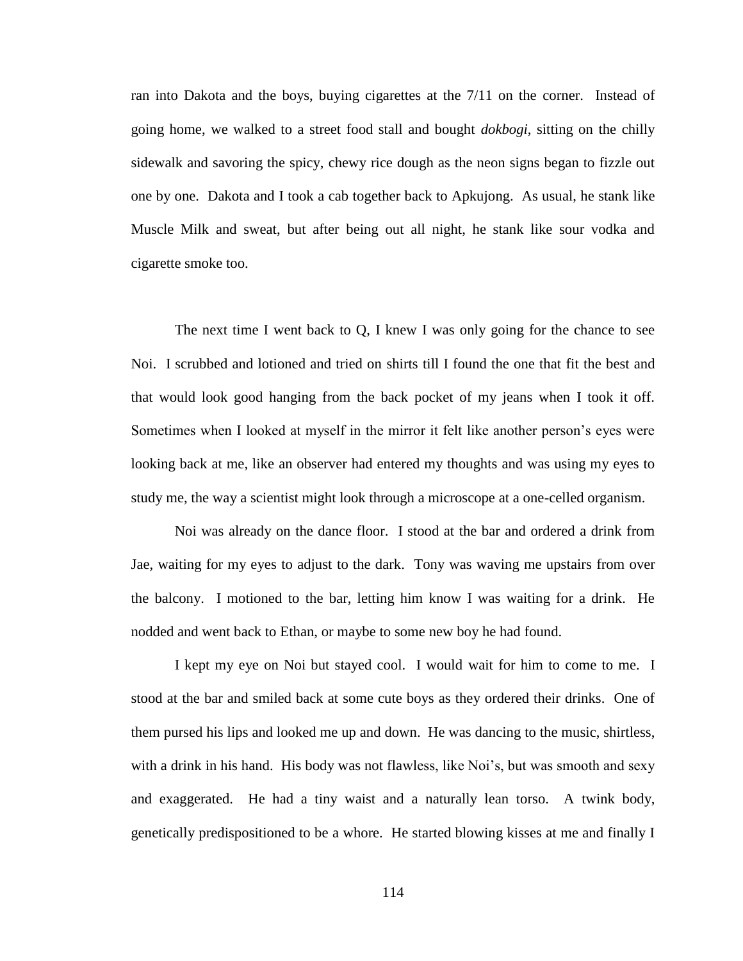ran into Dakota and the boys, buying cigarettes at the 7/11 on the corner. Instead of going home, we walked to a street food stall and bought *dokbogi*, sitting on the chilly sidewalk and savoring the spicy, chewy rice dough as the neon signs began to fizzle out one by one. Dakota and I took a cab together back to Apkujong. As usual, he stank like Muscle Milk and sweat, but after being out all night, he stank like sour vodka and cigarette smoke too.

The next time I went back to Q, I knew I was only going for the chance to see Noi. I scrubbed and lotioned and tried on shirts till I found the one that fit the best and that would look good hanging from the back pocket of my jeans when I took it off. Sometimes when I looked at myself in the mirror it felt like another person's eyes were looking back at me, like an observer had entered my thoughts and was using my eyes to study me, the way a scientist might look through a microscope at a one-celled organism.

Noi was already on the dance floor. I stood at the bar and ordered a drink from Jae, waiting for my eyes to adjust to the dark. Tony was waving me upstairs from over the balcony. I motioned to the bar, letting him know I was waiting for a drink. He nodded and went back to Ethan, or maybe to some new boy he had found.

I kept my eye on Noi but stayed cool. I would wait for him to come to me. I stood at the bar and smiled back at some cute boys as they ordered their drinks. One of them pursed his lips and looked me up and down. He was dancing to the music, shirtless, with a drink in his hand. His body was not flawless, like Noi's, but was smooth and sexy and exaggerated. He had a tiny waist and a naturally lean torso. A twink body, genetically predispositioned to be a whore. He started blowing kisses at me and finally I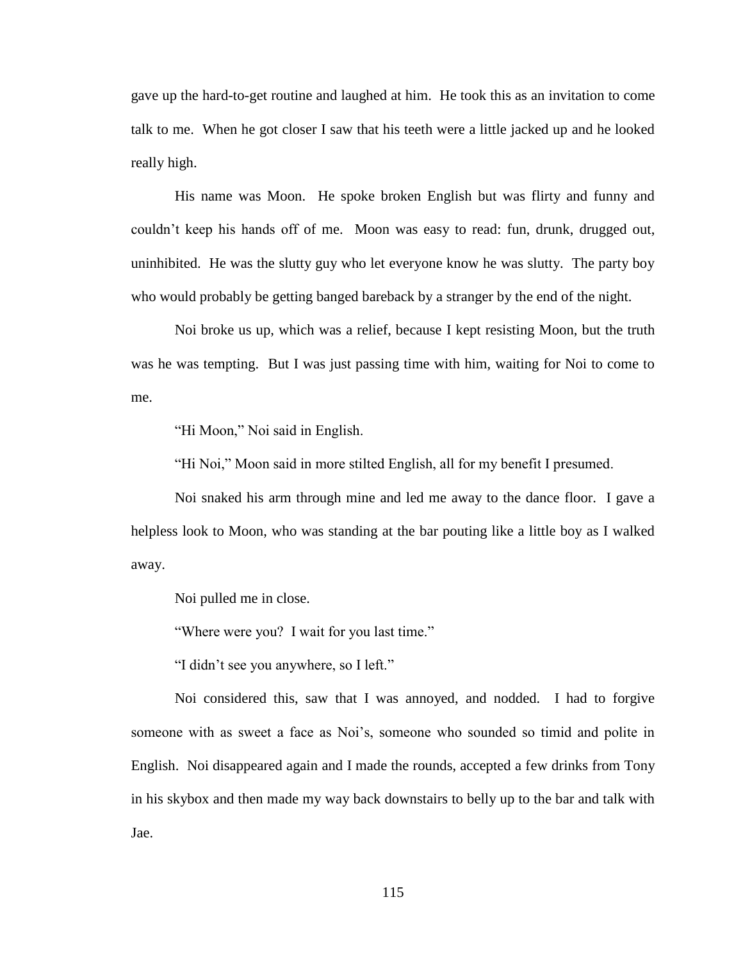gave up the hard-to-get routine and laughed at him. He took this as an invitation to come talk to me. When he got closer I saw that his teeth were a little jacked up and he looked really high.

His name was Moon. He spoke broken English but was flirty and funny and couldn't keep his hands off of me. Moon was easy to read: fun, drunk, drugged out, uninhibited. He was the slutty guy who let everyone know he was slutty. The party boy who would probably be getting banged bareback by a stranger by the end of the night.

Noi broke us up, which was a relief, because I kept resisting Moon, but the truth was he was tempting. But I was just passing time with him, waiting for Noi to come to me.

"Hi Moon," Noi said in English.

"Hi Noi," Moon said in more stilted English, all for my benefit I presumed.

Noi snaked his arm through mine and led me away to the dance floor. I gave a helpless look to Moon, who was standing at the bar pouting like a little boy as I walked away.

Noi pulled me in close.

"Where were you? I wait for you last time."

"I didn't see you anywhere, so I left."

Noi considered this, saw that I was annoyed, and nodded. I had to forgive someone with as sweet a face as Noi's, someone who sounded so timid and polite in English. Noi disappeared again and I made the rounds, accepted a few drinks from Tony in his skybox and then made my way back downstairs to belly up to the bar and talk with Jae.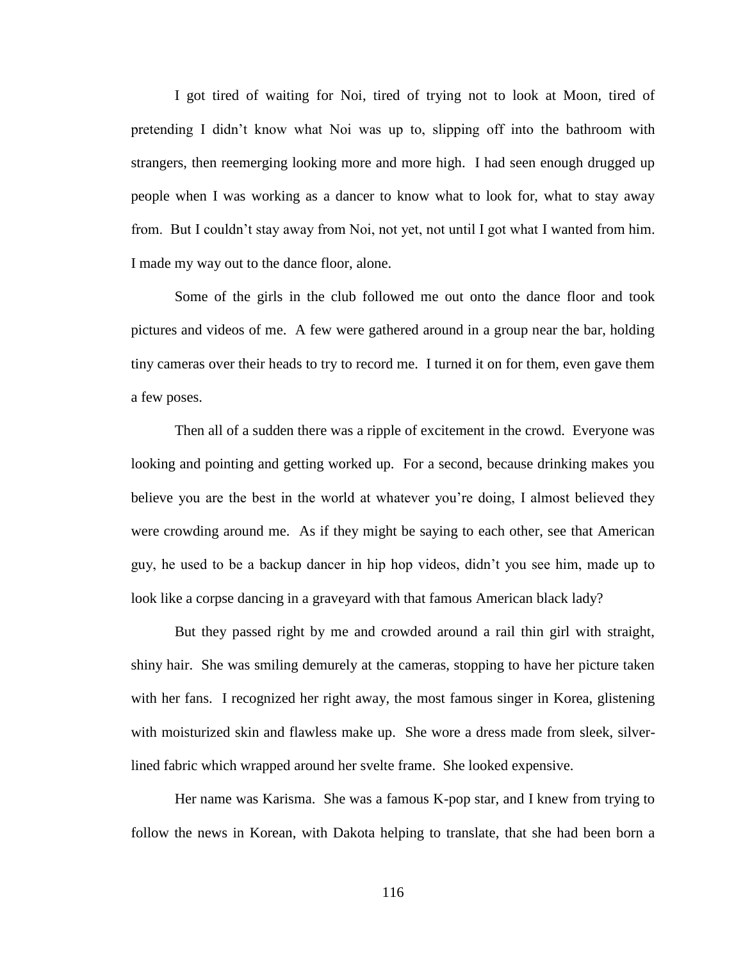I got tired of waiting for Noi, tired of trying not to look at Moon, tired of pretending I didn't know what Noi was up to, slipping off into the bathroom with strangers, then reemerging looking more and more high. I had seen enough drugged up people when I was working as a dancer to know what to look for, what to stay away from. But I couldn't stay away from Noi, not yet, not until I got what I wanted from him. I made my way out to the dance floor, alone.

Some of the girls in the club followed me out onto the dance floor and took pictures and videos of me. A few were gathered around in a group near the bar, holding tiny cameras over their heads to try to record me. I turned it on for them, even gave them a few poses.

Then all of a sudden there was a ripple of excitement in the crowd. Everyone was looking and pointing and getting worked up. For a second, because drinking makes you believe you are the best in the world at whatever you're doing, I almost believed they were crowding around me. As if they might be saying to each other, see that American guy, he used to be a backup dancer in hip hop videos, didn't you see him, made up to look like a corpse dancing in a graveyard with that famous American black lady?

But they passed right by me and crowded around a rail thin girl with straight, shiny hair. She was smiling demurely at the cameras, stopping to have her picture taken with her fans. I recognized her right away, the most famous singer in Korea, glistening with moisturized skin and flawless make up. She wore a dress made from sleek, silverlined fabric which wrapped around her svelte frame. She looked expensive.

Her name was Karisma. She was a famous K-pop star, and I knew from trying to follow the news in Korean, with Dakota helping to translate, that she had been born a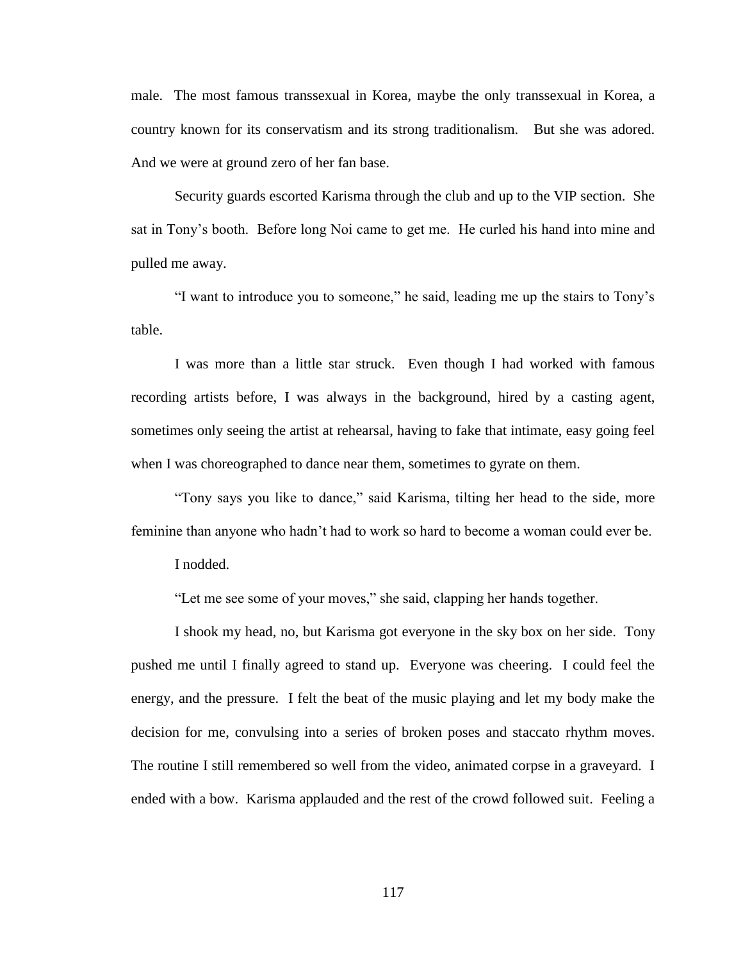male. The most famous transsexual in Korea, maybe the only transsexual in Korea, a country known for its conservatism and its strong traditionalism. But she was adored. And we were at ground zero of her fan base.

Security guards escorted Karisma through the club and up to the VIP section. She sat in Tony's booth. Before long Noi came to get me. He curled his hand into mine and pulled me away.

"I want to introduce you to someone," he said, leading me up the stairs to Tony's table.

I was more than a little star struck. Even though I had worked with famous recording artists before, I was always in the background, hired by a casting agent, sometimes only seeing the artist at rehearsal, having to fake that intimate, easy going feel when I was choreographed to dance near them, sometimes to gyrate on them.

"Tony says you like to dance," said Karisma, tilting her head to the side, more feminine than anyone who hadn't had to work so hard to become a woman could ever be.

I nodded.

"Let me see some of your moves," she said, clapping her hands together.

I shook my head, no, but Karisma got everyone in the sky box on her side. Tony pushed me until I finally agreed to stand up. Everyone was cheering. I could feel the energy, and the pressure. I felt the beat of the music playing and let my body make the decision for me, convulsing into a series of broken poses and staccato rhythm moves. The routine I still remembered so well from the video, animated corpse in a graveyard. I ended with a bow. Karisma applauded and the rest of the crowd followed suit. Feeling a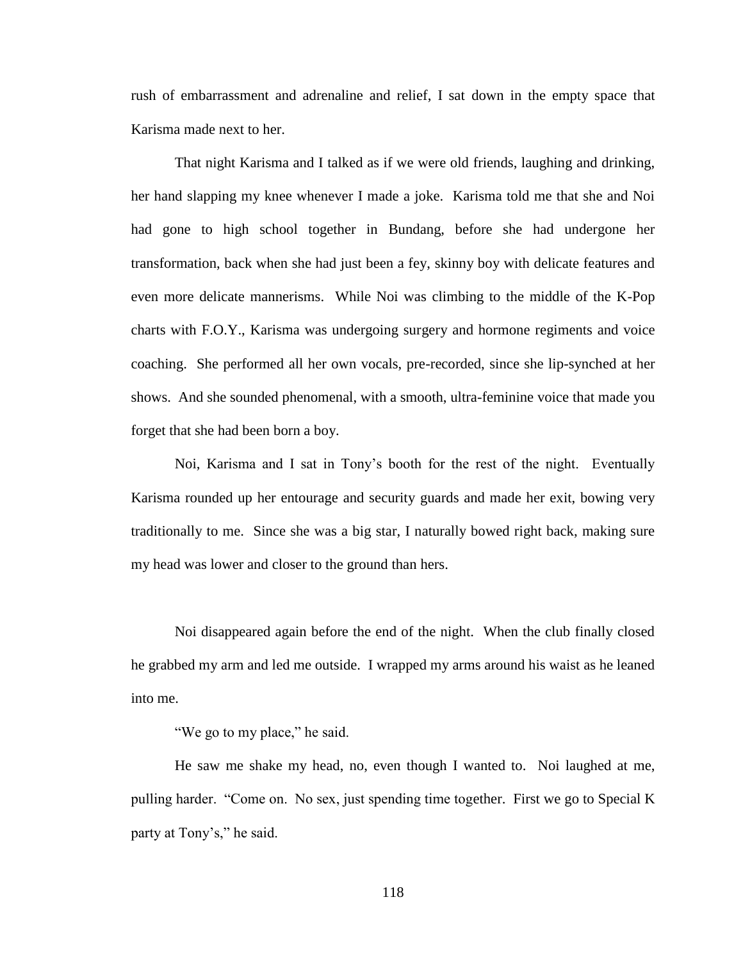rush of embarrassment and adrenaline and relief, I sat down in the empty space that Karisma made next to her.

That night Karisma and I talked as if we were old friends, laughing and drinking, her hand slapping my knee whenever I made a joke. Karisma told me that she and Noi had gone to high school together in Bundang, before she had undergone her transformation, back when she had just been a fey, skinny boy with delicate features and even more delicate mannerisms. While Noi was climbing to the middle of the K-Pop charts with F.O.Y., Karisma was undergoing surgery and hormone regiments and voice coaching. She performed all her own vocals, pre-recorded, since she lip-synched at her shows. And she sounded phenomenal, with a smooth, ultra-feminine voice that made you forget that she had been born a boy.

Noi, Karisma and I sat in Tony's booth for the rest of the night. Eventually Karisma rounded up her entourage and security guards and made her exit, bowing very traditionally to me. Since she was a big star, I naturally bowed right back, making sure my head was lower and closer to the ground than hers.

Noi disappeared again before the end of the night. When the club finally closed he grabbed my arm and led me outside. I wrapped my arms around his waist as he leaned into me.

"We go to my place," he said.

He saw me shake my head, no, even though I wanted to. Noi laughed at me, pulling harder. "Come on. No sex, just spending time together. First we go to Special K party at Tony's," he said.

118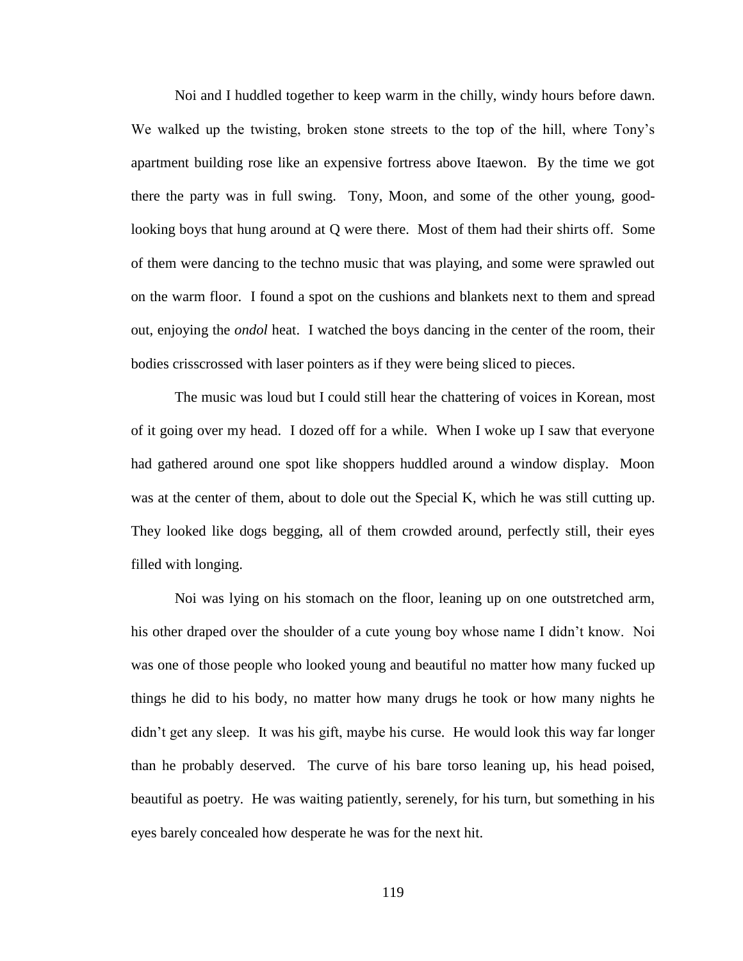Noi and I huddled together to keep warm in the chilly, windy hours before dawn. We walked up the twisting, broken stone streets to the top of the hill, where Tony's apartment building rose like an expensive fortress above Itaewon. By the time we got there the party was in full swing. Tony, Moon, and some of the other young, goodlooking boys that hung around at Q were there. Most of them had their shirts off. Some of them were dancing to the techno music that was playing, and some were sprawled out on the warm floor. I found a spot on the cushions and blankets next to them and spread out, enjoying the *ondol* heat. I watched the boys dancing in the center of the room, their bodies crisscrossed with laser pointers as if they were being sliced to pieces.

The music was loud but I could still hear the chattering of voices in Korean, most of it going over my head. I dozed off for a while. When I woke up I saw that everyone had gathered around one spot like shoppers huddled around a window display. Moon was at the center of them, about to dole out the Special K, which he was still cutting up. They looked like dogs begging, all of them crowded around, perfectly still, their eyes filled with longing.

Noi was lying on his stomach on the floor, leaning up on one outstretched arm, his other draped over the shoulder of a cute young boy whose name I didn't know. Noi was one of those people who looked young and beautiful no matter how many fucked up things he did to his body, no matter how many drugs he took or how many nights he didn't get any sleep. It was his gift, maybe his curse. He would look this way far longer than he probably deserved. The curve of his bare torso leaning up, his head poised, beautiful as poetry. He was waiting patiently, serenely, for his turn, but something in his eyes barely concealed how desperate he was for the next hit.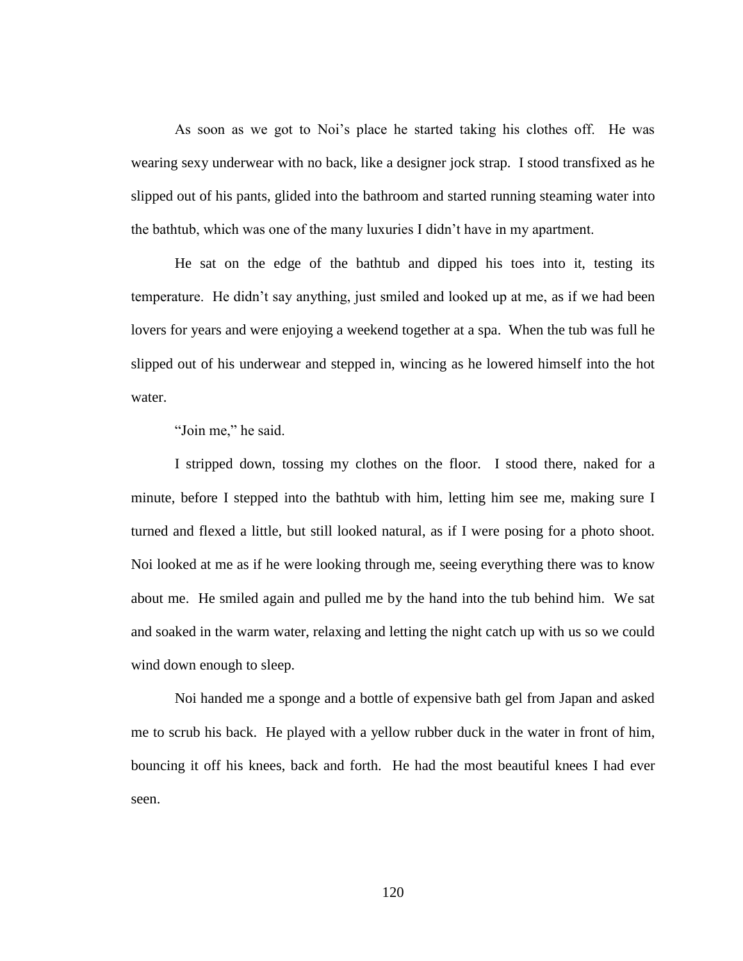As soon as we got to Noi's place he started taking his clothes off. He was wearing sexy underwear with no back, like a designer jock strap. I stood transfixed as he slipped out of his pants, glided into the bathroom and started running steaming water into the bathtub, which was one of the many luxuries I didn't have in my apartment.

He sat on the edge of the bathtub and dipped his toes into it, testing its temperature. He didn't say anything, just smiled and looked up at me, as if we had been lovers for years and were enjoying a weekend together at a spa. When the tub was full he slipped out of his underwear and stepped in, wincing as he lowered himself into the hot water.

"Join me," he said.

I stripped down, tossing my clothes on the floor. I stood there, naked for a minute, before I stepped into the bathtub with him, letting him see me, making sure I turned and flexed a little, but still looked natural, as if I were posing for a photo shoot. Noi looked at me as if he were looking through me, seeing everything there was to know about me. He smiled again and pulled me by the hand into the tub behind him. We sat and soaked in the warm water, relaxing and letting the night catch up with us so we could wind down enough to sleep.

Noi handed me a sponge and a bottle of expensive bath gel from Japan and asked me to scrub his back. He played with a yellow rubber duck in the water in front of him, bouncing it off his knees, back and forth. He had the most beautiful knees I had ever seen.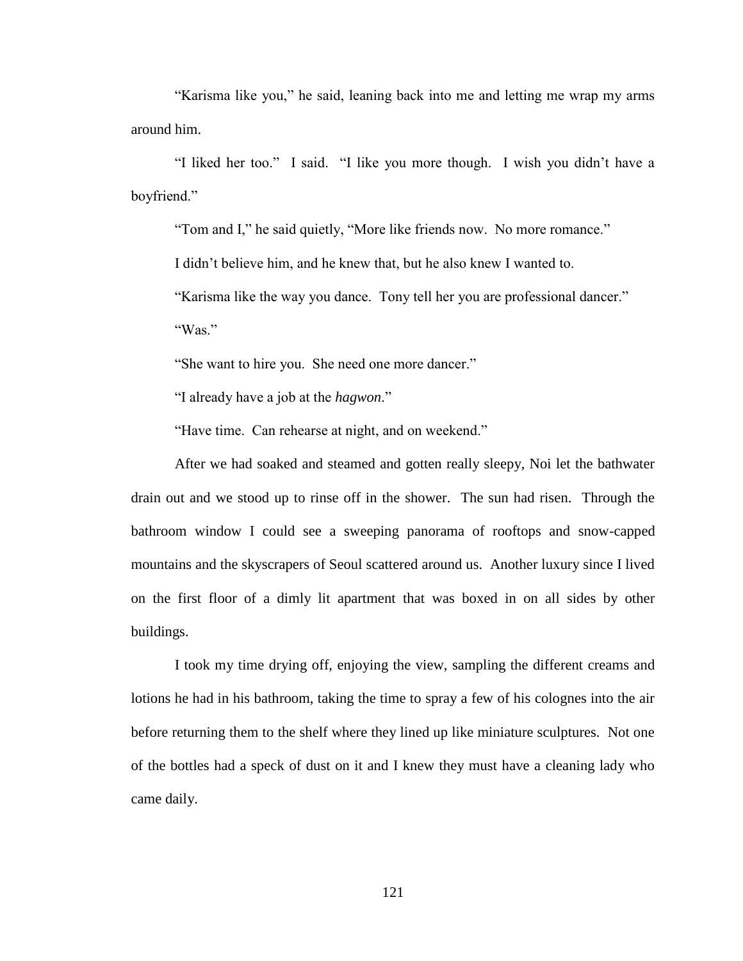"Karisma like you," he said, leaning back into me and letting me wrap my arms around him.

"I liked her too." I said. "I like you more though. I wish you didn't have a boyfriend."

"Tom and I," he said quietly, "More like friends now. No more romance."

I didn't believe him, and he knew that, but he also knew I wanted to.

"Karisma like the way you dance. Tony tell her you are professional dancer."

"Was."

"She want to hire you. She need one more dancer."

"I already have a job at the *hagwon*."

"Have time. Can rehearse at night, and on weekend."

After we had soaked and steamed and gotten really sleepy, Noi let the bathwater drain out and we stood up to rinse off in the shower. The sun had risen. Through the bathroom window I could see a sweeping panorama of rooftops and snow-capped mountains and the skyscrapers of Seoul scattered around us. Another luxury since I lived on the first floor of a dimly lit apartment that was boxed in on all sides by other buildings.

I took my time drying off, enjoying the view, sampling the different creams and lotions he had in his bathroom, taking the time to spray a few of his colognes into the air before returning them to the shelf where they lined up like miniature sculptures. Not one of the bottles had a speck of dust on it and I knew they must have a cleaning lady who came daily.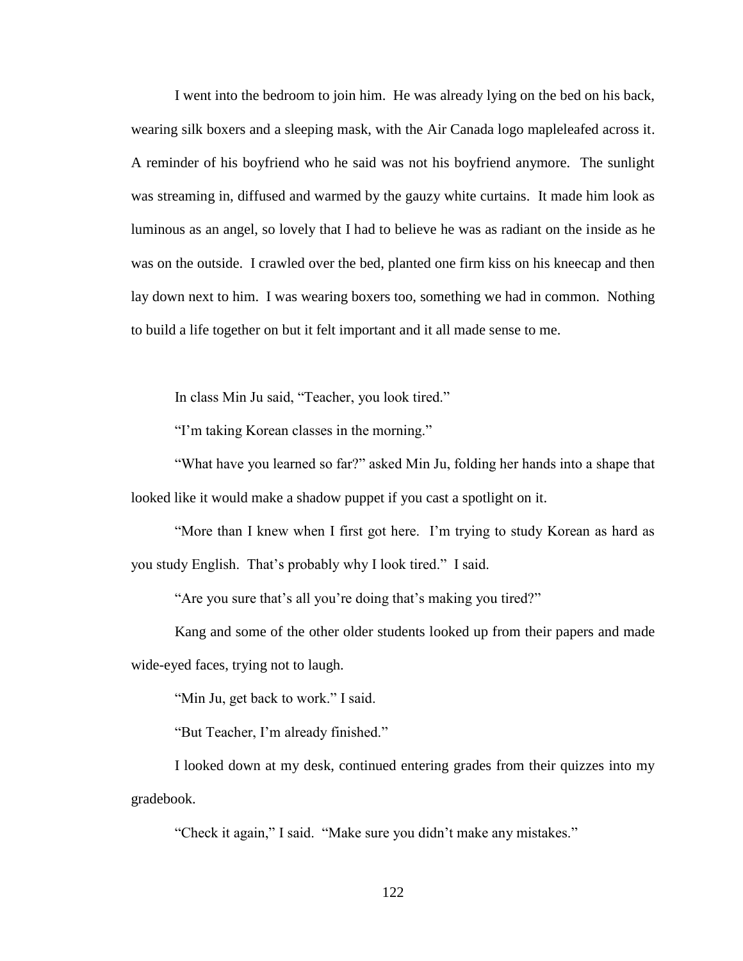I went into the bedroom to join him. He was already lying on the bed on his back, wearing silk boxers and a sleeping mask, with the Air Canada logo mapleleafed across it. A reminder of his boyfriend who he said was not his boyfriend anymore. The sunlight was streaming in, diffused and warmed by the gauzy white curtains. It made him look as luminous as an angel, so lovely that I had to believe he was as radiant on the inside as he was on the outside. I crawled over the bed, planted one firm kiss on his kneecap and then lay down next to him. I was wearing boxers too, something we had in common. Nothing to build a life together on but it felt important and it all made sense to me.

In class Min Ju said, "Teacher, you look tired."

"I'm taking Korean classes in the morning."

"What have you learned so far?" asked Min Ju, folding her hands into a shape that looked like it would make a shadow puppet if you cast a spotlight on it.

"More than I knew when I first got here. I'm trying to study Korean as hard as you study English. That's probably why I look tired." I said.

"Are you sure that's all you're doing that's making you tired?"

Kang and some of the other older students looked up from their papers and made wide-eyed faces, trying not to laugh.

"Min Ju, get back to work." I said.

"But Teacher, I'm already finished."

I looked down at my desk, continued entering grades from their quizzes into my gradebook.

"Check it again," I said. "Make sure you didn't make any mistakes."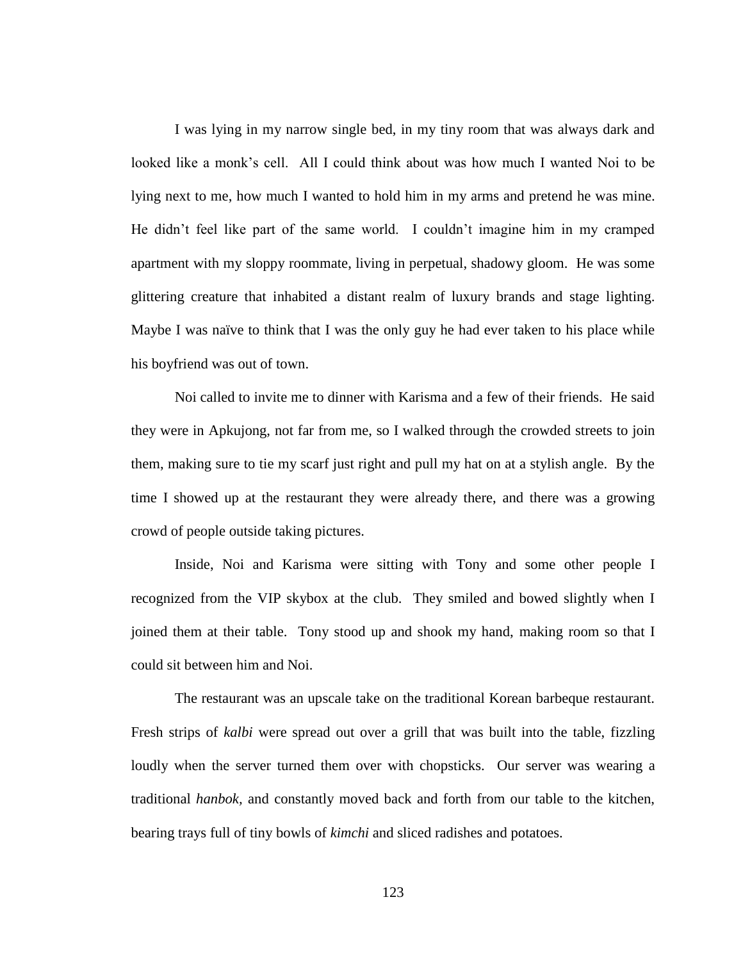I was lying in my narrow single bed, in my tiny room that was always dark and looked like a monk's cell. All I could think about was how much I wanted Noi to be lying next to me, how much I wanted to hold him in my arms and pretend he was mine. He didn't feel like part of the same world. I couldn't imagine him in my cramped apartment with my sloppy roommate, living in perpetual, shadowy gloom. He was some glittering creature that inhabited a distant realm of luxury brands and stage lighting. Maybe I was naïve to think that I was the only guy he had ever taken to his place while his boyfriend was out of town.

Noi called to invite me to dinner with Karisma and a few of their friends. He said they were in Apkujong, not far from me, so I walked through the crowded streets to join them, making sure to tie my scarf just right and pull my hat on at a stylish angle. By the time I showed up at the restaurant they were already there, and there was a growing crowd of people outside taking pictures.

Inside, Noi and Karisma were sitting with Tony and some other people I recognized from the VIP skybox at the club. They smiled and bowed slightly when I joined them at their table. Tony stood up and shook my hand, making room so that I could sit between him and Noi.

The restaurant was an upscale take on the traditional Korean barbeque restaurant. Fresh strips of *kalbi* were spread out over a grill that was built into the table, fizzling loudly when the server turned them over with chopsticks. Our server was wearing a traditional *hanbok,* and constantly moved back and forth from our table to the kitchen, bearing trays full of tiny bowls of *kimchi* and sliced radishes and potatoes.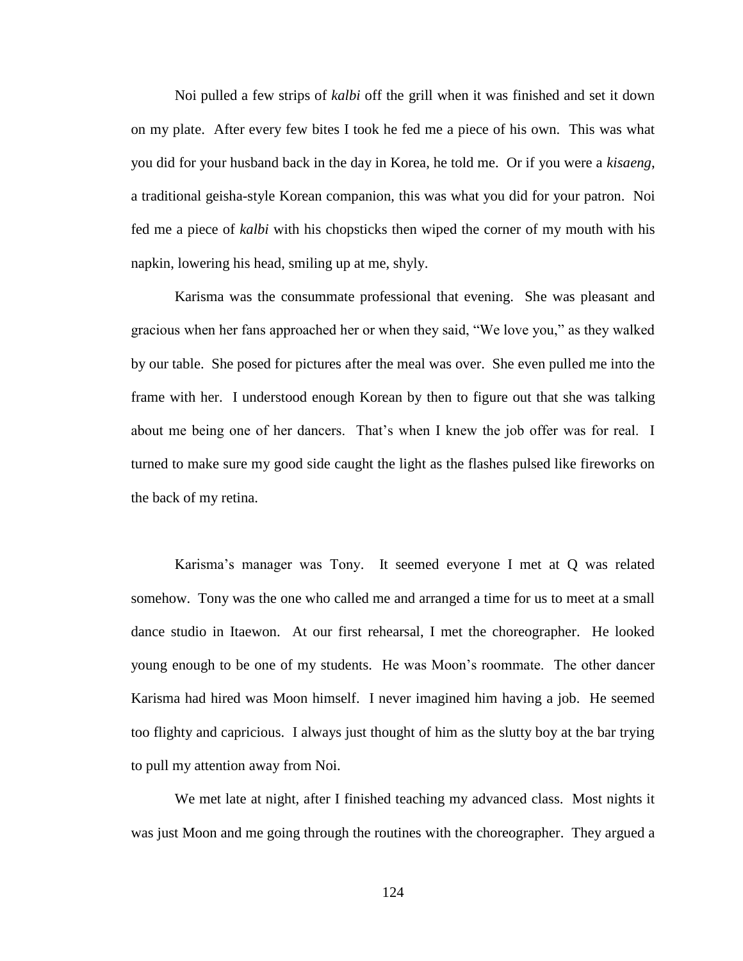Noi pulled a few strips of *kalbi* off the grill when it was finished and set it down on my plate. After every few bites I took he fed me a piece of his own. This was what you did for your husband back in the day in Korea, he told me. Or if you were a *kisaeng*, a traditional geisha-style Korean companion, this was what you did for your patron. Noi fed me a piece of *kalbi* with his chopsticks then wiped the corner of my mouth with his napkin, lowering his head, smiling up at me, shyly.

Karisma was the consummate professional that evening. She was pleasant and gracious when her fans approached her or when they said, "We love you," as they walked by our table. She posed for pictures after the meal was over. She even pulled me into the frame with her. I understood enough Korean by then to figure out that she was talking about me being one of her dancers. That's when I knew the job offer was for real. I turned to make sure my good side caught the light as the flashes pulsed like fireworks on the back of my retina.

Karisma's manager was Tony. It seemed everyone I met at Q was related somehow. Tony was the one who called me and arranged a time for us to meet at a small dance studio in Itaewon. At our first rehearsal, I met the choreographer. He looked young enough to be one of my students. He was Moon's roommate. The other dancer Karisma had hired was Moon himself. I never imagined him having a job. He seemed too flighty and capricious. I always just thought of him as the slutty boy at the bar trying to pull my attention away from Noi.

We met late at night, after I finished teaching my advanced class. Most nights it was just Moon and me going through the routines with the choreographer. They argued a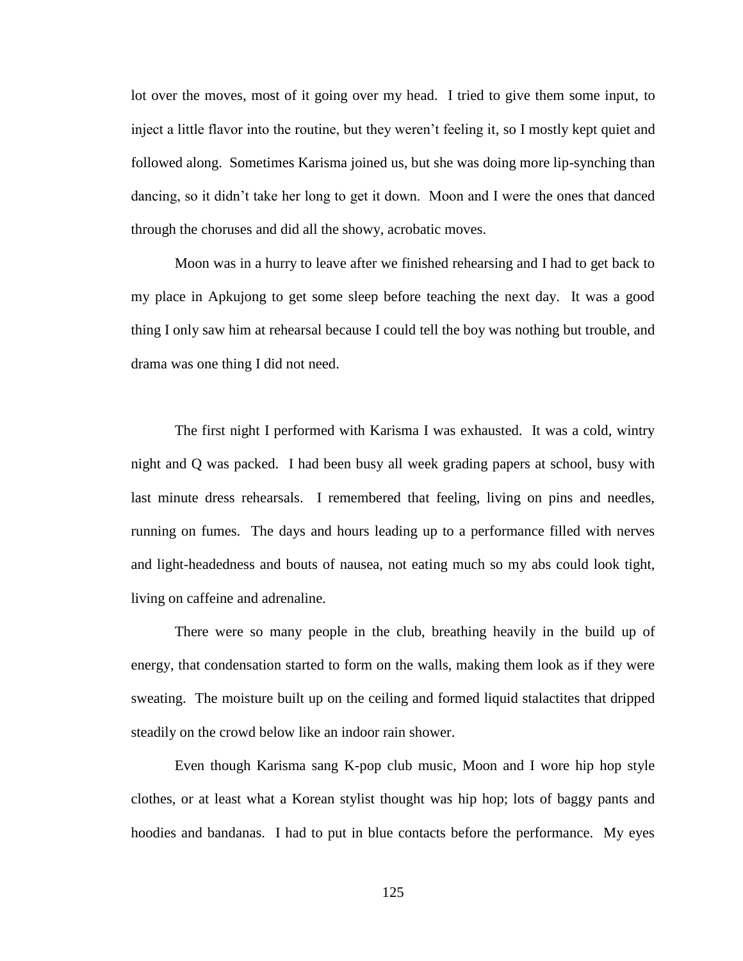lot over the moves, most of it going over my head. I tried to give them some input, to inject a little flavor into the routine, but they weren't feeling it, so I mostly kept quiet and followed along. Sometimes Karisma joined us, but she was doing more lip-synching than dancing, so it didn't take her long to get it down. Moon and I were the ones that danced through the choruses and did all the showy, acrobatic moves.

Moon was in a hurry to leave after we finished rehearsing and I had to get back to my place in Apkujong to get some sleep before teaching the next day. It was a good thing I only saw him at rehearsal because I could tell the boy was nothing but trouble, and drama was one thing I did not need.

The first night I performed with Karisma I was exhausted. It was a cold, wintry night and Q was packed. I had been busy all week grading papers at school, busy with last minute dress rehearsals. I remembered that feeling, living on pins and needles, running on fumes. The days and hours leading up to a performance filled with nerves and light-headedness and bouts of nausea, not eating much so my abs could look tight, living on caffeine and adrenaline.

There were so many people in the club, breathing heavily in the build up of energy, that condensation started to form on the walls, making them look as if they were sweating. The moisture built up on the ceiling and formed liquid stalactites that dripped steadily on the crowd below like an indoor rain shower.

Even though Karisma sang K-pop club music, Moon and I wore hip hop style clothes, or at least what a Korean stylist thought was hip hop; lots of baggy pants and hoodies and bandanas. I had to put in blue contacts before the performance. My eyes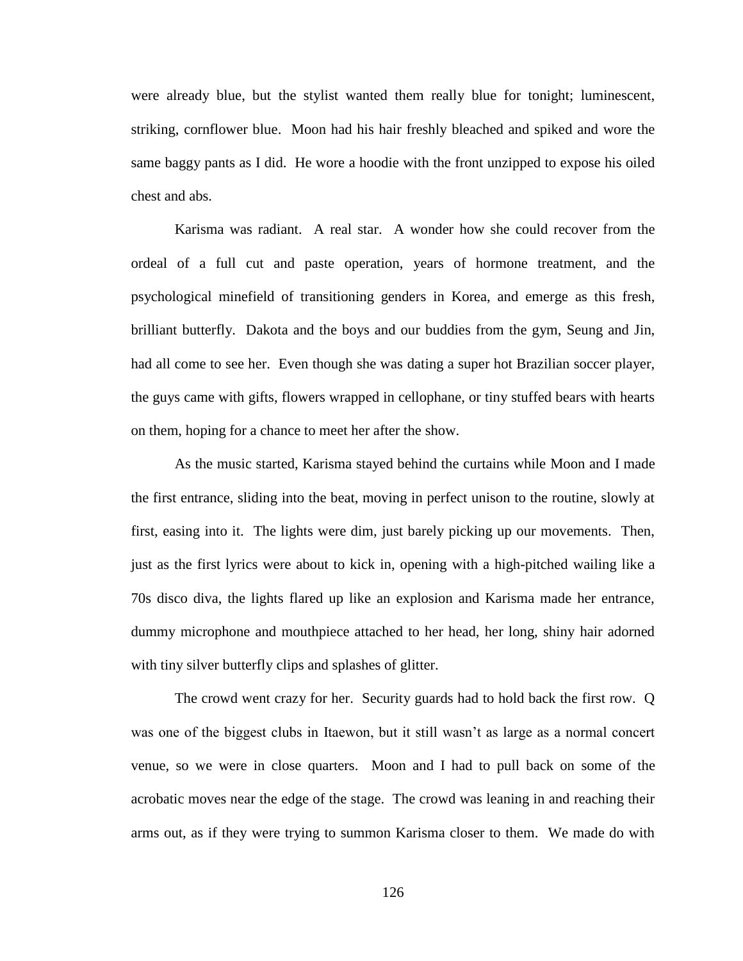were already blue, but the stylist wanted them really blue for tonight; luminescent, striking, cornflower blue. Moon had his hair freshly bleached and spiked and wore the same baggy pants as I did. He wore a hoodie with the front unzipped to expose his oiled chest and abs.

Karisma was radiant. A real star. A wonder how she could recover from the ordeal of a full cut and paste operation, years of hormone treatment, and the psychological minefield of transitioning genders in Korea, and emerge as this fresh, brilliant butterfly. Dakota and the boys and our buddies from the gym, Seung and Jin, had all come to see her. Even though she was dating a super hot Brazilian soccer player, the guys came with gifts, flowers wrapped in cellophane, or tiny stuffed bears with hearts on them, hoping for a chance to meet her after the show.

As the music started, Karisma stayed behind the curtains while Moon and I made the first entrance, sliding into the beat, moving in perfect unison to the routine, slowly at first, easing into it. The lights were dim, just barely picking up our movements. Then, just as the first lyrics were about to kick in, opening with a high-pitched wailing like a 70s disco diva, the lights flared up like an explosion and Karisma made her entrance, dummy microphone and mouthpiece attached to her head, her long, shiny hair adorned with tiny silver butterfly clips and splashes of glitter.

The crowd went crazy for her. Security guards had to hold back the first row. Q was one of the biggest clubs in Itaewon, but it still wasn't as large as a normal concert venue, so we were in close quarters. Moon and I had to pull back on some of the acrobatic moves near the edge of the stage. The crowd was leaning in and reaching their arms out, as if they were trying to summon Karisma closer to them. We made do with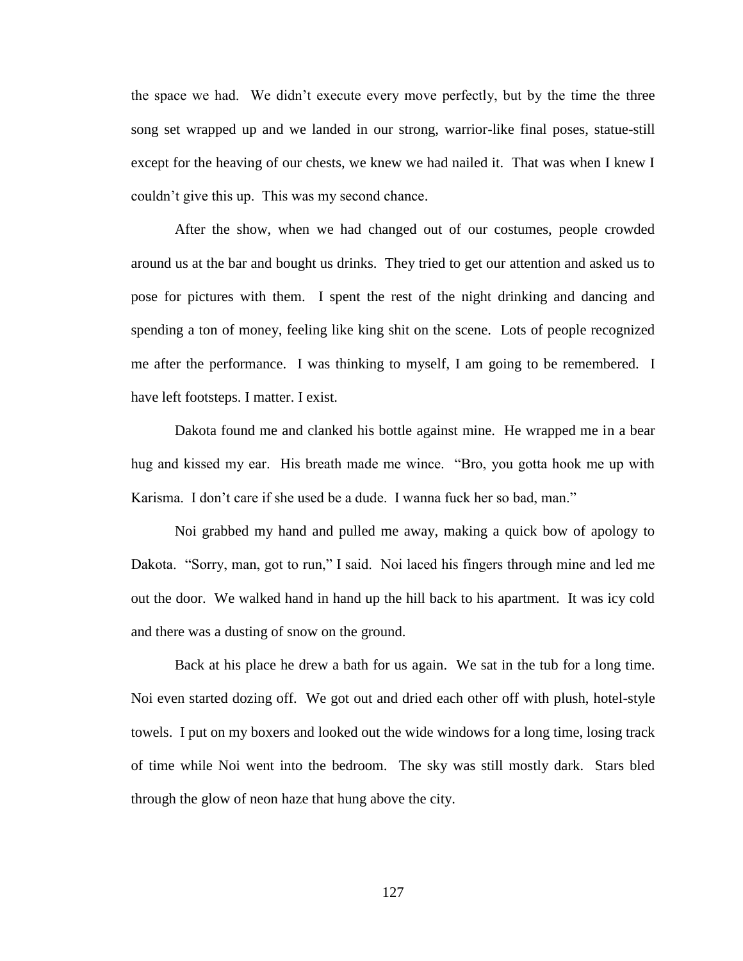the space we had. We didn't execute every move perfectly, but by the time the three song set wrapped up and we landed in our strong, warrior-like final poses, statue-still except for the heaving of our chests, we knew we had nailed it. That was when I knew I couldn't give this up. This was my second chance.

After the show, when we had changed out of our costumes, people crowded around us at the bar and bought us drinks. They tried to get our attention and asked us to pose for pictures with them. I spent the rest of the night drinking and dancing and spending a ton of money, feeling like king shit on the scene. Lots of people recognized me after the performance. I was thinking to myself, I am going to be remembered. I have left footsteps. I matter. I exist.

Dakota found me and clanked his bottle against mine. He wrapped me in a bear hug and kissed my ear. His breath made me wince. "Bro, you gotta hook me up with Karisma. I don't care if she used be a dude. I wanna fuck her so bad, man."

Noi grabbed my hand and pulled me away, making a quick bow of apology to Dakota. "Sorry, man, got to run," I said. Noi laced his fingers through mine and led me out the door. We walked hand in hand up the hill back to his apartment. It was icy cold and there was a dusting of snow on the ground.

Back at his place he drew a bath for us again. We sat in the tub for a long time. Noi even started dozing off. We got out and dried each other off with plush, hotel-style towels. I put on my boxers and looked out the wide windows for a long time, losing track of time while Noi went into the bedroom. The sky was still mostly dark. Stars bled through the glow of neon haze that hung above the city.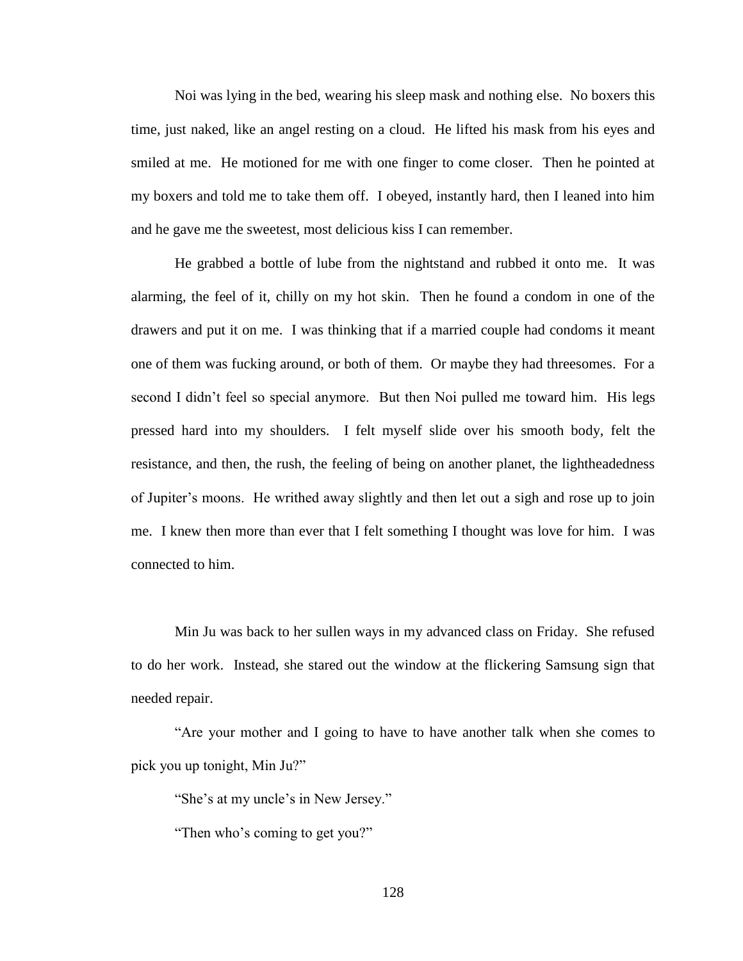Noi was lying in the bed, wearing his sleep mask and nothing else. No boxers this time, just naked, like an angel resting on a cloud. He lifted his mask from his eyes and smiled at me. He motioned for me with one finger to come closer. Then he pointed at my boxers and told me to take them off. I obeyed, instantly hard, then I leaned into him and he gave me the sweetest, most delicious kiss I can remember.

He grabbed a bottle of lube from the nightstand and rubbed it onto me. It was alarming, the feel of it, chilly on my hot skin. Then he found a condom in one of the drawers and put it on me. I was thinking that if a married couple had condoms it meant one of them was fucking around, or both of them. Or maybe they had threesomes. For a second I didn't feel so special anymore. But then Noi pulled me toward him. His legs pressed hard into my shoulders. I felt myself slide over his smooth body, felt the resistance, and then, the rush, the feeling of being on another planet, the lightheadedness of Jupiter's moons. He writhed away slightly and then let out a sigh and rose up to join me. I knew then more than ever that I felt something I thought was love for him. I was connected to him.

Min Ju was back to her sullen ways in my advanced class on Friday. She refused to do her work. Instead, she stared out the window at the flickering Samsung sign that needed repair.

"Are your mother and I going to have to have another talk when she comes to pick you up tonight, Min Ju?"

"She's at my uncle's in New Jersey."

"Then who's coming to get you?"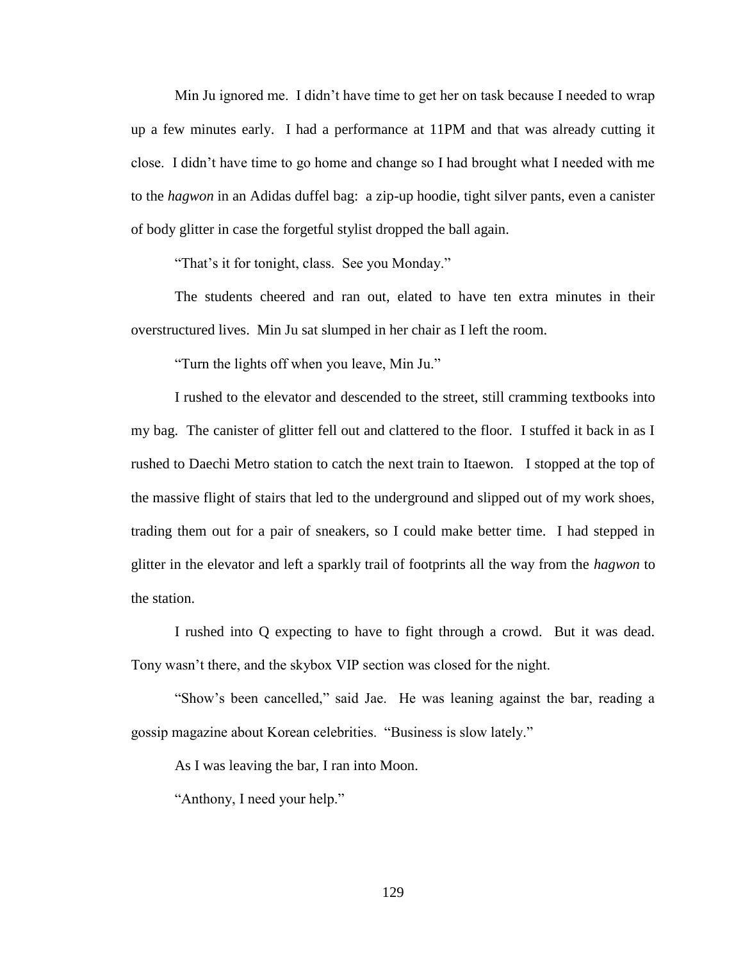Min Ju ignored me. I didn't have time to get her on task because I needed to wrap up a few minutes early. I had a performance at 11PM and that was already cutting it close. I didn't have time to go home and change so I had brought what I needed with me to the *hagwon* in an Adidas duffel bag: a zip-up hoodie, tight silver pants, even a canister of body glitter in case the forgetful stylist dropped the ball again.

"That's it for tonight, class. See you Monday."

The students cheered and ran out, elated to have ten extra minutes in their overstructured lives. Min Ju sat slumped in her chair as I left the room.

"Turn the lights off when you leave, Min Ju."

I rushed to the elevator and descended to the street, still cramming textbooks into my bag. The canister of glitter fell out and clattered to the floor. I stuffed it back in as I rushed to Daechi Metro station to catch the next train to Itaewon. I stopped at the top of the massive flight of stairs that led to the underground and slipped out of my work shoes, trading them out for a pair of sneakers, so I could make better time. I had stepped in glitter in the elevator and left a sparkly trail of footprints all the way from the *hagwon* to the station.

I rushed into Q expecting to have to fight through a crowd. But it was dead. Tony wasn't there, and the skybox VIP section was closed for the night.

"Show's been cancelled," said Jae. He was leaning against the bar, reading a gossip magazine about Korean celebrities. "Business is slow lately."

As I was leaving the bar, I ran into Moon.

"Anthony, I need your help."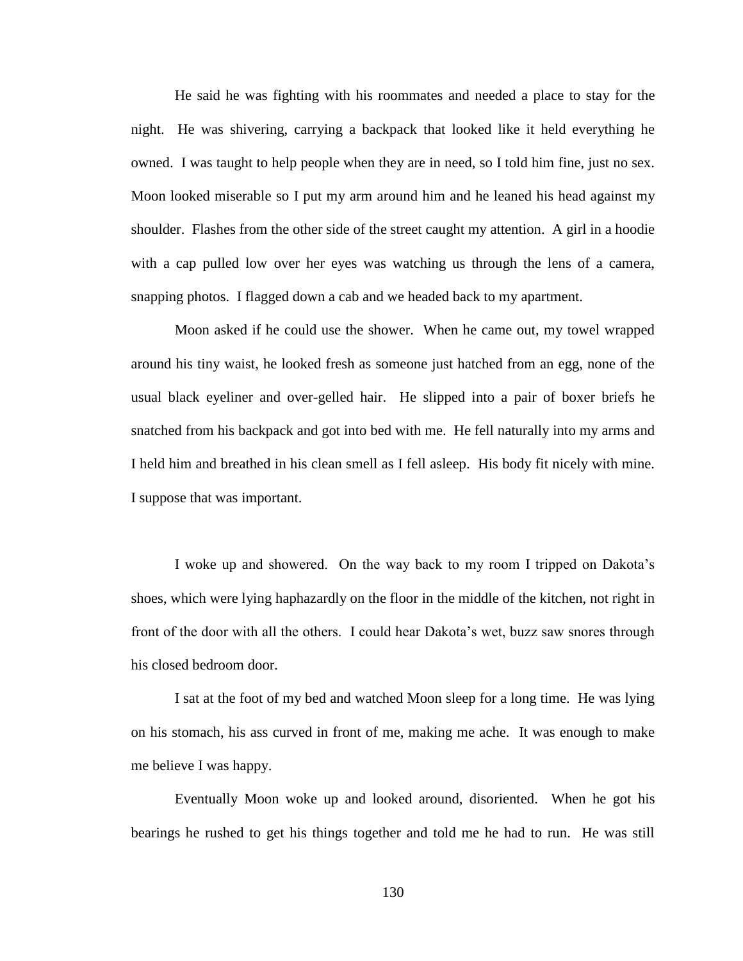He said he was fighting with his roommates and needed a place to stay for the night. He was shivering, carrying a backpack that looked like it held everything he owned. I was taught to help people when they are in need, so I told him fine, just no sex. Moon looked miserable so I put my arm around him and he leaned his head against my shoulder. Flashes from the other side of the street caught my attention. A girl in a hoodie with a cap pulled low over her eyes was watching us through the lens of a camera, snapping photos. I flagged down a cab and we headed back to my apartment.

Moon asked if he could use the shower. When he came out, my towel wrapped around his tiny waist, he looked fresh as someone just hatched from an egg, none of the usual black eyeliner and over-gelled hair. He slipped into a pair of boxer briefs he snatched from his backpack and got into bed with me. He fell naturally into my arms and I held him and breathed in his clean smell as I fell asleep. His body fit nicely with mine. I suppose that was important.

I woke up and showered. On the way back to my room I tripped on Dakota's shoes, which were lying haphazardly on the floor in the middle of the kitchen, not right in front of the door with all the others. I could hear Dakota's wet, buzz saw snores through his closed bedroom door.

I sat at the foot of my bed and watched Moon sleep for a long time. He was lying on his stomach, his ass curved in front of me, making me ache. It was enough to make me believe I was happy.

Eventually Moon woke up and looked around, disoriented. When he got his bearings he rushed to get his things together and told me he had to run. He was still

130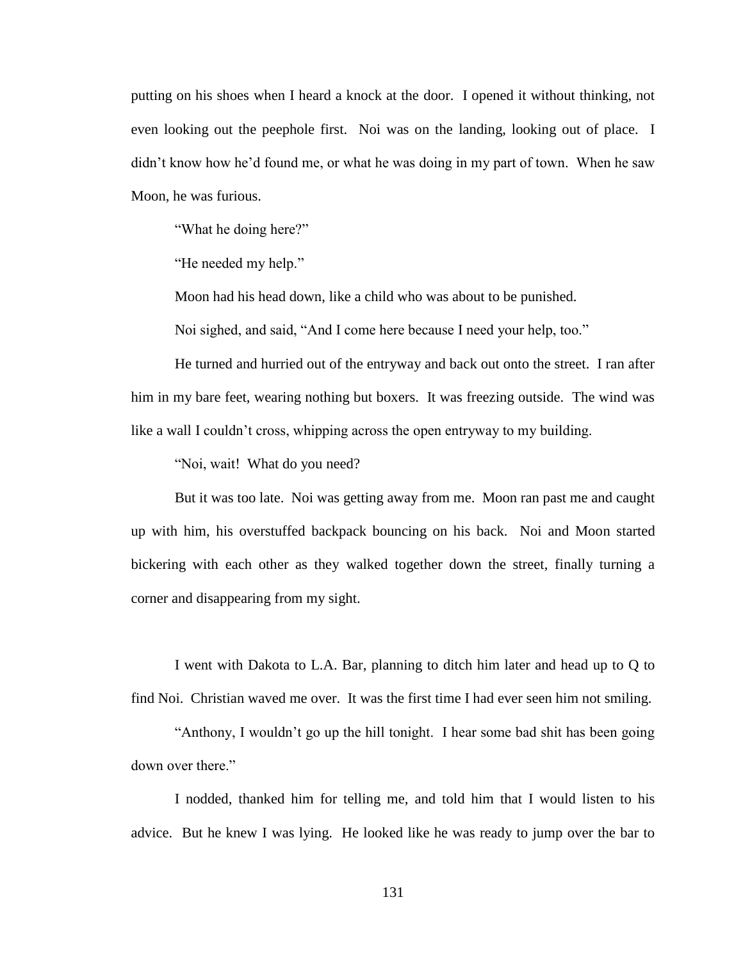putting on his shoes when I heard a knock at the door. I opened it without thinking, not even looking out the peephole first. Noi was on the landing, looking out of place. I didn't know how he'd found me, or what he was doing in my part of town. When he saw Moon, he was furious.

"What he doing here?"

"He needed my help."

Moon had his head down, like a child who was about to be punished.

Noi sighed, and said, "And I come here because I need your help, too."

He turned and hurried out of the entryway and back out onto the street. I ran after him in my bare feet, wearing nothing but boxers. It was freezing outside. The wind was like a wall I couldn't cross, whipping across the open entryway to my building.

"Noi, wait! What do you need?

But it was too late. Noi was getting away from me. Moon ran past me and caught up with him, his overstuffed backpack bouncing on his back. Noi and Moon started bickering with each other as they walked together down the street, finally turning a corner and disappearing from my sight.

I went with Dakota to L.A. Bar, planning to ditch him later and head up to Q to find Noi. Christian waved me over. It was the first time I had ever seen him not smiling.

"Anthony, I wouldn't go up the hill tonight. I hear some bad shit has been going down over there."

I nodded, thanked him for telling me, and told him that I would listen to his advice. But he knew I was lying. He looked like he was ready to jump over the bar to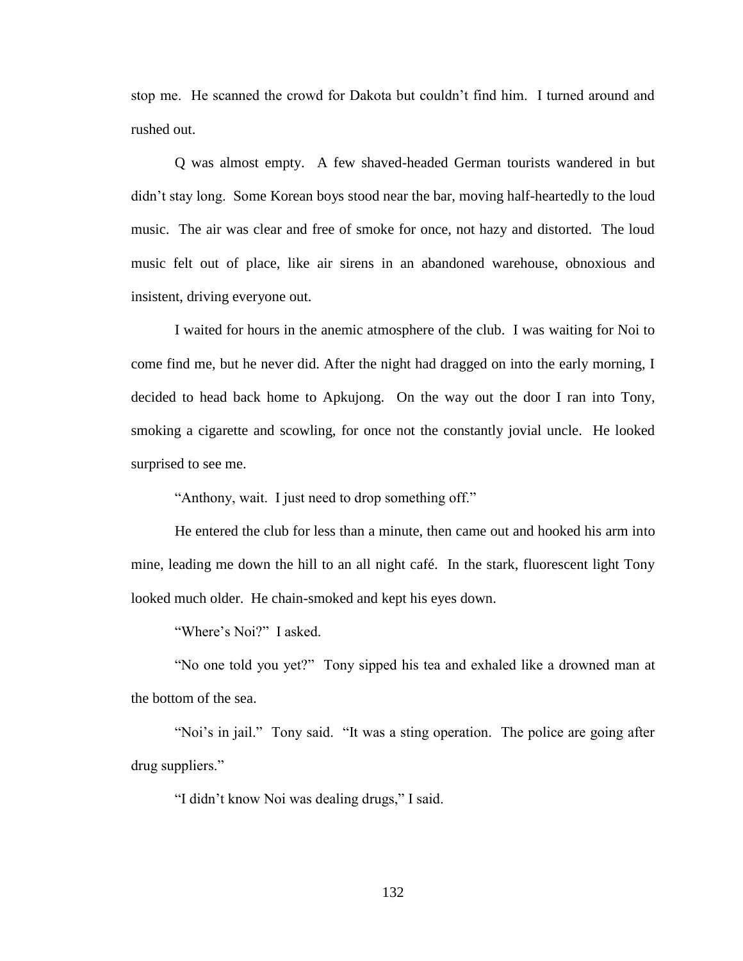stop me. He scanned the crowd for Dakota but couldn't find him. I turned around and rushed out.

Q was almost empty. A few shaved-headed German tourists wandered in but didn't stay long. Some Korean boys stood near the bar, moving half-heartedly to the loud music. The air was clear and free of smoke for once, not hazy and distorted. The loud music felt out of place, like air sirens in an abandoned warehouse, obnoxious and insistent, driving everyone out.

I waited for hours in the anemic atmosphere of the club. I was waiting for Noi to come find me, but he never did. After the night had dragged on into the early morning, I decided to head back home to Apkujong. On the way out the door I ran into Tony, smoking a cigarette and scowling, for once not the constantly jovial uncle. He looked surprised to see me.

"Anthony, wait. I just need to drop something off."

He entered the club for less than a minute, then came out and hooked his arm into mine, leading me down the hill to an all night café. In the stark, fluorescent light Tony looked much older. He chain-smoked and kept his eyes down.

"Where's Noi?" I asked.

"No one told you yet?" Tony sipped his tea and exhaled like a drowned man at the bottom of the sea.

"Noi's in jail." Tony said. "It was a sting operation. The police are going after drug suppliers."

"I didn't know Noi was dealing drugs," I said.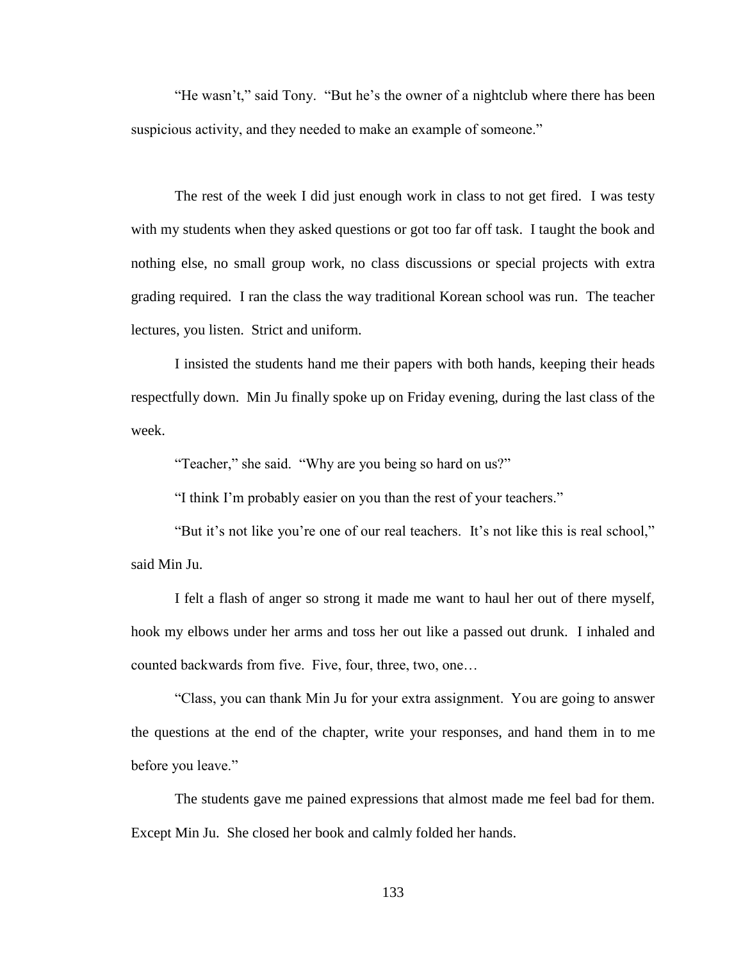"He wasn't," said Tony. "But he's the owner of a nightclub where there has been suspicious activity, and they needed to make an example of someone."

The rest of the week I did just enough work in class to not get fired. I was testy with my students when they asked questions or got too far off task. I taught the book and nothing else, no small group work, no class discussions or special projects with extra grading required. I ran the class the way traditional Korean school was run. The teacher lectures, you listen. Strict and uniform.

I insisted the students hand me their papers with both hands, keeping their heads respectfully down. Min Ju finally spoke up on Friday evening, during the last class of the week.

"Teacher," she said. "Why are you being so hard on us?"

"I think I'm probably easier on you than the rest of your teachers."

"But it's not like you're one of our real teachers. It's not like this is real school," said Min Ju.

I felt a flash of anger so strong it made me want to haul her out of there myself, hook my elbows under her arms and toss her out like a passed out drunk. I inhaled and counted backwards from five. Five, four, three, two, one…

"Class, you can thank Min Ju for your extra assignment. You are going to answer the questions at the end of the chapter, write your responses, and hand them in to me before you leave."

The students gave me pained expressions that almost made me feel bad for them. Except Min Ju. She closed her book and calmly folded her hands.

133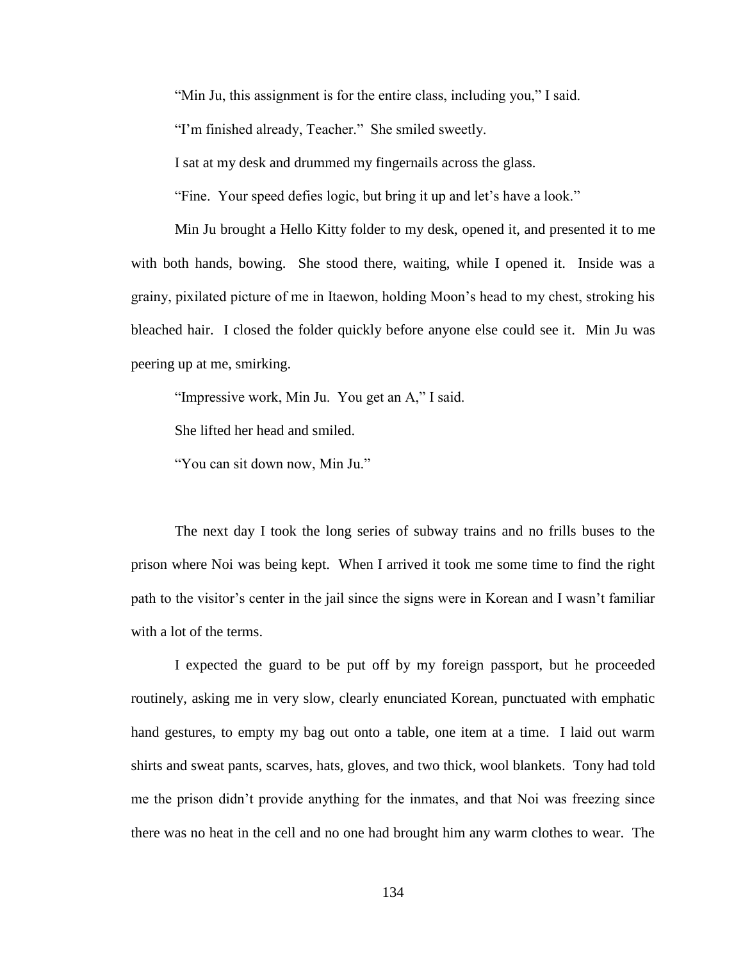"Min Ju, this assignment is for the entire class, including you," I said.

"I'm finished already, Teacher." She smiled sweetly.

I sat at my desk and drummed my fingernails across the glass.

"Fine. Your speed defies logic, but bring it up and let's have a look."

Min Ju brought a Hello Kitty folder to my desk, opened it, and presented it to me with both hands, bowing. She stood there, waiting, while I opened it. Inside was a grainy, pixilated picture of me in Itaewon, holding Moon's head to my chest, stroking his bleached hair. I closed the folder quickly before anyone else could see it. Min Ju was peering up at me, smirking.

"Impressive work, Min Ju. You get an A," I said.

She lifted her head and smiled.

"You can sit down now, Min Ju."

The next day I took the long series of subway trains and no frills buses to the prison where Noi was being kept. When I arrived it took me some time to find the right path to the visitor's center in the jail since the signs were in Korean and I wasn't familiar with a lot of the terms.

I expected the guard to be put off by my foreign passport, but he proceeded routinely, asking me in very slow, clearly enunciated Korean, punctuated with emphatic hand gestures, to empty my bag out onto a table, one item at a time. I laid out warm shirts and sweat pants, scarves, hats, gloves, and two thick, wool blankets. Tony had told me the prison didn't provide anything for the inmates, and that Noi was freezing since there was no heat in the cell and no one had brought him any warm clothes to wear. The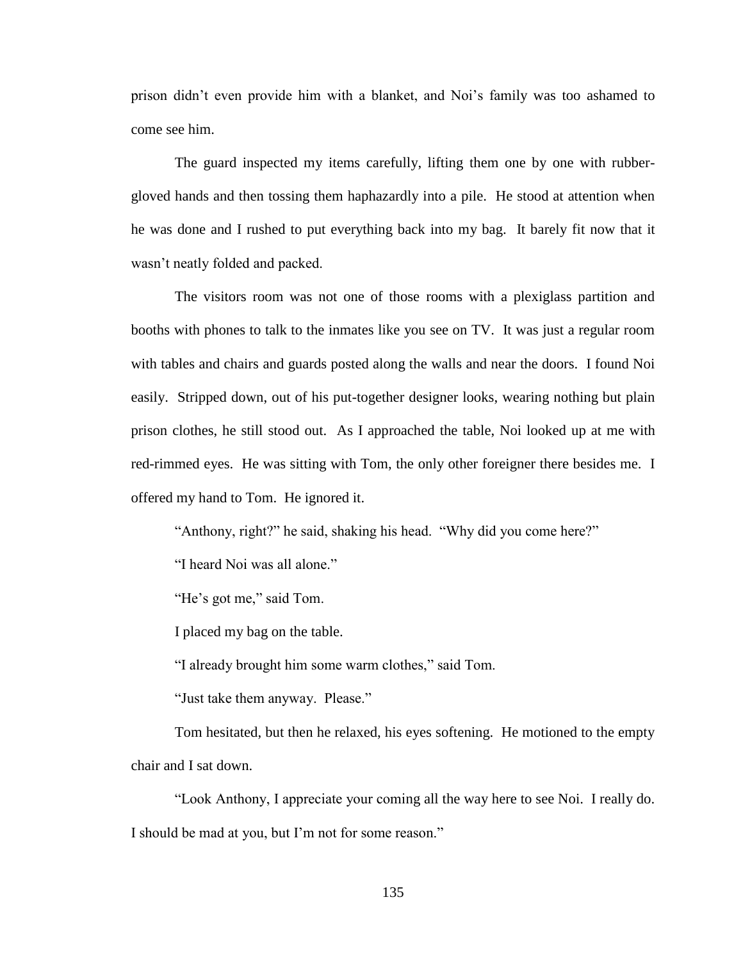prison didn't even provide him with a blanket, and Noi's family was too ashamed to come see him.

The guard inspected my items carefully, lifting them one by one with rubbergloved hands and then tossing them haphazardly into a pile. He stood at attention when he was done and I rushed to put everything back into my bag. It barely fit now that it wasn't neatly folded and packed.

The visitors room was not one of those rooms with a plexiglass partition and booths with phones to talk to the inmates like you see on TV. It was just a regular room with tables and chairs and guards posted along the walls and near the doors. I found Noi easily. Stripped down, out of his put-together designer looks, wearing nothing but plain prison clothes, he still stood out. As I approached the table, Noi looked up at me with red-rimmed eyes. He was sitting with Tom, the only other foreigner there besides me. I offered my hand to Tom. He ignored it.

"Anthony, right?" he said, shaking his head. "Why did you come here?"

"I heard Noi was all alone."

"He's got me," said Tom.

I placed my bag on the table.

"I already brought him some warm clothes," said Tom.

"Just take them anyway. Please."

Tom hesitated, but then he relaxed, his eyes softening. He motioned to the empty chair and I sat down.

"Look Anthony, I appreciate your coming all the way here to see Noi. I really do. I should be mad at you, but I'm not for some reason."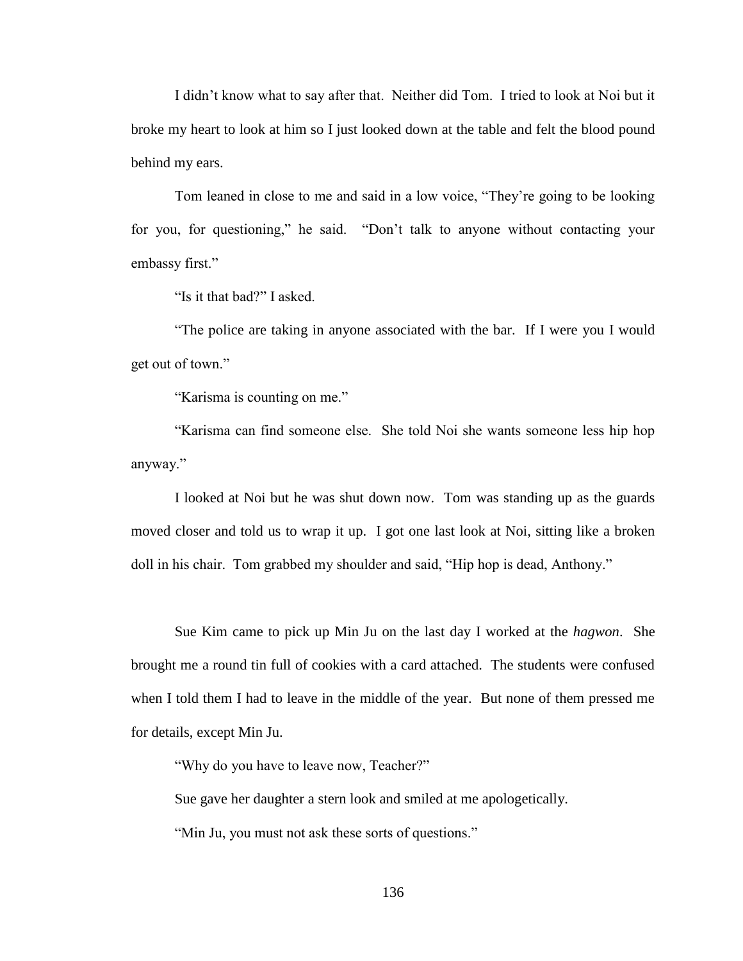I didn't know what to say after that. Neither did Tom. I tried to look at Noi but it broke my heart to look at him so I just looked down at the table and felt the blood pound behind my ears.

Tom leaned in close to me and said in a low voice, "They're going to be looking for you, for questioning," he said. "Don't talk to anyone without contacting your embassy first."

"Is it that bad?" I asked.

"The police are taking in anyone associated with the bar. If I were you I would get out of town."

"Karisma is counting on me."

"Karisma can find someone else. She told Noi she wants someone less hip hop anyway."

I looked at Noi but he was shut down now. Tom was standing up as the guards moved closer and told us to wrap it up. I got one last look at Noi, sitting like a broken doll in his chair. Tom grabbed my shoulder and said, "Hip hop is dead, Anthony."

Sue Kim came to pick up Min Ju on the last day I worked at the *hagwon*. She brought me a round tin full of cookies with a card attached. The students were confused when I told them I had to leave in the middle of the year. But none of them pressed me for details, except Min Ju.

"Why do you have to leave now, Teacher?"

Sue gave her daughter a stern look and smiled at me apologetically.

"Min Ju, you must not ask these sorts of questions."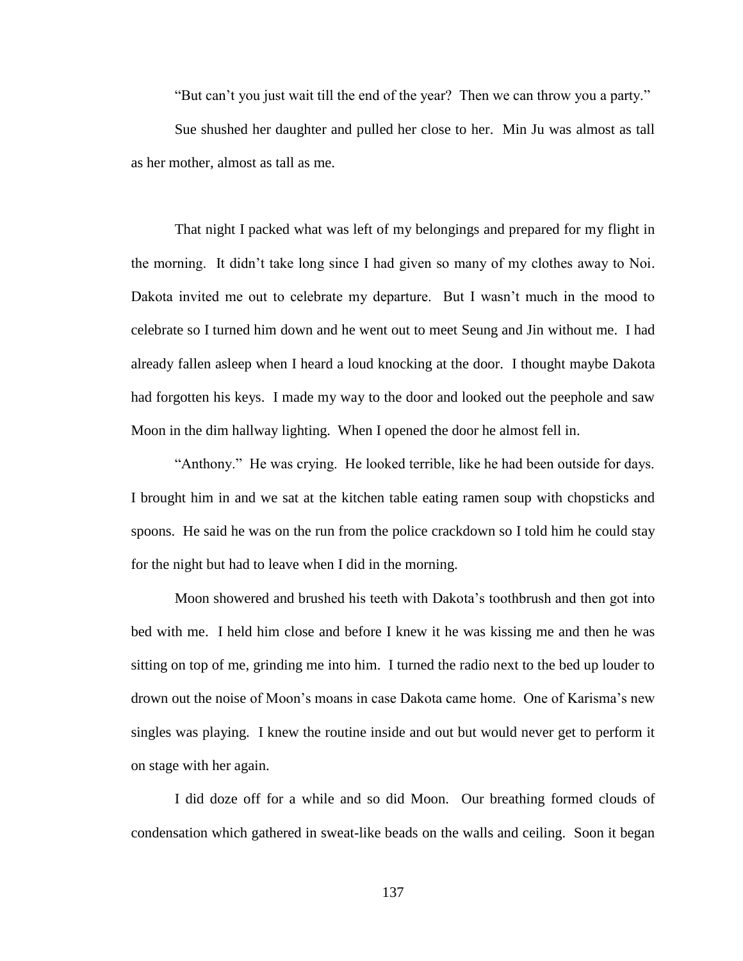"But can't you just wait till the end of the year? Then we can throw you a party."

Sue shushed her daughter and pulled her close to her. Min Ju was almost as tall as her mother, almost as tall as me.

That night I packed what was left of my belongings and prepared for my flight in the morning. It didn't take long since I had given so many of my clothes away to Noi. Dakota invited me out to celebrate my departure. But I wasn't much in the mood to celebrate so I turned him down and he went out to meet Seung and Jin without me. I had already fallen asleep when I heard a loud knocking at the door. I thought maybe Dakota had forgotten his keys. I made my way to the door and looked out the peephole and saw Moon in the dim hallway lighting. When I opened the door he almost fell in.

"Anthony." He was crying. He looked terrible, like he had been outside for days. I brought him in and we sat at the kitchen table eating ramen soup with chopsticks and spoons. He said he was on the run from the police crackdown so I told him he could stay for the night but had to leave when I did in the morning.

Moon showered and brushed his teeth with Dakota's toothbrush and then got into bed with me. I held him close and before I knew it he was kissing me and then he was sitting on top of me, grinding me into him. I turned the radio next to the bed up louder to drown out the noise of Moon's moans in case Dakota came home. One of Karisma's new singles was playing. I knew the routine inside and out but would never get to perform it on stage with her again.

I did doze off for a while and so did Moon. Our breathing formed clouds of condensation which gathered in sweat-like beads on the walls and ceiling. Soon it began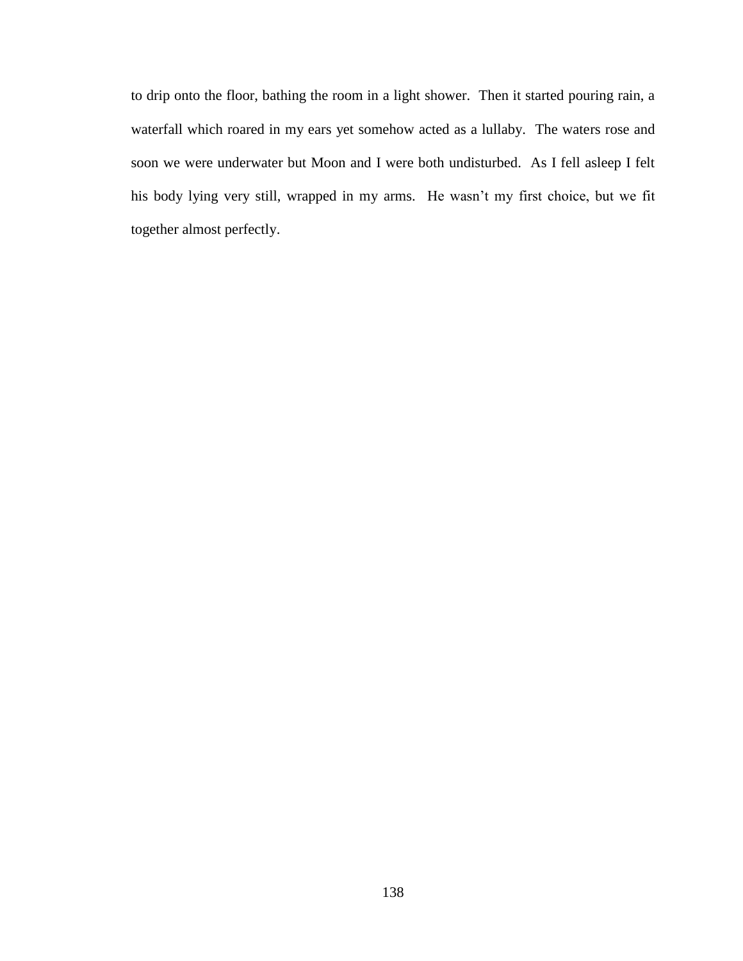to drip onto the floor, bathing the room in a light shower. Then it started pouring rain, a waterfall which roared in my ears yet somehow acted as a lullaby. The waters rose and soon we were underwater but Moon and I were both undisturbed. As I fell asleep I felt his body lying very still, wrapped in my arms. He wasn't my first choice, but we fit together almost perfectly.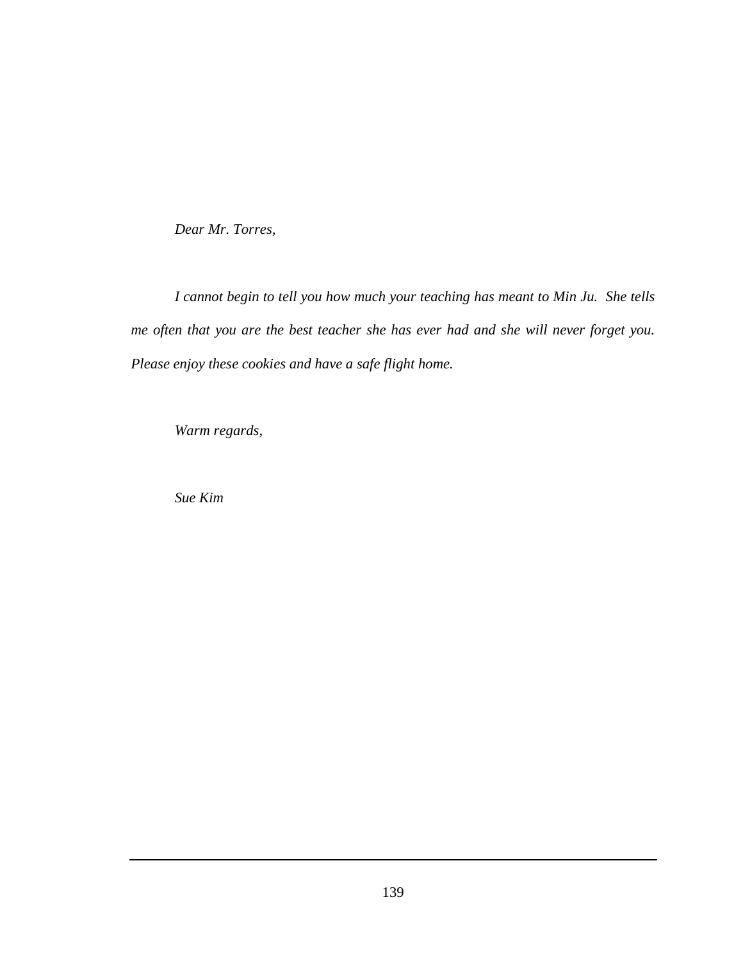*Dear Mr. Torres,*

*I cannot begin to tell you how much your teaching has meant to Min Ju. She tells me often that you are the best teacher she has ever had and she will never forget you. Please enjoy these cookies and have a safe flight home.*

*Warm regards,*

*Sue Kim*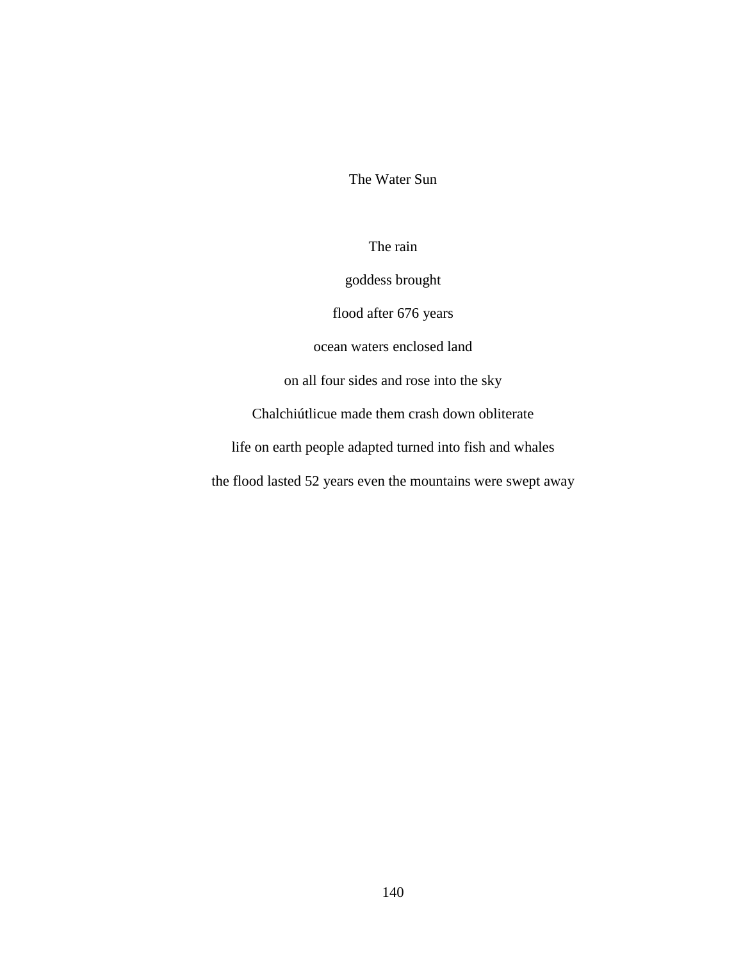The Water Sun

The rain

goddess brought

flood after 676 years

ocean waters enclosed land

on all four sides and rose into the sky

Chalchiútlicue made them crash down obliterate

life on earth people adapted turned into fish and whales

the flood lasted 52 years even the mountains were swept away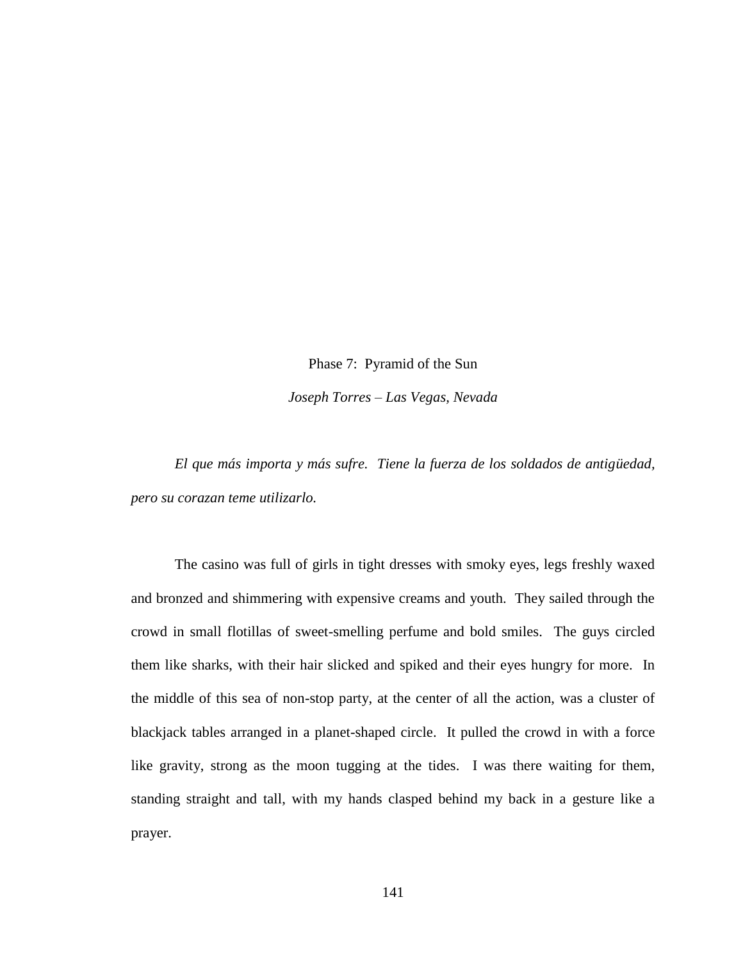Phase 7: Pyramid of the Sun *Joseph Torres – Las Vegas, Nevada*

*El que más importa y más sufre. Tiene la fuerza de los soldados de antigüedad, pero su corazan teme utilizarlo.*

The casino was full of girls in tight dresses with smoky eyes, legs freshly waxed and bronzed and shimmering with expensive creams and youth. They sailed through the crowd in small flotillas of sweet-smelling perfume and bold smiles. The guys circled them like sharks, with their hair slicked and spiked and their eyes hungry for more. In the middle of this sea of non-stop party, at the center of all the action, was a cluster of blackjack tables arranged in a planet-shaped circle. It pulled the crowd in with a force like gravity, strong as the moon tugging at the tides. I was there waiting for them, standing straight and tall, with my hands clasped behind my back in a gesture like a prayer.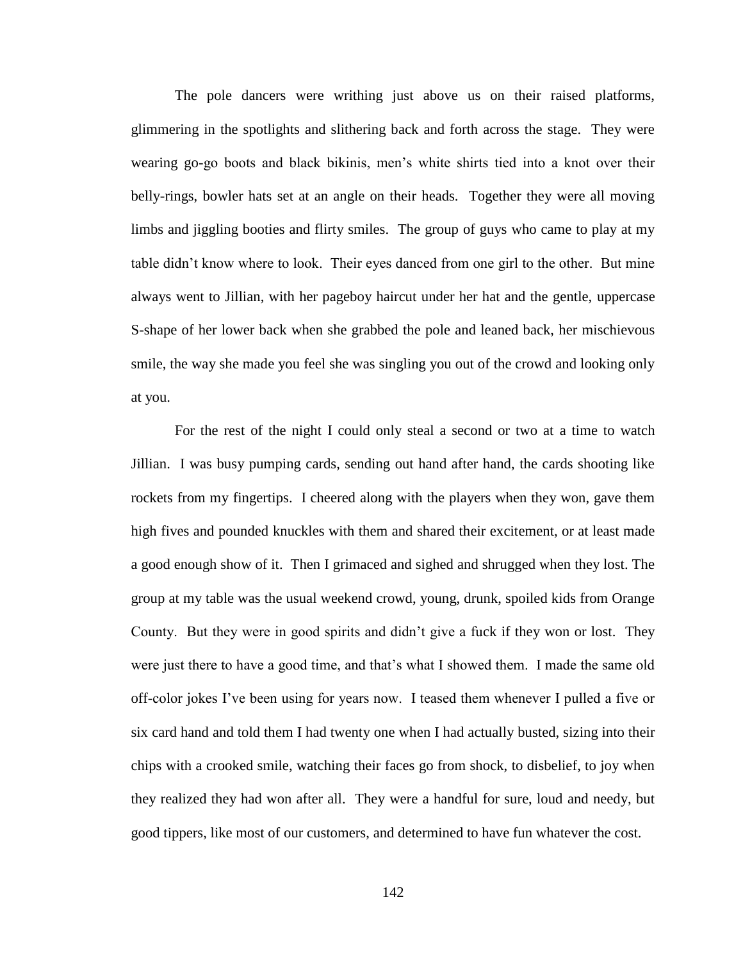The pole dancers were writhing just above us on their raised platforms, glimmering in the spotlights and slithering back and forth across the stage. They were wearing go-go boots and black bikinis, men's white shirts tied into a knot over their belly-rings, bowler hats set at an angle on their heads. Together they were all moving limbs and jiggling booties and flirty smiles. The group of guys who came to play at my table didn't know where to look. Their eyes danced from one girl to the other. But mine always went to Jillian, with her pageboy haircut under her hat and the gentle, uppercase S-shape of her lower back when she grabbed the pole and leaned back, her mischievous smile, the way she made you feel she was singling you out of the crowd and looking only at you.

For the rest of the night I could only steal a second or two at a time to watch Jillian. I was busy pumping cards, sending out hand after hand, the cards shooting like rockets from my fingertips. I cheered along with the players when they won, gave them high fives and pounded knuckles with them and shared their excitement, or at least made a good enough show of it. Then I grimaced and sighed and shrugged when they lost. The group at my table was the usual weekend crowd, young, drunk, spoiled kids from Orange County. But they were in good spirits and didn't give a fuck if they won or lost. They were just there to have a good time, and that's what I showed them. I made the same old off-color jokes I've been using for years now. I teased them whenever I pulled a five or six card hand and told them I had twenty one when I had actually busted, sizing into their chips with a crooked smile, watching their faces go from shock, to disbelief, to joy when they realized they had won after all. They were a handful for sure, loud and needy, but good tippers, like most of our customers, and determined to have fun whatever the cost.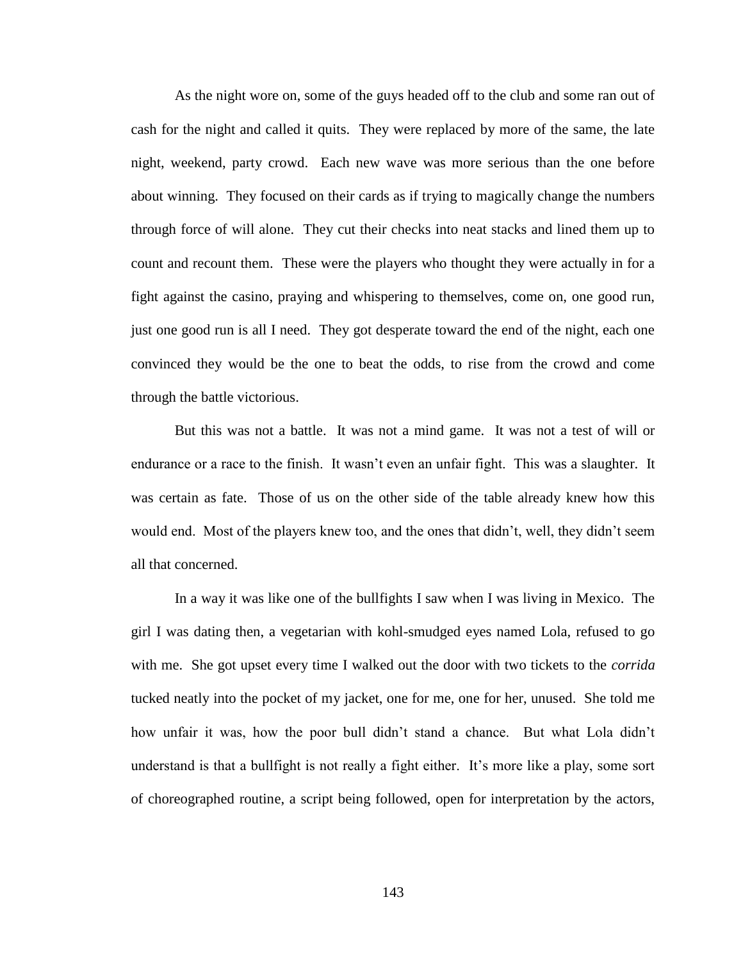As the night wore on, some of the guys headed off to the club and some ran out of cash for the night and called it quits. They were replaced by more of the same, the late night, weekend, party crowd. Each new wave was more serious than the one before about winning. They focused on their cards as if trying to magically change the numbers through force of will alone. They cut their checks into neat stacks and lined them up to count and recount them. These were the players who thought they were actually in for a fight against the casino, praying and whispering to themselves, come on, one good run, just one good run is all I need. They got desperate toward the end of the night, each one convinced they would be the one to beat the odds, to rise from the crowd and come through the battle victorious.

But this was not a battle. It was not a mind game. It was not a test of will or endurance or a race to the finish. It wasn't even an unfair fight. This was a slaughter. It was certain as fate. Those of us on the other side of the table already knew how this would end. Most of the players knew too, and the ones that didn't, well, they didn't seem all that concerned.

In a way it was like one of the bullfights I saw when I was living in Mexico. The girl I was dating then, a vegetarian with kohl-smudged eyes named Lola, refused to go with me. She got upset every time I walked out the door with two tickets to the *corrida* tucked neatly into the pocket of my jacket, one for me, one for her, unused. She told me how unfair it was, how the poor bull didn't stand a chance. But what Lola didn't understand is that a bullfight is not really a fight either. It's more like a play, some sort of choreographed routine, a script being followed, open for interpretation by the actors,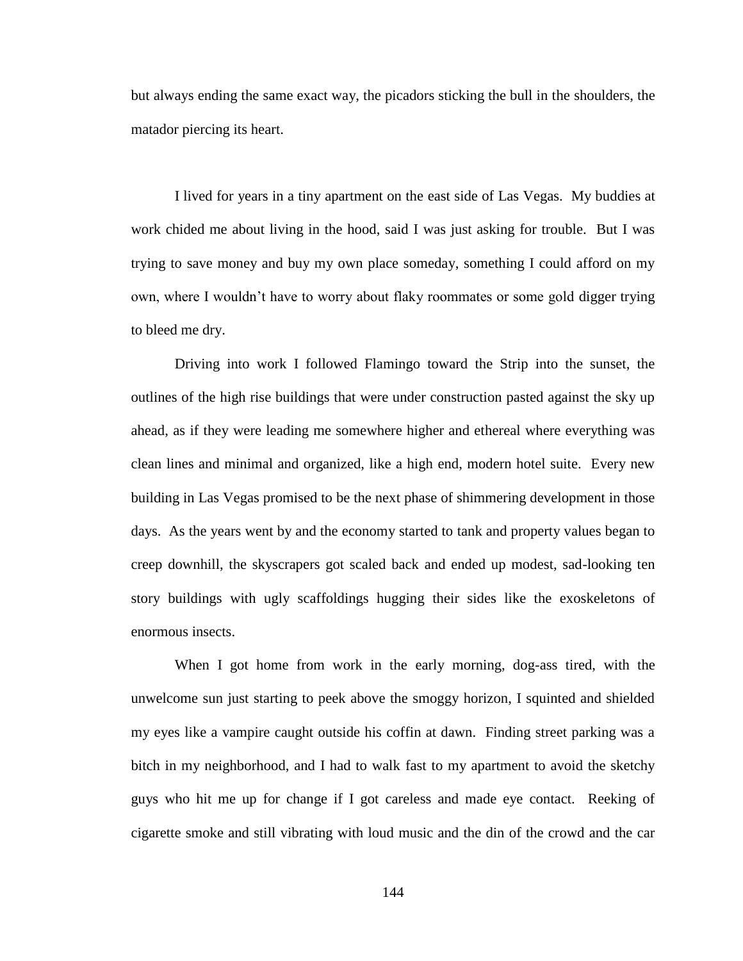but always ending the same exact way, the picadors sticking the bull in the shoulders, the matador piercing its heart.

I lived for years in a tiny apartment on the east side of Las Vegas. My buddies at work chided me about living in the hood, said I was just asking for trouble. But I was trying to save money and buy my own place someday, something I could afford on my own, where I wouldn't have to worry about flaky roommates or some gold digger trying to bleed me dry.

Driving into work I followed Flamingo toward the Strip into the sunset, the outlines of the high rise buildings that were under construction pasted against the sky up ahead, as if they were leading me somewhere higher and ethereal where everything was clean lines and minimal and organized, like a high end, modern hotel suite. Every new building in Las Vegas promised to be the next phase of shimmering development in those days. As the years went by and the economy started to tank and property values began to creep downhill, the skyscrapers got scaled back and ended up modest, sad-looking ten story buildings with ugly scaffoldings hugging their sides like the exoskeletons of enormous insects.

When I got home from work in the early morning, dog-ass tired, with the unwelcome sun just starting to peek above the smoggy horizon, I squinted and shielded my eyes like a vampire caught outside his coffin at dawn. Finding street parking was a bitch in my neighborhood, and I had to walk fast to my apartment to avoid the sketchy guys who hit me up for change if I got careless and made eye contact. Reeking of cigarette smoke and still vibrating with loud music and the din of the crowd and the car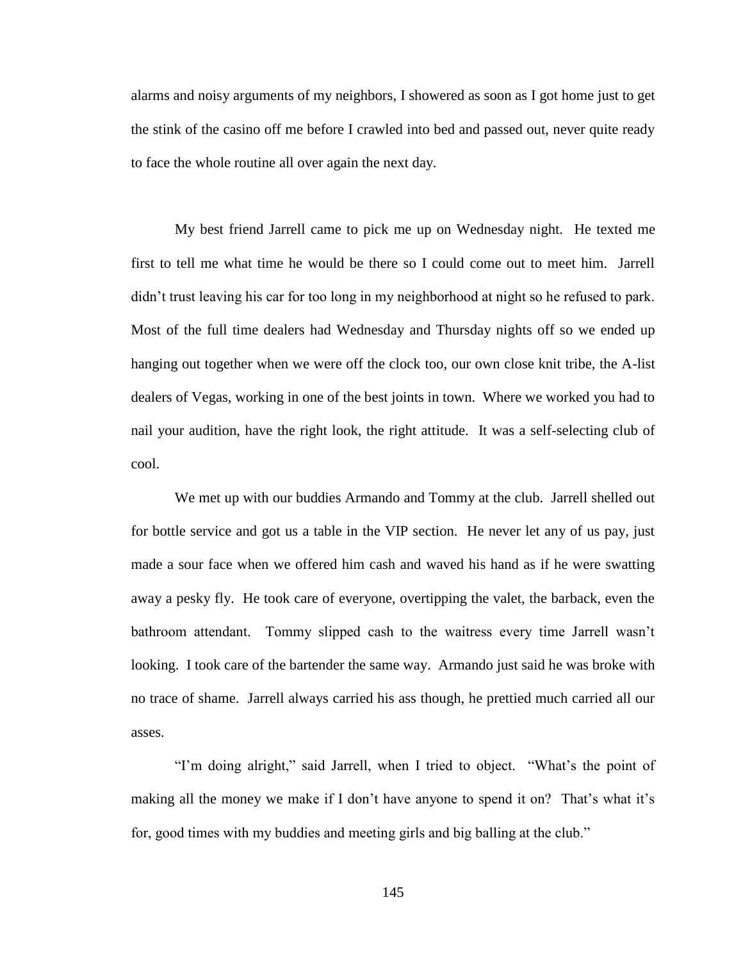alarms and noisy arguments of my neighbors, I showered as soon as I got home just to get the stink of the casino off me before I crawled into bed and passed out, never quite ready to face the whole routine all over again the next day.

My best friend Jarrell came to pick me up on Wednesday night. He texted me first to tell me what time he would be there so I could come out to meet him. Jarrell didn't trust leaving his car for too long in my neighborhood at night so he refused to park. Most of the full time dealers had Wednesday and Thursday nights off so we ended up hanging out together when we were off the clock too, our own close knit tribe, the A-list dealers of Vegas, working in one of the best joints in town. Where we worked you had to nail your audition, have the right look, the right attitude. It was a self-selecting club of cool.

We met up with our buddies Armando and Tommy at the club. Jarrell shelled out for bottle service and got us a table in the VIP section. He never let any of us pay, just made a sour face when we offered him cash and waved his hand as if he were swatting away a pesky fly. He took care of everyone, overtipping the valet, the barback, even the bathroom attendant. Tommy slipped cash to the waitress every time Jarrell wasn't looking. I took care of the bartender the same way. Armando just said he was broke with no trace of shame. Jarrell always carried his ass though, he prettied much carried all our asses.

"I'm doing alright," said Jarrell, when I tried to object. "What's the point of making all the money we make if I don't have anyone to spend it on? That's what it's for, good times with my buddies and meeting girls and big balling at the club."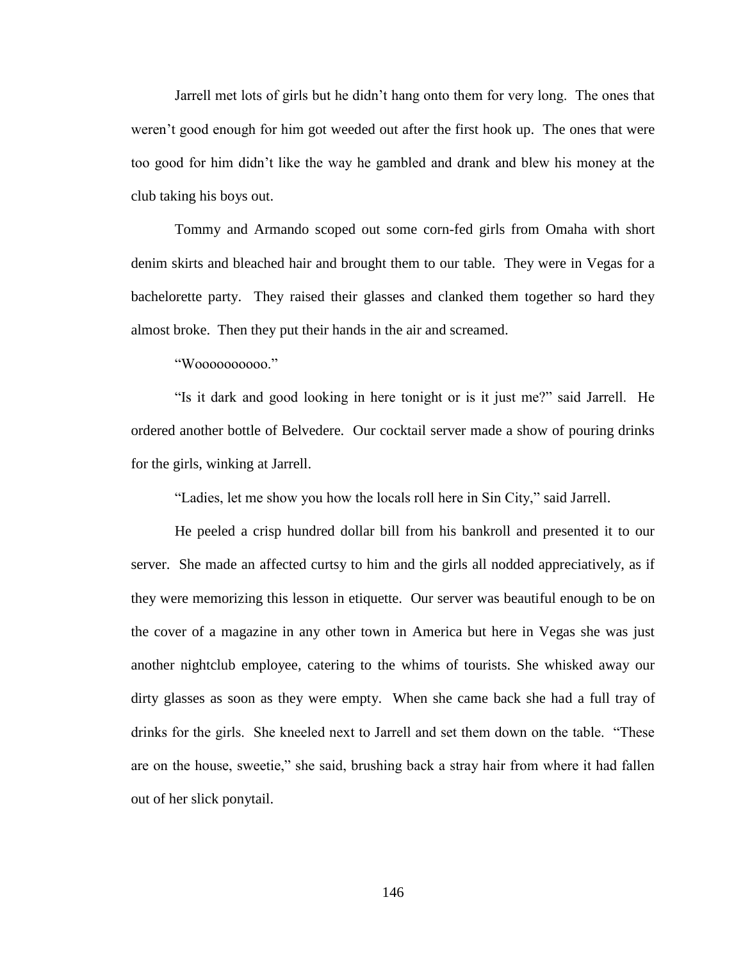Jarrell met lots of girls but he didn't hang onto them for very long. The ones that weren't good enough for him got weeded out after the first hook up. The ones that were too good for him didn't like the way he gambled and drank and blew his money at the club taking his boys out.

Tommy and Armando scoped out some corn-fed girls from Omaha with short denim skirts and bleached hair and brought them to our table. They were in Vegas for a bachelorette party. They raised their glasses and clanked them together so hard they almost broke. Then they put their hands in the air and screamed.

"Woooooooooo."

"Is it dark and good looking in here tonight or is it just me?" said Jarrell. He ordered another bottle of Belvedere. Our cocktail server made a show of pouring drinks for the girls, winking at Jarrell.

"Ladies, let me show you how the locals roll here in Sin City," said Jarrell.

He peeled a crisp hundred dollar bill from his bankroll and presented it to our server. She made an affected curtsy to him and the girls all nodded appreciatively, as if they were memorizing this lesson in etiquette. Our server was beautiful enough to be on the cover of a magazine in any other town in America but here in Vegas she was just another nightclub employee, catering to the whims of tourists. She whisked away our dirty glasses as soon as they were empty. When she came back she had a full tray of drinks for the girls. She kneeled next to Jarrell and set them down on the table. "These are on the house, sweetie," she said, brushing back a stray hair from where it had fallen out of her slick ponytail.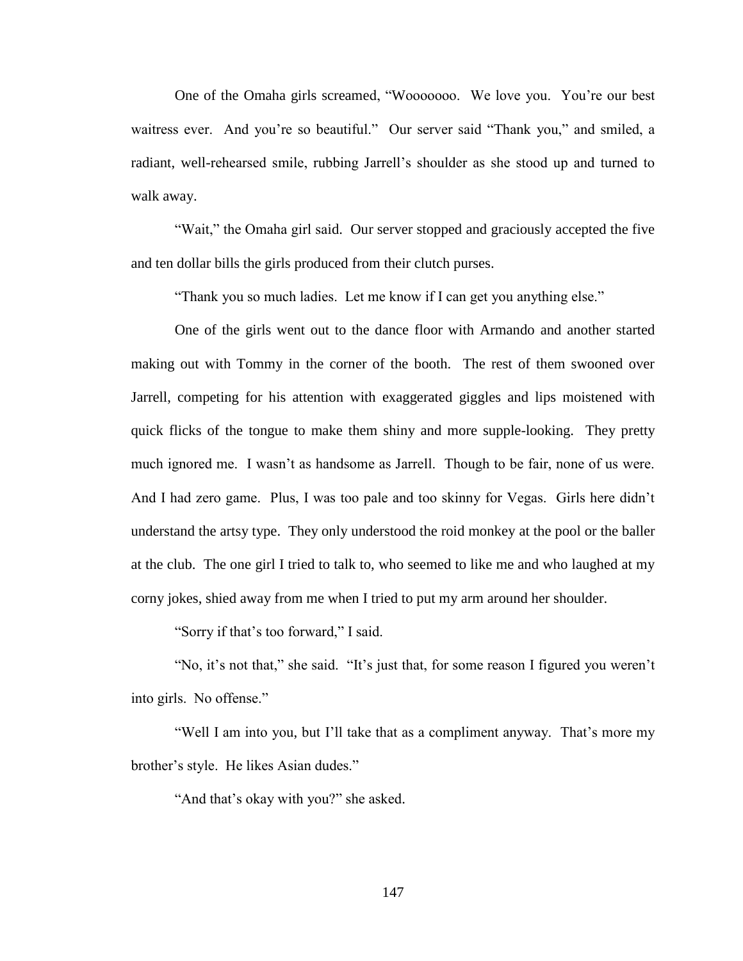One of the Omaha girls screamed, "Wooooooo. We love you. You're our best waitress ever. And you're so beautiful." Our server said "Thank you," and smiled, a radiant, well-rehearsed smile, rubbing Jarrell's shoulder as she stood up and turned to walk away.

"Wait," the Omaha girl said. Our server stopped and graciously accepted the five and ten dollar bills the girls produced from their clutch purses.

"Thank you so much ladies. Let me know if I can get you anything else."

One of the girls went out to the dance floor with Armando and another started making out with Tommy in the corner of the booth. The rest of them swooned over Jarrell, competing for his attention with exaggerated giggles and lips moistened with quick flicks of the tongue to make them shiny and more supple-looking. They pretty much ignored me. I wasn't as handsome as Jarrell. Though to be fair, none of us were. And I had zero game. Plus, I was too pale and too skinny for Vegas. Girls here didn't understand the artsy type. They only understood the roid monkey at the pool or the baller at the club. The one girl I tried to talk to, who seemed to like me and who laughed at my corny jokes, shied away from me when I tried to put my arm around her shoulder.

"Sorry if that's too forward," I said.

"No, it's not that," she said. "It's just that, for some reason I figured you weren't into girls. No offense."

"Well I am into you, but I'll take that as a compliment anyway. That's more my brother's style. He likes Asian dudes."

"And that's okay with you?" she asked.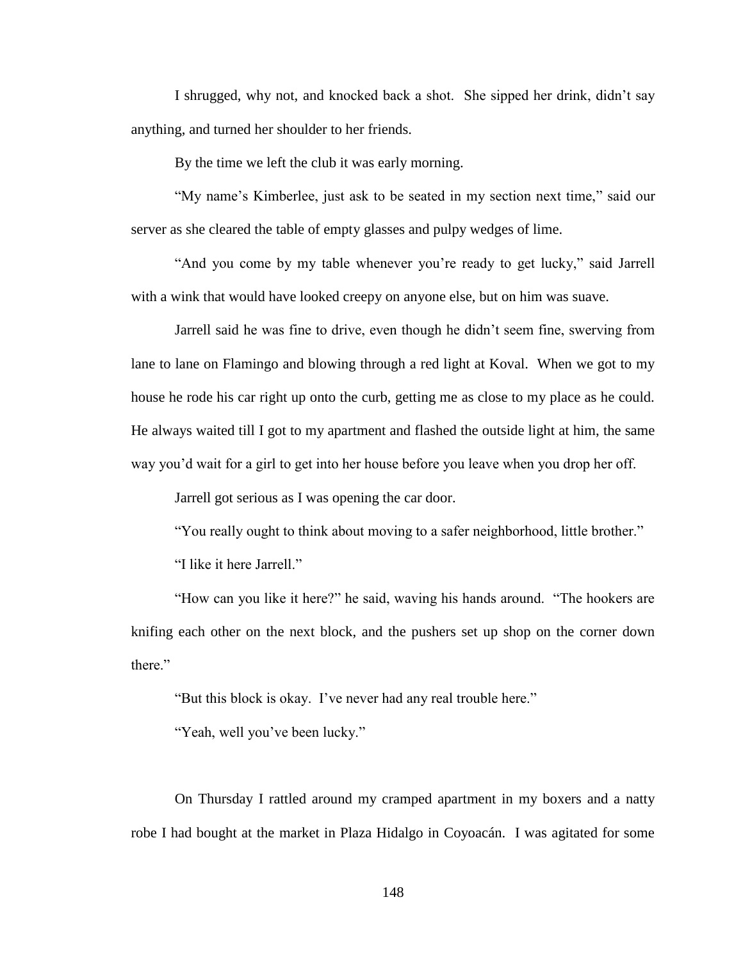I shrugged, why not, and knocked back a shot. She sipped her drink, didn't say anything, and turned her shoulder to her friends.

By the time we left the club it was early morning.

"My name's Kimberlee, just ask to be seated in my section next time," said our server as she cleared the table of empty glasses and pulpy wedges of lime.

"And you come by my table whenever you're ready to get lucky," said Jarrell with a wink that would have looked creepy on anyone else, but on him was suave.

Jarrell said he was fine to drive, even though he didn't seem fine, swerving from lane to lane on Flamingo and blowing through a red light at Koval. When we got to my house he rode his car right up onto the curb, getting me as close to my place as he could. He always waited till I got to my apartment and flashed the outside light at him, the same way you'd wait for a girl to get into her house before you leave when you drop her off.

Jarrell got serious as I was opening the car door.

"You really ought to think about moving to a safer neighborhood, little brother."

"I like it here Jarrell."

"How can you like it here?" he said, waving his hands around. "The hookers are knifing each other on the next block, and the pushers set up shop on the corner down there"

"But this block is okay. I've never had any real trouble here."

"Yeah, well you've been lucky."

On Thursday I rattled around my cramped apartment in my boxers and a natty robe I had bought at the market in Plaza Hidalgo in Coyoacán. I was agitated for some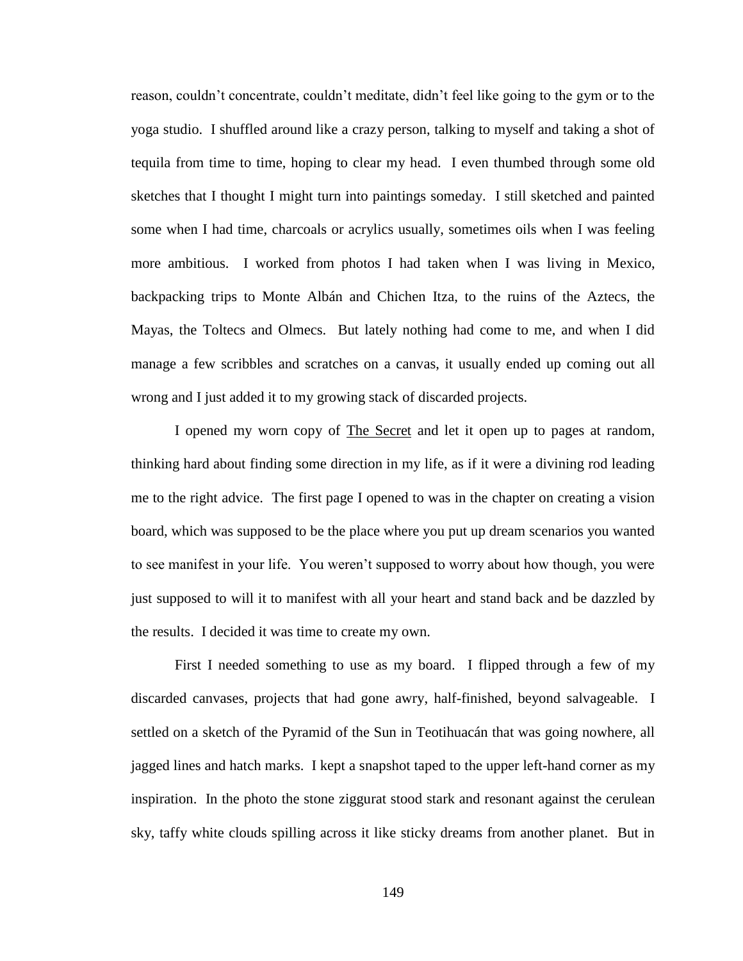reason, couldn't concentrate, couldn't meditate, didn't feel like going to the gym or to the yoga studio. I shuffled around like a crazy person, talking to myself and taking a shot of tequila from time to time, hoping to clear my head. I even thumbed through some old sketches that I thought I might turn into paintings someday. I still sketched and painted some when I had time, charcoals or acrylics usually, sometimes oils when I was feeling more ambitious. I worked from photos I had taken when I was living in Mexico, backpacking trips to Monte Albán and Chichen Itza, to the ruins of the Aztecs, the Mayas, the Toltecs and Olmecs. But lately nothing had come to me, and when I did manage a few scribbles and scratches on a canvas, it usually ended up coming out all wrong and I just added it to my growing stack of discarded projects.

I opened my worn copy of The Secret and let it open up to pages at random, thinking hard about finding some direction in my life, as if it were a divining rod leading me to the right advice. The first page I opened to was in the chapter on creating a vision board, which was supposed to be the place where you put up dream scenarios you wanted to see manifest in your life. You weren't supposed to worry about how though, you were just supposed to will it to manifest with all your heart and stand back and be dazzled by the results. I decided it was time to create my own.

First I needed something to use as my board. I flipped through a few of my discarded canvases, projects that had gone awry, half-finished, beyond salvageable. I settled on a sketch of the Pyramid of the Sun in Teotihuacán that was going nowhere, all jagged lines and hatch marks. I kept a snapshot taped to the upper left-hand corner as my inspiration. In the photo the stone ziggurat stood stark and resonant against the cerulean sky, taffy white clouds spilling across it like sticky dreams from another planet. But in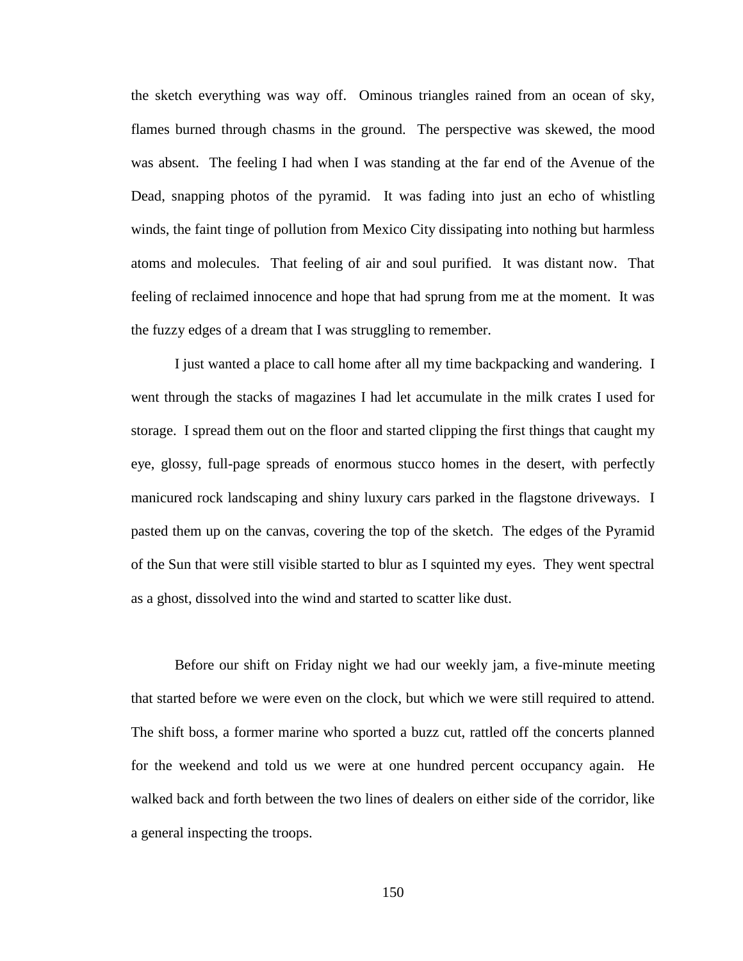the sketch everything was way off. Ominous triangles rained from an ocean of sky, flames burned through chasms in the ground. The perspective was skewed, the mood was absent. The feeling I had when I was standing at the far end of the Avenue of the Dead, snapping photos of the pyramid. It was fading into just an echo of whistling winds, the faint tinge of pollution from Mexico City dissipating into nothing but harmless atoms and molecules. That feeling of air and soul purified. It was distant now. That feeling of reclaimed innocence and hope that had sprung from me at the moment. It was the fuzzy edges of a dream that I was struggling to remember.

I just wanted a place to call home after all my time backpacking and wandering. I went through the stacks of magazines I had let accumulate in the milk crates I used for storage. I spread them out on the floor and started clipping the first things that caught my eye, glossy, full-page spreads of enormous stucco homes in the desert, with perfectly manicured rock landscaping and shiny luxury cars parked in the flagstone driveways. I pasted them up on the canvas, covering the top of the sketch. The edges of the Pyramid of the Sun that were still visible started to blur as I squinted my eyes. They went spectral as a ghost, dissolved into the wind and started to scatter like dust.

Before our shift on Friday night we had our weekly jam, a five-minute meeting that started before we were even on the clock, but which we were still required to attend. The shift boss, a former marine who sported a buzz cut, rattled off the concerts planned for the weekend and told us we were at one hundred percent occupancy again. He walked back and forth between the two lines of dealers on either side of the corridor, like a general inspecting the troops.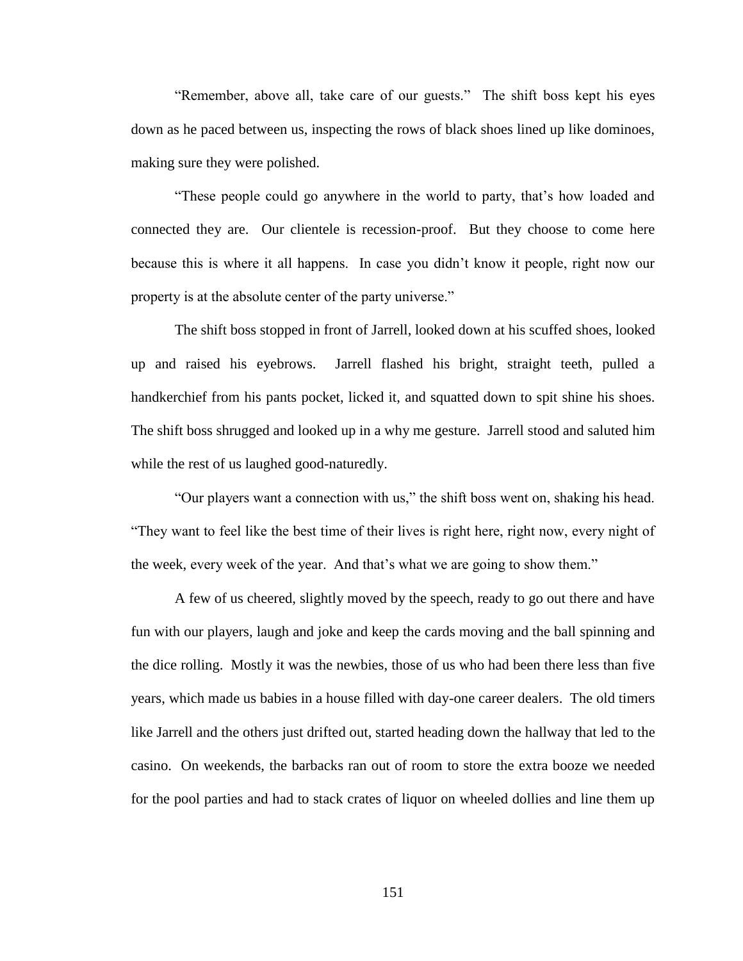"Remember, above all, take care of our guests." The shift boss kept his eyes down as he paced between us, inspecting the rows of black shoes lined up like dominoes, making sure they were polished.

"These people could go anywhere in the world to party, that's how loaded and connected they are. Our clientele is recession-proof. But they choose to come here because this is where it all happens. In case you didn't know it people, right now our property is at the absolute center of the party universe."

The shift boss stopped in front of Jarrell, looked down at his scuffed shoes, looked up and raised his eyebrows. Jarrell flashed his bright, straight teeth, pulled a handkerchief from his pants pocket, licked it, and squatted down to spit shine his shoes. The shift boss shrugged and looked up in a why me gesture. Jarrell stood and saluted him while the rest of us laughed good-naturedly.

"Our players want a connection with us," the shift boss went on, shaking his head. "They want to feel like the best time of their lives is right here, right now, every night of the week, every week of the year. And that's what we are going to show them."

A few of us cheered, slightly moved by the speech, ready to go out there and have fun with our players, laugh and joke and keep the cards moving and the ball spinning and the dice rolling. Mostly it was the newbies, those of us who had been there less than five years, which made us babies in a house filled with day-one career dealers. The old timers like Jarrell and the others just drifted out, started heading down the hallway that led to the casino. On weekends, the barbacks ran out of room to store the extra booze we needed for the pool parties and had to stack crates of liquor on wheeled dollies and line them up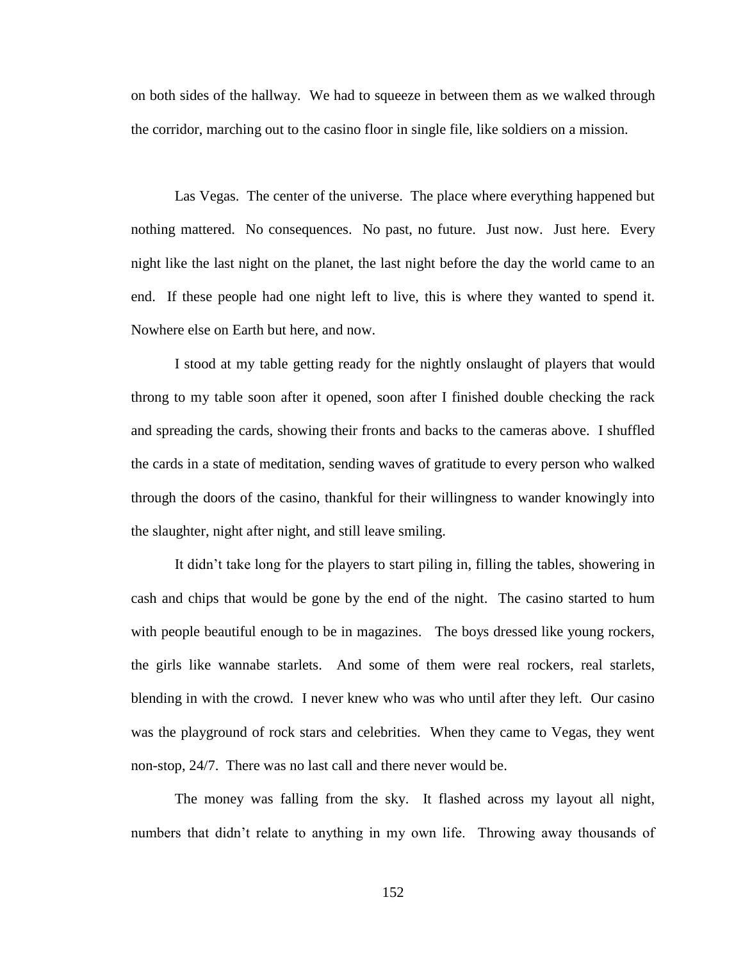on both sides of the hallway. We had to squeeze in between them as we walked through the corridor, marching out to the casino floor in single file, like soldiers on a mission.

Las Vegas. The center of the universe. The place where everything happened but nothing mattered. No consequences. No past, no future. Just now. Just here. Every night like the last night on the planet, the last night before the day the world came to an end. If these people had one night left to live, this is where they wanted to spend it. Nowhere else on Earth but here, and now.

I stood at my table getting ready for the nightly onslaught of players that would throng to my table soon after it opened, soon after I finished double checking the rack and spreading the cards, showing their fronts and backs to the cameras above. I shuffled the cards in a state of meditation, sending waves of gratitude to every person who walked through the doors of the casino, thankful for their willingness to wander knowingly into the slaughter, night after night, and still leave smiling.

It didn't take long for the players to start piling in, filling the tables, showering in cash and chips that would be gone by the end of the night. The casino started to hum with people beautiful enough to be in magazines. The boys dressed like young rockers, the girls like wannabe starlets. And some of them were real rockers, real starlets, blending in with the crowd. I never knew who was who until after they left. Our casino was the playground of rock stars and celebrities. When they came to Vegas, they went non-stop, 24/7. There was no last call and there never would be.

The money was falling from the sky. It flashed across my layout all night, numbers that didn't relate to anything in my own life. Throwing away thousands of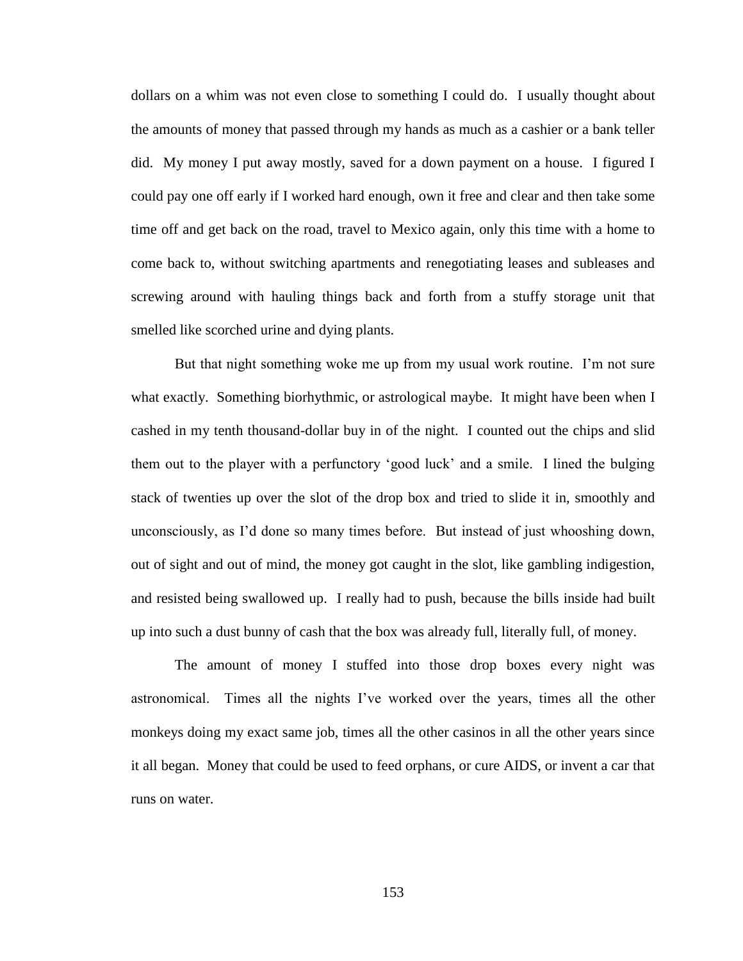dollars on a whim was not even close to something I could do. I usually thought about the amounts of money that passed through my hands as much as a cashier or a bank teller did. My money I put away mostly, saved for a down payment on a house. I figured I could pay one off early if I worked hard enough, own it free and clear and then take some time off and get back on the road, travel to Mexico again, only this time with a home to come back to, without switching apartments and renegotiating leases and subleases and screwing around with hauling things back and forth from a stuffy storage unit that smelled like scorched urine and dying plants.

But that night something woke me up from my usual work routine. I'm not sure what exactly. Something biorhythmic, or astrological maybe. It might have been when I cashed in my tenth thousand-dollar buy in of the night. I counted out the chips and slid them out to the player with a perfunctory 'good luck' and a smile. I lined the bulging stack of twenties up over the slot of the drop box and tried to slide it in, smoothly and unconsciously, as I'd done so many times before. But instead of just whooshing down, out of sight and out of mind, the money got caught in the slot, like gambling indigestion, and resisted being swallowed up. I really had to push, because the bills inside had built up into such a dust bunny of cash that the box was already full, literally full, of money.

The amount of money I stuffed into those drop boxes every night was astronomical. Times all the nights I've worked over the years, times all the other monkeys doing my exact same job, times all the other casinos in all the other years since it all began. Money that could be used to feed orphans, or cure AIDS, or invent a car that runs on water.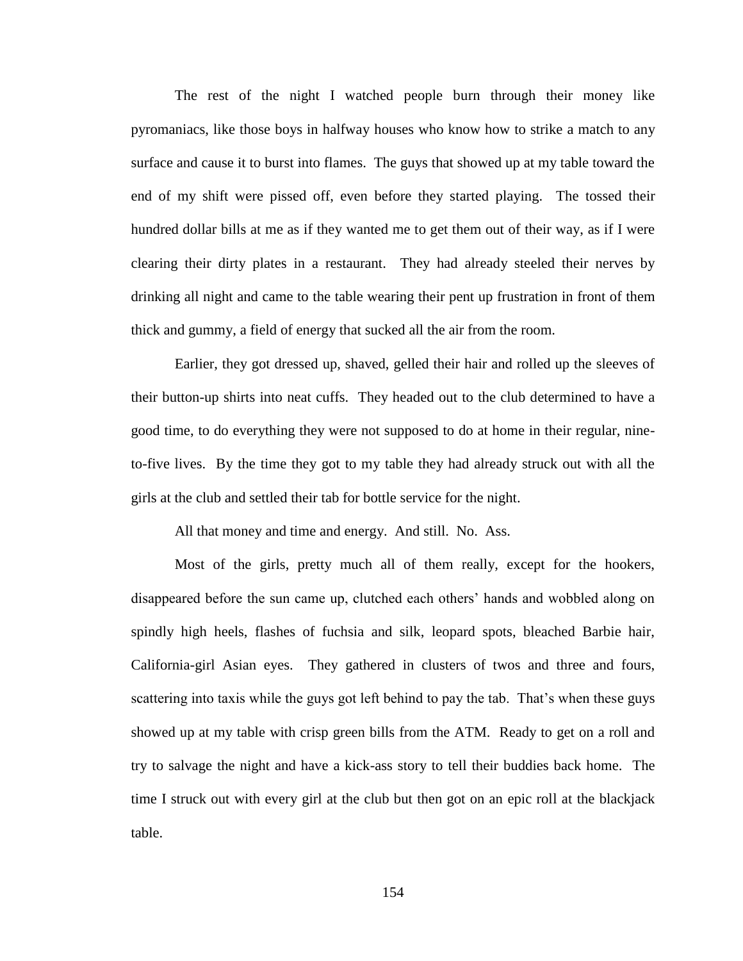The rest of the night I watched people burn through their money like pyromaniacs, like those boys in halfway houses who know how to strike a match to any surface and cause it to burst into flames. The guys that showed up at my table toward the end of my shift were pissed off, even before they started playing. The tossed their hundred dollar bills at me as if they wanted me to get them out of their way, as if I were clearing their dirty plates in a restaurant. They had already steeled their nerves by drinking all night and came to the table wearing their pent up frustration in front of them thick and gummy, a field of energy that sucked all the air from the room.

Earlier, they got dressed up, shaved, gelled their hair and rolled up the sleeves of their button-up shirts into neat cuffs. They headed out to the club determined to have a good time, to do everything they were not supposed to do at home in their regular, nineto-five lives. By the time they got to my table they had already struck out with all the girls at the club and settled their tab for bottle service for the night.

All that money and time and energy. And still. No. Ass.

Most of the girls, pretty much all of them really, except for the hookers, disappeared before the sun came up, clutched each others' hands and wobbled along on spindly high heels, flashes of fuchsia and silk, leopard spots, bleached Barbie hair, California-girl Asian eyes. They gathered in clusters of twos and three and fours, scattering into taxis while the guys got left behind to pay the tab. That's when these guys showed up at my table with crisp green bills from the ATM. Ready to get on a roll and try to salvage the night and have a kick-ass story to tell their buddies back home. The time I struck out with every girl at the club but then got on an epic roll at the blackjack table.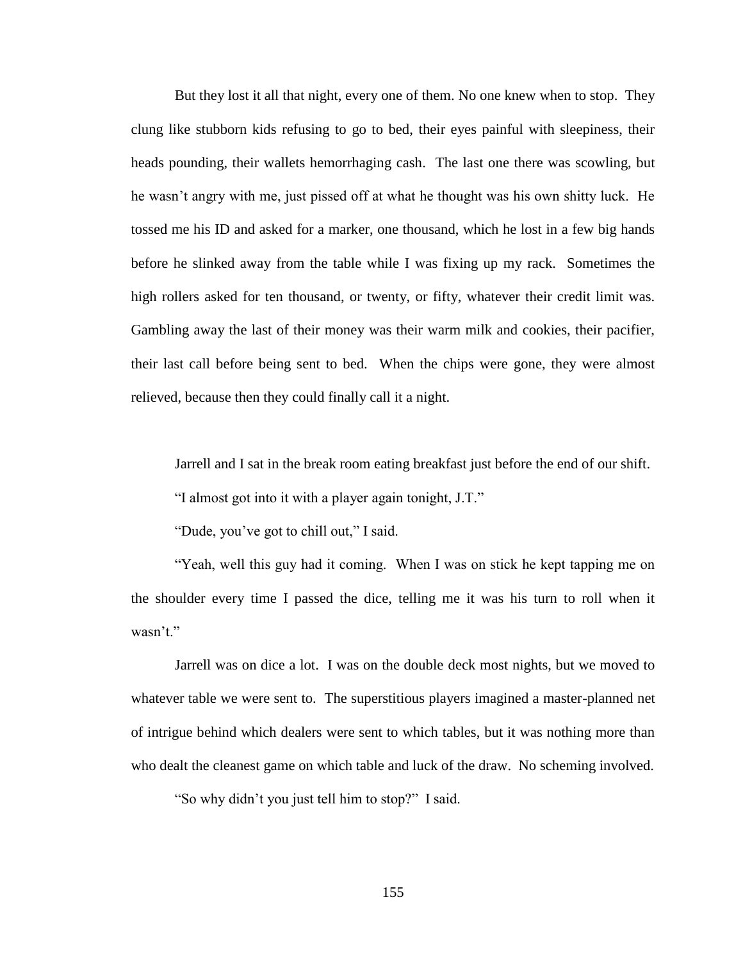But they lost it all that night, every one of them. No one knew when to stop. They clung like stubborn kids refusing to go to bed, their eyes painful with sleepiness, their heads pounding, their wallets hemorrhaging cash. The last one there was scowling, but he wasn't angry with me, just pissed off at what he thought was his own shitty luck. He tossed me his ID and asked for a marker, one thousand, which he lost in a few big hands before he slinked away from the table while I was fixing up my rack. Sometimes the high rollers asked for ten thousand, or twenty, or fifty, whatever their credit limit was. Gambling away the last of their money was their warm milk and cookies, their pacifier, their last call before being sent to bed. When the chips were gone, they were almost relieved, because then they could finally call it a night.

Jarrell and I sat in the break room eating breakfast just before the end of our shift.

"I almost got into it with a player again tonight, J.T."

"Dude, you've got to chill out," I said.

"Yeah, well this guy had it coming. When I was on stick he kept tapping me on the shoulder every time I passed the dice, telling me it was his turn to roll when it wasn't."

Jarrell was on dice a lot. I was on the double deck most nights, but we moved to whatever table we were sent to. The superstitious players imagined a master-planned net of intrigue behind which dealers were sent to which tables, but it was nothing more than who dealt the cleanest game on which table and luck of the draw. No scheming involved.

"So why didn't you just tell him to stop?" I said.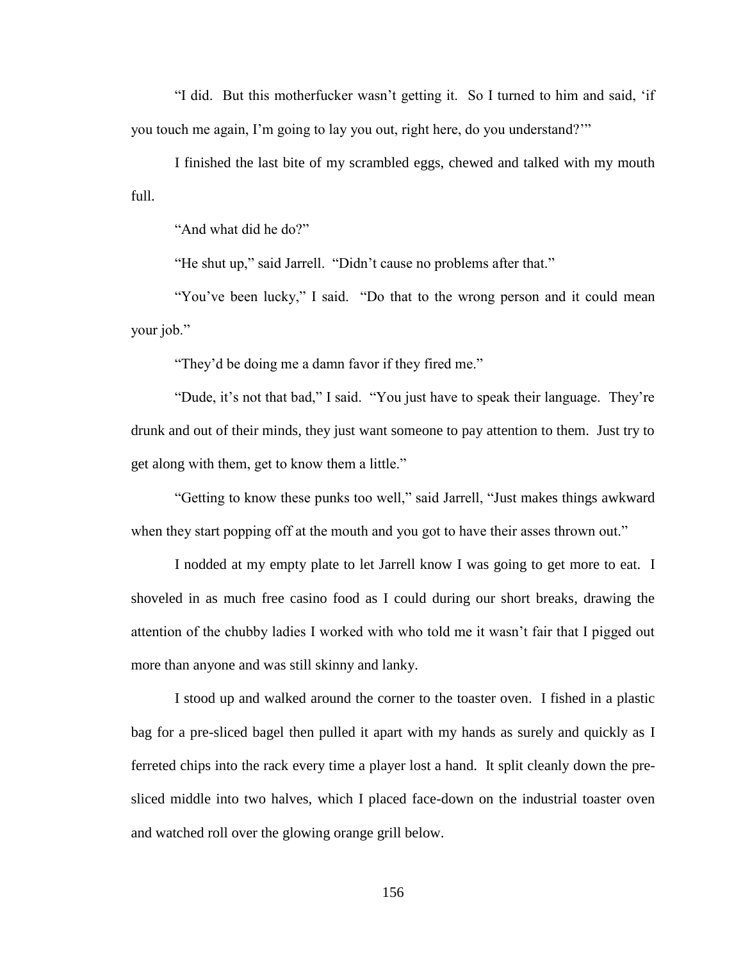"I did. But this motherfucker wasn't getting it. So I turned to him and said, 'if you touch me again, I'm going to lay you out, right here, do you understand?'"

I finished the last bite of my scrambled eggs, chewed and talked with my mouth full.

"And what did he do?"

"He shut up," said Jarrell. "Didn't cause no problems after that."

"You've been lucky," I said. "Do that to the wrong person and it could mean your job."

"They'd be doing me a damn favor if they fired me."

"Dude, it's not that bad," I said. "You just have to speak their language. They're drunk and out of their minds, they just want someone to pay attention to them. Just try to get along with them, get to know them a little."

"Getting to know these punks too well," said Jarrell, "Just makes things awkward when they start popping off at the mouth and you got to have their asses thrown out."

I nodded at my empty plate to let Jarrell know I was going to get more to eat. I shoveled in as much free casino food as I could during our short breaks, drawing the attention of the chubby ladies I worked with who told me it wasn't fair that I pigged out more than anyone and was still skinny and lanky.

I stood up and walked around the corner to the toaster oven. I fished in a plastic bag for a pre-sliced bagel then pulled it apart with my hands as surely and quickly as I ferreted chips into the rack every time a player lost a hand. It split cleanly down the presliced middle into two halves, which I placed face-down on the industrial toaster oven and watched roll over the glowing orange grill below.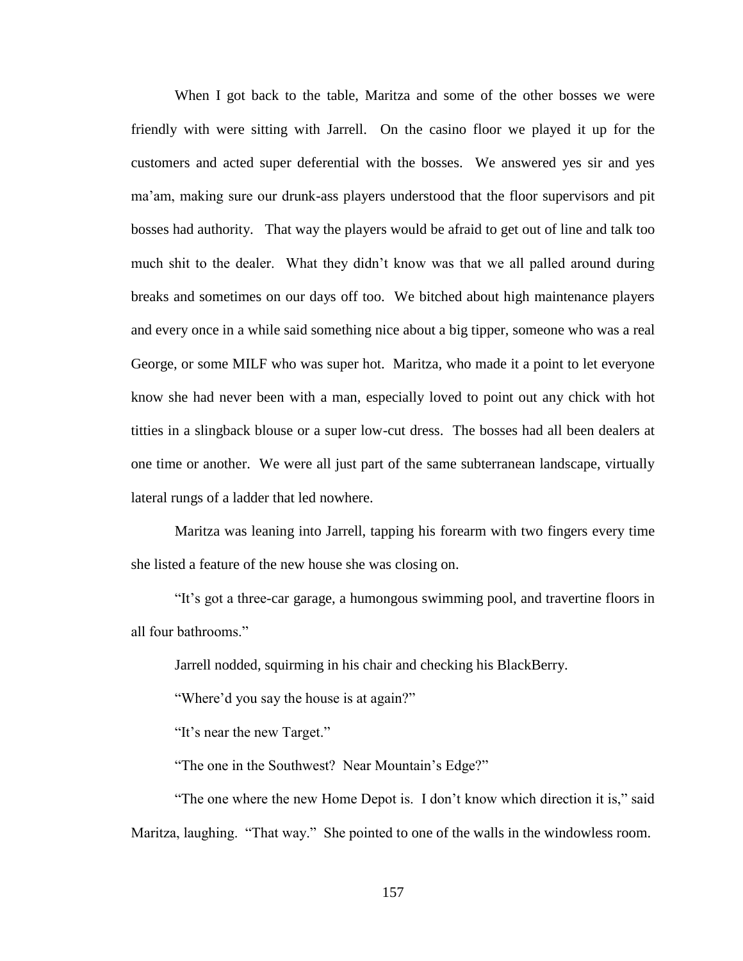When I got back to the table, Maritza and some of the other bosses we were friendly with were sitting with Jarrell. On the casino floor we played it up for the customers and acted super deferential with the bosses. We answered yes sir and yes ma'am, making sure our drunk-ass players understood that the floor supervisors and pit bosses had authority. That way the players would be afraid to get out of line and talk too much shit to the dealer. What they didn't know was that we all palled around during breaks and sometimes on our days off too. We bitched about high maintenance players and every once in a while said something nice about a big tipper, someone who was a real George, or some MILF who was super hot. Maritza, who made it a point to let everyone know she had never been with a man, especially loved to point out any chick with hot titties in a slingback blouse or a super low-cut dress. The bosses had all been dealers at one time or another. We were all just part of the same subterranean landscape, virtually lateral rungs of a ladder that led nowhere.

Maritza was leaning into Jarrell, tapping his forearm with two fingers every time she listed a feature of the new house she was closing on.

"It's got a three-car garage, a humongous swimming pool, and travertine floors in all four bathrooms"

Jarrell nodded, squirming in his chair and checking his BlackBerry.

"Where'd you say the house is at again?"

"It's near the new Target."

"The one in the Southwest? Near Mountain's Edge?"

"The one where the new Home Depot is. I don't know which direction it is," said Maritza, laughing. "That way." She pointed to one of the walls in the windowless room.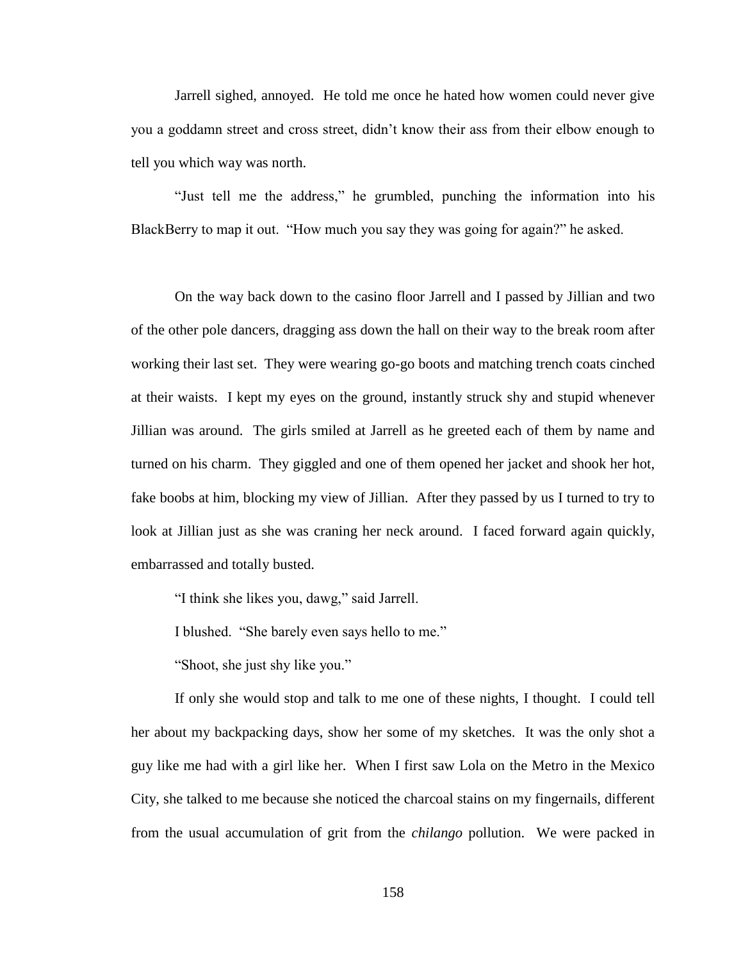Jarrell sighed, annoyed. He told me once he hated how women could never give you a goddamn street and cross street, didn't know their ass from their elbow enough to tell you which way was north.

"Just tell me the address," he grumbled, punching the information into his BlackBerry to map it out. "How much you say they was going for again?" he asked.

On the way back down to the casino floor Jarrell and I passed by Jillian and two of the other pole dancers, dragging ass down the hall on their way to the break room after working their last set. They were wearing go-go boots and matching trench coats cinched at their waists. I kept my eyes on the ground, instantly struck shy and stupid whenever Jillian was around. The girls smiled at Jarrell as he greeted each of them by name and turned on his charm. They giggled and one of them opened her jacket and shook her hot, fake boobs at him, blocking my view of Jillian. After they passed by us I turned to try to look at Jillian just as she was craning her neck around. I faced forward again quickly, embarrassed and totally busted.

"I think she likes you, dawg," said Jarrell.

I blushed. "She barely even says hello to me."

"Shoot, she just shy like you."

If only she would stop and talk to me one of these nights, I thought. I could tell her about my backpacking days, show her some of my sketches. It was the only shot a guy like me had with a girl like her. When I first saw Lola on the Metro in the Mexico City, she talked to me because she noticed the charcoal stains on my fingernails, different from the usual accumulation of grit from the *chilango* pollution. We were packed in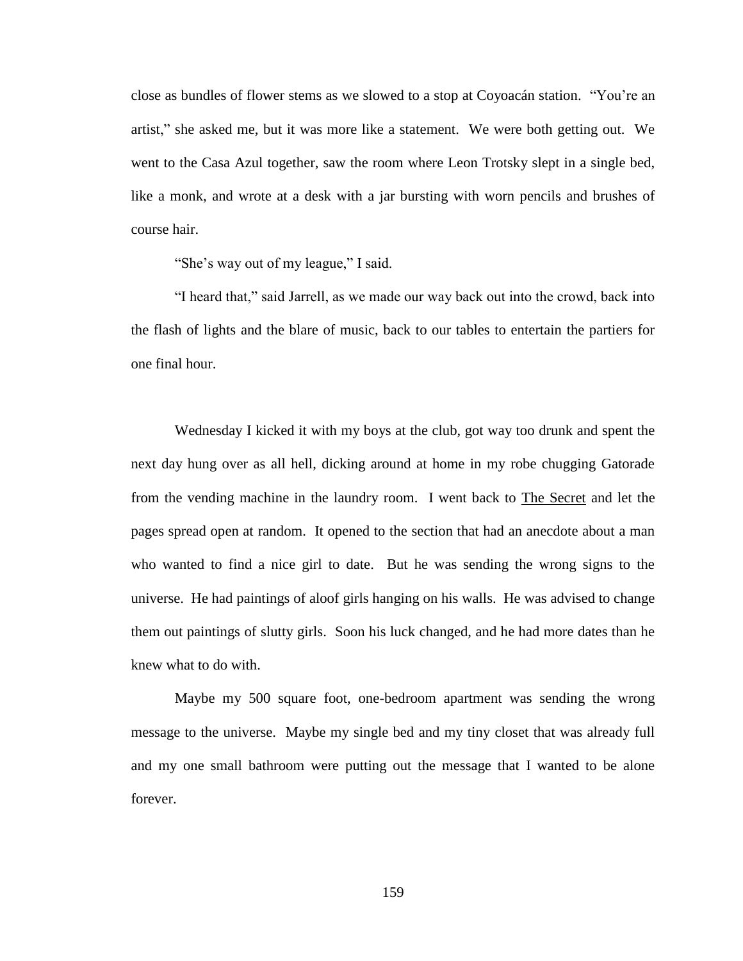close as bundles of flower stems as we slowed to a stop at Coyoacán station. "You're an artist," she asked me, but it was more like a statement. We were both getting out. We went to the Casa Azul together, saw the room where Leon Trotsky slept in a single bed, like a monk, and wrote at a desk with a jar bursting with worn pencils and brushes of course hair.

"She's way out of my league," I said.

"I heard that," said Jarrell, as we made our way back out into the crowd, back into the flash of lights and the blare of music, back to our tables to entertain the partiers for one final hour.

Wednesday I kicked it with my boys at the club, got way too drunk and spent the next day hung over as all hell, dicking around at home in my robe chugging Gatorade from the vending machine in the laundry room. I went back to The Secret and let the pages spread open at random. It opened to the section that had an anecdote about a man who wanted to find a nice girl to date. But he was sending the wrong signs to the universe. He had paintings of aloof girls hanging on his walls. He was advised to change them out paintings of slutty girls. Soon his luck changed, and he had more dates than he knew what to do with.

Maybe my 500 square foot, one-bedroom apartment was sending the wrong message to the universe. Maybe my single bed and my tiny closet that was already full and my one small bathroom were putting out the message that I wanted to be alone forever.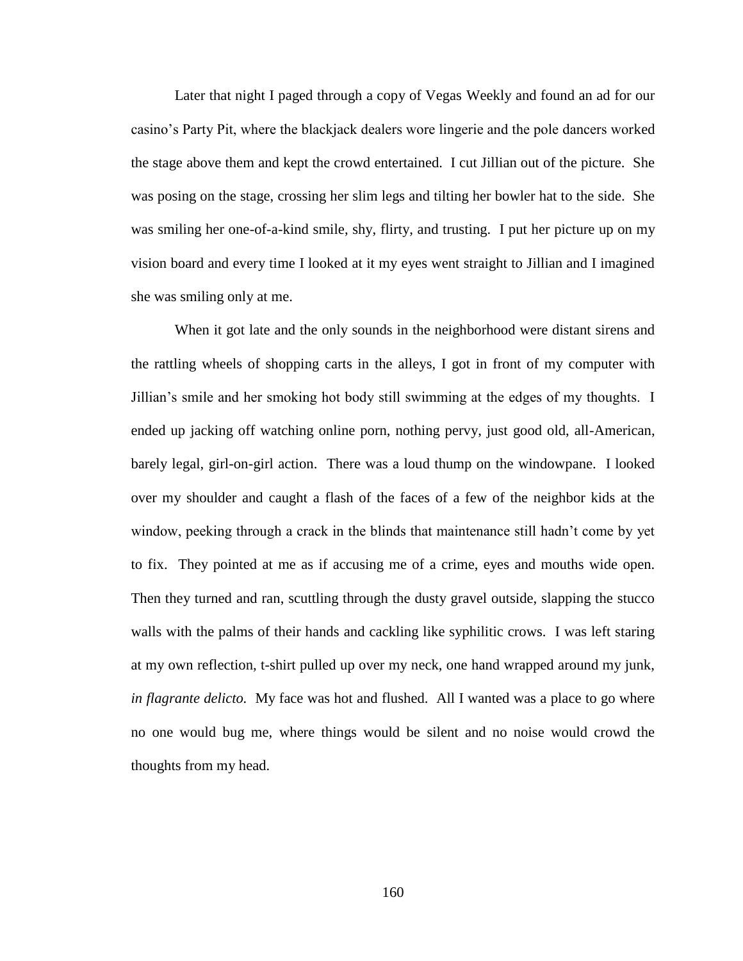Later that night I paged through a copy of Vegas Weekly and found an ad for our casino's Party Pit, where the blackjack dealers wore lingerie and the pole dancers worked the stage above them and kept the crowd entertained. I cut Jillian out of the picture. She was posing on the stage, crossing her slim legs and tilting her bowler hat to the side. She was smiling her one-of-a-kind smile, shy, flirty, and trusting. I put her picture up on my vision board and every time I looked at it my eyes went straight to Jillian and I imagined she was smiling only at me.

When it got late and the only sounds in the neighborhood were distant sirens and the rattling wheels of shopping carts in the alleys, I got in front of my computer with Jillian's smile and her smoking hot body still swimming at the edges of my thoughts. I ended up jacking off watching online porn, nothing pervy, just good old, all-American, barely legal, girl-on-girl action. There was a loud thump on the windowpane. I looked over my shoulder and caught a flash of the faces of a few of the neighbor kids at the window, peeking through a crack in the blinds that maintenance still hadn't come by yet to fix. They pointed at me as if accusing me of a crime, eyes and mouths wide open. Then they turned and ran, scuttling through the dusty gravel outside, slapping the stucco walls with the palms of their hands and cackling like syphilitic crows. I was left staring at my own reflection, t-shirt pulled up over my neck, one hand wrapped around my junk, *in flagrante delicto.* My face was hot and flushed. All I wanted was a place to go where no one would bug me, where things would be silent and no noise would crowd the thoughts from my head.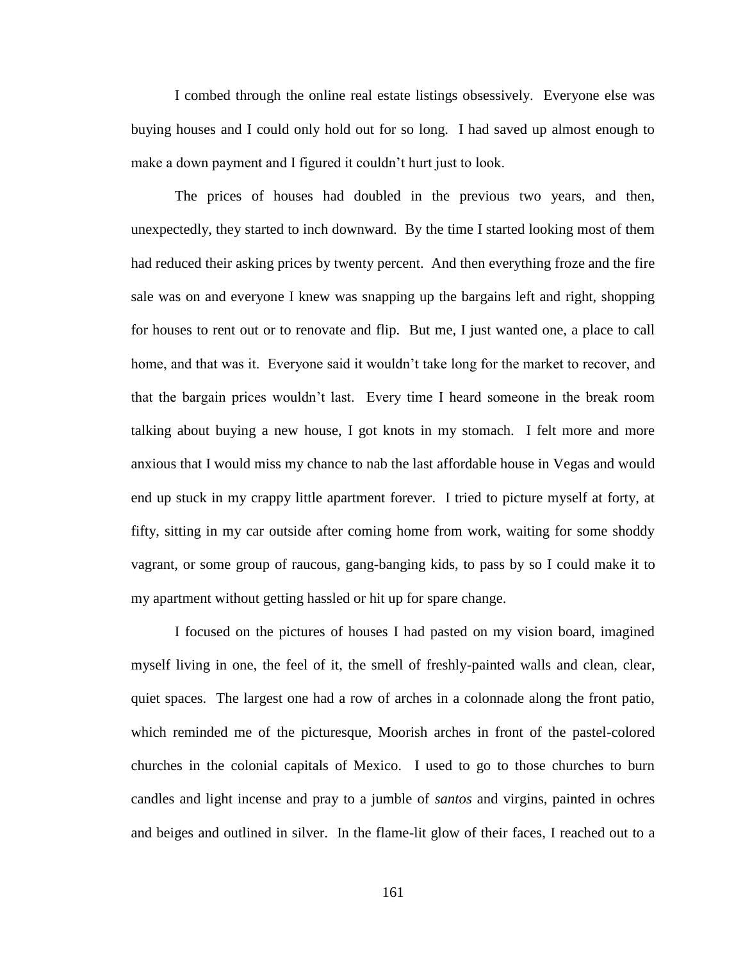I combed through the online real estate listings obsessively. Everyone else was buying houses and I could only hold out for so long. I had saved up almost enough to make a down payment and I figured it couldn't hurt just to look.

The prices of houses had doubled in the previous two years, and then, unexpectedly, they started to inch downward. By the time I started looking most of them had reduced their asking prices by twenty percent. And then everything froze and the fire sale was on and everyone I knew was snapping up the bargains left and right, shopping for houses to rent out or to renovate and flip. But me, I just wanted one, a place to call home, and that was it. Everyone said it wouldn't take long for the market to recover, and that the bargain prices wouldn't last. Every time I heard someone in the break room talking about buying a new house, I got knots in my stomach. I felt more and more anxious that I would miss my chance to nab the last affordable house in Vegas and would end up stuck in my crappy little apartment forever. I tried to picture myself at forty, at fifty, sitting in my car outside after coming home from work, waiting for some shoddy vagrant, or some group of raucous, gang-banging kids, to pass by so I could make it to my apartment without getting hassled or hit up for spare change.

I focused on the pictures of houses I had pasted on my vision board, imagined myself living in one, the feel of it, the smell of freshly-painted walls and clean, clear, quiet spaces. The largest one had a row of arches in a colonnade along the front patio, which reminded me of the picturesque, Moorish arches in front of the pastel-colored churches in the colonial capitals of Mexico. I used to go to those churches to burn candles and light incense and pray to a jumble of *santos* and virgins, painted in ochres and beiges and outlined in silver. In the flame-lit glow of their faces, I reached out to a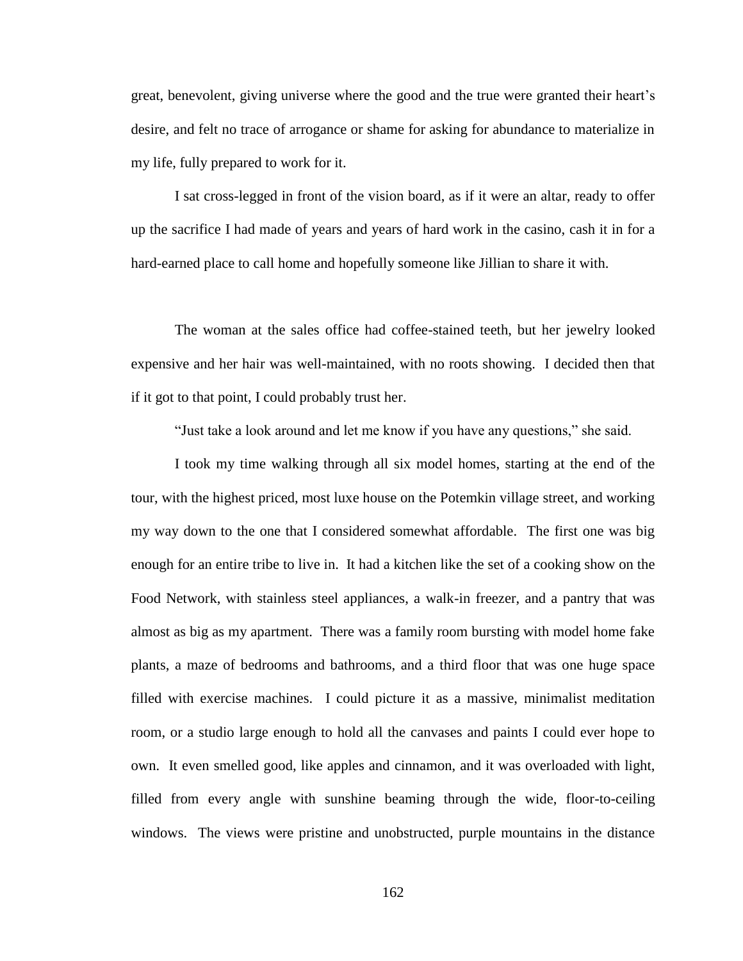great, benevolent, giving universe where the good and the true were granted their heart's desire, and felt no trace of arrogance or shame for asking for abundance to materialize in my life, fully prepared to work for it.

I sat cross-legged in front of the vision board, as if it were an altar, ready to offer up the sacrifice I had made of years and years of hard work in the casino, cash it in for a hard-earned place to call home and hopefully someone like Jillian to share it with.

The woman at the sales office had coffee-stained teeth, but her jewelry looked expensive and her hair was well-maintained, with no roots showing. I decided then that if it got to that point, I could probably trust her.

"Just take a look around and let me know if you have any questions," she said.

I took my time walking through all six model homes, starting at the end of the tour, with the highest priced, most luxe house on the Potemkin village street, and working my way down to the one that I considered somewhat affordable. The first one was big enough for an entire tribe to live in. It had a kitchen like the set of a cooking show on the Food Network, with stainless steel appliances, a walk-in freezer, and a pantry that was almost as big as my apartment. There was a family room bursting with model home fake plants, a maze of bedrooms and bathrooms, and a third floor that was one huge space filled with exercise machines. I could picture it as a massive, minimalist meditation room, or a studio large enough to hold all the canvases and paints I could ever hope to own. It even smelled good, like apples and cinnamon, and it was overloaded with light, filled from every angle with sunshine beaming through the wide, floor-to-ceiling windows. The views were pristine and unobstructed, purple mountains in the distance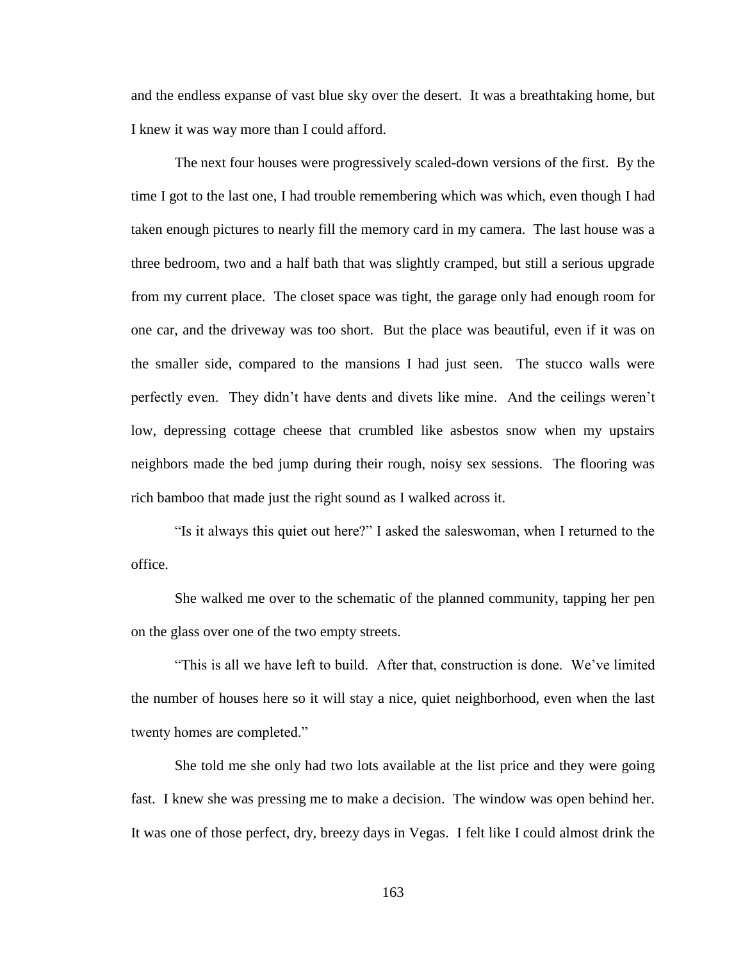and the endless expanse of vast blue sky over the desert. It was a breathtaking home, but I knew it was way more than I could afford.

The next four houses were progressively scaled-down versions of the first. By the time I got to the last one, I had trouble remembering which was which, even though I had taken enough pictures to nearly fill the memory card in my camera. The last house was a three bedroom, two and a half bath that was slightly cramped, but still a serious upgrade from my current place. The closet space was tight, the garage only had enough room for one car, and the driveway was too short. But the place was beautiful, even if it was on the smaller side, compared to the mansions I had just seen. The stucco walls were perfectly even. They didn't have dents and divets like mine. And the ceilings weren't low, depressing cottage cheese that crumbled like asbestos snow when my upstairs neighbors made the bed jump during their rough, noisy sex sessions. The flooring was rich bamboo that made just the right sound as I walked across it.

"Is it always this quiet out here?" I asked the saleswoman, when I returned to the office.

She walked me over to the schematic of the planned community, tapping her pen on the glass over one of the two empty streets.

"This is all we have left to build. After that, construction is done. We've limited the number of houses here so it will stay a nice, quiet neighborhood, even when the last twenty homes are completed."

She told me she only had two lots available at the list price and they were going fast. I knew she was pressing me to make a decision. The window was open behind her. It was one of those perfect, dry, breezy days in Vegas. I felt like I could almost drink the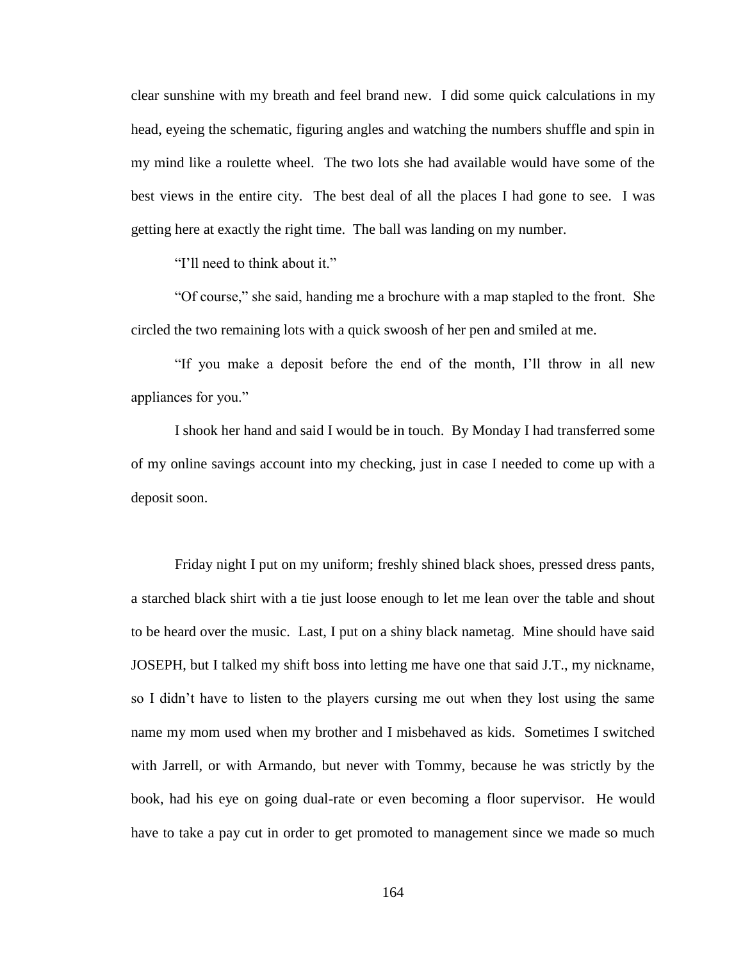clear sunshine with my breath and feel brand new. I did some quick calculations in my head, eyeing the schematic, figuring angles and watching the numbers shuffle and spin in my mind like a roulette wheel. The two lots she had available would have some of the best views in the entire city. The best deal of all the places I had gone to see. I was getting here at exactly the right time. The ball was landing on my number.

"I'll need to think about it."

"Of course," she said, handing me a brochure with a map stapled to the front. She circled the two remaining lots with a quick swoosh of her pen and smiled at me.

"If you make a deposit before the end of the month, I'll throw in all new appliances for you."

I shook her hand and said I would be in touch. By Monday I had transferred some of my online savings account into my checking, just in case I needed to come up with a deposit soon.

Friday night I put on my uniform; freshly shined black shoes, pressed dress pants, a starched black shirt with a tie just loose enough to let me lean over the table and shout to be heard over the music. Last, I put on a shiny black nametag. Mine should have said JOSEPH, but I talked my shift boss into letting me have one that said J.T., my nickname, so I didn't have to listen to the players cursing me out when they lost using the same name my mom used when my brother and I misbehaved as kids. Sometimes I switched with Jarrell, or with Armando, but never with Tommy, because he was strictly by the book, had his eye on going dual-rate or even becoming a floor supervisor. He would have to take a pay cut in order to get promoted to management since we made so much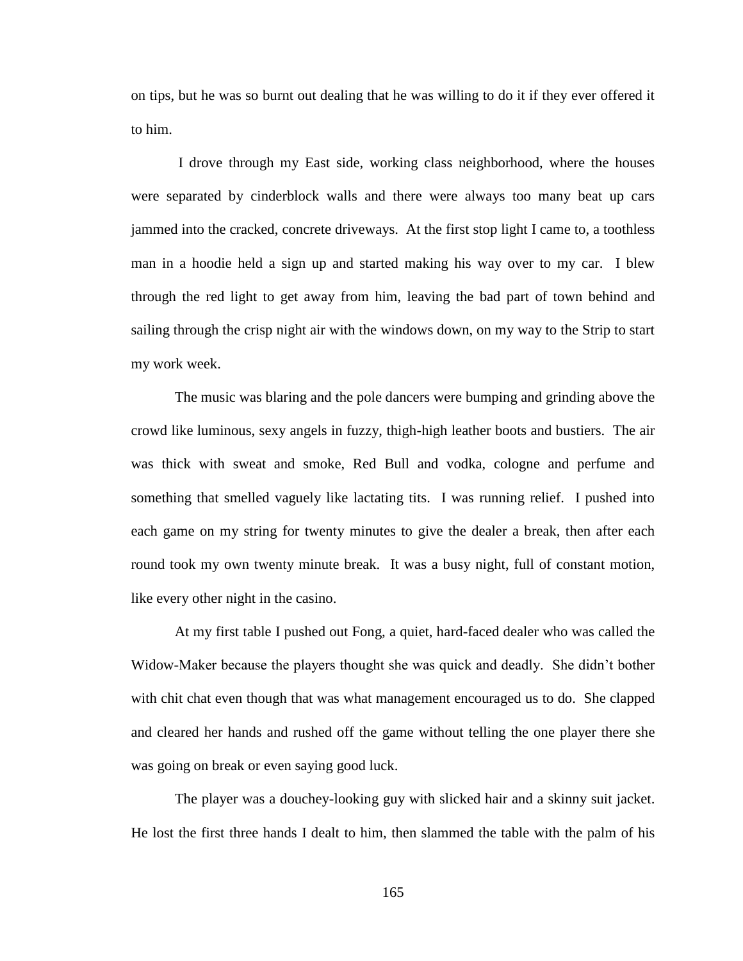on tips, but he was so burnt out dealing that he was willing to do it if they ever offered it to him.

I drove through my East side, working class neighborhood, where the houses were separated by cinderblock walls and there were always too many beat up cars jammed into the cracked, concrete driveways. At the first stop light I came to, a toothless man in a hoodie held a sign up and started making his way over to my car. I blew through the red light to get away from him, leaving the bad part of town behind and sailing through the crisp night air with the windows down, on my way to the Strip to start my work week.

The music was blaring and the pole dancers were bumping and grinding above the crowd like luminous, sexy angels in fuzzy, thigh-high leather boots and bustiers. The air was thick with sweat and smoke, Red Bull and vodka, cologne and perfume and something that smelled vaguely like lactating tits. I was running relief. I pushed into each game on my string for twenty minutes to give the dealer a break, then after each round took my own twenty minute break. It was a busy night, full of constant motion, like every other night in the casino.

At my first table I pushed out Fong, a quiet, hard-faced dealer who was called the Widow-Maker because the players thought she was quick and deadly. She didn't bother with chit chat even though that was what management encouraged us to do. She clapped and cleared her hands and rushed off the game without telling the one player there she was going on break or even saying good luck.

The player was a douchey-looking guy with slicked hair and a skinny suit jacket. He lost the first three hands I dealt to him, then slammed the table with the palm of his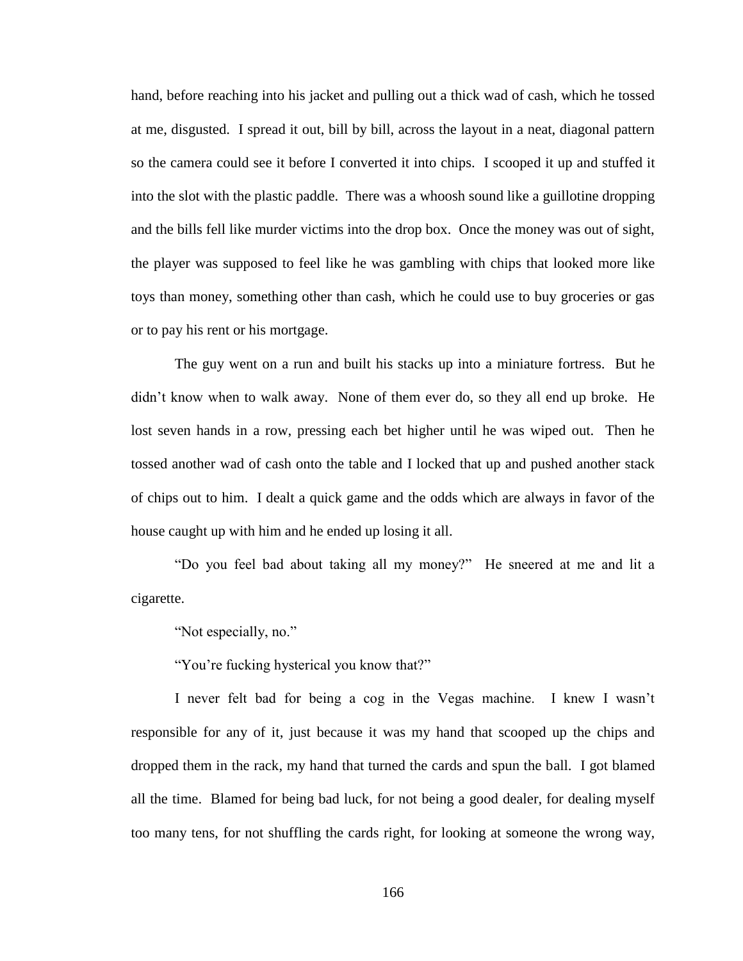hand, before reaching into his jacket and pulling out a thick wad of cash, which he tossed at me, disgusted. I spread it out, bill by bill, across the layout in a neat, diagonal pattern so the camera could see it before I converted it into chips. I scooped it up and stuffed it into the slot with the plastic paddle. There was a whoosh sound like a guillotine dropping and the bills fell like murder victims into the drop box. Once the money was out of sight, the player was supposed to feel like he was gambling with chips that looked more like toys than money, something other than cash, which he could use to buy groceries or gas or to pay his rent or his mortgage.

The guy went on a run and built his stacks up into a miniature fortress. But he didn't know when to walk away. None of them ever do, so they all end up broke. He lost seven hands in a row, pressing each bet higher until he was wiped out. Then he tossed another wad of cash onto the table and I locked that up and pushed another stack of chips out to him. I dealt a quick game and the odds which are always in favor of the house caught up with him and he ended up losing it all.

"Do you feel bad about taking all my money?" He sneered at me and lit a cigarette.

"Not especially, no."

"You're fucking hysterical you know that?"

I never felt bad for being a cog in the Vegas machine. I knew I wasn't responsible for any of it, just because it was my hand that scooped up the chips and dropped them in the rack, my hand that turned the cards and spun the ball. I got blamed all the time. Blamed for being bad luck, for not being a good dealer, for dealing myself too many tens, for not shuffling the cards right, for looking at someone the wrong way,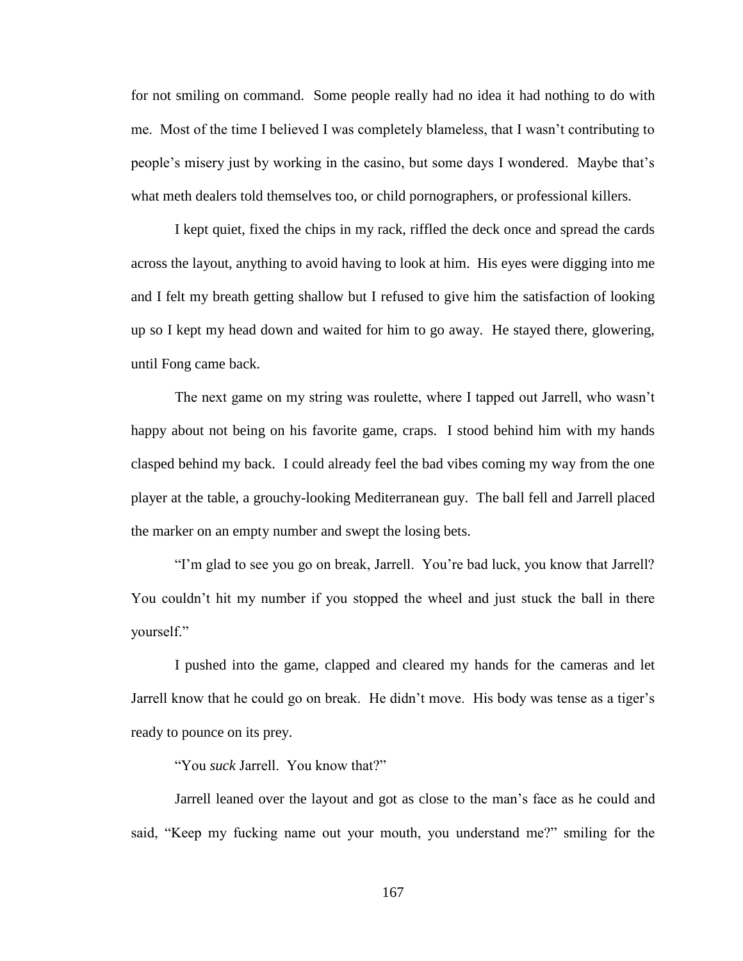for not smiling on command. Some people really had no idea it had nothing to do with me. Most of the time I believed I was completely blameless, that I wasn't contributing to people's misery just by working in the casino, but some days I wondered. Maybe that's what meth dealers told themselves too, or child pornographers, or professional killers.

I kept quiet, fixed the chips in my rack, riffled the deck once and spread the cards across the layout, anything to avoid having to look at him. His eyes were digging into me and I felt my breath getting shallow but I refused to give him the satisfaction of looking up so I kept my head down and waited for him to go away. He stayed there, glowering, until Fong came back.

The next game on my string was roulette, where I tapped out Jarrell, who wasn't happy about not being on his favorite game, craps. I stood behind him with my hands clasped behind my back. I could already feel the bad vibes coming my way from the one player at the table, a grouchy-looking Mediterranean guy. The ball fell and Jarrell placed the marker on an empty number and swept the losing bets.

"I'm glad to see you go on break, Jarrell. You're bad luck, you know that Jarrell? You couldn't hit my number if you stopped the wheel and just stuck the ball in there yourself."

I pushed into the game, clapped and cleared my hands for the cameras and let Jarrell know that he could go on break. He didn't move. His body was tense as a tiger's ready to pounce on its prey.

"You *suck* Jarrell. You know that?"

Jarrell leaned over the layout and got as close to the man's face as he could and said, "Keep my fucking name out your mouth, you understand me?" smiling for the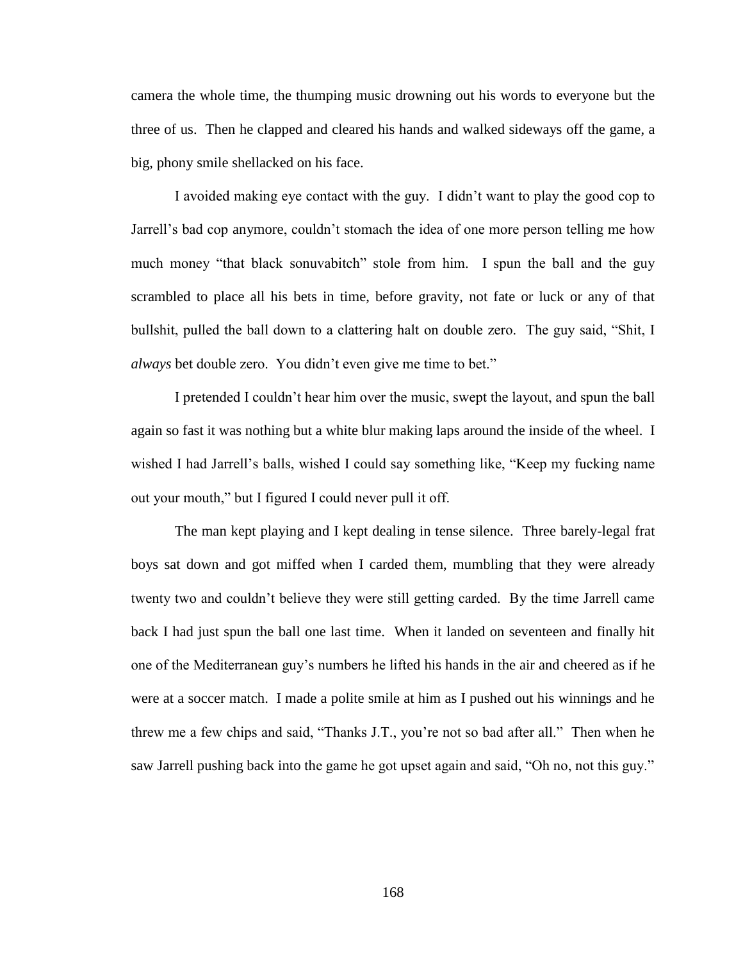camera the whole time, the thumping music drowning out his words to everyone but the three of us. Then he clapped and cleared his hands and walked sideways off the game, a big, phony smile shellacked on his face.

I avoided making eye contact with the guy. I didn't want to play the good cop to Jarrell's bad cop anymore, couldn't stomach the idea of one more person telling me how much money "that black sonuvabitch" stole from him. I spun the ball and the guy scrambled to place all his bets in time, before gravity, not fate or luck or any of that bullshit, pulled the ball down to a clattering halt on double zero. The guy said, "Shit, I *always* bet double zero. You didn't even give me time to bet."

I pretended I couldn't hear him over the music, swept the layout, and spun the ball again so fast it was nothing but a white blur making laps around the inside of the wheel. I wished I had Jarrell's balls, wished I could say something like, "Keep my fucking name out your mouth," but I figured I could never pull it off.

The man kept playing and I kept dealing in tense silence. Three barely-legal frat boys sat down and got miffed when I carded them, mumbling that they were already twenty two and couldn't believe they were still getting carded. By the time Jarrell came back I had just spun the ball one last time. When it landed on seventeen and finally hit one of the Mediterranean guy's numbers he lifted his hands in the air and cheered as if he were at a soccer match. I made a polite smile at him as I pushed out his winnings and he threw me a few chips and said, "Thanks J.T., you're not so bad after all." Then when he saw Jarrell pushing back into the game he got upset again and said, "Oh no, not this guy."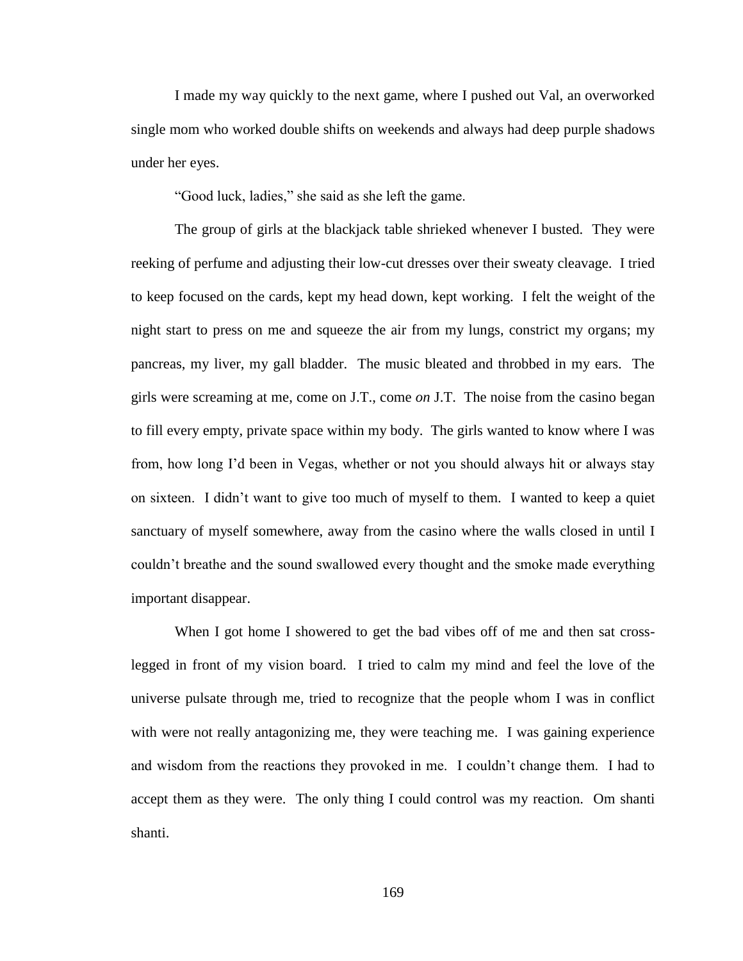I made my way quickly to the next game, where I pushed out Val, an overworked single mom who worked double shifts on weekends and always had deep purple shadows under her eyes.

"Good luck, ladies," she said as she left the game.

The group of girls at the blackjack table shrieked whenever I busted. They were reeking of perfume and adjusting their low-cut dresses over their sweaty cleavage. I tried to keep focused on the cards, kept my head down, kept working. I felt the weight of the night start to press on me and squeeze the air from my lungs, constrict my organs; my pancreas, my liver, my gall bladder. The music bleated and throbbed in my ears. The girls were screaming at me, come on J.T., come *on* J.T. The noise from the casino began to fill every empty, private space within my body. The girls wanted to know where I was from, how long I'd been in Vegas, whether or not you should always hit or always stay on sixteen. I didn't want to give too much of myself to them. I wanted to keep a quiet sanctuary of myself somewhere, away from the casino where the walls closed in until I couldn't breathe and the sound swallowed every thought and the smoke made everything important disappear.

When I got home I showered to get the bad vibes off of me and then sat crosslegged in front of my vision board. I tried to calm my mind and feel the love of the universe pulsate through me, tried to recognize that the people whom I was in conflict with were not really antagonizing me, they were teaching me. I was gaining experience and wisdom from the reactions they provoked in me. I couldn't change them. I had to accept them as they were. The only thing I could control was my reaction. Om shanti shanti.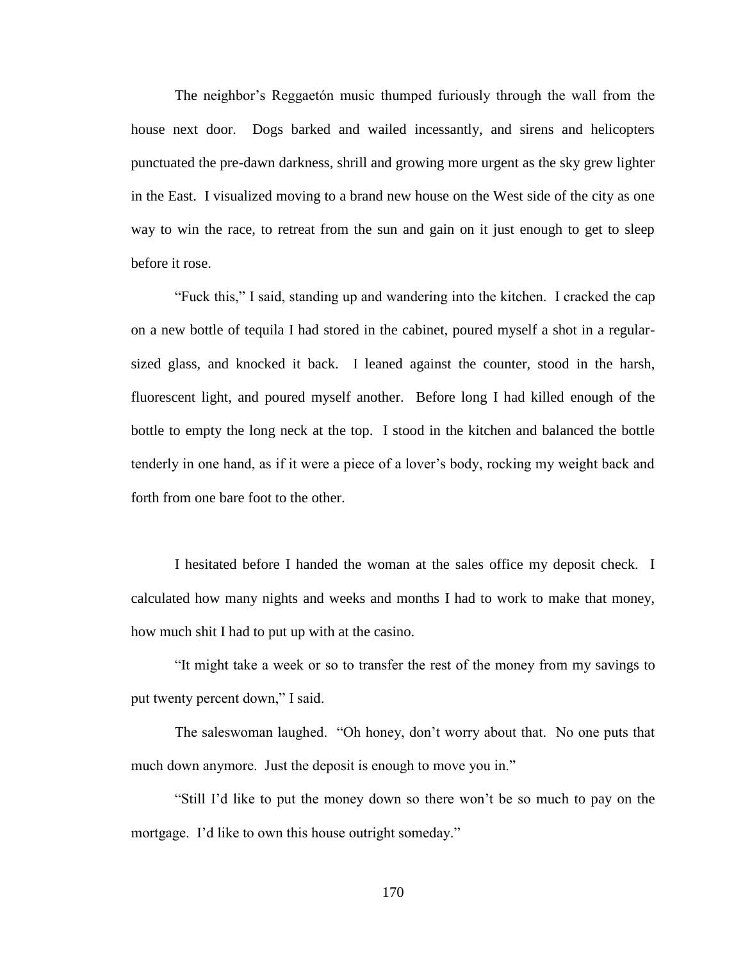The neighbor's Reggaetón music thumped furiously through the wall from the house next door. Dogs barked and wailed incessantly, and sirens and helicopters punctuated the pre-dawn darkness, shrill and growing more urgent as the sky grew lighter in the East. I visualized moving to a brand new house on the West side of the city as one way to win the race, to retreat from the sun and gain on it just enough to get to sleep before it rose.

"Fuck this," I said, standing up and wandering into the kitchen. I cracked the cap on a new bottle of tequila I had stored in the cabinet, poured myself a shot in a regularsized glass, and knocked it back. I leaned against the counter, stood in the harsh, fluorescent light, and poured myself another. Before long I had killed enough of the bottle to empty the long neck at the top. I stood in the kitchen and balanced the bottle tenderly in one hand, as if it were a piece of a lover's body, rocking my weight back and forth from one bare foot to the other.

I hesitated before I handed the woman at the sales office my deposit check. I calculated how many nights and weeks and months I had to work to make that money, how much shit I had to put up with at the casino.

"It might take a week or so to transfer the rest of the money from my savings to put twenty percent down," I said.

The saleswoman laughed. "Oh honey, don't worry about that. No one puts that much down anymore. Just the deposit is enough to move you in."

"Still I'd like to put the money down so there won't be so much to pay on the mortgage. I'd like to own this house outright someday."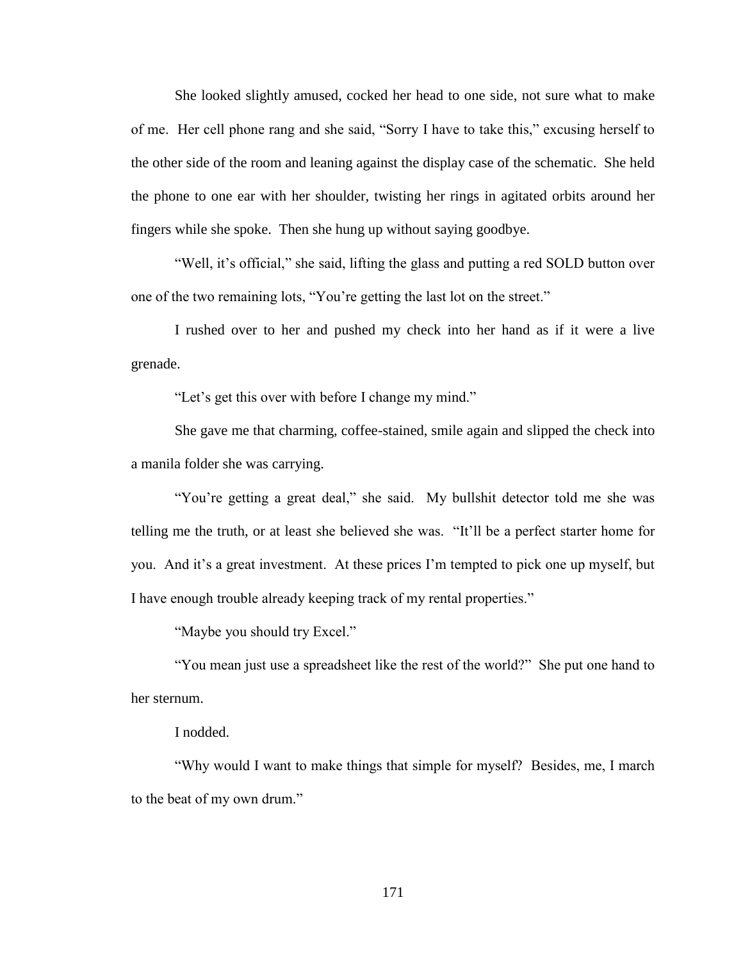She looked slightly amused, cocked her head to one side, not sure what to make of me. Her cell phone rang and she said, "Sorry I have to take this," excusing herself to the other side of the room and leaning against the display case of the schematic. She held the phone to one ear with her shoulder, twisting her rings in agitated orbits around her fingers while she spoke. Then she hung up without saying goodbye.

"Well, it's official," she said, lifting the glass and putting a red SOLD button over one of the two remaining lots, "You're getting the last lot on the street."

I rushed over to her and pushed my check into her hand as if it were a live grenade.

"Let's get this over with before I change my mind."

She gave me that charming, coffee-stained, smile again and slipped the check into a manila folder she was carrying.

"You're getting a great deal," she said. My bullshit detector told me she was telling me the truth, or at least she believed she was. "It'll be a perfect starter home for you. And it's a great investment. At these prices I'm tempted to pick one up myself, but I have enough trouble already keeping track of my rental properties."

"Maybe you should try Excel."

"You mean just use a spreadsheet like the rest of the world?" She put one hand to her sternum.

I nodded.

"Why would I want to make things that simple for myself? Besides, me, I march to the beat of my own drum."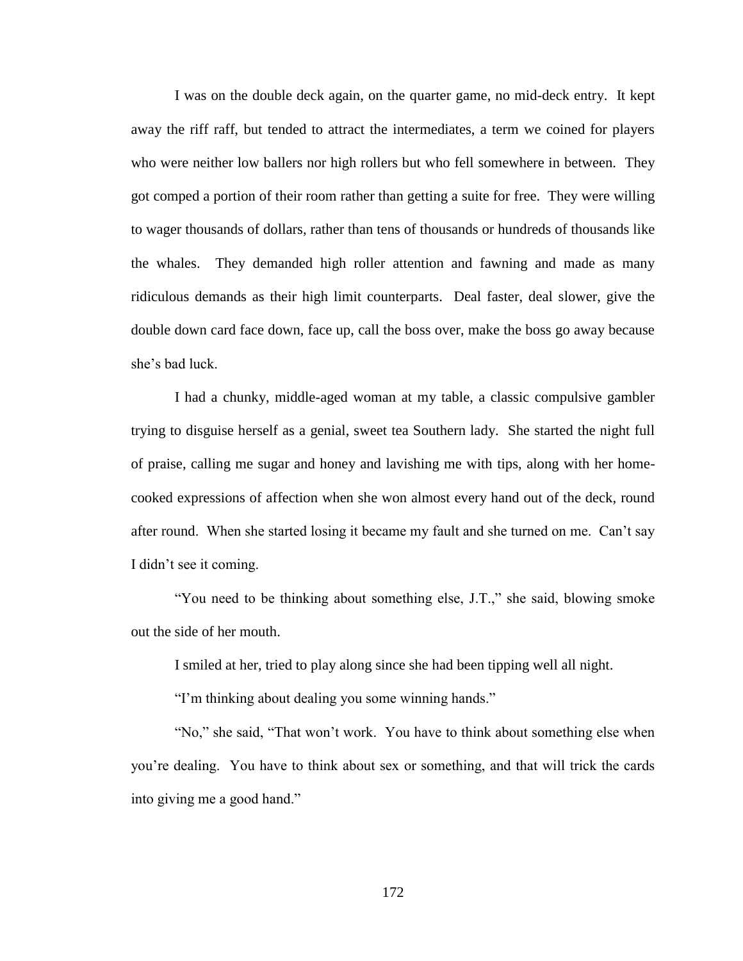I was on the double deck again, on the quarter game, no mid-deck entry. It kept away the riff raff, but tended to attract the intermediates, a term we coined for players who were neither low ballers nor high rollers but who fell somewhere in between. They got comped a portion of their room rather than getting a suite for free. They were willing to wager thousands of dollars, rather than tens of thousands or hundreds of thousands like the whales. They demanded high roller attention and fawning and made as many ridiculous demands as their high limit counterparts. Deal faster, deal slower, give the double down card face down, face up, call the boss over, make the boss go away because she's bad luck.

I had a chunky, middle-aged woman at my table, a classic compulsive gambler trying to disguise herself as a genial, sweet tea Southern lady. She started the night full of praise, calling me sugar and honey and lavishing me with tips, along with her homecooked expressions of affection when she won almost every hand out of the deck, round after round. When she started losing it became my fault and she turned on me. Can't say I didn't see it coming.

"You need to be thinking about something else, J.T.," she said, blowing smoke out the side of her mouth.

I smiled at her, tried to play along since she had been tipping well all night.

"I'm thinking about dealing you some winning hands."

"No," she said, "That won't work. You have to think about something else when you're dealing. You have to think about sex or something, and that will trick the cards into giving me a good hand."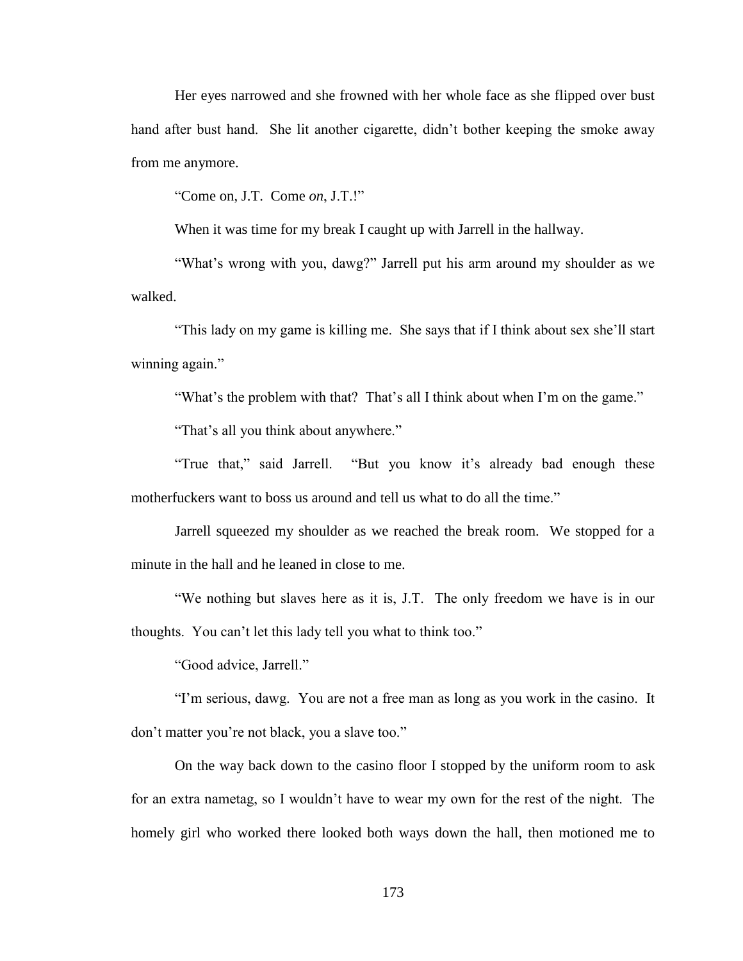Her eyes narrowed and she frowned with her whole face as she flipped over bust hand after bust hand. She lit another cigarette, didn't bother keeping the smoke away from me anymore.

"Come on, J.T. Come *on*, J.T.!"

When it was time for my break I caught up with Jarrell in the hallway.

"What's wrong with you, dawg?" Jarrell put his arm around my shoulder as we walked.

"This lady on my game is killing me. She says that if I think about sex she'll start winning again."

"What's the problem with that? That's all I think about when I'm on the game."

"That's all you think about anywhere."

"True that," said Jarrell. "But you know it's already bad enough these motherfuckers want to boss us around and tell us what to do all the time."

Jarrell squeezed my shoulder as we reached the break room. We stopped for a minute in the hall and he leaned in close to me.

"We nothing but slaves here as it is, J.T. The only freedom we have is in our thoughts. You can't let this lady tell you what to think too."

"Good advice, Jarrell."

"I'm serious, dawg. You are not a free man as long as you work in the casino. It don't matter you're not black, you a slave too."

On the way back down to the casino floor I stopped by the uniform room to ask for an extra nametag, so I wouldn't have to wear my own for the rest of the night. The homely girl who worked there looked both ways down the hall, then motioned me to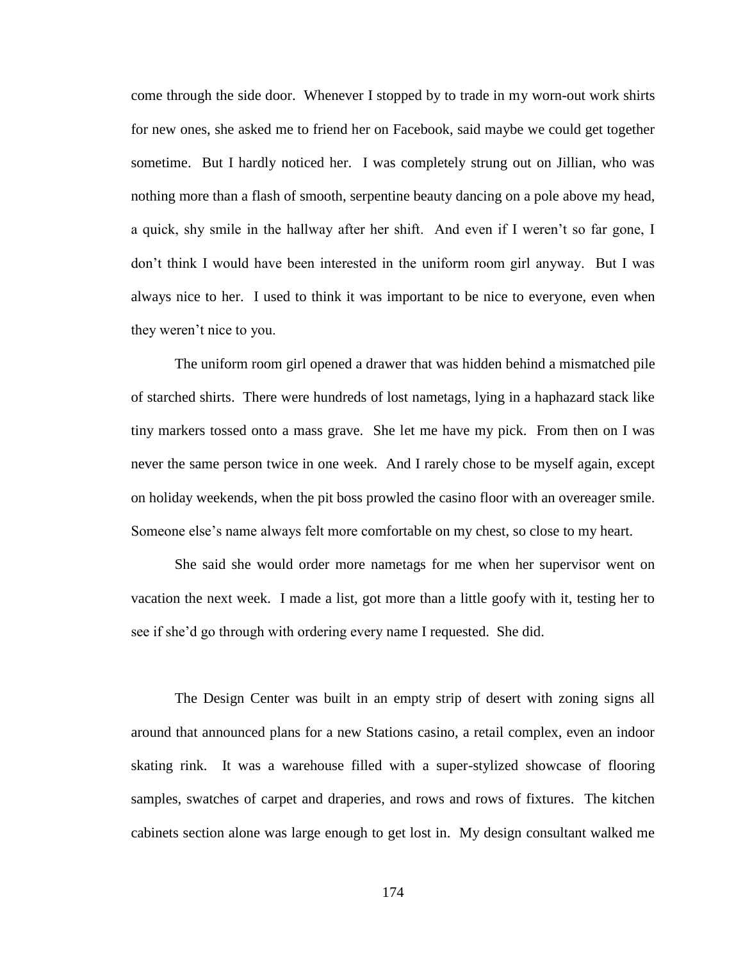come through the side door. Whenever I stopped by to trade in my worn-out work shirts for new ones, she asked me to friend her on Facebook, said maybe we could get together sometime. But I hardly noticed her. I was completely strung out on Jillian, who was nothing more than a flash of smooth, serpentine beauty dancing on a pole above my head, a quick, shy smile in the hallway after her shift. And even if I weren't so far gone, I don't think I would have been interested in the uniform room girl anyway. But I was always nice to her. I used to think it was important to be nice to everyone, even when they weren't nice to you.

The uniform room girl opened a drawer that was hidden behind a mismatched pile of starched shirts. There were hundreds of lost nametags, lying in a haphazard stack like tiny markers tossed onto a mass grave. She let me have my pick. From then on I was never the same person twice in one week. And I rarely chose to be myself again, except on holiday weekends, when the pit boss prowled the casino floor with an overeager smile. Someone else's name always felt more comfortable on my chest, so close to my heart.

She said she would order more nametags for me when her supervisor went on vacation the next week. I made a list, got more than a little goofy with it, testing her to see if she'd go through with ordering every name I requested. She did.

The Design Center was built in an empty strip of desert with zoning signs all around that announced plans for a new Stations casino, a retail complex, even an indoor skating rink. It was a warehouse filled with a super-stylized showcase of flooring samples, swatches of carpet and draperies, and rows and rows of fixtures. The kitchen cabinets section alone was large enough to get lost in. My design consultant walked me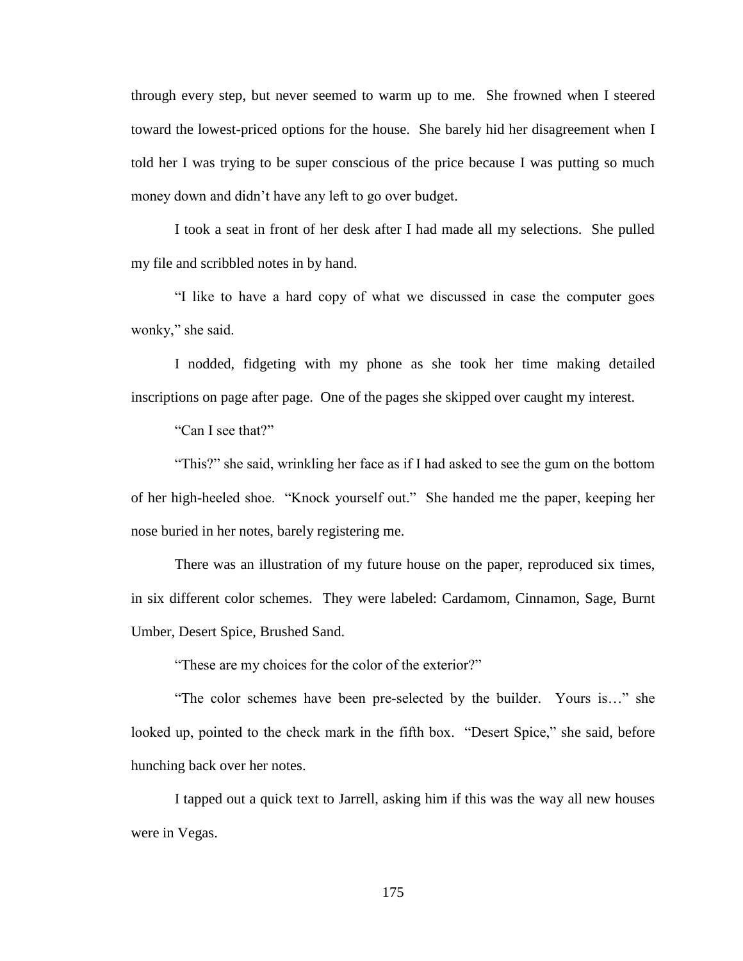through every step, but never seemed to warm up to me. She frowned when I steered toward the lowest-priced options for the house. She barely hid her disagreement when I told her I was trying to be super conscious of the price because I was putting so much money down and didn't have any left to go over budget.

I took a seat in front of her desk after I had made all my selections. She pulled my file and scribbled notes in by hand.

"I like to have a hard copy of what we discussed in case the computer goes wonky," she said.

I nodded, fidgeting with my phone as she took her time making detailed inscriptions on page after page. One of the pages she skipped over caught my interest.

"Can I see that?"

"This?" she said, wrinkling her face as if I had asked to see the gum on the bottom of her high-heeled shoe. "Knock yourself out." She handed me the paper, keeping her nose buried in her notes, barely registering me.

There was an illustration of my future house on the paper, reproduced six times, in six different color schemes. They were labeled: Cardamom, Cinnamon, Sage, Burnt Umber, Desert Spice, Brushed Sand.

"These are my choices for the color of the exterior?"

"The color schemes have been pre-selected by the builder. Yours is…" she looked up, pointed to the check mark in the fifth box. "Desert Spice," she said, before hunching back over her notes.

I tapped out a quick text to Jarrell, asking him if this was the way all new houses were in Vegas.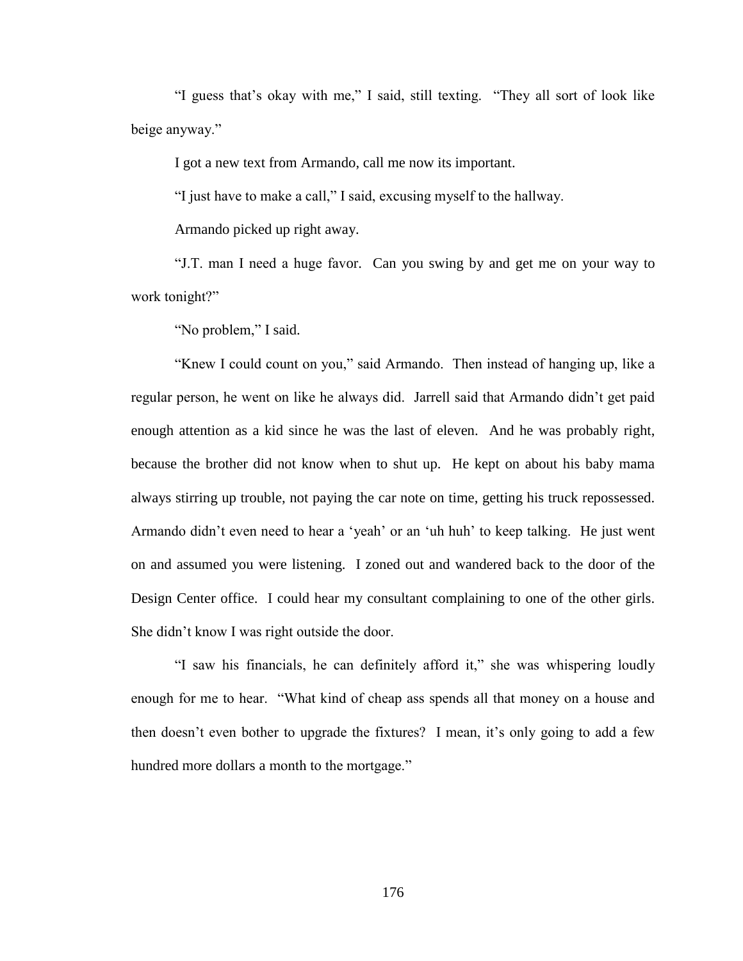"I guess that's okay with me," I said, still texting. "They all sort of look like beige anyway."

I got a new text from Armando, call me now its important.

"I just have to make a call," I said, excusing myself to the hallway.

Armando picked up right away.

"J.T. man I need a huge favor. Can you swing by and get me on your way to work tonight?"

"No problem," I said.

"Knew I could count on you," said Armando. Then instead of hanging up, like a regular person, he went on like he always did. Jarrell said that Armando didn't get paid enough attention as a kid since he was the last of eleven. And he was probably right, because the brother did not know when to shut up. He kept on about his baby mama always stirring up trouble, not paying the car note on time, getting his truck repossessed. Armando didn't even need to hear a 'yeah' or an 'uh huh' to keep talking. He just went on and assumed you were listening. I zoned out and wandered back to the door of the Design Center office. I could hear my consultant complaining to one of the other girls. She didn't know I was right outside the door.

"I saw his financials, he can definitely afford it," she was whispering loudly enough for me to hear. "What kind of cheap ass spends all that money on a house and then doesn't even bother to upgrade the fixtures? I mean, it's only going to add a few hundred more dollars a month to the mortgage."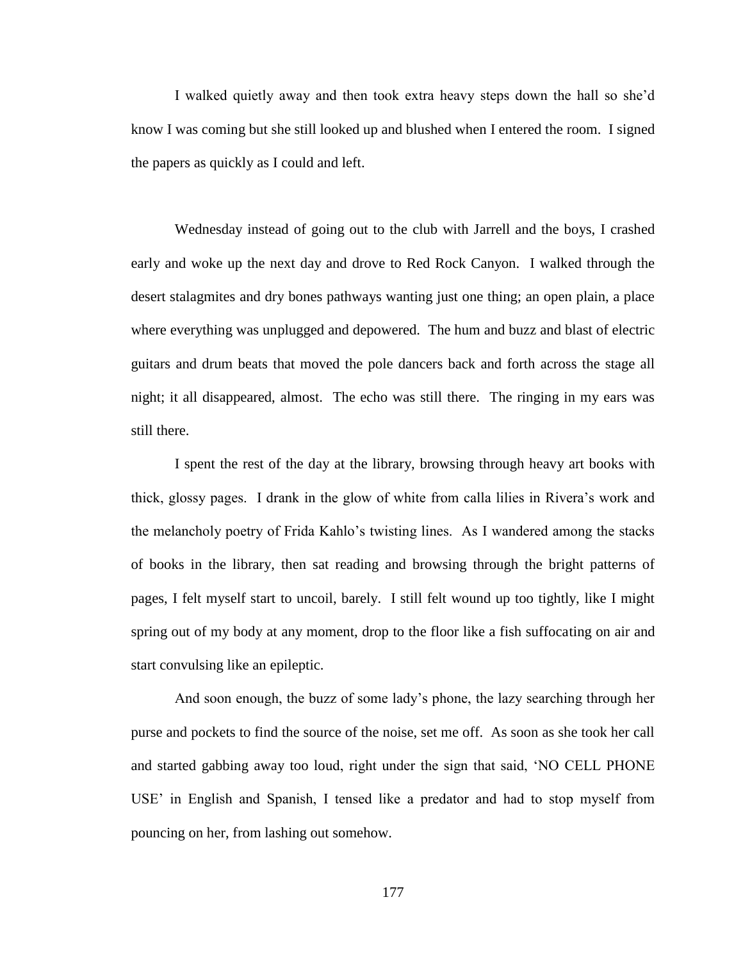I walked quietly away and then took extra heavy steps down the hall so she'd know I was coming but she still looked up and blushed when I entered the room. I signed the papers as quickly as I could and left.

Wednesday instead of going out to the club with Jarrell and the boys, I crashed early and woke up the next day and drove to Red Rock Canyon. I walked through the desert stalagmites and dry bones pathways wanting just one thing; an open plain, a place where everything was unplugged and depowered. The hum and buzz and blast of electric guitars and drum beats that moved the pole dancers back and forth across the stage all night; it all disappeared, almost. The echo was still there. The ringing in my ears was still there.

I spent the rest of the day at the library, browsing through heavy art books with thick, glossy pages. I drank in the glow of white from calla lilies in Rivera's work and the melancholy poetry of Frida Kahlo's twisting lines. As I wandered among the stacks of books in the library, then sat reading and browsing through the bright patterns of pages, I felt myself start to uncoil, barely. I still felt wound up too tightly, like I might spring out of my body at any moment, drop to the floor like a fish suffocating on air and start convulsing like an epileptic.

And soon enough, the buzz of some lady's phone, the lazy searching through her purse and pockets to find the source of the noise, set me off. As soon as she took her call and started gabbing away too loud, right under the sign that said, 'NO CELL PHONE USE' in English and Spanish, I tensed like a predator and had to stop myself from pouncing on her, from lashing out somehow.

177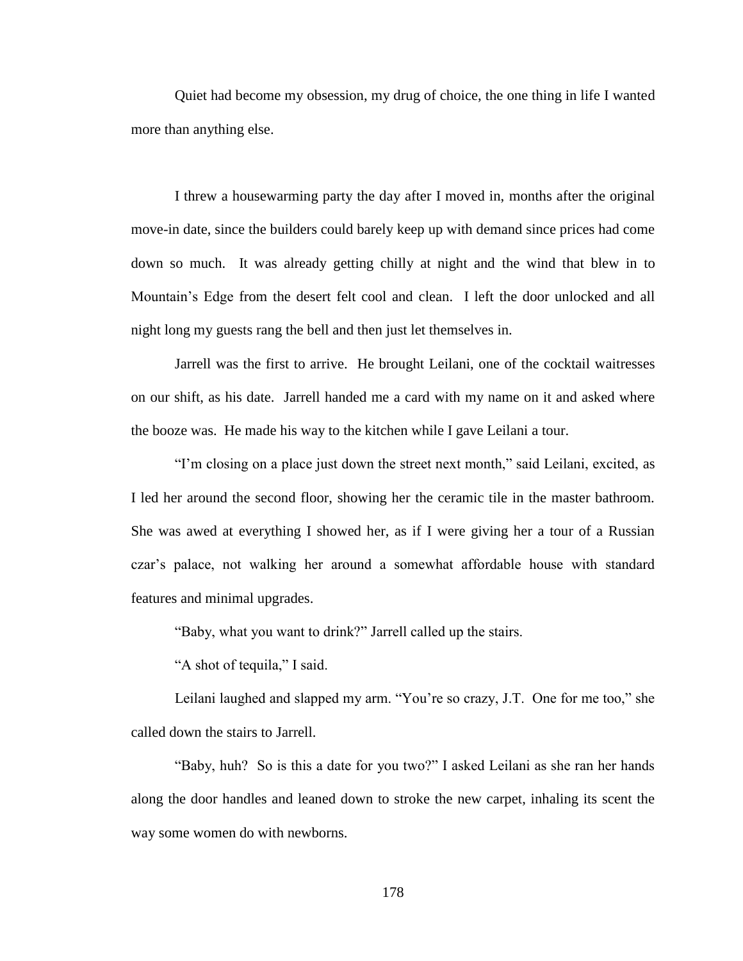Quiet had become my obsession, my drug of choice, the one thing in life I wanted more than anything else.

I threw a housewarming party the day after I moved in, months after the original move-in date, since the builders could barely keep up with demand since prices had come down so much. It was already getting chilly at night and the wind that blew in to Mountain's Edge from the desert felt cool and clean. I left the door unlocked and all night long my guests rang the bell and then just let themselves in.

Jarrell was the first to arrive. He brought Leilani, one of the cocktail waitresses on our shift, as his date. Jarrell handed me a card with my name on it and asked where the booze was. He made his way to the kitchen while I gave Leilani a tour.

"I'm closing on a place just down the street next month," said Leilani, excited, as I led her around the second floor, showing her the ceramic tile in the master bathroom. She was awed at everything I showed her, as if I were giving her a tour of a Russian czar's palace, not walking her around a somewhat affordable house with standard features and minimal upgrades.

"Baby, what you want to drink?" Jarrell called up the stairs.

"A shot of tequila," I said.

Leilani laughed and slapped my arm. "You're so crazy, J.T. One for me too," she called down the stairs to Jarrell.

"Baby, huh? So is this a date for you two?" I asked Leilani as she ran her hands along the door handles and leaned down to stroke the new carpet, inhaling its scent the way some women do with newborns.

178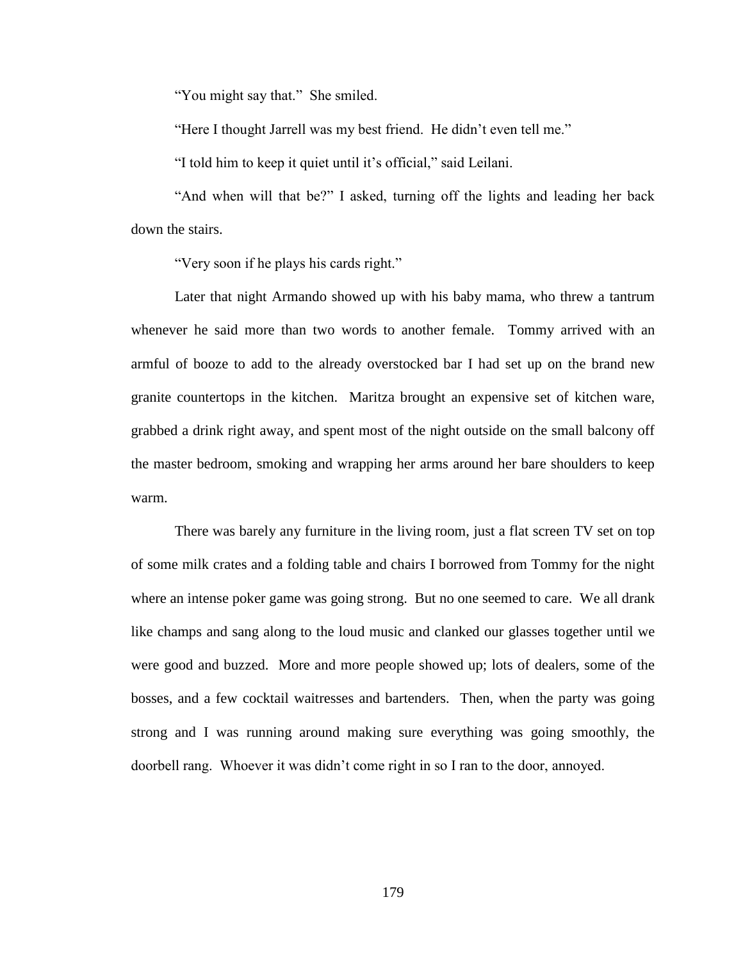"You might say that." She smiled.

"Here I thought Jarrell was my best friend. He didn't even tell me."

"I told him to keep it quiet until it's official," said Leilani.

"And when will that be?" I asked, turning off the lights and leading her back down the stairs.

"Very soon if he plays his cards right."

Later that night Armando showed up with his baby mama, who threw a tantrum whenever he said more than two words to another female. Tommy arrived with an armful of booze to add to the already overstocked bar I had set up on the brand new granite countertops in the kitchen. Maritza brought an expensive set of kitchen ware, grabbed a drink right away, and spent most of the night outside on the small balcony off the master bedroom, smoking and wrapping her arms around her bare shoulders to keep warm.

There was barely any furniture in the living room, just a flat screen TV set on top of some milk crates and a folding table and chairs I borrowed from Tommy for the night where an intense poker game was going strong. But no one seemed to care. We all drank like champs and sang along to the loud music and clanked our glasses together until we were good and buzzed. More and more people showed up; lots of dealers, some of the bosses, and a few cocktail waitresses and bartenders. Then, when the party was going strong and I was running around making sure everything was going smoothly, the doorbell rang. Whoever it was didn't come right in so I ran to the door, annoyed.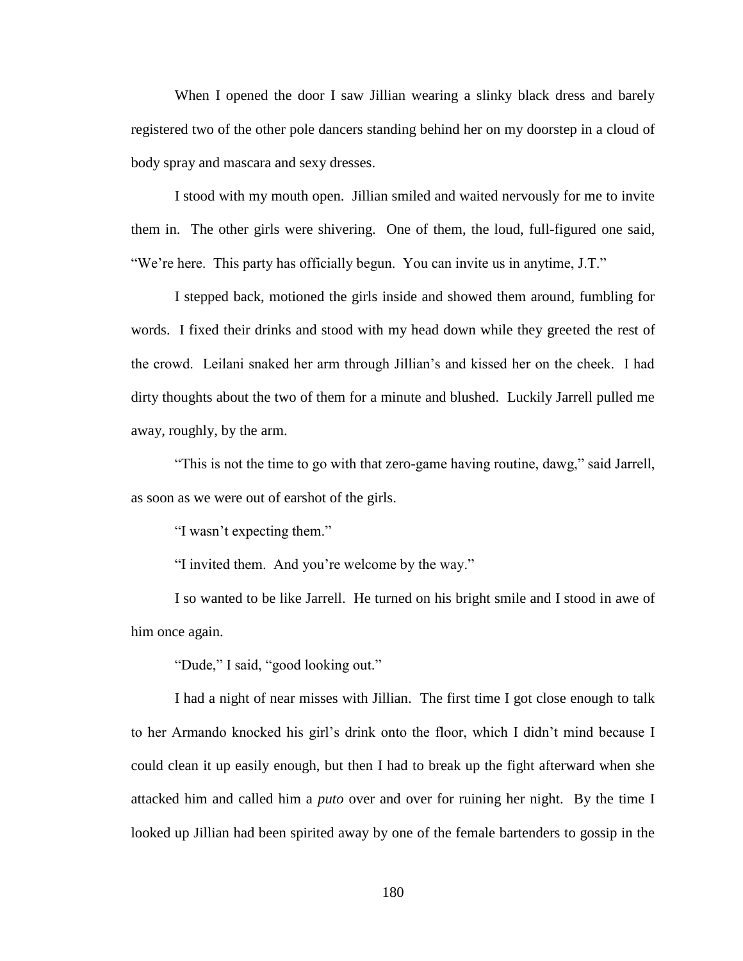When I opened the door I saw Jillian wearing a slinky black dress and barely registered two of the other pole dancers standing behind her on my doorstep in a cloud of body spray and mascara and sexy dresses.

I stood with my mouth open. Jillian smiled and waited nervously for me to invite them in. The other girls were shivering. One of them, the loud, full-figured one said, "We're here. This party has officially begun. You can invite us in anytime, J.T."

I stepped back, motioned the girls inside and showed them around, fumbling for words. I fixed their drinks and stood with my head down while they greeted the rest of the crowd. Leilani snaked her arm through Jillian's and kissed her on the cheek. I had dirty thoughts about the two of them for a minute and blushed. Luckily Jarrell pulled me away, roughly, by the arm.

"This is not the time to go with that zero-game having routine, dawg," said Jarrell, as soon as we were out of earshot of the girls.

"I wasn't expecting them."

"I invited them. And you're welcome by the way."

I so wanted to be like Jarrell. He turned on his bright smile and I stood in awe of him once again.

"Dude," I said, "good looking out."

I had a night of near misses with Jillian. The first time I got close enough to talk to her Armando knocked his girl's drink onto the floor, which I didn't mind because I could clean it up easily enough, but then I had to break up the fight afterward when she attacked him and called him a *puto* over and over for ruining her night. By the time I looked up Jillian had been spirited away by one of the female bartenders to gossip in the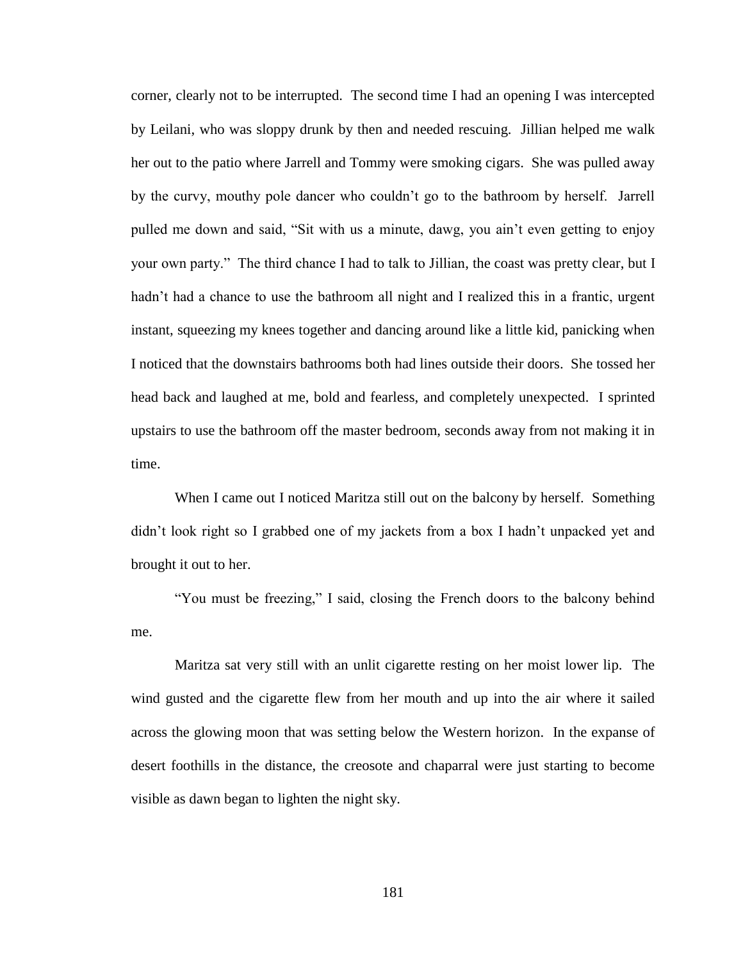corner, clearly not to be interrupted. The second time I had an opening I was intercepted by Leilani, who was sloppy drunk by then and needed rescuing. Jillian helped me walk her out to the patio where Jarrell and Tommy were smoking cigars. She was pulled away by the curvy, mouthy pole dancer who couldn't go to the bathroom by herself. Jarrell pulled me down and said, "Sit with us a minute, dawg, you ain't even getting to enjoy your own party." The third chance I had to talk to Jillian, the coast was pretty clear, but I hadn't had a chance to use the bathroom all night and I realized this in a frantic, urgent instant, squeezing my knees together and dancing around like a little kid, panicking when I noticed that the downstairs bathrooms both had lines outside their doors. She tossed her head back and laughed at me, bold and fearless, and completely unexpected. I sprinted upstairs to use the bathroom off the master bedroom, seconds away from not making it in time.

When I came out I noticed Maritza still out on the balcony by herself. Something didn't look right so I grabbed one of my jackets from a box I hadn't unpacked yet and brought it out to her.

"You must be freezing," I said, closing the French doors to the balcony behind me.

Maritza sat very still with an unlit cigarette resting on her moist lower lip. The wind gusted and the cigarette flew from her mouth and up into the air where it sailed across the glowing moon that was setting below the Western horizon. In the expanse of desert foothills in the distance, the creosote and chaparral were just starting to become visible as dawn began to lighten the night sky.

181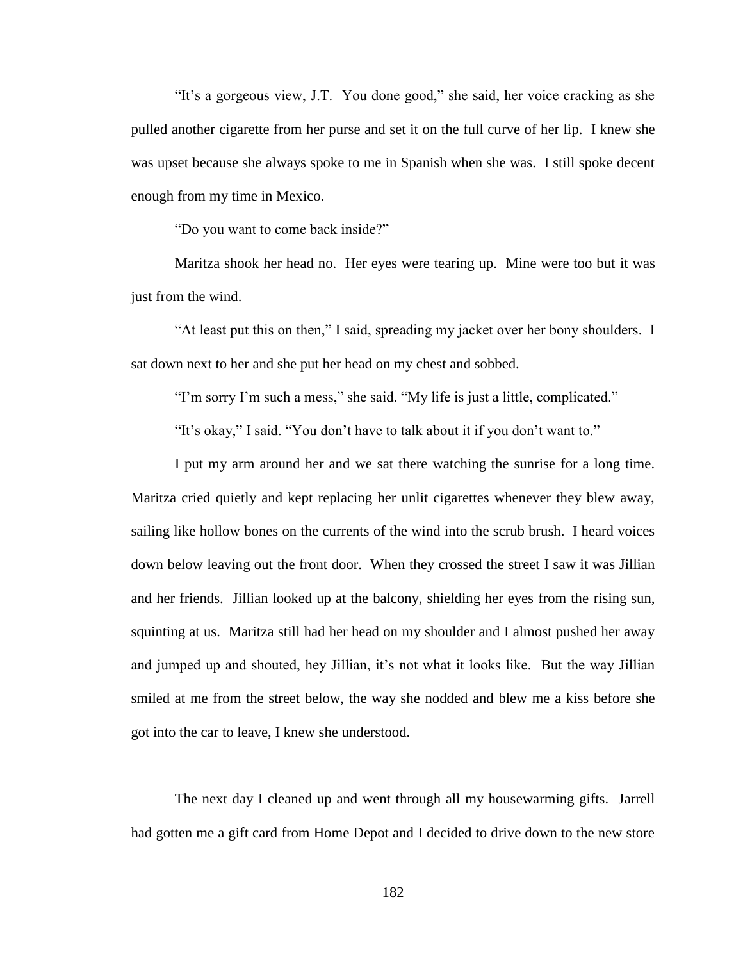"It's a gorgeous view, J.T. You done good," she said, her voice cracking as she pulled another cigarette from her purse and set it on the full curve of her lip. I knew she was upset because she always spoke to me in Spanish when she was. I still spoke decent enough from my time in Mexico.

"Do you want to come back inside?"

Maritza shook her head no. Her eyes were tearing up. Mine were too but it was just from the wind.

"At least put this on then," I said, spreading my jacket over her bony shoulders. I sat down next to her and she put her head on my chest and sobbed.

"I'm sorry I'm such a mess," she said. "My life is just a little, complicated."

"It's okay," I said. "You don't have to talk about it if you don't want to."

I put my arm around her and we sat there watching the sunrise for a long time. Maritza cried quietly and kept replacing her unlit cigarettes whenever they blew away, sailing like hollow bones on the currents of the wind into the scrub brush. I heard voices down below leaving out the front door. When they crossed the street I saw it was Jillian and her friends. Jillian looked up at the balcony, shielding her eyes from the rising sun, squinting at us. Maritza still had her head on my shoulder and I almost pushed her away and jumped up and shouted, hey Jillian, it's not what it looks like. But the way Jillian smiled at me from the street below, the way she nodded and blew me a kiss before she got into the car to leave, I knew she understood.

The next day I cleaned up and went through all my housewarming gifts. Jarrell had gotten me a gift card from Home Depot and I decided to drive down to the new store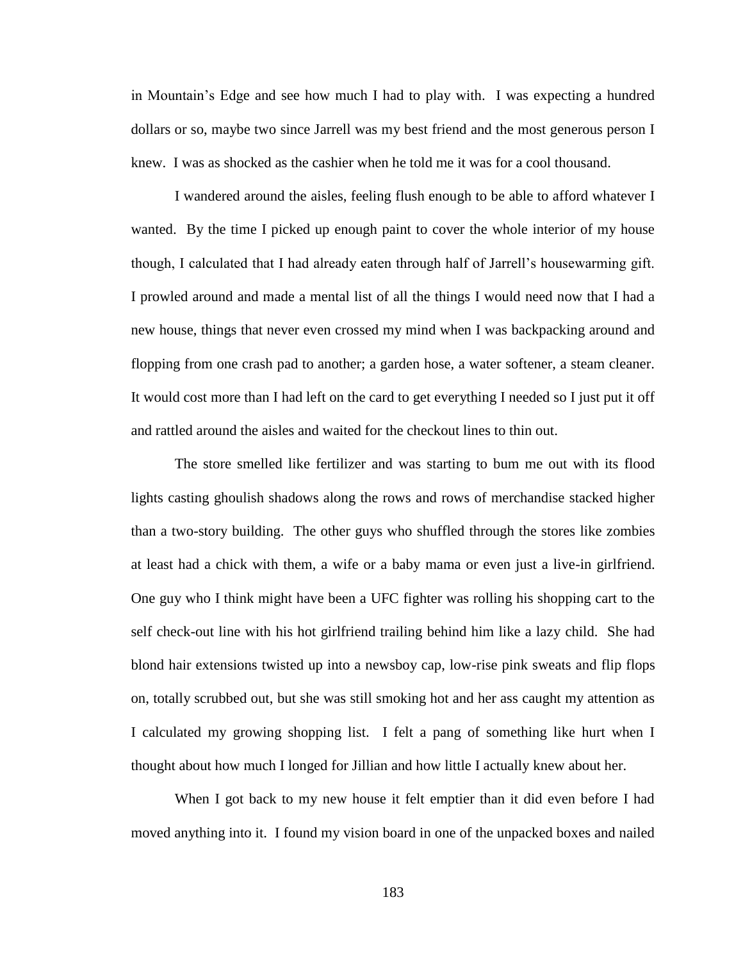in Mountain's Edge and see how much I had to play with. I was expecting a hundred dollars or so, maybe two since Jarrell was my best friend and the most generous person I knew. I was as shocked as the cashier when he told me it was for a cool thousand.

I wandered around the aisles, feeling flush enough to be able to afford whatever I wanted. By the time I picked up enough paint to cover the whole interior of my house though, I calculated that I had already eaten through half of Jarrell's housewarming gift. I prowled around and made a mental list of all the things I would need now that I had a new house, things that never even crossed my mind when I was backpacking around and flopping from one crash pad to another; a garden hose, a water softener, a steam cleaner. It would cost more than I had left on the card to get everything I needed so I just put it off and rattled around the aisles and waited for the checkout lines to thin out.

The store smelled like fertilizer and was starting to bum me out with its flood lights casting ghoulish shadows along the rows and rows of merchandise stacked higher than a two-story building. The other guys who shuffled through the stores like zombies at least had a chick with them, a wife or a baby mama or even just a live-in girlfriend. One guy who I think might have been a UFC fighter was rolling his shopping cart to the self check-out line with his hot girlfriend trailing behind him like a lazy child. She had blond hair extensions twisted up into a newsboy cap, low-rise pink sweats and flip flops on, totally scrubbed out, but she was still smoking hot and her ass caught my attention as I calculated my growing shopping list. I felt a pang of something like hurt when I thought about how much I longed for Jillian and how little I actually knew about her.

When I got back to my new house it felt emptier than it did even before I had moved anything into it. I found my vision board in one of the unpacked boxes and nailed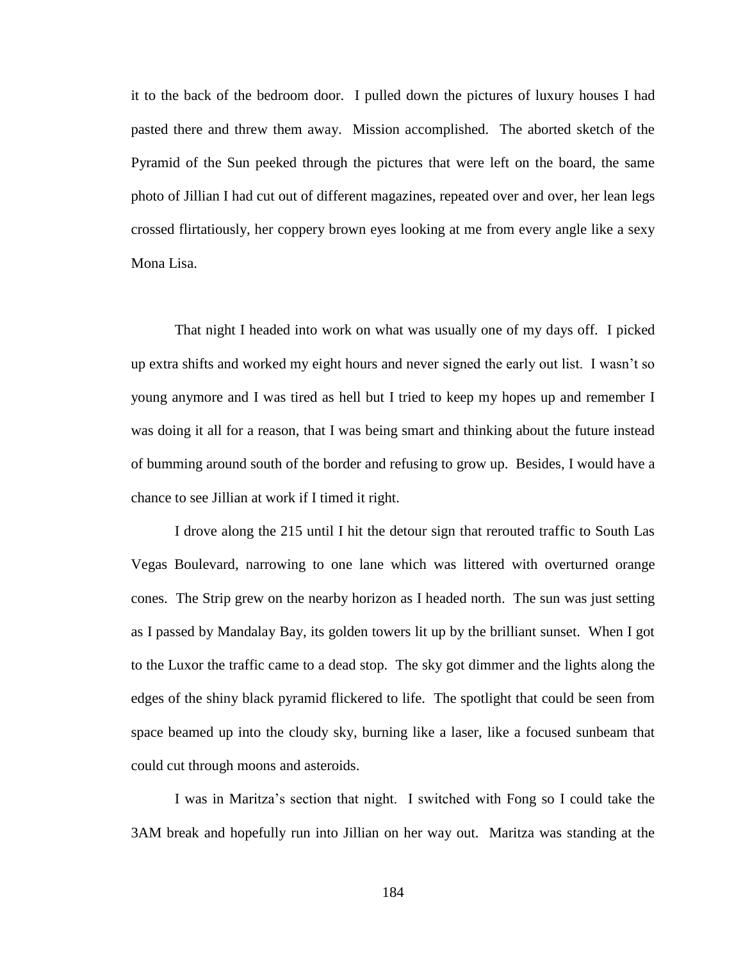it to the back of the bedroom door. I pulled down the pictures of luxury houses I had pasted there and threw them away. Mission accomplished. The aborted sketch of the Pyramid of the Sun peeked through the pictures that were left on the board, the same photo of Jillian I had cut out of different magazines, repeated over and over, her lean legs crossed flirtatiously, her coppery brown eyes looking at me from every angle like a sexy Mona Lisa.

That night I headed into work on what was usually one of my days off. I picked up extra shifts and worked my eight hours and never signed the early out list. I wasn't so young anymore and I was tired as hell but I tried to keep my hopes up and remember I was doing it all for a reason, that I was being smart and thinking about the future instead of bumming around south of the border and refusing to grow up. Besides, I would have a chance to see Jillian at work if I timed it right.

I drove along the 215 until I hit the detour sign that rerouted traffic to South Las Vegas Boulevard, narrowing to one lane which was littered with overturned orange cones. The Strip grew on the nearby horizon as I headed north. The sun was just setting as I passed by Mandalay Bay, its golden towers lit up by the brilliant sunset. When I got to the Luxor the traffic came to a dead stop. The sky got dimmer and the lights along the edges of the shiny black pyramid flickered to life. The spotlight that could be seen from space beamed up into the cloudy sky, burning like a laser, like a focused sunbeam that could cut through moons and asteroids.

I was in Maritza's section that night. I switched with Fong so I could take the 3AM break and hopefully run into Jillian on her way out. Maritza was standing at the

184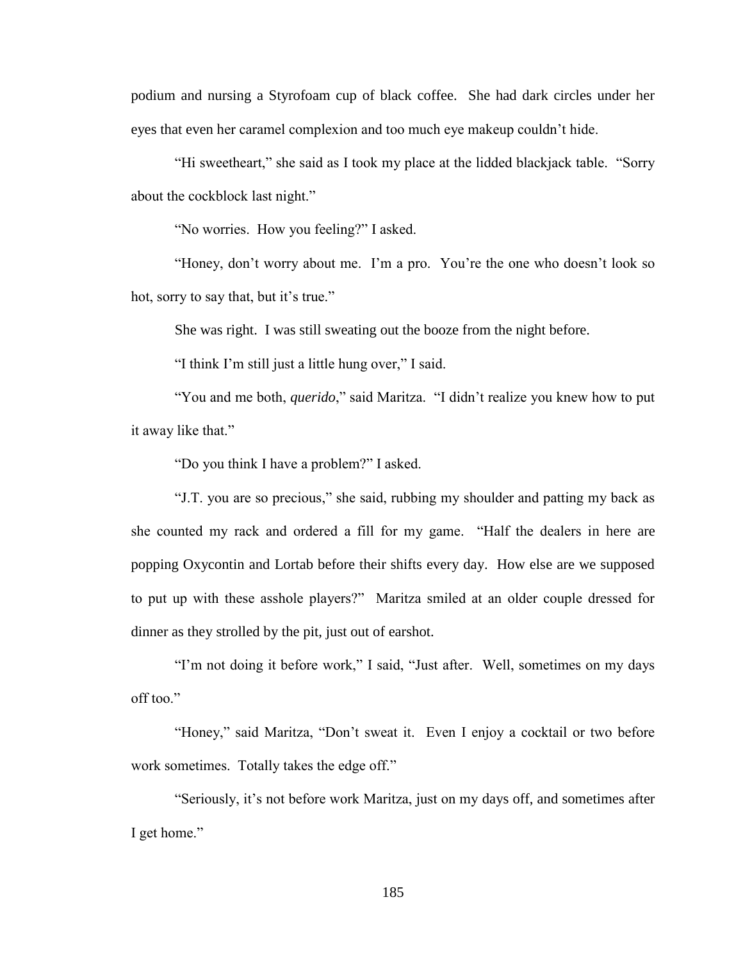podium and nursing a Styrofoam cup of black coffee. She had dark circles under her eyes that even her caramel complexion and too much eye makeup couldn't hide.

"Hi sweetheart," she said as I took my place at the lidded blackjack table. "Sorry about the cockblock last night."

"No worries. How you feeling?" I asked.

"Honey, don't worry about me. I'm a pro. You're the one who doesn't look so hot, sorry to say that, but it's true."

She was right. I was still sweating out the booze from the night before.

"I think I'm still just a little hung over," I said.

"You and me both, *querido*," said Maritza. "I didn't realize you knew how to put it away like that."

"Do you think I have a problem?" I asked.

"J.T. you are so precious," she said, rubbing my shoulder and patting my back as she counted my rack and ordered a fill for my game. "Half the dealers in here are popping Oxycontin and Lortab before their shifts every day. How else are we supposed to put up with these asshole players?" Maritza smiled at an older couple dressed for dinner as they strolled by the pit, just out of earshot.

"I'm not doing it before work," I said, "Just after. Well, sometimes on my days off too."

"Honey," said Maritza, "Don't sweat it. Even I enjoy a cocktail or two before work sometimes. Totally takes the edge off."

"Seriously, it's not before work Maritza, just on my days off, and sometimes after I get home."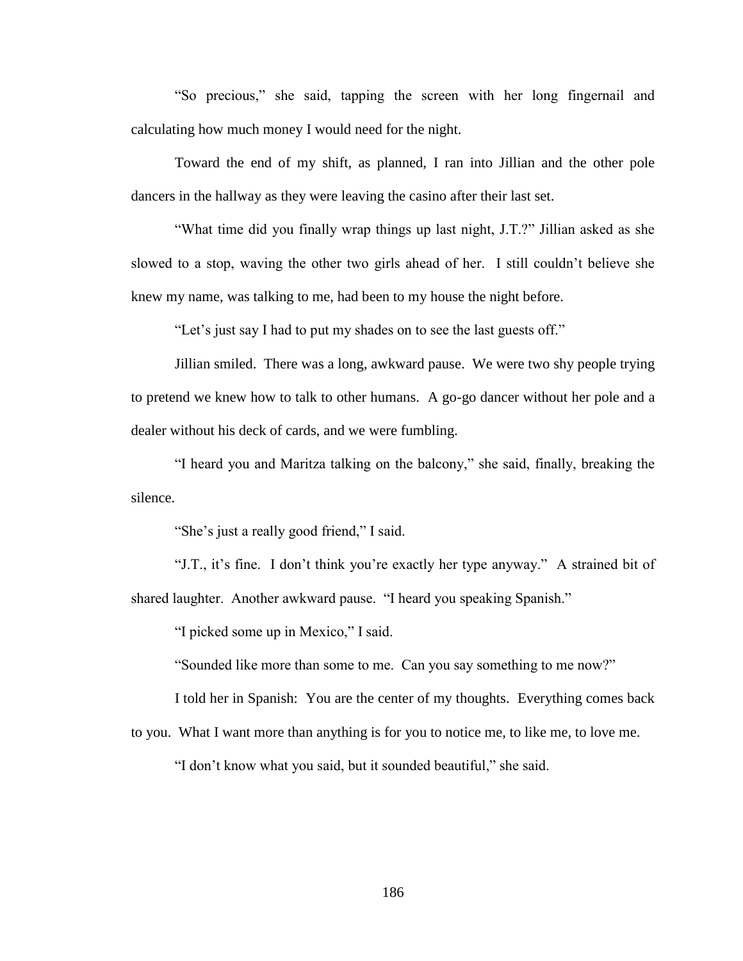"So precious," she said, tapping the screen with her long fingernail and calculating how much money I would need for the night.

Toward the end of my shift, as planned, I ran into Jillian and the other pole dancers in the hallway as they were leaving the casino after their last set.

"What time did you finally wrap things up last night, J.T.?" Jillian asked as she slowed to a stop, waving the other two girls ahead of her. I still couldn't believe she knew my name, was talking to me, had been to my house the night before.

"Let's just say I had to put my shades on to see the last guests off."

Jillian smiled. There was a long, awkward pause. We were two shy people trying to pretend we knew how to talk to other humans. A go-go dancer without her pole and a dealer without his deck of cards, and we were fumbling.

"I heard you and Maritza talking on the balcony," she said, finally, breaking the silence.

"She's just a really good friend," I said.

"J.T., it's fine. I don't think you're exactly her type anyway." A strained bit of shared laughter. Another awkward pause. "I heard you speaking Spanish."

"I picked some up in Mexico," I said.

"Sounded like more than some to me. Can you say something to me now?"

I told her in Spanish: You are the center of my thoughts. Everything comes back

to you. What I want more than anything is for you to notice me, to like me, to love me.

"I don't know what you said, but it sounded beautiful," she said.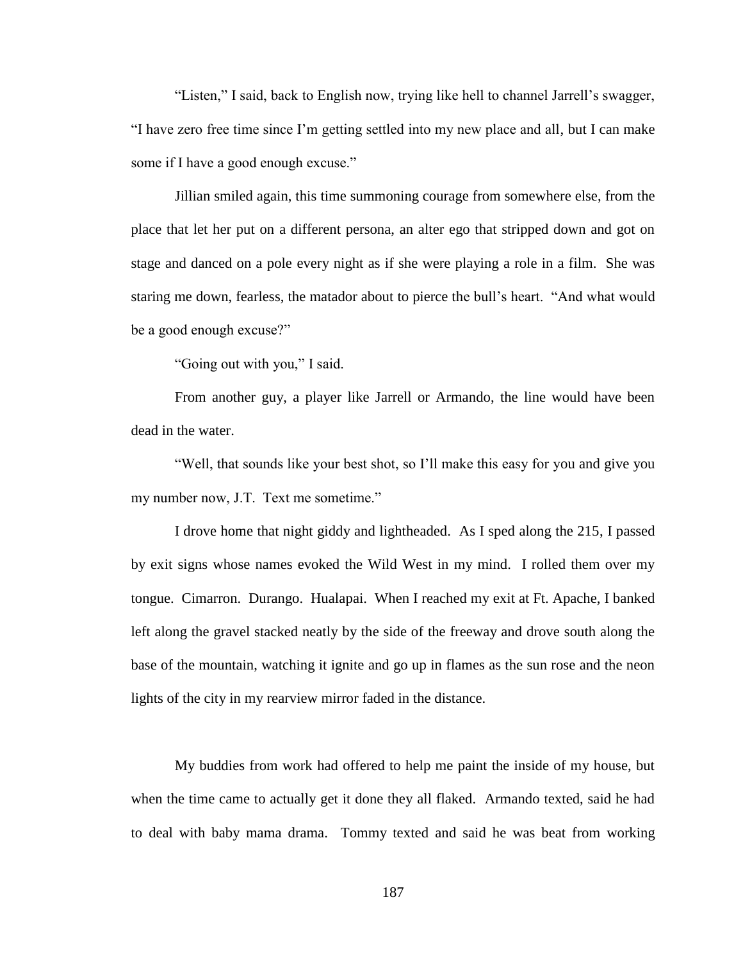"Listen," I said, back to English now, trying like hell to channel Jarrell's swagger, "I have zero free time since I'm getting settled into my new place and all, but I can make some if I have a good enough excuse."

Jillian smiled again, this time summoning courage from somewhere else, from the place that let her put on a different persona, an alter ego that stripped down and got on stage and danced on a pole every night as if she were playing a role in a film. She was staring me down, fearless, the matador about to pierce the bull's heart. "And what would be a good enough excuse?"

"Going out with you," I said.

From another guy, a player like Jarrell or Armando, the line would have been dead in the water.

"Well, that sounds like your best shot, so I'll make this easy for you and give you my number now, J.T. Text me sometime."

I drove home that night giddy and lightheaded. As I sped along the 215, I passed by exit signs whose names evoked the Wild West in my mind. I rolled them over my tongue. Cimarron. Durango. Hualapai. When I reached my exit at Ft. Apache, I banked left along the gravel stacked neatly by the side of the freeway and drove south along the base of the mountain, watching it ignite and go up in flames as the sun rose and the neon lights of the city in my rearview mirror faded in the distance.

My buddies from work had offered to help me paint the inside of my house, but when the time came to actually get it done they all flaked. Armando texted, said he had to deal with baby mama drama. Tommy texted and said he was beat from working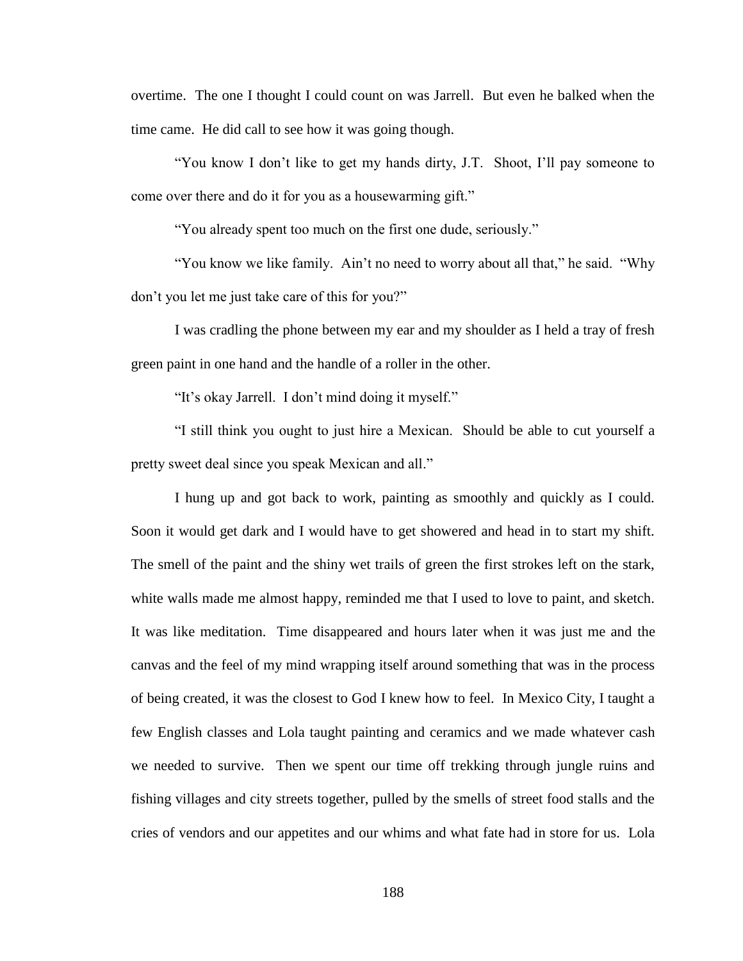overtime. The one I thought I could count on was Jarrell. But even he balked when the time came. He did call to see how it was going though.

"You know I don't like to get my hands dirty, J.T. Shoot, I'll pay someone to come over there and do it for you as a housewarming gift."

"You already spent too much on the first one dude, seriously."

"You know we like family. Ain't no need to worry about all that," he said. "Why don't you let me just take care of this for you?"

I was cradling the phone between my ear and my shoulder as I held a tray of fresh green paint in one hand and the handle of a roller in the other.

"It's okay Jarrell. I don't mind doing it myself."

"I still think you ought to just hire a Mexican. Should be able to cut yourself a pretty sweet deal since you speak Mexican and all."

I hung up and got back to work, painting as smoothly and quickly as I could. Soon it would get dark and I would have to get showered and head in to start my shift. The smell of the paint and the shiny wet trails of green the first strokes left on the stark, white walls made me almost happy, reminded me that I used to love to paint, and sketch. It was like meditation. Time disappeared and hours later when it was just me and the canvas and the feel of my mind wrapping itself around something that was in the process of being created, it was the closest to God I knew how to feel. In Mexico City, I taught a few English classes and Lola taught painting and ceramics and we made whatever cash we needed to survive. Then we spent our time off trekking through jungle ruins and fishing villages and city streets together, pulled by the smells of street food stalls and the cries of vendors and our appetites and our whims and what fate had in store for us. Lola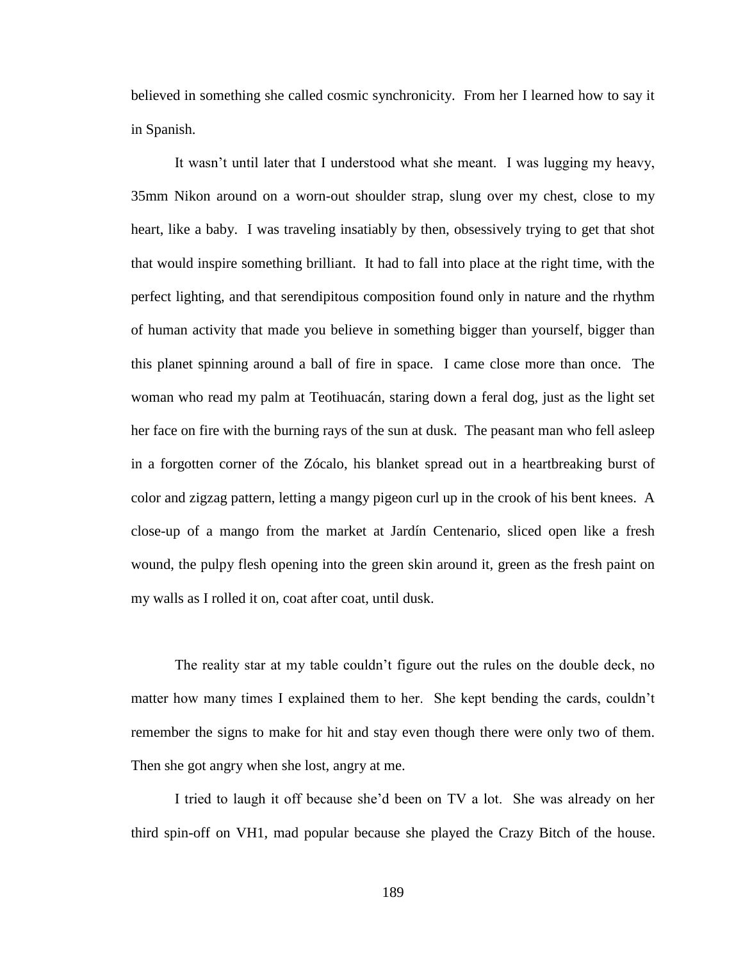believed in something she called cosmic synchronicity. From her I learned how to say it in Spanish.

It wasn't until later that I understood what she meant. I was lugging my heavy, 35mm Nikon around on a worn-out shoulder strap, slung over my chest, close to my heart, like a baby. I was traveling insatiably by then, obsessively trying to get that shot that would inspire something brilliant. It had to fall into place at the right time, with the perfect lighting, and that serendipitous composition found only in nature and the rhythm of human activity that made you believe in something bigger than yourself, bigger than this planet spinning around a ball of fire in space. I came close more than once. The woman who read my palm at Teotihuacán, staring down a feral dog, just as the light set her face on fire with the burning rays of the sun at dusk. The peasant man who fell asleep in a forgotten corner of the Zócalo, his blanket spread out in a heartbreaking burst of color and zigzag pattern, letting a mangy pigeon curl up in the crook of his bent knees. A close-up of a mango from the market at Jardín Centenario, sliced open like a fresh wound, the pulpy flesh opening into the green skin around it, green as the fresh paint on my walls as I rolled it on, coat after coat, until dusk.

The reality star at my table couldn't figure out the rules on the double deck, no matter how many times I explained them to her. She kept bending the cards, couldn't remember the signs to make for hit and stay even though there were only two of them. Then she got angry when she lost, angry at me.

I tried to laugh it off because she'd been on TV a lot. She was already on her third spin-off on VH1, mad popular because she played the Crazy Bitch of the house.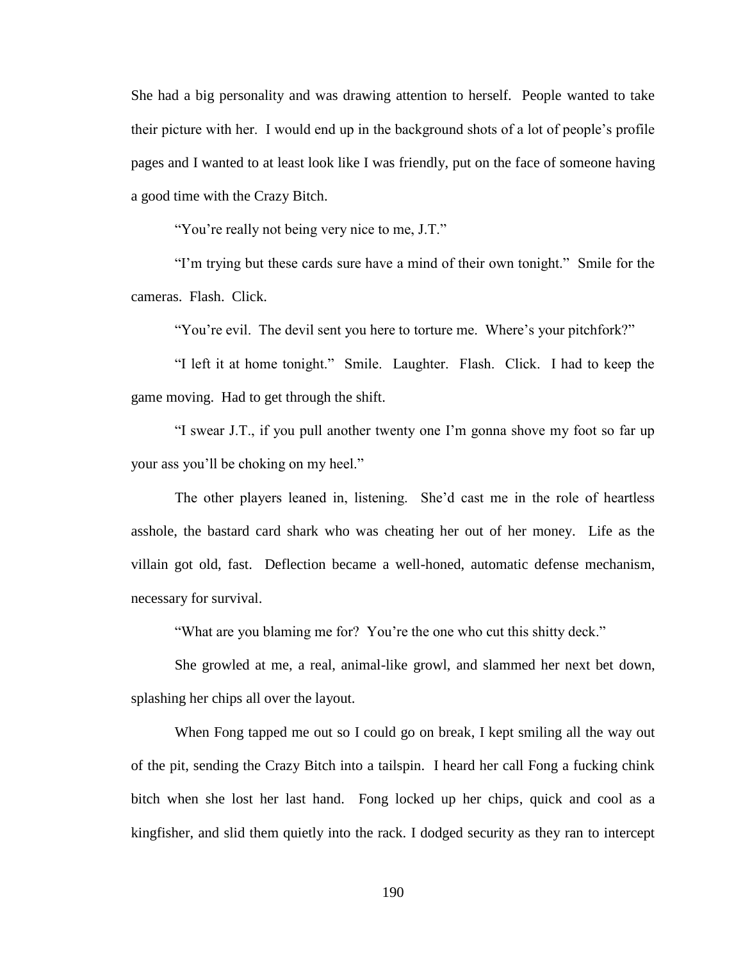She had a big personality and was drawing attention to herself. People wanted to take their picture with her. I would end up in the background shots of a lot of people's profile pages and I wanted to at least look like I was friendly, put on the face of someone having a good time with the Crazy Bitch.

"You're really not being very nice to me, J.T."

"I'm trying but these cards sure have a mind of their own tonight." Smile for the cameras. Flash. Click.

"You're evil. The devil sent you here to torture me. Where's your pitchfork?"

"I left it at home tonight." Smile. Laughter. Flash. Click. I had to keep the game moving. Had to get through the shift.

"I swear J.T., if you pull another twenty one I'm gonna shove my foot so far up your ass you'll be choking on my heel."

The other players leaned in, listening. She'd cast me in the role of heartless asshole, the bastard card shark who was cheating her out of her money. Life as the villain got old, fast. Deflection became a well-honed, automatic defense mechanism, necessary for survival.

"What are you blaming me for? You're the one who cut this shitty deck."

She growled at me, a real, animal-like growl, and slammed her next bet down, splashing her chips all over the layout.

When Fong tapped me out so I could go on break, I kept smiling all the way out of the pit, sending the Crazy Bitch into a tailspin. I heard her call Fong a fucking chink bitch when she lost her last hand. Fong locked up her chips, quick and cool as a kingfisher, and slid them quietly into the rack. I dodged security as they ran to intercept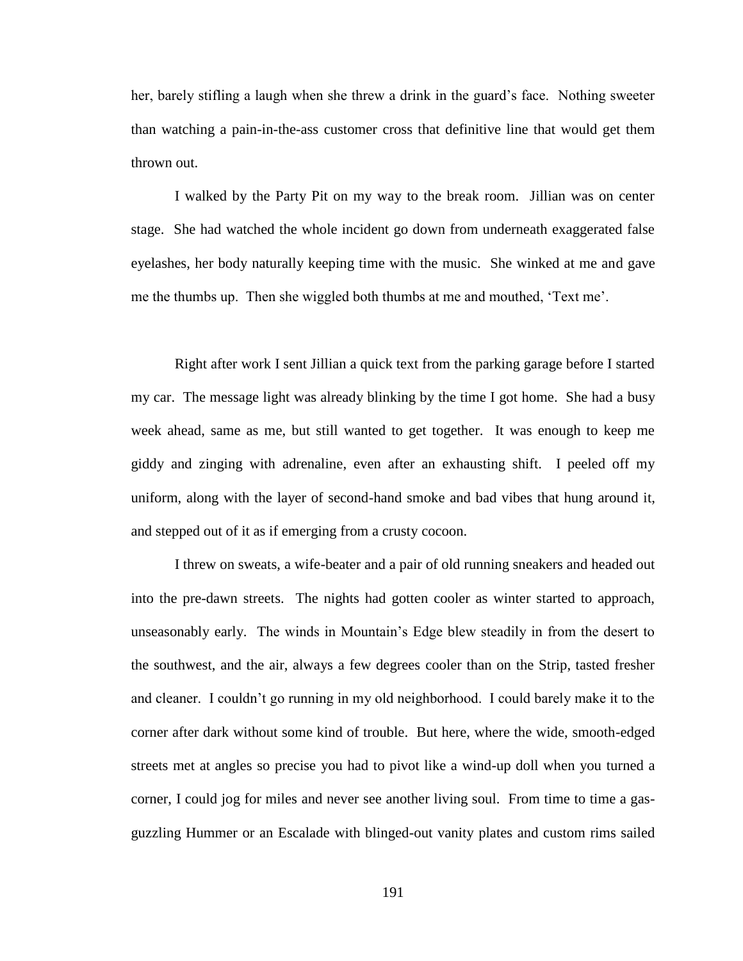her, barely stifling a laugh when she threw a drink in the guard's face. Nothing sweeter than watching a pain-in-the-ass customer cross that definitive line that would get them thrown out.

I walked by the Party Pit on my way to the break room. Jillian was on center stage. She had watched the whole incident go down from underneath exaggerated false eyelashes, her body naturally keeping time with the music. She winked at me and gave me the thumbs up. Then she wiggled both thumbs at me and mouthed, 'Text me'.

Right after work I sent Jillian a quick text from the parking garage before I started my car. The message light was already blinking by the time I got home. She had a busy week ahead, same as me, but still wanted to get together. It was enough to keep me giddy and zinging with adrenaline, even after an exhausting shift. I peeled off my uniform, along with the layer of second-hand smoke and bad vibes that hung around it, and stepped out of it as if emerging from a crusty cocoon.

I threw on sweats, a wife-beater and a pair of old running sneakers and headed out into the pre-dawn streets. The nights had gotten cooler as winter started to approach, unseasonably early. The winds in Mountain's Edge blew steadily in from the desert to the southwest, and the air, always a few degrees cooler than on the Strip, tasted fresher and cleaner. I couldn't go running in my old neighborhood. I could barely make it to the corner after dark without some kind of trouble. But here, where the wide, smooth-edged streets met at angles so precise you had to pivot like a wind-up doll when you turned a corner, I could jog for miles and never see another living soul. From time to time a gasguzzling Hummer or an Escalade with blinged-out vanity plates and custom rims sailed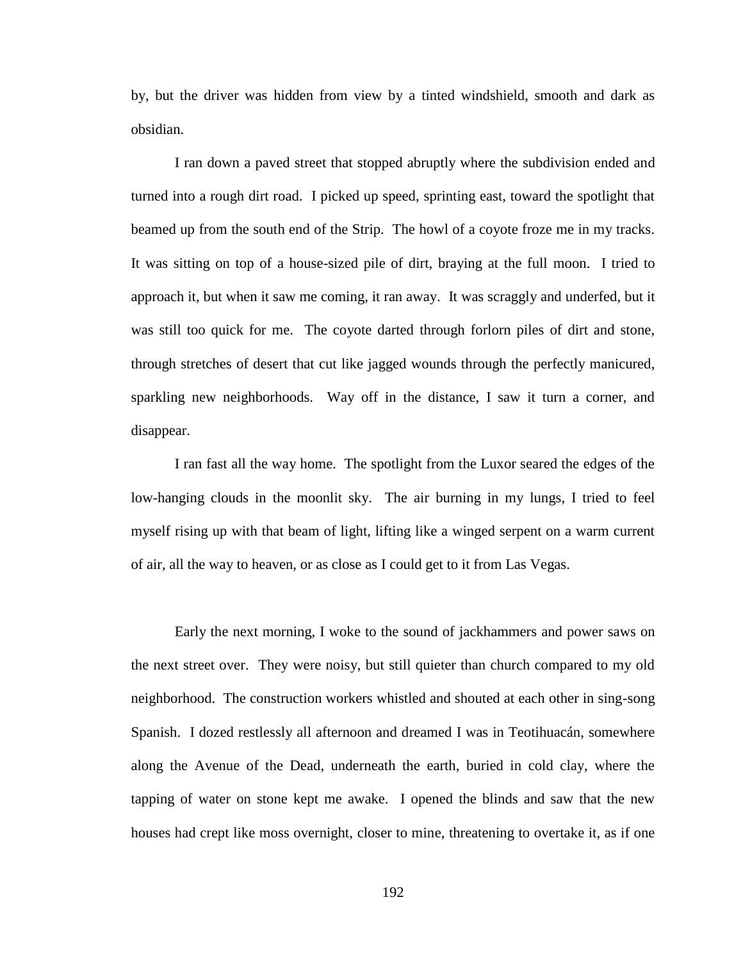by, but the driver was hidden from view by a tinted windshield, smooth and dark as obsidian.

I ran down a paved street that stopped abruptly where the subdivision ended and turned into a rough dirt road. I picked up speed, sprinting east, toward the spotlight that beamed up from the south end of the Strip. The howl of a coyote froze me in my tracks. It was sitting on top of a house-sized pile of dirt, braying at the full moon. I tried to approach it, but when it saw me coming, it ran away. It was scraggly and underfed, but it was still too quick for me. The coyote darted through forlorn piles of dirt and stone, through stretches of desert that cut like jagged wounds through the perfectly manicured, sparkling new neighborhoods. Way off in the distance, I saw it turn a corner, and disappear.

I ran fast all the way home. The spotlight from the Luxor seared the edges of the low-hanging clouds in the moonlit sky. The air burning in my lungs, I tried to feel myself rising up with that beam of light, lifting like a winged serpent on a warm current of air, all the way to heaven, or as close as I could get to it from Las Vegas.

Early the next morning, I woke to the sound of jackhammers and power saws on the next street over. They were noisy, but still quieter than church compared to my old neighborhood. The construction workers whistled and shouted at each other in sing-song Spanish. I dozed restlessly all afternoon and dreamed I was in Teotihuacán, somewhere along the Avenue of the Dead, underneath the earth, buried in cold clay, where the tapping of water on stone kept me awake. I opened the blinds and saw that the new houses had crept like moss overnight, closer to mine, threatening to overtake it, as if one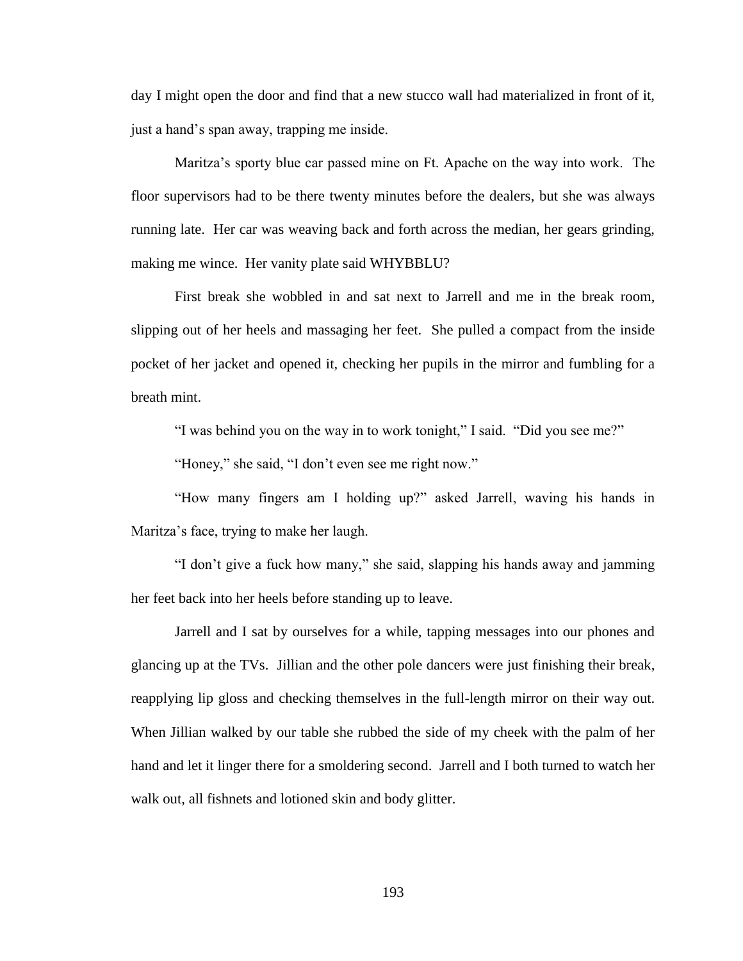day I might open the door and find that a new stucco wall had materialized in front of it, just a hand's span away, trapping me inside.

Maritza's sporty blue car passed mine on Ft. Apache on the way into work. The floor supervisors had to be there twenty minutes before the dealers, but she was always running late. Her car was weaving back and forth across the median, her gears grinding, making me wince. Her vanity plate said WHYBBLU?

First break she wobbled in and sat next to Jarrell and me in the break room, slipping out of her heels and massaging her feet. She pulled a compact from the inside pocket of her jacket and opened it, checking her pupils in the mirror and fumbling for a breath mint.

"I was behind you on the way in to work tonight," I said. "Did you see me?"

"Honey," she said, "I don't even see me right now."

"How many fingers am I holding up?" asked Jarrell, waving his hands in Maritza's face, trying to make her laugh.

"I don't give a fuck how many," she said, slapping his hands away and jamming her feet back into her heels before standing up to leave.

Jarrell and I sat by ourselves for a while, tapping messages into our phones and glancing up at the TVs. Jillian and the other pole dancers were just finishing their break, reapplying lip gloss and checking themselves in the full-length mirror on their way out. When Jillian walked by our table she rubbed the side of my cheek with the palm of her hand and let it linger there for a smoldering second. Jarrell and I both turned to watch her walk out, all fishnets and lotioned skin and body glitter.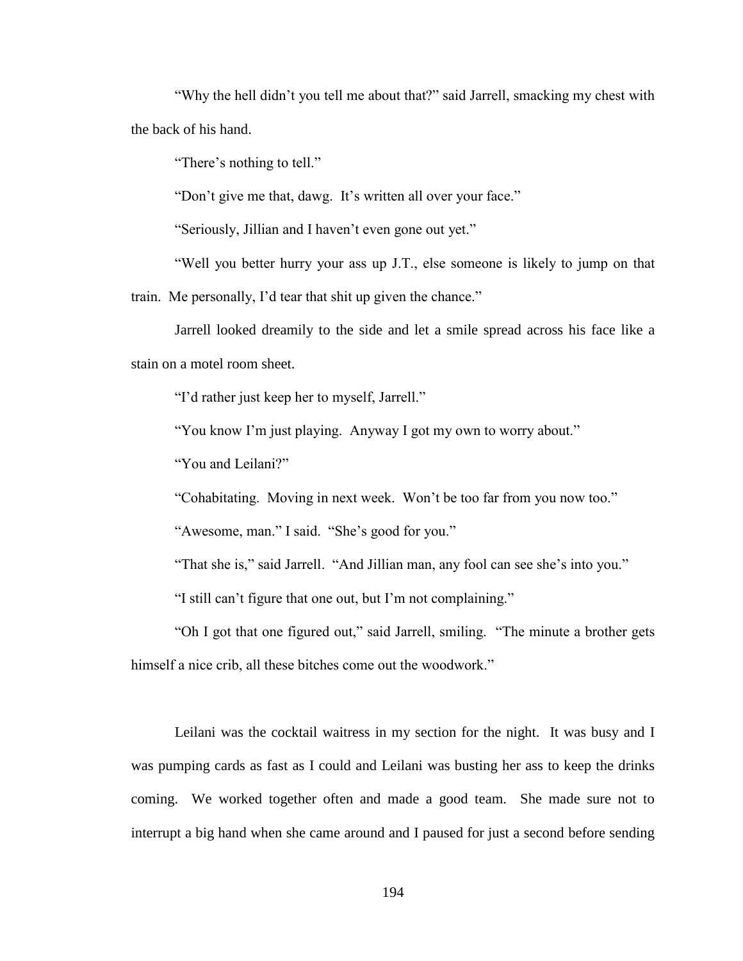"Why the hell didn't you tell me about that?" said Jarrell, smacking my chest with the back of his hand.

"There's nothing to tell."

"Don't give me that, dawg. It's written all over your face."

"Seriously, Jillian and I haven't even gone out yet."

"Well you better hurry your ass up J.T., else someone is likely to jump on that train. Me personally, I'd tear that shit up given the chance."

Jarrell looked dreamily to the side and let a smile spread across his face like a stain on a motel room sheet.

"I'd rather just keep her to myself, Jarrell."

"You know I'm just playing. Anyway I got my own to worry about."

"You and Leilani?"

"Cohabitating. Moving in next week. Won't be too far from you now too."

"Awesome, man." I said. "She's good for you."

"That she is," said Jarrell. "And Jillian man, any fool can see she's into you."

"I still can't figure that one out, but I'm not complaining."

"Oh I got that one figured out," said Jarrell, smiling. "The minute a brother gets himself a nice crib, all these bitches come out the woodwork."

Leilani was the cocktail waitress in my section for the night. It was busy and I was pumping cards as fast as I could and Leilani was busting her ass to keep the drinks coming. We worked together often and made a good team. She made sure not to interrupt a big hand when she came around and I paused for just a second before sending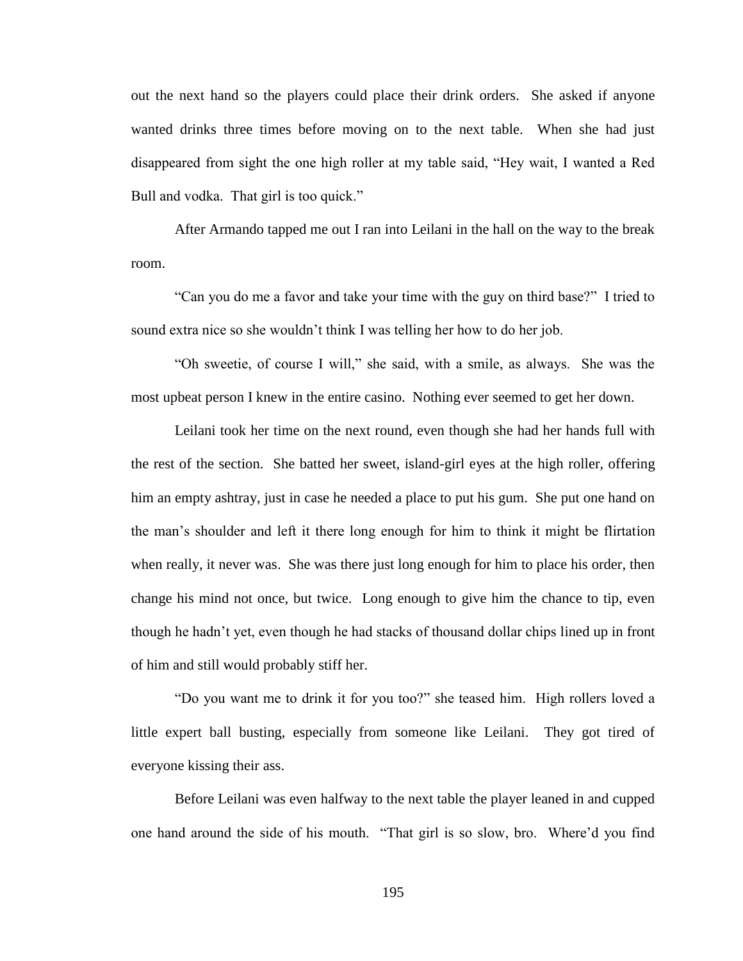out the next hand so the players could place their drink orders. She asked if anyone wanted drinks three times before moving on to the next table. When she had just disappeared from sight the one high roller at my table said, "Hey wait, I wanted a Red Bull and vodka. That girl is too quick."

After Armando tapped me out I ran into Leilani in the hall on the way to the break room.

"Can you do me a favor and take your time with the guy on third base?" I tried to sound extra nice so she wouldn't think I was telling her how to do her job.

"Oh sweetie, of course I will," she said, with a smile, as always. She was the most upbeat person I knew in the entire casino. Nothing ever seemed to get her down.

Leilani took her time on the next round, even though she had her hands full with the rest of the section. She batted her sweet, island-girl eyes at the high roller, offering him an empty ashtray, just in case he needed a place to put his gum. She put one hand on the man's shoulder and left it there long enough for him to think it might be flirtation when really, it never was. She was there just long enough for him to place his order, then change his mind not once, but twice. Long enough to give him the chance to tip, even though he hadn't yet, even though he had stacks of thousand dollar chips lined up in front of him and still would probably stiff her.

"Do you want me to drink it for you too?" she teased him. High rollers loved a little expert ball busting, especially from someone like Leilani. They got tired of everyone kissing their ass.

Before Leilani was even halfway to the next table the player leaned in and cupped one hand around the side of his mouth. "That girl is so slow, bro. Where'd you find

195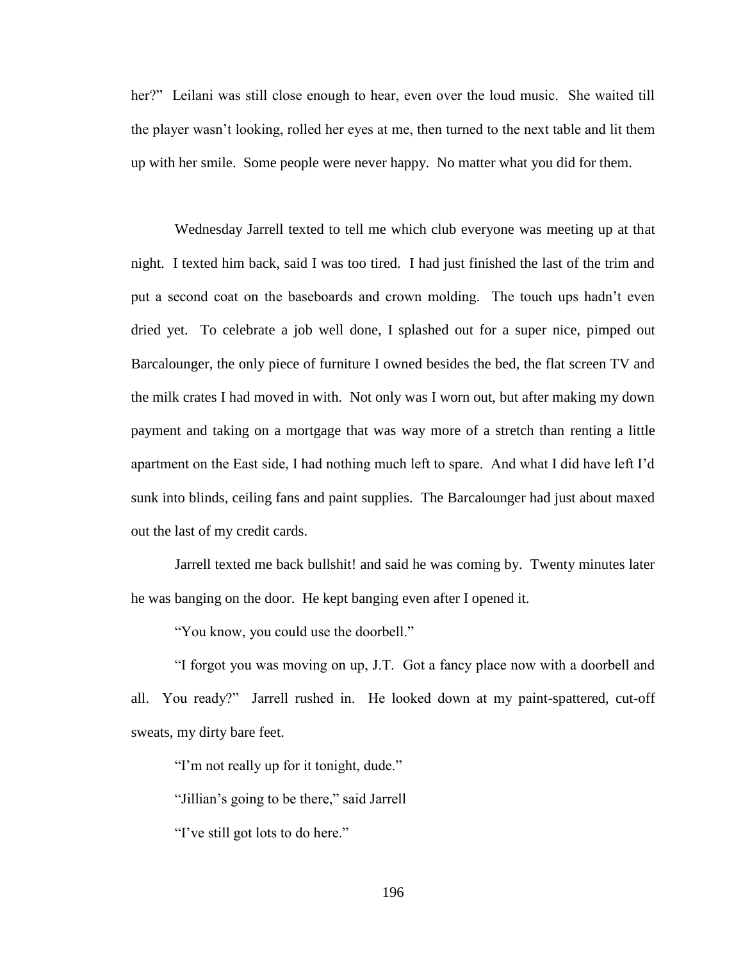her?" Leilani was still close enough to hear, even over the loud music. She waited till the player wasn't looking, rolled her eyes at me, then turned to the next table and lit them up with her smile. Some people were never happy. No matter what you did for them.

Wednesday Jarrell texted to tell me which club everyone was meeting up at that night. I texted him back, said I was too tired. I had just finished the last of the trim and put a second coat on the baseboards and crown molding. The touch ups hadn't even dried yet. To celebrate a job well done, I splashed out for a super nice, pimped out Barcalounger, the only piece of furniture I owned besides the bed, the flat screen TV and the milk crates I had moved in with. Not only was I worn out, but after making my down payment and taking on a mortgage that was way more of a stretch than renting a little apartment on the East side, I had nothing much left to spare. And what I did have left I'd sunk into blinds, ceiling fans and paint supplies. The Barcalounger had just about maxed out the last of my credit cards.

Jarrell texted me back bullshit! and said he was coming by. Twenty minutes later he was banging on the door. He kept banging even after I opened it.

"You know, you could use the doorbell."

"I forgot you was moving on up, J.T. Got a fancy place now with a doorbell and all. You ready?" Jarrell rushed in. He looked down at my paint-spattered, cut-off sweats, my dirty bare feet.

"I'm not really up for it tonight, dude."

"Jillian's going to be there," said Jarrell

"I've still got lots to do here."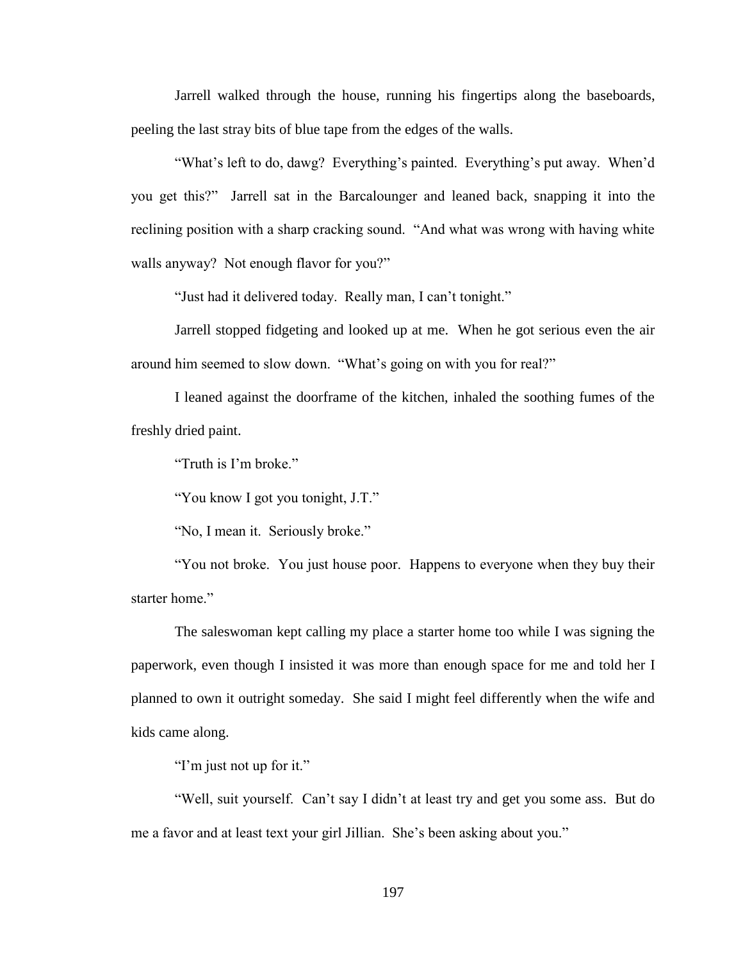Jarrell walked through the house, running his fingertips along the baseboards, peeling the last stray bits of blue tape from the edges of the walls.

"What's left to do, dawg? Everything's painted. Everything's put away. When'd you get this?" Jarrell sat in the Barcalounger and leaned back, snapping it into the reclining position with a sharp cracking sound. "And what was wrong with having white walls anyway? Not enough flavor for you?"

"Just had it delivered today. Really man, I can't tonight."

Jarrell stopped fidgeting and looked up at me. When he got serious even the air around him seemed to slow down. "What's going on with you for real?"

I leaned against the doorframe of the kitchen, inhaled the soothing fumes of the freshly dried paint.

"Truth is I'm broke."

"You know I got you tonight, J.T."

"No, I mean it. Seriously broke."

"You not broke. You just house poor. Happens to everyone when they buy their starter home."

The saleswoman kept calling my place a starter home too while I was signing the paperwork, even though I insisted it was more than enough space for me and told her I planned to own it outright someday. She said I might feel differently when the wife and kids came along.

"I'm just not up for it."

"Well, suit yourself. Can't say I didn't at least try and get you some ass. But do me a favor and at least text your girl Jillian. She's been asking about you."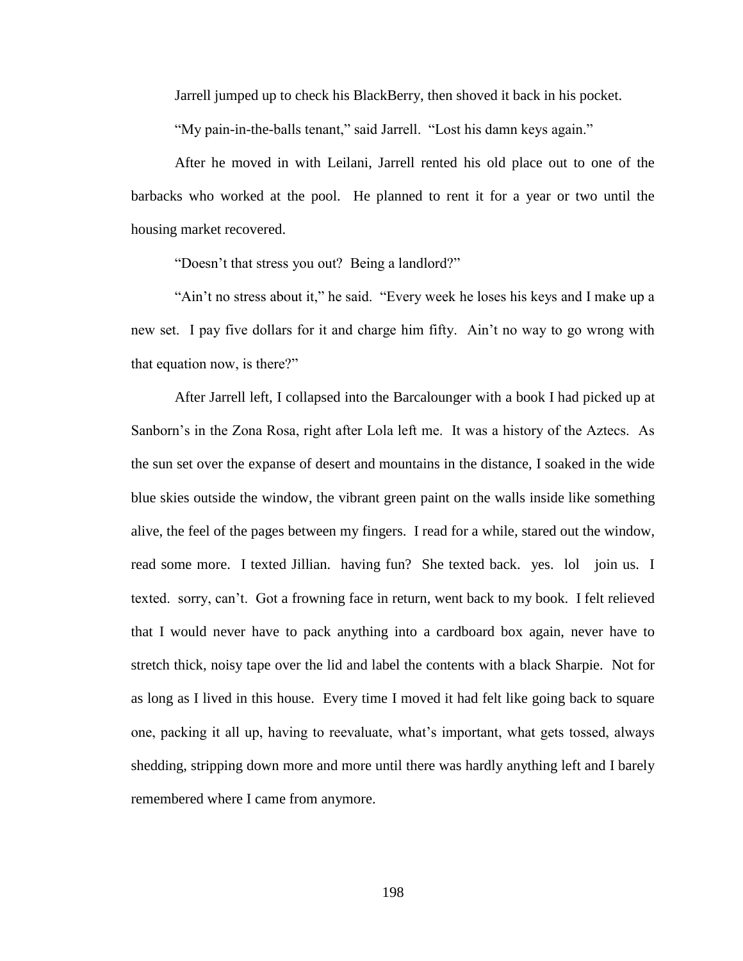Jarrell jumped up to check his BlackBerry, then shoved it back in his pocket.

"My pain-in-the-balls tenant," said Jarrell. "Lost his damn keys again."

After he moved in with Leilani, Jarrell rented his old place out to one of the barbacks who worked at the pool. He planned to rent it for a year or two until the housing market recovered.

"Doesn't that stress you out? Being a landlord?"

"Ain't no stress about it," he said. "Every week he loses his keys and I make up a new set. I pay five dollars for it and charge him fifty. Ain't no way to go wrong with that equation now, is there?"

After Jarrell left, I collapsed into the Barcalounger with a book I had picked up at Sanborn's in the Zona Rosa, right after Lola left me. It was a history of the Aztecs. As the sun set over the expanse of desert and mountains in the distance, I soaked in the wide blue skies outside the window, the vibrant green paint on the walls inside like something alive, the feel of the pages between my fingers. I read for a while, stared out the window, read some more. I texted Jillian. having fun? She texted back. yes. lol join us. I texted. sorry, can't. Got a frowning face in return, went back to my book. I felt relieved that I would never have to pack anything into a cardboard box again, never have to stretch thick, noisy tape over the lid and label the contents with a black Sharpie. Not for as long as I lived in this house. Every time I moved it had felt like going back to square one, packing it all up, having to reevaluate, what's important, what gets tossed, always shedding, stripping down more and more until there was hardly anything left and I barely remembered where I came from anymore.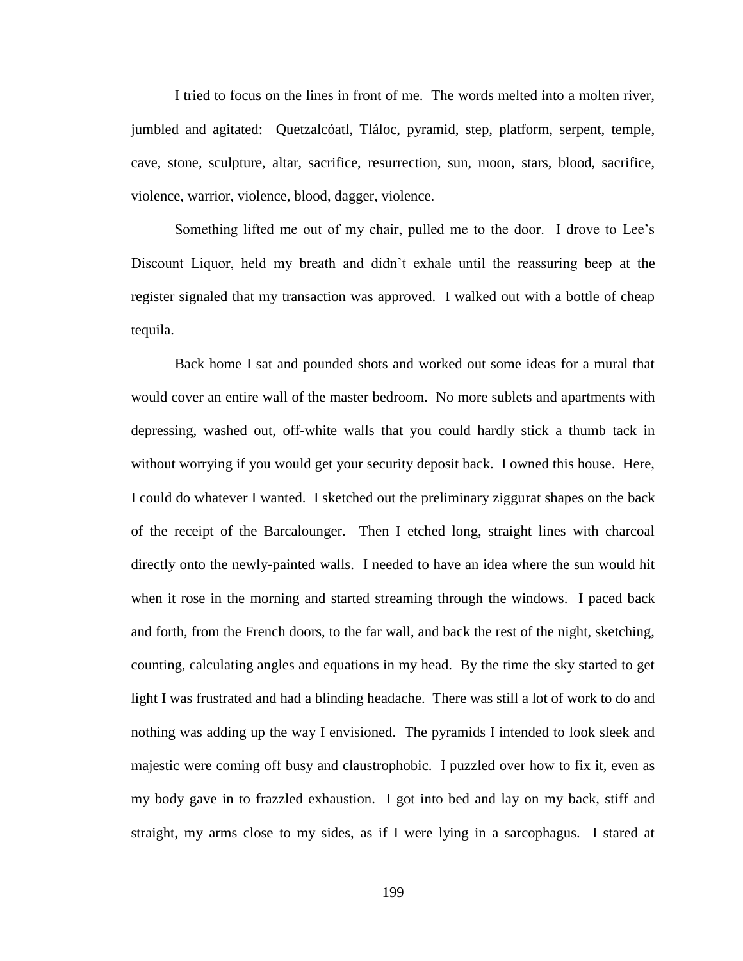I tried to focus on the lines in front of me. The words melted into a molten river, jumbled and agitated: Quetzalcóatl, Tláloc, pyramid, step, platform, serpent, temple, cave, stone, sculpture, altar, sacrifice, resurrection, sun, moon, stars, blood, sacrifice, violence, warrior, violence, blood, dagger, violence.

Something lifted me out of my chair, pulled me to the door. I drove to Lee's Discount Liquor, held my breath and didn't exhale until the reassuring beep at the register signaled that my transaction was approved. I walked out with a bottle of cheap tequila.

Back home I sat and pounded shots and worked out some ideas for a mural that would cover an entire wall of the master bedroom. No more sublets and apartments with depressing, washed out, off-white walls that you could hardly stick a thumb tack in without worrying if you would get your security deposit back. I owned this house. Here, I could do whatever I wanted. I sketched out the preliminary ziggurat shapes on the back of the receipt of the Barcalounger. Then I etched long, straight lines with charcoal directly onto the newly-painted walls. I needed to have an idea where the sun would hit when it rose in the morning and started streaming through the windows. I paced back and forth, from the French doors, to the far wall, and back the rest of the night, sketching, counting, calculating angles and equations in my head. By the time the sky started to get light I was frustrated and had a blinding headache. There was still a lot of work to do and nothing was adding up the way I envisioned. The pyramids I intended to look sleek and majestic were coming off busy and claustrophobic. I puzzled over how to fix it, even as my body gave in to frazzled exhaustion. I got into bed and lay on my back, stiff and straight, my arms close to my sides, as if I were lying in a sarcophagus. I stared at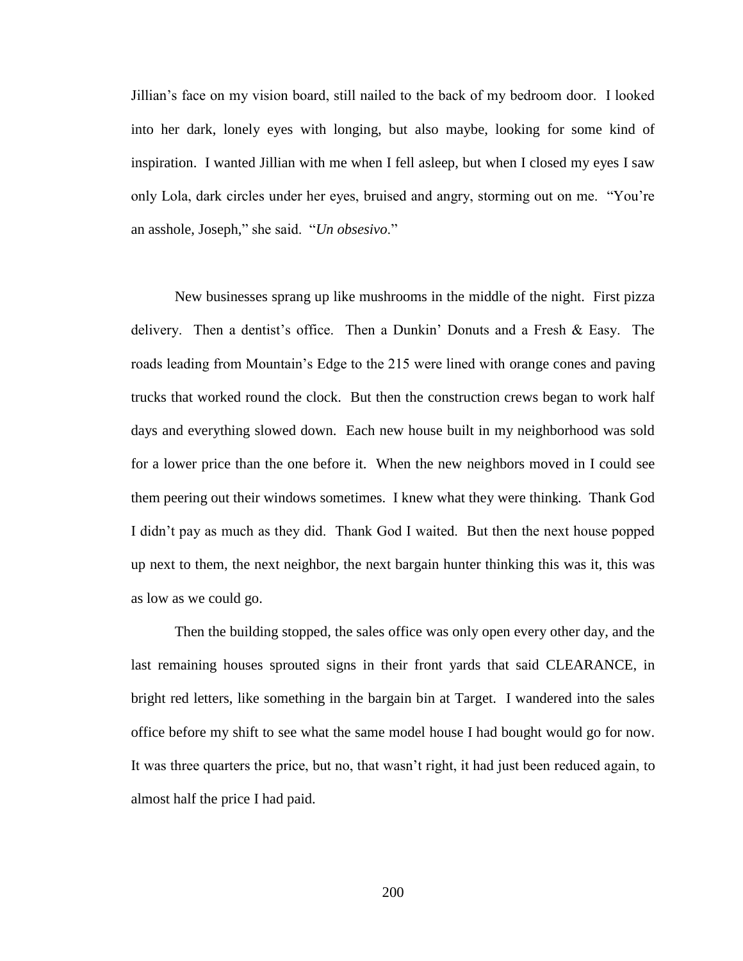Jillian's face on my vision board, still nailed to the back of my bedroom door. I looked into her dark, lonely eyes with longing, but also maybe, looking for some kind of inspiration. I wanted Jillian with me when I fell asleep, but when I closed my eyes I saw only Lola, dark circles under her eyes, bruised and angry, storming out on me. "You're an asshole, Joseph," she said. "*Un obsesivo*."

New businesses sprang up like mushrooms in the middle of the night. First pizza delivery. Then a dentist's office. Then a Dunkin' Donuts and a Fresh & Easy. The roads leading from Mountain's Edge to the 215 were lined with orange cones and paving trucks that worked round the clock. But then the construction crews began to work half days and everything slowed down. Each new house built in my neighborhood was sold for a lower price than the one before it. When the new neighbors moved in I could see them peering out their windows sometimes. I knew what they were thinking. Thank God I didn't pay as much as they did. Thank God I waited. But then the next house popped up next to them, the next neighbor, the next bargain hunter thinking this was it, this was as low as we could go.

Then the building stopped, the sales office was only open every other day, and the last remaining houses sprouted signs in their front yards that said CLEARANCE, in bright red letters, like something in the bargain bin at Target. I wandered into the sales office before my shift to see what the same model house I had bought would go for now. It was three quarters the price, but no, that wasn't right, it had just been reduced again, to almost half the price I had paid.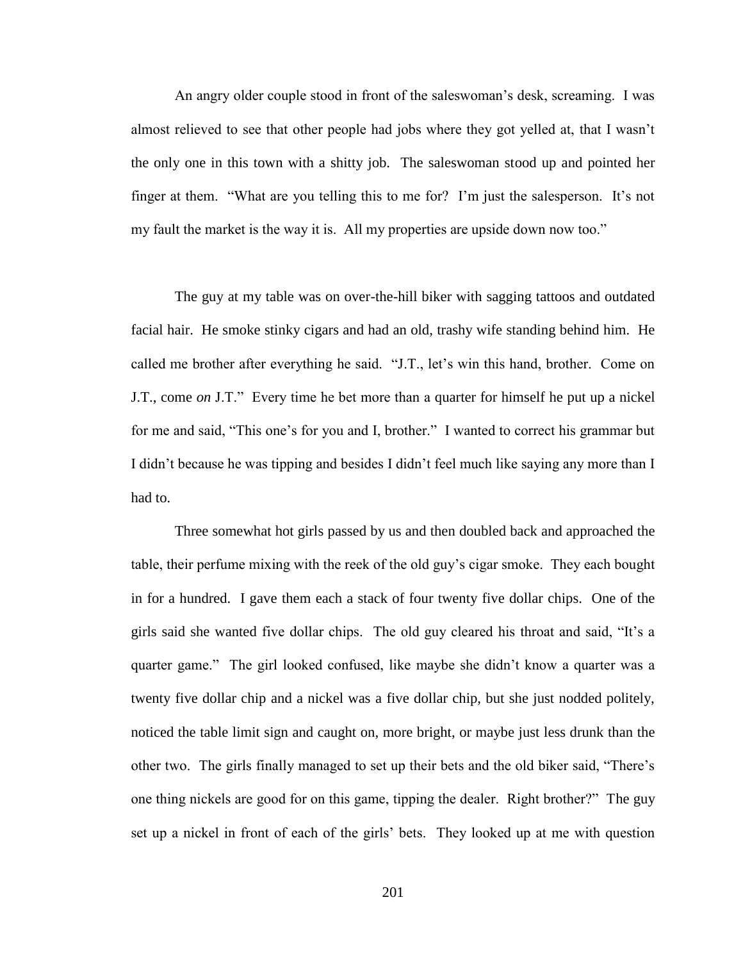An angry older couple stood in front of the saleswoman's desk, screaming. I was almost relieved to see that other people had jobs where they got yelled at, that I wasn't the only one in this town with a shitty job. The saleswoman stood up and pointed her finger at them. "What are you telling this to me for? I'm just the salesperson. It's not my fault the market is the way it is. All my properties are upside down now too."

The guy at my table was on over-the-hill biker with sagging tattoos and outdated facial hair. He smoke stinky cigars and had an old, trashy wife standing behind him. He called me brother after everything he said. "J.T., let's win this hand, brother. Come on J.T., come *on* J.T." Every time he bet more than a quarter for himself he put up a nickel for me and said, "This one's for you and I, brother." I wanted to correct his grammar but I didn't because he was tipping and besides I didn't feel much like saying any more than I had to.

Three somewhat hot girls passed by us and then doubled back and approached the table, their perfume mixing with the reek of the old guy's cigar smoke. They each bought in for a hundred. I gave them each a stack of four twenty five dollar chips. One of the girls said she wanted five dollar chips. The old guy cleared his throat and said, "It's a quarter game." The girl looked confused, like maybe she didn't know a quarter was a twenty five dollar chip and a nickel was a five dollar chip, but she just nodded politely, noticed the table limit sign and caught on, more bright, or maybe just less drunk than the other two. The girls finally managed to set up their bets and the old biker said, "There's one thing nickels are good for on this game, tipping the dealer. Right brother?" The guy set up a nickel in front of each of the girls' bets. They looked up at me with question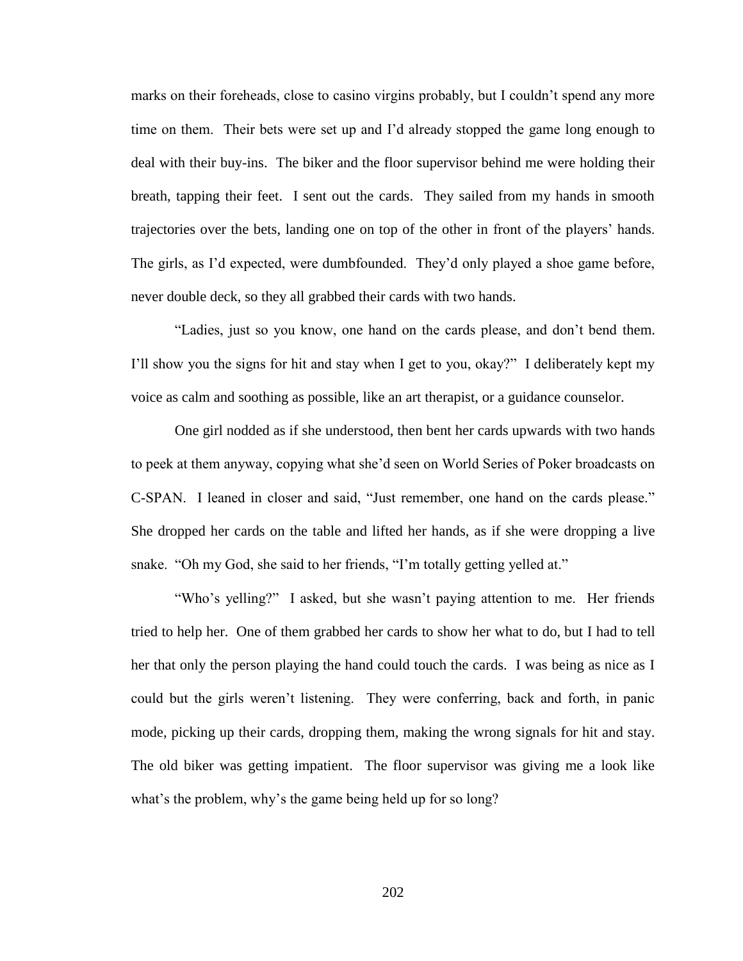marks on their foreheads, close to casino virgins probably, but I couldn't spend any more time on them. Their bets were set up and I'd already stopped the game long enough to deal with their buy-ins. The biker and the floor supervisor behind me were holding their breath, tapping their feet. I sent out the cards. They sailed from my hands in smooth trajectories over the bets, landing one on top of the other in front of the players' hands. The girls, as I'd expected, were dumbfounded. They'd only played a shoe game before, never double deck, so they all grabbed their cards with two hands.

"Ladies, just so you know, one hand on the cards please, and don't bend them. I'll show you the signs for hit and stay when I get to you, okay?" I deliberately kept my voice as calm and soothing as possible, like an art therapist, or a guidance counselor.

One girl nodded as if she understood, then bent her cards upwards with two hands to peek at them anyway, copying what she'd seen on World Series of Poker broadcasts on C-SPAN. I leaned in closer and said, "Just remember, one hand on the cards please." She dropped her cards on the table and lifted her hands, as if she were dropping a live snake. "Oh my God, she said to her friends, "I'm totally getting yelled at."

"Who's yelling?" I asked, but she wasn't paying attention to me. Her friends tried to help her. One of them grabbed her cards to show her what to do, but I had to tell her that only the person playing the hand could touch the cards. I was being as nice as I could but the girls weren't listening. They were conferring, back and forth, in panic mode, picking up their cards, dropping them, making the wrong signals for hit and stay. The old biker was getting impatient. The floor supervisor was giving me a look like what's the problem, why's the game being held up for so long?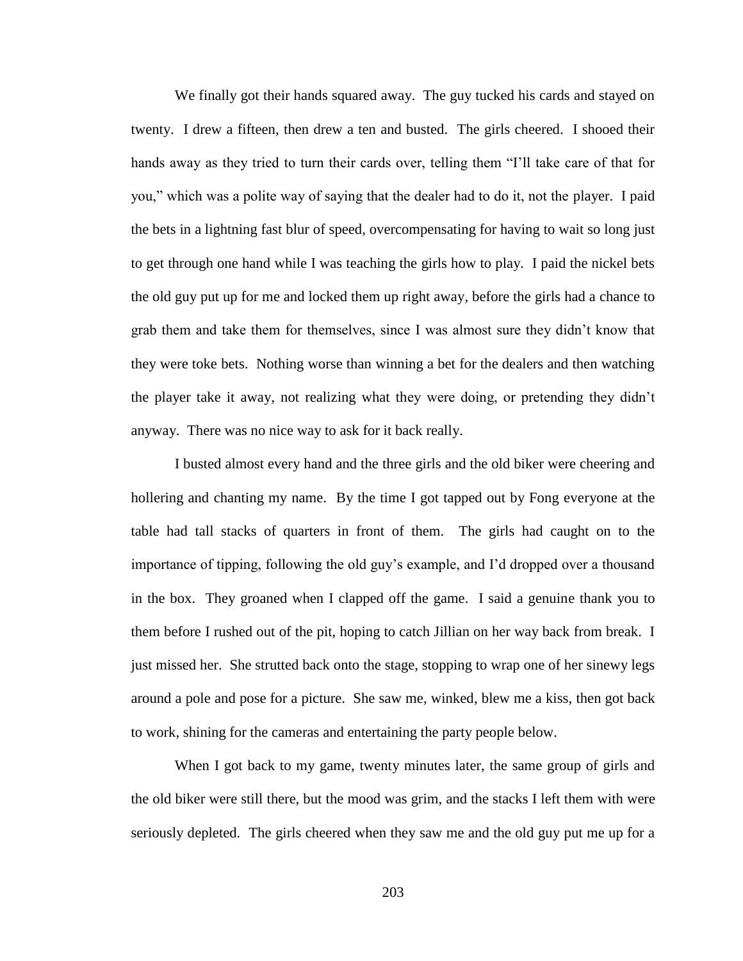We finally got their hands squared away. The guy tucked his cards and stayed on twenty. I drew a fifteen, then drew a ten and busted. The girls cheered. I shooed their hands away as they tried to turn their cards over, telling them "I'll take care of that for you," which was a polite way of saying that the dealer had to do it, not the player. I paid the bets in a lightning fast blur of speed, overcompensating for having to wait so long just to get through one hand while I was teaching the girls how to play. I paid the nickel bets the old guy put up for me and locked them up right away, before the girls had a chance to grab them and take them for themselves, since I was almost sure they didn't know that they were toke bets. Nothing worse than winning a bet for the dealers and then watching the player take it away, not realizing what they were doing, or pretending they didn't anyway. There was no nice way to ask for it back really.

I busted almost every hand and the three girls and the old biker were cheering and hollering and chanting my name. By the time I got tapped out by Fong everyone at the table had tall stacks of quarters in front of them. The girls had caught on to the importance of tipping, following the old guy's example, and I'd dropped over a thousand in the box. They groaned when I clapped off the game. I said a genuine thank you to them before I rushed out of the pit, hoping to catch Jillian on her way back from break. I just missed her. She strutted back onto the stage, stopping to wrap one of her sinewy legs around a pole and pose for a picture. She saw me, winked, blew me a kiss, then got back to work, shining for the cameras and entertaining the party people below.

When I got back to my game, twenty minutes later, the same group of girls and the old biker were still there, but the mood was grim, and the stacks I left them with were seriously depleted. The girls cheered when they saw me and the old guy put me up for a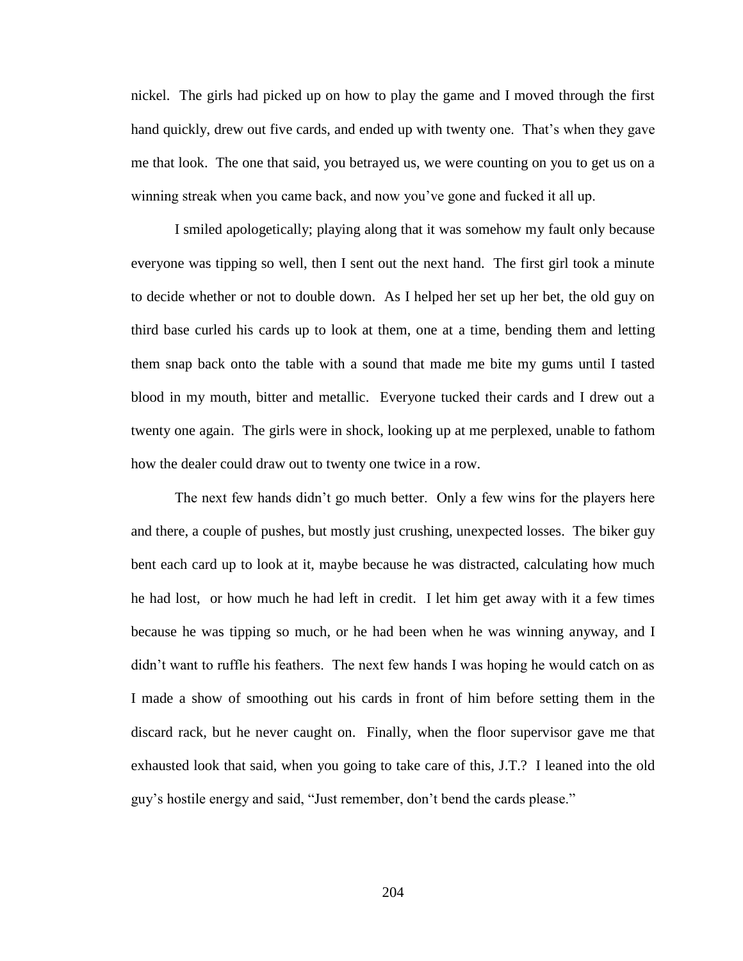nickel. The girls had picked up on how to play the game and I moved through the first hand quickly, drew out five cards, and ended up with twenty one. That's when they gave me that look. The one that said, you betrayed us, we were counting on you to get us on a winning streak when you came back, and now you've gone and fucked it all up.

I smiled apologetically; playing along that it was somehow my fault only because everyone was tipping so well, then I sent out the next hand. The first girl took a minute to decide whether or not to double down. As I helped her set up her bet, the old guy on third base curled his cards up to look at them, one at a time, bending them and letting them snap back onto the table with a sound that made me bite my gums until I tasted blood in my mouth, bitter and metallic. Everyone tucked their cards and I drew out a twenty one again. The girls were in shock, looking up at me perplexed, unable to fathom how the dealer could draw out to twenty one twice in a row.

The next few hands didn't go much better. Only a few wins for the players here and there, a couple of pushes, but mostly just crushing, unexpected losses. The biker guy bent each card up to look at it, maybe because he was distracted, calculating how much he had lost, or how much he had left in credit. I let him get away with it a few times because he was tipping so much, or he had been when he was winning anyway, and I didn't want to ruffle his feathers. The next few hands I was hoping he would catch on as I made a show of smoothing out his cards in front of him before setting them in the discard rack, but he never caught on. Finally, when the floor supervisor gave me that exhausted look that said, when you going to take care of this, J.T.? I leaned into the old guy's hostile energy and said, "Just remember, don't bend the cards please."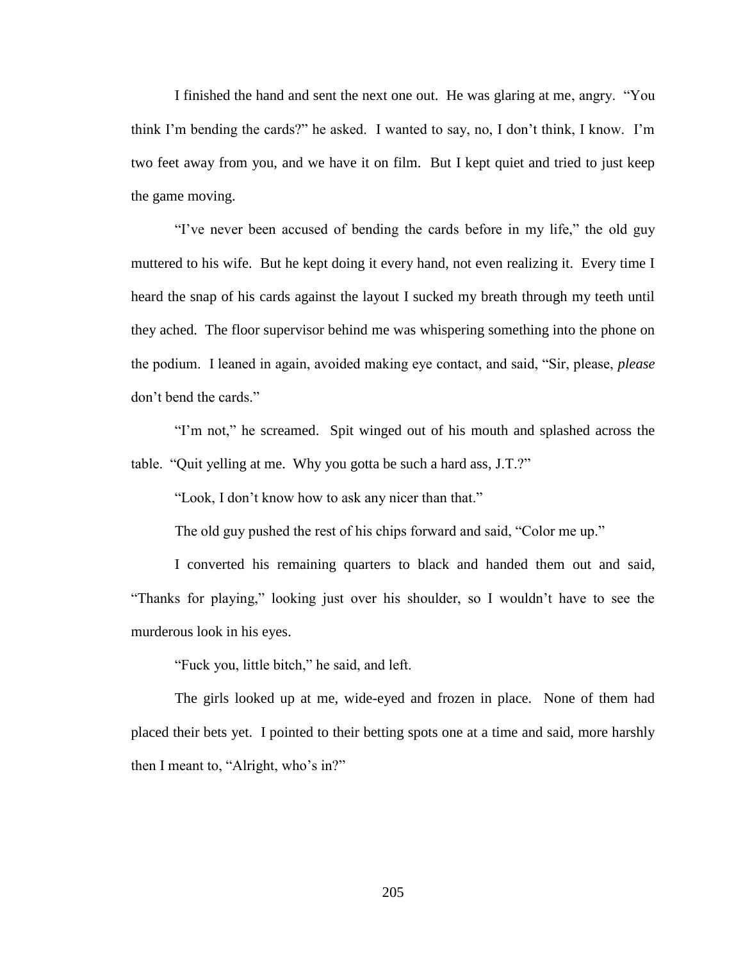I finished the hand and sent the next one out. He was glaring at me, angry. "You think I'm bending the cards?" he asked. I wanted to say, no, I don't think, I know. I'm two feet away from you, and we have it on film. But I kept quiet and tried to just keep the game moving.

"I've never been accused of bending the cards before in my life," the old guy muttered to his wife. But he kept doing it every hand, not even realizing it. Every time I heard the snap of his cards against the layout I sucked my breath through my teeth until they ached. The floor supervisor behind me was whispering something into the phone on the podium. I leaned in again, avoided making eye contact, and said, "Sir, please, *please* don't bend the cards."

"I'm not," he screamed. Spit winged out of his mouth and splashed across the table. "Quit yelling at me. Why you gotta be such a hard ass, J.T.?"

"Look, I don't know how to ask any nicer than that."

The old guy pushed the rest of his chips forward and said, "Color me up."

I converted his remaining quarters to black and handed them out and said, "Thanks for playing," looking just over his shoulder, so I wouldn't have to see the murderous look in his eyes.

"Fuck you, little bitch," he said, and left.

The girls looked up at me, wide-eyed and frozen in place. None of them had placed their bets yet. I pointed to their betting spots one at a time and said, more harshly then I meant to, "Alright, who's in?"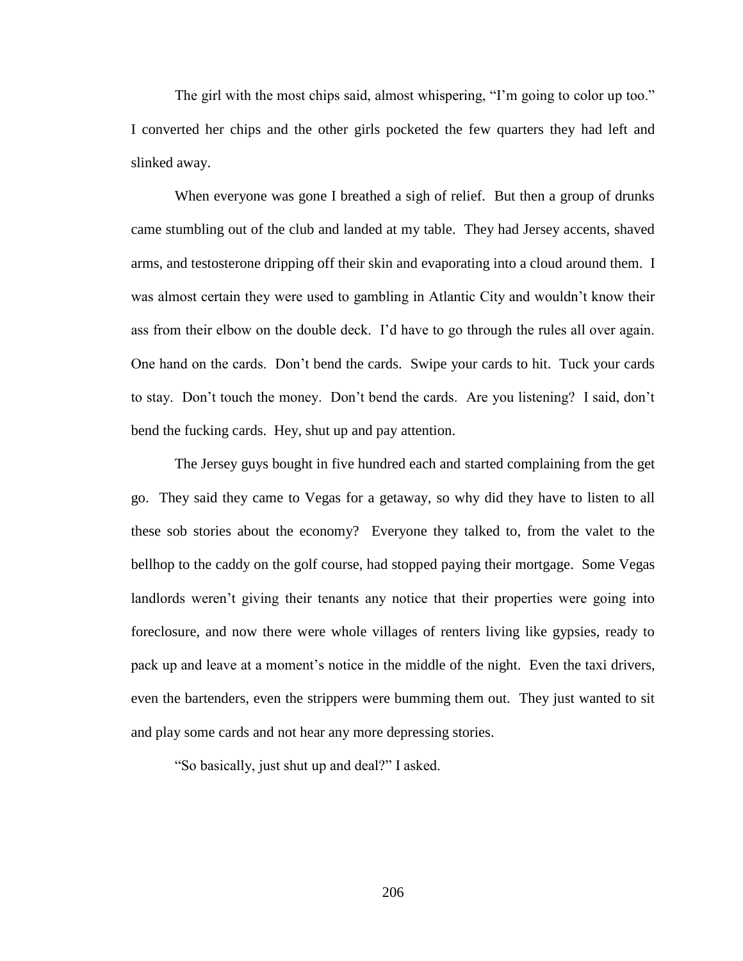The girl with the most chips said, almost whispering, "I'm going to color up too." I converted her chips and the other girls pocketed the few quarters they had left and slinked away.

When everyone was gone I breathed a sigh of relief. But then a group of drunks came stumbling out of the club and landed at my table. They had Jersey accents, shaved arms, and testosterone dripping off their skin and evaporating into a cloud around them. I was almost certain they were used to gambling in Atlantic City and wouldn't know their ass from their elbow on the double deck. I'd have to go through the rules all over again. One hand on the cards. Don't bend the cards. Swipe your cards to hit. Tuck your cards to stay. Don't touch the money. Don't bend the cards. Are you listening? I said, don't bend the fucking cards. Hey, shut up and pay attention.

The Jersey guys bought in five hundred each and started complaining from the get go. They said they came to Vegas for a getaway, so why did they have to listen to all these sob stories about the economy? Everyone they talked to, from the valet to the bellhop to the caddy on the golf course, had stopped paying their mortgage. Some Vegas landlords weren't giving their tenants any notice that their properties were going into foreclosure, and now there were whole villages of renters living like gypsies, ready to pack up and leave at a moment's notice in the middle of the night. Even the taxi drivers, even the bartenders, even the strippers were bumming them out. They just wanted to sit and play some cards and not hear any more depressing stories.

"So basically, just shut up and deal?" I asked.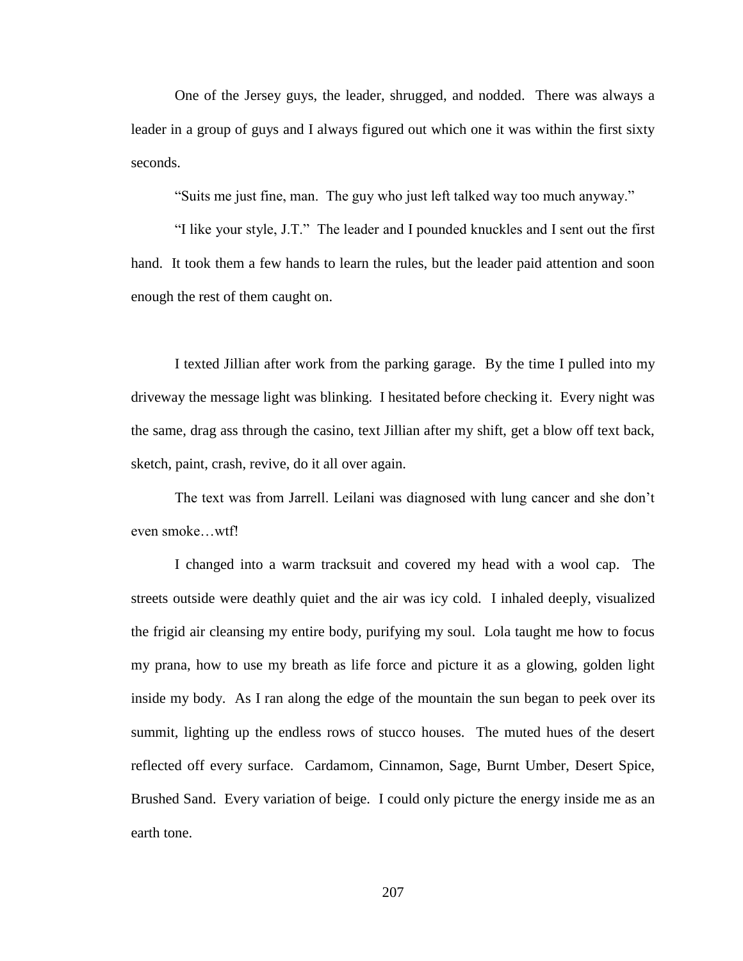One of the Jersey guys, the leader, shrugged, and nodded. There was always a leader in a group of guys and I always figured out which one it was within the first sixty seconds.

"Suits me just fine, man. The guy who just left talked way too much anyway."

"I like your style, J.T." The leader and I pounded knuckles and I sent out the first hand. It took them a few hands to learn the rules, but the leader paid attention and soon enough the rest of them caught on.

I texted Jillian after work from the parking garage. By the time I pulled into my driveway the message light was blinking. I hesitated before checking it. Every night was the same, drag ass through the casino, text Jillian after my shift, get a blow off text back, sketch, paint, crash, revive, do it all over again.

The text was from Jarrell. Leilani was diagnosed with lung cancer and she don't even smoke…wtf!

I changed into a warm tracksuit and covered my head with a wool cap. The streets outside were deathly quiet and the air was icy cold. I inhaled deeply, visualized the frigid air cleansing my entire body, purifying my soul. Lola taught me how to focus my prana, how to use my breath as life force and picture it as a glowing, golden light inside my body. As I ran along the edge of the mountain the sun began to peek over its summit, lighting up the endless rows of stucco houses. The muted hues of the desert reflected off every surface. Cardamom, Cinnamon, Sage, Burnt Umber, Desert Spice, Brushed Sand. Every variation of beige. I could only picture the energy inside me as an earth tone.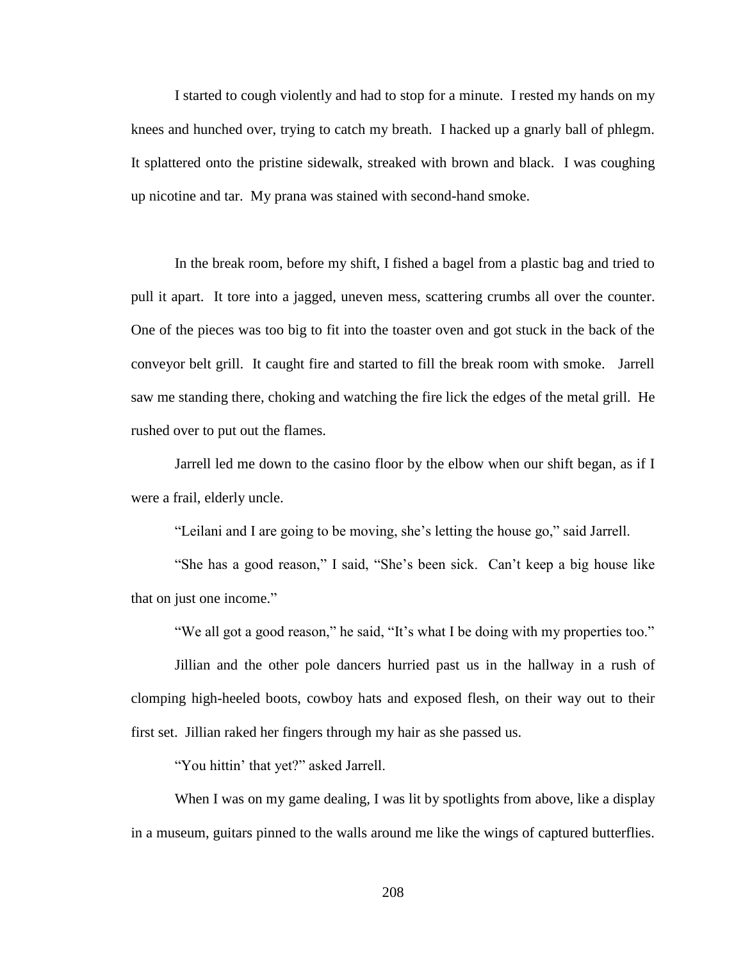I started to cough violently and had to stop for a minute. I rested my hands on my knees and hunched over, trying to catch my breath. I hacked up a gnarly ball of phlegm. It splattered onto the pristine sidewalk, streaked with brown and black. I was coughing up nicotine and tar. My prana was stained with second-hand smoke.

In the break room, before my shift, I fished a bagel from a plastic bag and tried to pull it apart. It tore into a jagged, uneven mess, scattering crumbs all over the counter. One of the pieces was too big to fit into the toaster oven and got stuck in the back of the conveyor belt grill. It caught fire and started to fill the break room with smoke. Jarrell saw me standing there, choking and watching the fire lick the edges of the metal grill. He rushed over to put out the flames.

Jarrell led me down to the casino floor by the elbow when our shift began, as if I were a frail, elderly uncle.

"Leilani and I are going to be moving, she's letting the house go," said Jarrell.

"She has a good reason," I said, "She's been sick. Can't keep a big house like that on just one income."

"We all got a good reason," he said, "It's what I be doing with my properties too."

Jillian and the other pole dancers hurried past us in the hallway in a rush of clomping high-heeled boots, cowboy hats and exposed flesh, on their way out to their first set. Jillian raked her fingers through my hair as she passed us.

"You hittin' that yet?" asked Jarrell.

When I was on my game dealing, I was lit by spotlights from above, like a display in a museum, guitars pinned to the walls around me like the wings of captured butterflies.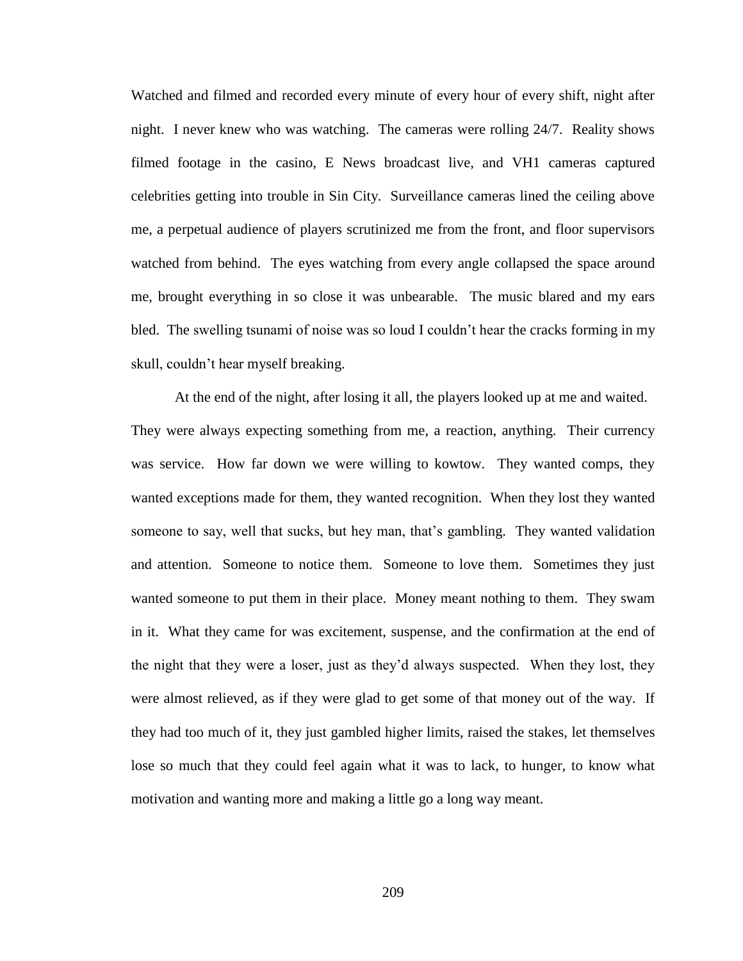Watched and filmed and recorded every minute of every hour of every shift, night after night. I never knew who was watching. The cameras were rolling 24/7. Reality shows filmed footage in the casino, E News broadcast live, and VH1 cameras captured celebrities getting into trouble in Sin City. Surveillance cameras lined the ceiling above me, a perpetual audience of players scrutinized me from the front, and floor supervisors watched from behind. The eyes watching from every angle collapsed the space around me, brought everything in so close it was unbearable. The music blared and my ears bled. The swelling tsunami of noise was so loud I couldn't hear the cracks forming in my skull, couldn't hear myself breaking.

At the end of the night, after losing it all, the players looked up at me and waited. They were always expecting something from me, a reaction, anything. Their currency was service. How far down we were willing to kowtow. They wanted comps, they wanted exceptions made for them, they wanted recognition. When they lost they wanted someone to say, well that sucks, but hey man, that's gambling. They wanted validation and attention. Someone to notice them. Someone to love them. Sometimes they just wanted someone to put them in their place. Money meant nothing to them. They swam in it. What they came for was excitement, suspense, and the confirmation at the end of the night that they were a loser, just as they'd always suspected. When they lost, they were almost relieved, as if they were glad to get some of that money out of the way. If they had too much of it, they just gambled higher limits, raised the stakes, let themselves lose so much that they could feel again what it was to lack, to hunger, to know what motivation and wanting more and making a little go a long way meant.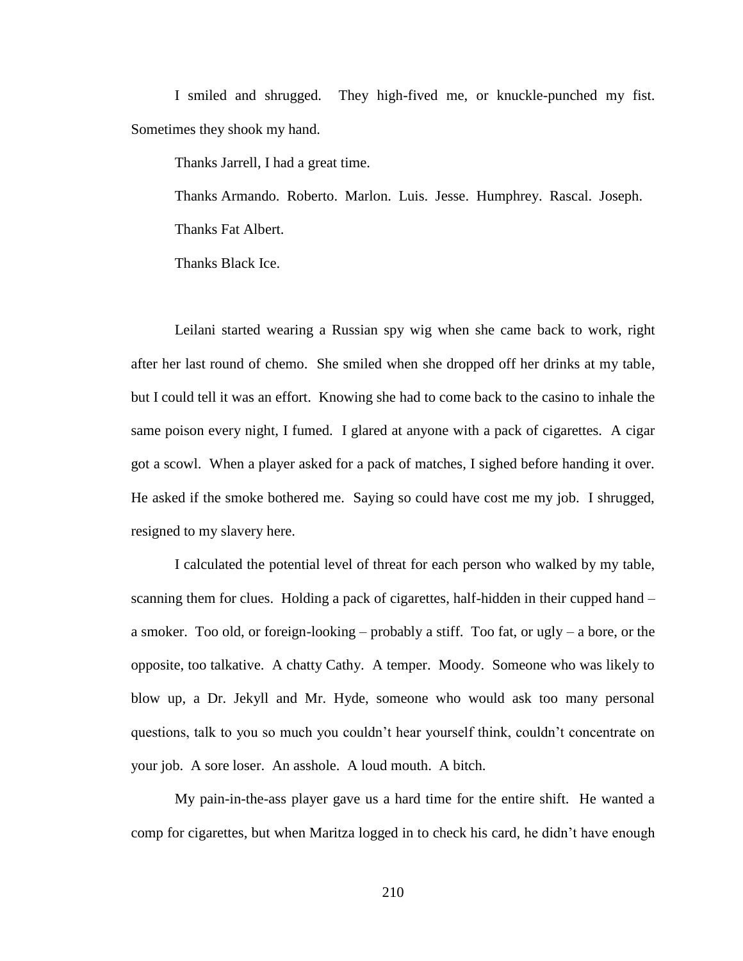I smiled and shrugged. They high-fived me, or knuckle-punched my fist. Sometimes they shook my hand.

Thanks Jarrell, I had a great time.

Thanks Armando. Roberto. Marlon. Luis. Jesse. Humphrey. Rascal. Joseph. Thanks Fat Albert.

Thanks Black Ice.

Leilani started wearing a Russian spy wig when she came back to work, right after her last round of chemo. She smiled when she dropped off her drinks at my table, but I could tell it was an effort. Knowing she had to come back to the casino to inhale the same poison every night, I fumed. I glared at anyone with a pack of cigarettes. A cigar got a scowl. When a player asked for a pack of matches, I sighed before handing it over. He asked if the smoke bothered me. Saying so could have cost me my job. I shrugged, resigned to my slavery here.

I calculated the potential level of threat for each person who walked by my table, scanning them for clues. Holding a pack of cigarettes, half-hidden in their cupped hand – a smoker. Too old, or foreign-looking – probably a stiff. Too fat, or ugly – a bore, or the opposite, too talkative. A chatty Cathy. A temper. Moody. Someone who was likely to blow up, a Dr. Jekyll and Mr. Hyde, someone who would ask too many personal questions, talk to you so much you couldn't hear yourself think, couldn't concentrate on your job. A sore loser. An asshole. A loud mouth. A bitch.

My pain-in-the-ass player gave us a hard time for the entire shift. He wanted a comp for cigarettes, but when Maritza logged in to check his card, he didn't have enough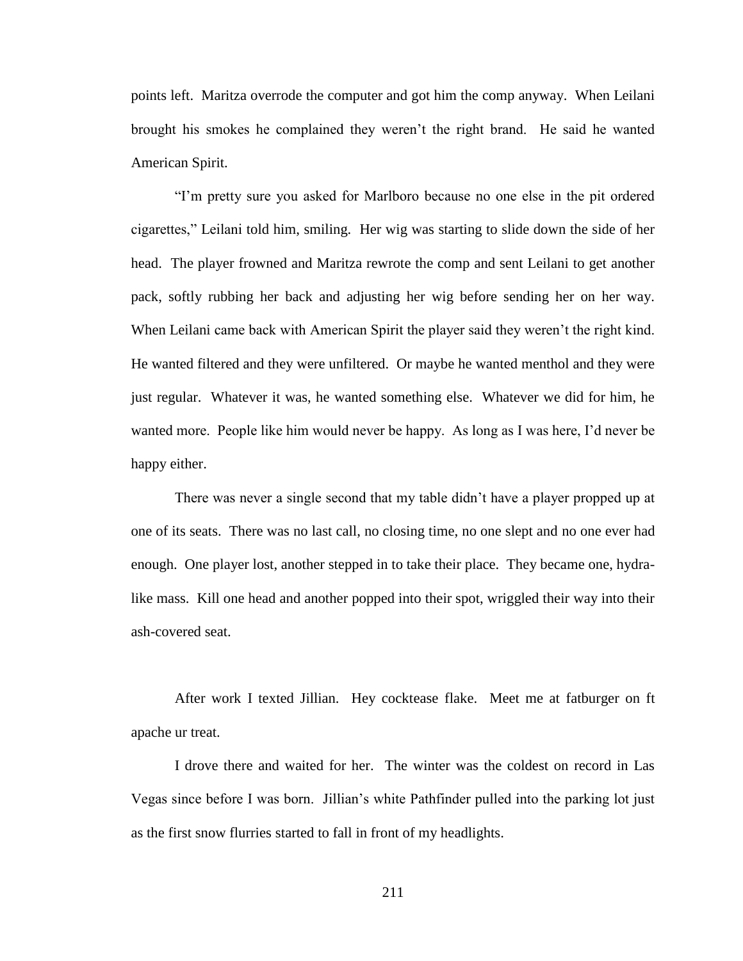points left. Maritza overrode the computer and got him the comp anyway. When Leilani brought his smokes he complained they weren't the right brand. He said he wanted American Spirit.

"I'm pretty sure you asked for Marlboro because no one else in the pit ordered cigarettes," Leilani told him, smiling. Her wig was starting to slide down the side of her head. The player frowned and Maritza rewrote the comp and sent Leilani to get another pack, softly rubbing her back and adjusting her wig before sending her on her way. When Leilani came back with American Spirit the player said they weren't the right kind. He wanted filtered and they were unfiltered. Or maybe he wanted menthol and they were just regular. Whatever it was, he wanted something else. Whatever we did for him, he wanted more. People like him would never be happy. As long as I was here, I'd never be happy either.

There was never a single second that my table didn't have a player propped up at one of its seats. There was no last call, no closing time, no one slept and no one ever had enough. One player lost, another stepped in to take their place. They became one, hydralike mass. Kill one head and another popped into their spot, wriggled their way into their ash-covered seat.

After work I texted Jillian. Hey cocktease flake. Meet me at fatburger on ft apache ur treat.

I drove there and waited for her. The winter was the coldest on record in Las Vegas since before I was born. Jillian's white Pathfinder pulled into the parking lot just as the first snow flurries started to fall in front of my headlights.

211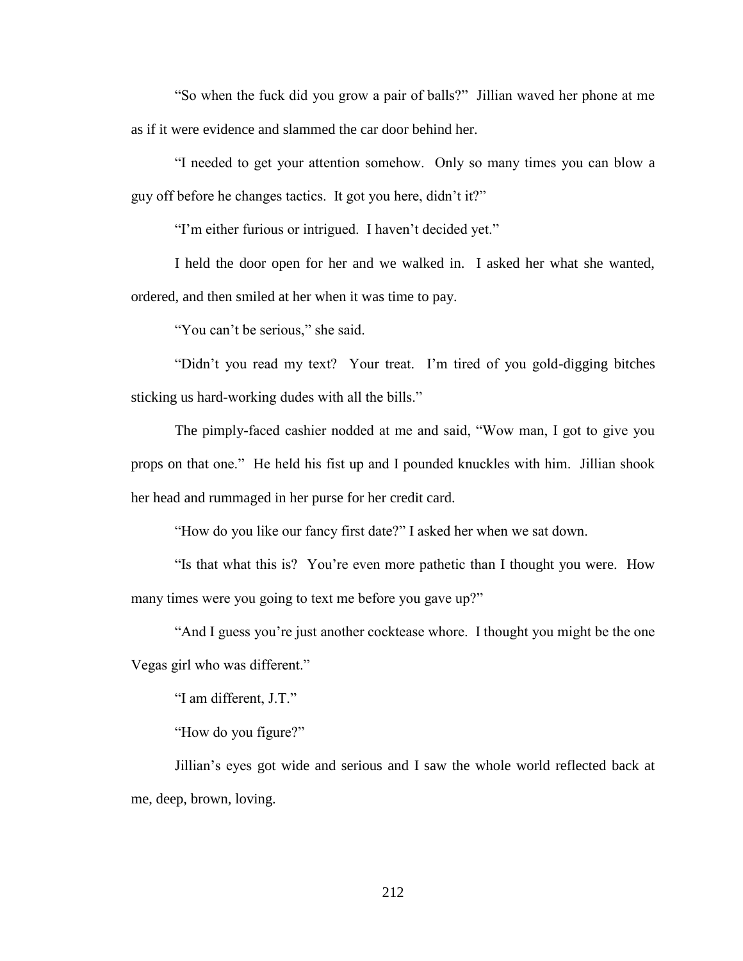"So when the fuck did you grow a pair of balls?" Jillian waved her phone at me as if it were evidence and slammed the car door behind her.

"I needed to get your attention somehow. Only so many times you can blow a guy off before he changes tactics. It got you here, didn't it?"

"I'm either furious or intrigued. I haven't decided yet."

I held the door open for her and we walked in. I asked her what she wanted, ordered, and then smiled at her when it was time to pay.

"You can't be serious," she said.

"Didn't you read my text? Your treat. I'm tired of you gold-digging bitches sticking us hard-working dudes with all the bills."

The pimply-faced cashier nodded at me and said, "Wow man, I got to give you props on that one." He held his fist up and I pounded knuckles with him. Jillian shook her head and rummaged in her purse for her credit card.

"How do you like our fancy first date?" I asked her when we sat down.

"Is that what this is? You're even more pathetic than I thought you were. How many times were you going to text me before you gave up?"

"And I guess you're just another cocktease whore. I thought you might be the one Vegas girl who was different."

"I am different, J.T."

"How do you figure?"

Jillian's eyes got wide and serious and I saw the whole world reflected back at me, deep, brown, loving.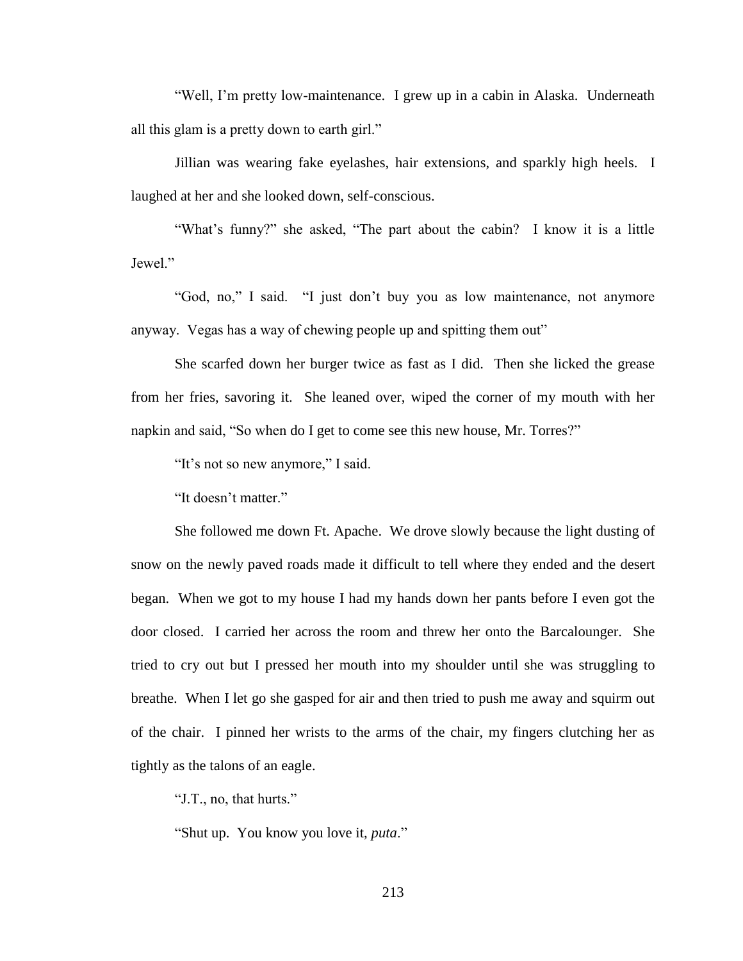"Well, I'm pretty low-maintenance. I grew up in a cabin in Alaska. Underneath all this glam is a pretty down to earth girl."

Jillian was wearing fake eyelashes, hair extensions, and sparkly high heels. I laughed at her and she looked down, self-conscious.

"What's funny?" she asked, "The part about the cabin? I know it is a little Jewel<sup>"</sup>

"God, no," I said. "I just don't buy you as low maintenance, not anymore anyway. Vegas has a way of chewing people up and spitting them out"

She scarfed down her burger twice as fast as I did. Then she licked the grease from her fries, savoring it. She leaned over, wiped the corner of my mouth with her napkin and said, "So when do I get to come see this new house, Mr. Torres?"

"It's not so new anymore," I said.

"It doesn't matter."

She followed me down Ft. Apache. We drove slowly because the light dusting of snow on the newly paved roads made it difficult to tell where they ended and the desert began. When we got to my house I had my hands down her pants before I even got the door closed. I carried her across the room and threw her onto the Barcalounger. She tried to cry out but I pressed her mouth into my shoulder until she was struggling to breathe. When I let go she gasped for air and then tried to push me away and squirm out of the chair. I pinned her wrists to the arms of the chair, my fingers clutching her as tightly as the talons of an eagle.

"J.T., no, that hurts."

"Shut up. You know you love it, *puta*."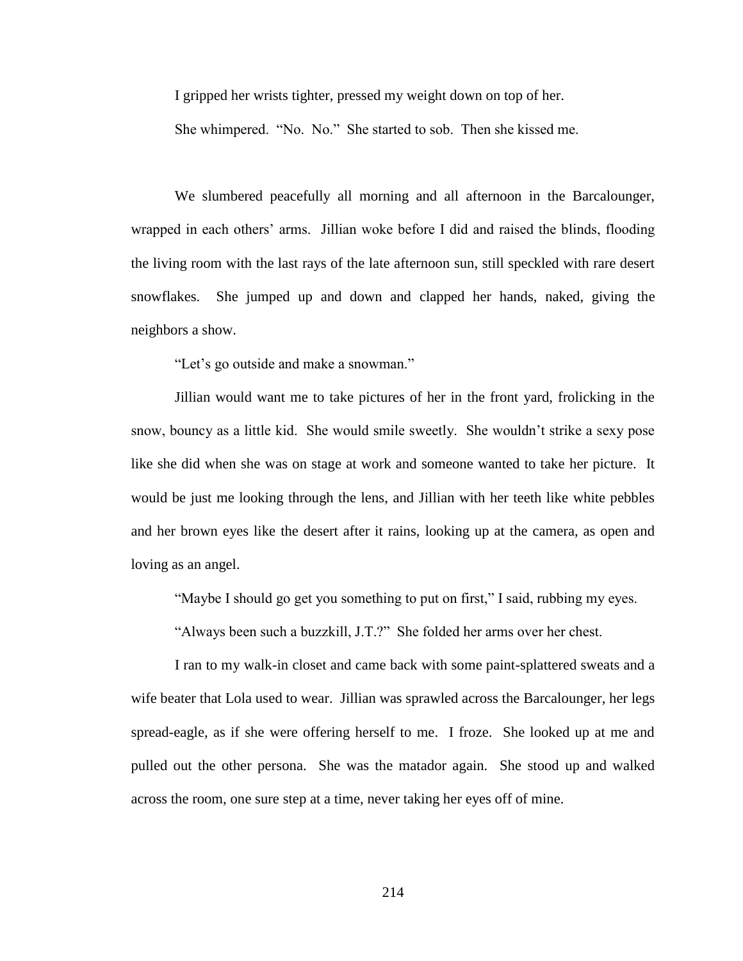I gripped her wrists tighter, pressed my weight down on top of her.

She whimpered. "No. No." She started to sob. Then she kissed me.

We slumbered peacefully all morning and all afternoon in the Barcalounger, wrapped in each others' arms. Jillian woke before I did and raised the blinds, flooding the living room with the last rays of the late afternoon sun, still speckled with rare desert snowflakes. She jumped up and down and clapped her hands, naked, giving the neighbors a show.

"Let's go outside and make a snowman."

Jillian would want me to take pictures of her in the front yard, frolicking in the snow, bouncy as a little kid. She would smile sweetly. She wouldn't strike a sexy pose like she did when she was on stage at work and someone wanted to take her picture. It would be just me looking through the lens, and Jillian with her teeth like white pebbles and her brown eyes like the desert after it rains, looking up at the camera, as open and loving as an angel.

"Maybe I should go get you something to put on first," I said, rubbing my eyes.

"Always been such a buzzkill, J.T.?" She folded her arms over her chest.

I ran to my walk-in closet and came back with some paint-splattered sweats and a wife beater that Lola used to wear. Jillian was sprawled across the Barcalounger, her legs spread-eagle, as if she were offering herself to me. I froze. She looked up at me and pulled out the other persona. She was the matador again. She stood up and walked across the room, one sure step at a time, never taking her eyes off of mine.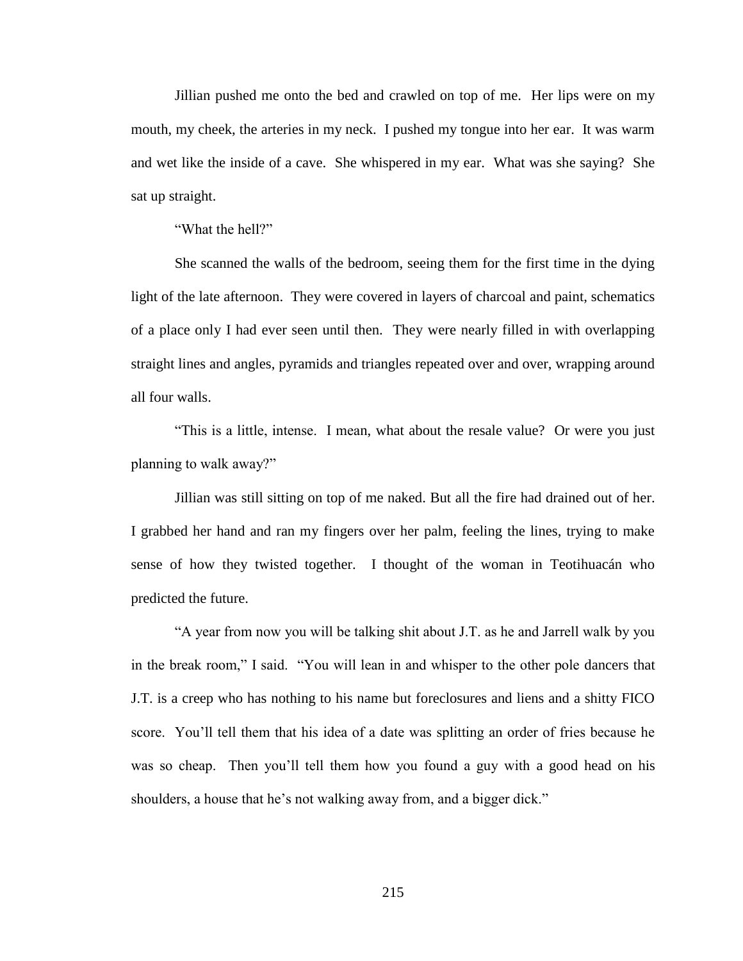Jillian pushed me onto the bed and crawled on top of me. Her lips were on my mouth, my cheek, the arteries in my neck. I pushed my tongue into her ear. It was warm and wet like the inside of a cave. She whispered in my ear. What was she saying? She sat up straight.

"What the hell?"

She scanned the walls of the bedroom, seeing them for the first time in the dying light of the late afternoon. They were covered in layers of charcoal and paint, schematics of a place only I had ever seen until then. They were nearly filled in with overlapping straight lines and angles, pyramids and triangles repeated over and over, wrapping around all four walls.

"This is a little, intense. I mean, what about the resale value? Or were you just planning to walk away?"

Jillian was still sitting on top of me naked. But all the fire had drained out of her. I grabbed her hand and ran my fingers over her palm, feeling the lines, trying to make sense of how they twisted together. I thought of the woman in Teotihuacán who predicted the future.

"A year from now you will be talking shit about J.T. as he and Jarrell walk by you in the break room," I said. "You will lean in and whisper to the other pole dancers that J.T. is a creep who has nothing to his name but foreclosures and liens and a shitty FICO score. You'll tell them that his idea of a date was splitting an order of fries because he was so cheap. Then you'll tell them how you found a guy with a good head on his shoulders, a house that he's not walking away from, and a bigger dick."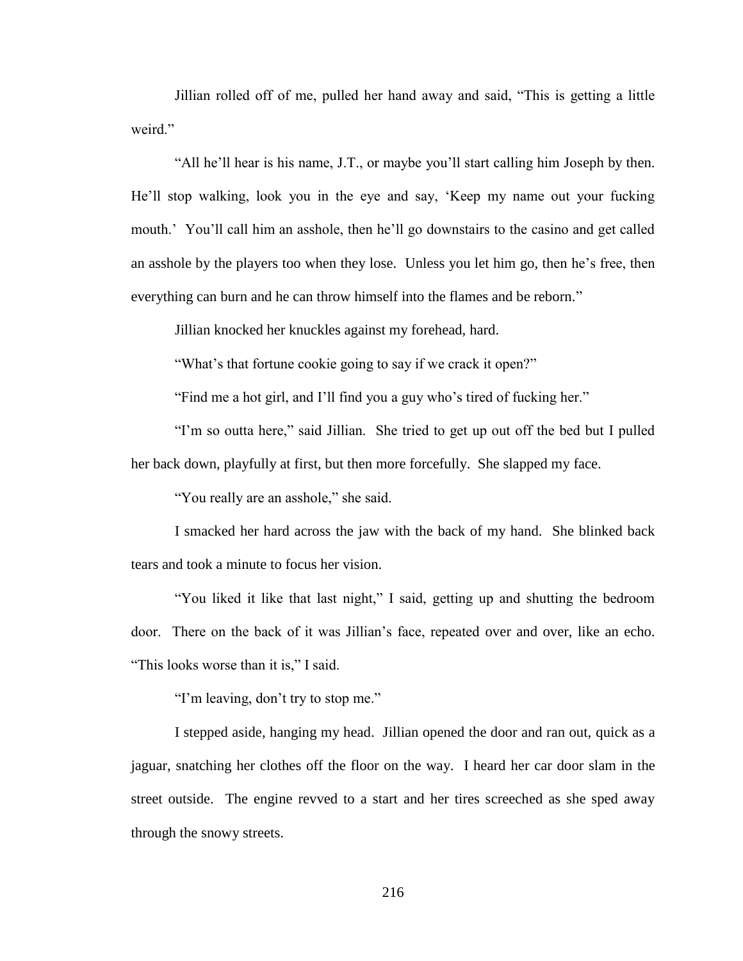Jillian rolled off of me, pulled her hand away and said, "This is getting a little weird."

"All he'll hear is his name, J.T., or maybe you'll start calling him Joseph by then. He'll stop walking, look you in the eye and say, 'Keep my name out your fucking mouth.' You'll call him an asshole, then he'll go downstairs to the casino and get called an asshole by the players too when they lose. Unless you let him go, then he's free, then everything can burn and he can throw himself into the flames and be reborn."

Jillian knocked her knuckles against my forehead, hard.

"What's that fortune cookie going to say if we crack it open?"

"Find me a hot girl, and I'll find you a guy who's tired of fucking her."

"I'm so outta here," said Jillian. She tried to get up out off the bed but I pulled her back down, playfully at first, but then more forcefully. She slapped my face.

"You really are an asshole," she said.

I smacked her hard across the jaw with the back of my hand. She blinked back tears and took a minute to focus her vision.

"You liked it like that last night," I said, getting up and shutting the bedroom door. There on the back of it was Jillian's face, repeated over and over, like an echo. "This looks worse than it is," I said.

"I'm leaving, don't try to stop me."

I stepped aside, hanging my head. Jillian opened the door and ran out, quick as a jaguar, snatching her clothes off the floor on the way. I heard her car door slam in the street outside. The engine revved to a start and her tires screeched as she sped away through the snowy streets.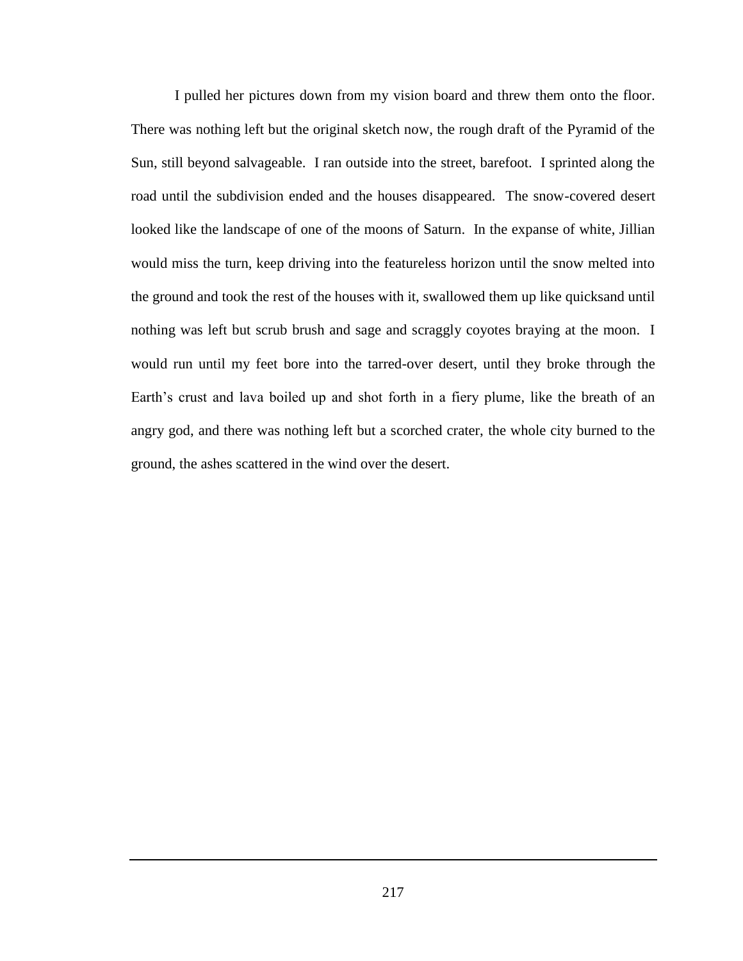I pulled her pictures down from my vision board and threw them onto the floor. There was nothing left but the original sketch now, the rough draft of the Pyramid of the Sun, still beyond salvageable. I ran outside into the street, barefoot. I sprinted along the road until the subdivision ended and the houses disappeared. The snow-covered desert looked like the landscape of one of the moons of Saturn. In the expanse of white, Jillian would miss the turn, keep driving into the featureless horizon until the snow melted into the ground and took the rest of the houses with it, swallowed them up like quicksand until nothing was left but scrub brush and sage and scraggly coyotes braying at the moon. I would run until my feet bore into the tarred-over desert, until they broke through the Earth's crust and lava boiled up and shot forth in a fiery plume, like the breath of an angry god, and there was nothing left but a scorched crater, the whole city burned to the ground, the ashes scattered in the wind over the desert.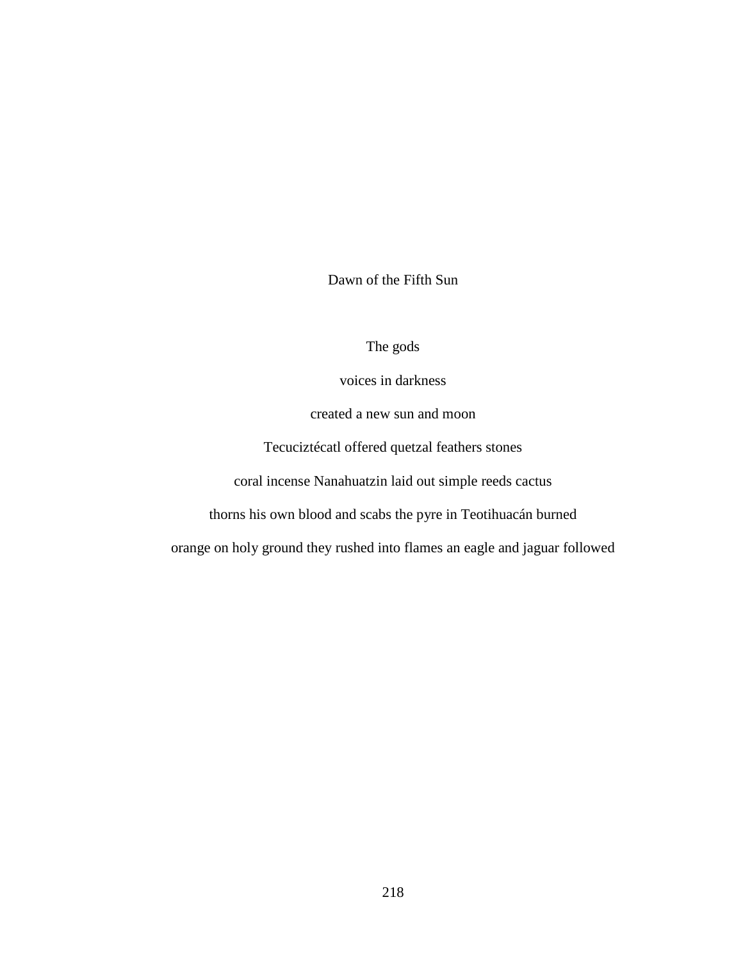Dawn of the Fifth Sun

# The gods

voices in darkness

created a new sun and moon

Tecuciztécatl offered quetzal feathers stones

coral incense Nanahuatzin laid out simple reeds cactus

thorns his own blood and scabs the pyre in Teotihuacán burned

orange on holy ground they rushed into flames an eagle and jaguar followed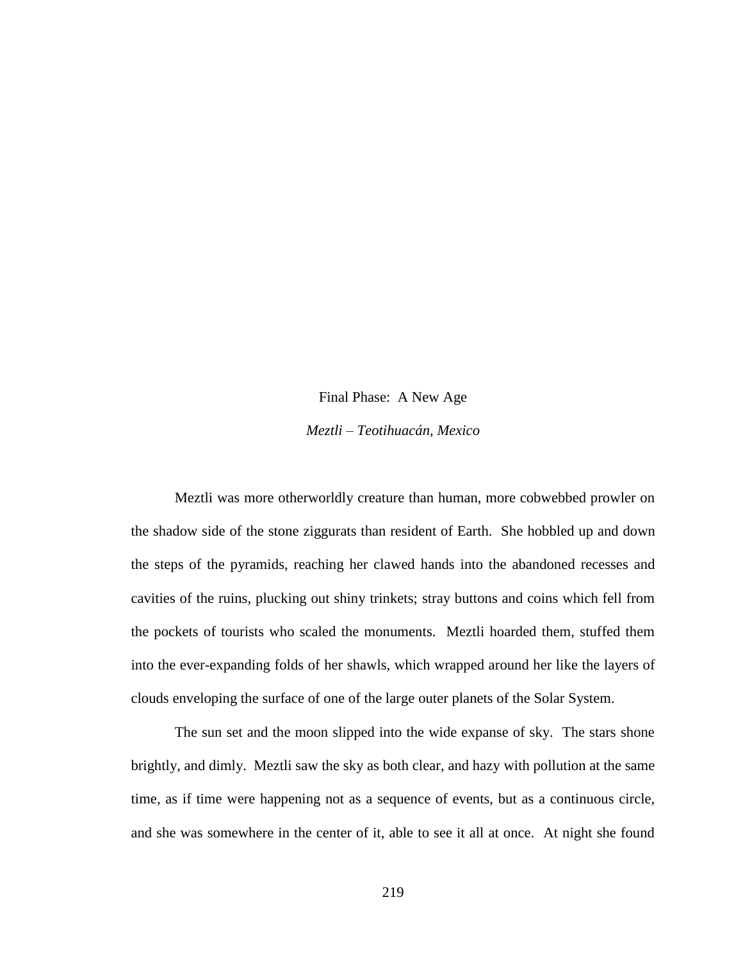# Final Phase: A New Age *Meztli – Teotihuacán, Mexico*

Meztli was more otherworldly creature than human, more cobwebbed prowler on the shadow side of the stone ziggurats than resident of Earth. She hobbled up and down the steps of the pyramids, reaching her clawed hands into the abandoned recesses and cavities of the ruins, plucking out shiny trinkets; stray buttons and coins which fell from the pockets of tourists who scaled the monuments. Meztli hoarded them, stuffed them into the ever-expanding folds of her shawls, which wrapped around her like the layers of clouds enveloping the surface of one of the large outer planets of the Solar System.

The sun set and the moon slipped into the wide expanse of sky. The stars shone brightly, and dimly. Meztli saw the sky as both clear, and hazy with pollution at the same time, as if time were happening not as a sequence of events, but as a continuous circle, and she was somewhere in the center of it, able to see it all at once. At night she found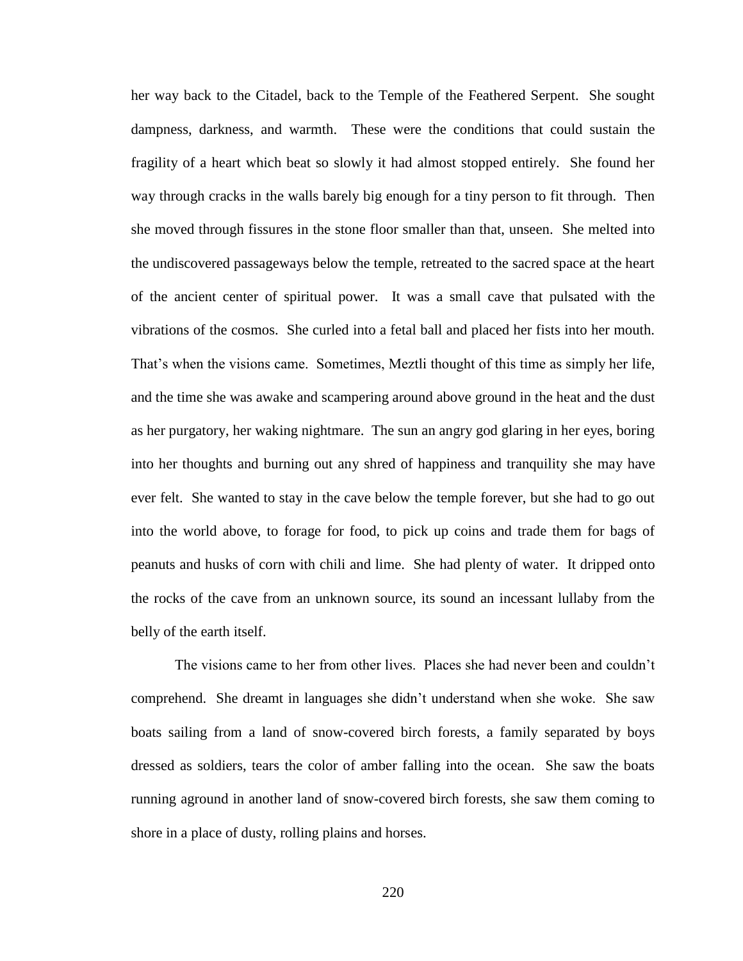her way back to the Citadel, back to the Temple of the Feathered Serpent. She sought dampness, darkness, and warmth. These were the conditions that could sustain the fragility of a heart which beat so slowly it had almost stopped entirely. She found her way through cracks in the walls barely big enough for a tiny person to fit through. Then she moved through fissures in the stone floor smaller than that, unseen. She melted into the undiscovered passageways below the temple, retreated to the sacred space at the heart of the ancient center of spiritual power. It was a small cave that pulsated with the vibrations of the cosmos. She curled into a fetal ball and placed her fists into her mouth. That's when the visions came. Sometimes, Meztli thought of this time as simply her life, and the time she was awake and scampering around above ground in the heat and the dust as her purgatory, her waking nightmare. The sun an angry god glaring in her eyes, boring into her thoughts and burning out any shred of happiness and tranquility she may have ever felt. She wanted to stay in the cave below the temple forever, but she had to go out into the world above, to forage for food, to pick up coins and trade them for bags of peanuts and husks of corn with chili and lime. She had plenty of water. It dripped onto the rocks of the cave from an unknown source, its sound an incessant lullaby from the belly of the earth itself.

The visions came to her from other lives. Places she had never been and couldn't comprehend. She dreamt in languages she didn't understand when she woke. She saw boats sailing from a land of snow-covered birch forests, a family separated by boys dressed as soldiers, tears the color of amber falling into the ocean. She saw the boats running aground in another land of snow-covered birch forests, she saw them coming to shore in a place of dusty, rolling plains and horses.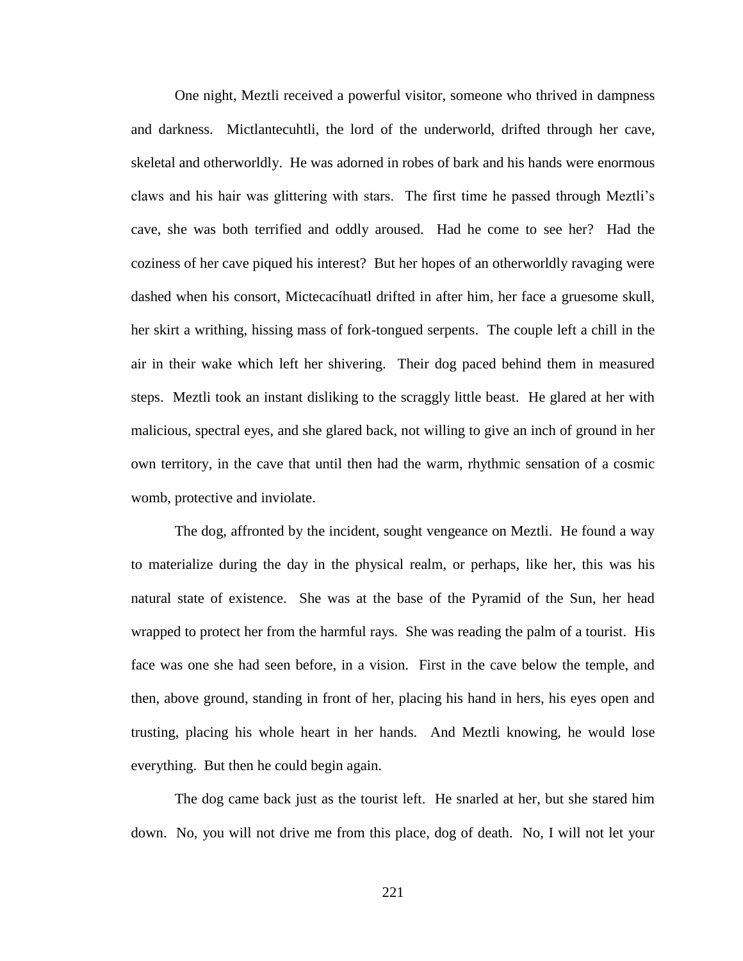One night, Meztli received a powerful visitor, someone who thrived in dampness and darkness. Mictlantecuhtli, the lord of the underworld, drifted through her cave, skeletal and otherworldly. He was adorned in robes of bark and his hands were enormous claws and his hair was glittering with stars. The first time he passed through Meztli's cave, she was both terrified and oddly aroused. Had he come to see her? Had the coziness of her cave piqued his interest? But her hopes of an otherworldly ravaging were dashed when his consort, Mictecacíhuatl drifted in after him, her face a gruesome skull, her skirt a writhing, hissing mass of fork-tongued serpents. The couple left a chill in the air in their wake which left her shivering. Their dog paced behind them in measured steps. Meztli took an instant disliking to the scraggly little beast. He glared at her with malicious, spectral eyes, and she glared back, not willing to give an inch of ground in her own territory, in the cave that until then had the warm, rhythmic sensation of a cosmic womb, protective and inviolate.

The dog, affronted by the incident, sought vengeance on Meztli. He found a way to materialize during the day in the physical realm, or perhaps, like her, this was his natural state of existence. She was at the base of the Pyramid of the Sun, her head wrapped to protect her from the harmful rays. She was reading the palm of a tourist. His face was one she had seen before, in a vision. First in the cave below the temple, and then, above ground, standing in front of her, placing his hand in hers, his eyes open and trusting, placing his whole heart in her hands. And Meztli knowing, he would lose everything. But then he could begin again.

The dog came back just as the tourist left. He snarled at her, but she stared him down. No, you will not drive me from this place, dog of death. No, I will not let your

221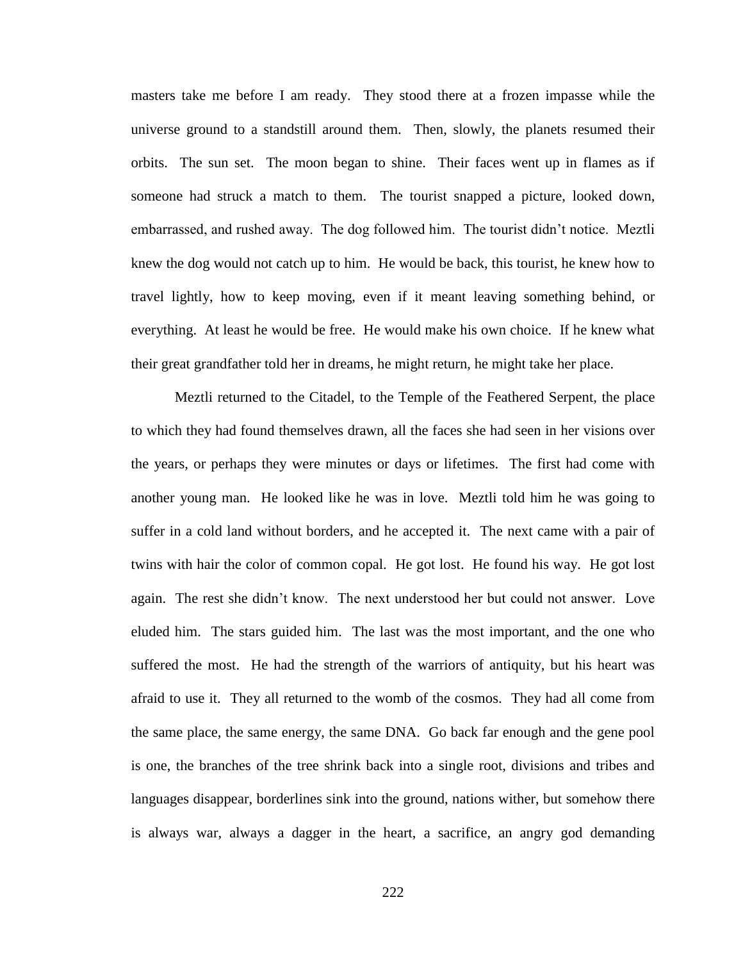masters take me before I am ready. They stood there at a frozen impasse while the universe ground to a standstill around them. Then, slowly, the planets resumed their orbits. The sun set. The moon began to shine. Their faces went up in flames as if someone had struck a match to them. The tourist snapped a picture, looked down, embarrassed, and rushed away. The dog followed him. The tourist didn't notice. Meztli knew the dog would not catch up to him. He would be back, this tourist, he knew how to travel lightly, how to keep moving, even if it meant leaving something behind, or everything. At least he would be free. He would make his own choice. If he knew what their great grandfather told her in dreams, he might return, he might take her place.

Meztli returned to the Citadel, to the Temple of the Feathered Serpent, the place to which they had found themselves drawn, all the faces she had seen in her visions over the years, or perhaps they were minutes or days or lifetimes. The first had come with another young man. He looked like he was in love. Meztli told him he was going to suffer in a cold land without borders, and he accepted it. The next came with a pair of twins with hair the color of common copal. He got lost. He found his way. He got lost again. The rest she didn't know. The next understood her but could not answer. Love eluded him. The stars guided him. The last was the most important, and the one who suffered the most. He had the strength of the warriors of antiquity, but his heart was afraid to use it. They all returned to the womb of the cosmos. They had all come from the same place, the same energy, the same DNA. Go back far enough and the gene pool is one, the branches of the tree shrink back into a single root, divisions and tribes and languages disappear, borderlines sink into the ground, nations wither, but somehow there is always war, always a dagger in the heart, a sacrifice, an angry god demanding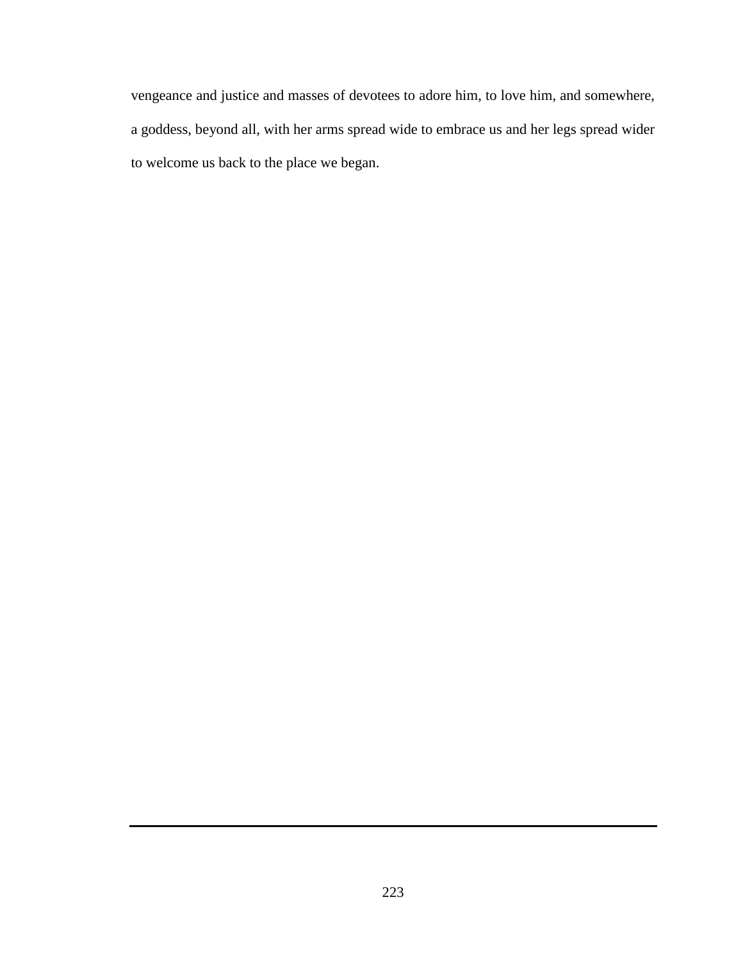vengeance and justice and masses of devotees to adore him, to love him, and somewhere, a goddess, beyond all, with her arms spread wide to embrace us and her legs spread wider to welcome us back to the place we began.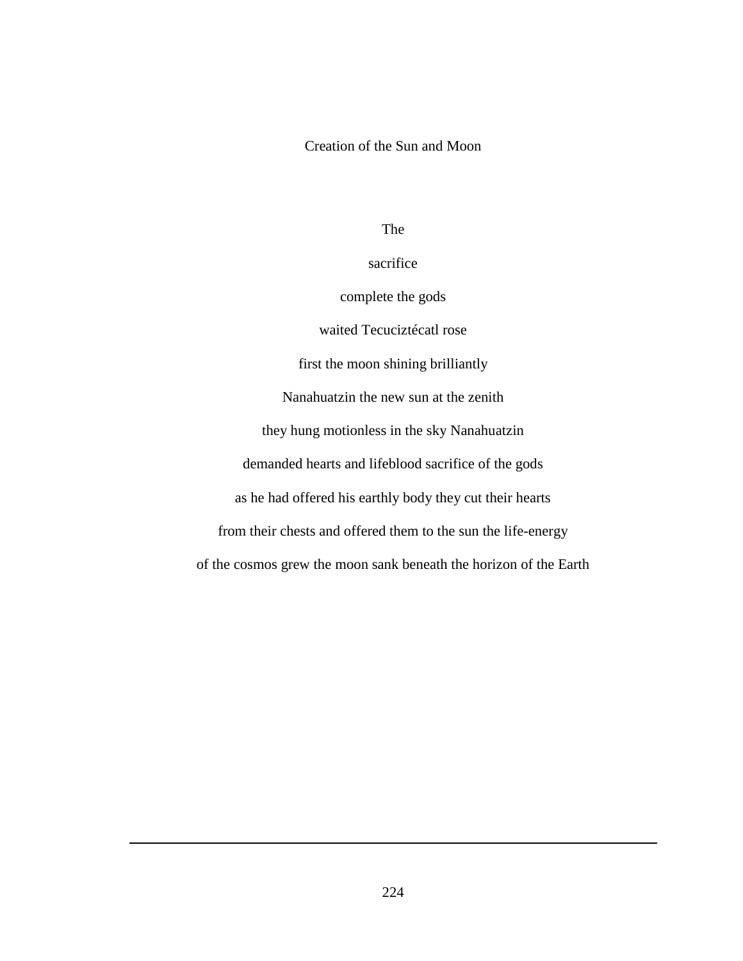## Creation of the Sun and Moon

The

sacrifice

complete the gods

waited Tecuciztécatl rose

first the moon shining brilliantly

Nanahuatzin the new sun at the zenith

they hung motionless in the sky Nanahuatzin

demanded hearts and lifeblood sacrifice of the gods

as he had offered his earthly body they cut their hearts

from their chests and offered them to the sun the life-energy

of the cosmos grew the moon sank beneath the horizon of the Earth